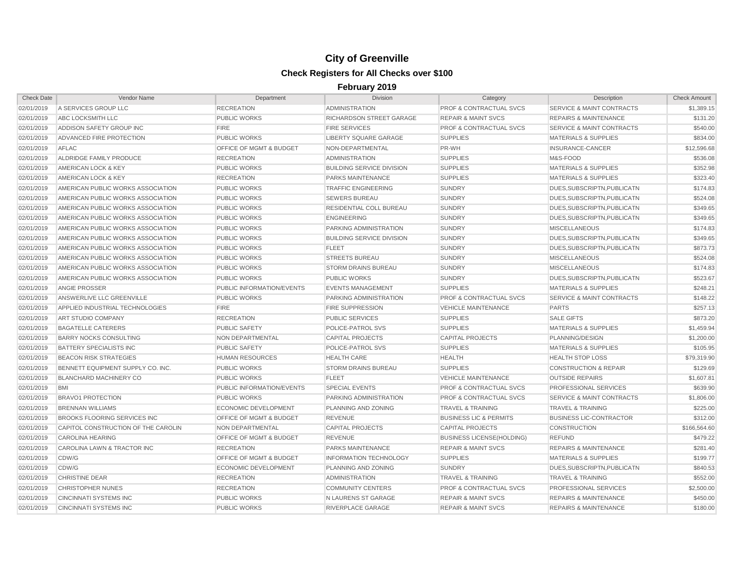| <b>Check Date</b> | <b>Vendor Name</b>                   | Department                         | <b>Division</b>                  | Category                           | Description                          | <b>Check Amount</b> |
|-------------------|--------------------------------------|------------------------------------|----------------------------------|------------------------------------|--------------------------------------|---------------------|
| 02/01/2019        | A SERVICES GROUP LLC                 | <b>RECREATION</b>                  | <b>ADMINISTRATION</b>            | <b>PROF &amp; CONTRACTUAL SVCS</b> | <b>SERVICE &amp; MAINT CONTRACTS</b> | \$1.389.15          |
| 02/01/2019        | ABC LOCKSMITH LLC                    | <b>PUBLIC WORKS</b>                | RICHARDSON STREET GARAGE         | <b>REPAIR &amp; MAINT SVCS</b>     | <b>REPAIRS &amp; MAINTENANCE</b>     | \$131.20            |
| 02/01/2019        | ADDISON SAFETY GROUP INC             | <b>FIRE</b>                        | <b>FIRE SERVICES</b>             | <b>PROF &amp; CONTRACTUAL SVCS</b> | <b>SERVICE &amp; MAINT CONTRACTS</b> | \$540.00            |
| 02/01/2019        | ADVANCED FIRE PROTECTION             | <b>PUBLIC WORKS</b>                | LIBERTY SQUARE GARAGE            | <b>SUPPLIES</b>                    | <b>MATERIALS &amp; SUPPLIES</b>      | \$834.00            |
| 02/01/2019        | <b>AFLAC</b>                         | <b>OFFICE OF MGMT &amp; BUDGET</b> | NON-DEPARTMENTAL                 | PR-WH                              | <b>INSURANCE-CANCER</b>              | \$12,596.68         |
| 02/01/2019        | ALDRIDGE FAMILY PRODUCE              | <b>RECREATION</b>                  | <b>ADMINISTRATION</b>            | <b>SUPPLIES</b>                    | M&S-FOOD                             | \$536.08            |
| 02/01/2019        | AMERICAN LOCK & KEY                  | <b>PUBLIC WORKS</b>                | <b>BUILDING SERVICE DIVISION</b> | <b>SUPPLIES</b>                    | <b>MATERIALS &amp; SUPPLIES</b>      | \$352.98            |
| 02/01/2019        | AMERICAN LOCK & KEY                  | <b>RECREATION</b>                  | <b>PARKS MAINTENANCE</b>         | <b>SUPPLIES</b>                    | <b>MATERIALS &amp; SUPPLIES</b>      | \$323.40            |
| 02/01/2019        | AMERICAN PUBLIC WORKS ASSOCIATION    | <b>PUBLIC WORKS</b>                | <b>TRAFFIC ENGINEERING</b>       | <b>SUNDRY</b>                      | DUES, SUBSCRIPTN, PUBLICATN          | \$174.83            |
| 02/01/2019        | AMERICAN PUBLIC WORKS ASSOCIATION    | <b>PUBLIC WORKS</b>                | <b>SEWERS BUREAU</b>             | <b>SUNDRY</b>                      | DUES.SUBSCRIPTN.PUBLICATN            | \$524.08            |
| 02/01/2019        | AMERICAN PUBLIC WORKS ASSOCIATION    | <b>PUBLIC WORKS</b>                | RESIDENTIAL COLL BUREAU          | <b>SUNDRY</b>                      | DUES, SUBSCRIPTN, PUBLICATN          | \$349.65            |
| 02/01/2019        | AMERICAN PUBLIC WORKS ASSOCIATION    | <b>PUBLIC WORKS</b>                | <b>ENGINEERING</b>               | <b>SUNDRY</b>                      | DUES.SUBSCRIPTN.PUBLICATN            | \$349.65            |
| 02/01/2019        | AMERICAN PUBLIC WORKS ASSOCIATION    | <b>PUBLIC WORKS</b>                | PARKING ADMINISTRATION           | <b>SUNDRY</b>                      | <b>MISCELLANEOUS</b>                 | \$174.83            |
| 02/01/2019        | AMERICAN PUBLIC WORKS ASSOCIATION    | <b>PUBLIC WORKS</b>                | <b>BUILDING SERVICE DIVISION</b> | <b>SUNDRY</b>                      | DUES, SUBSCRIPTN, PUBLICATN          | \$349.65            |
| 02/01/2019        | AMERICAN PUBLIC WORKS ASSOCIATION    | <b>PUBLIC WORKS</b>                | <b>FLEET</b>                     | <b>SUNDRY</b>                      | DUES, SUBSCRIPTN, PUBLICATN          | \$873.73            |
| 02/01/2019        | AMERICAN PUBLIC WORKS ASSOCIATION    | <b>PUBLIC WORKS</b>                | <b>STREETS BUREAU</b>            | <b>SUNDRY</b>                      | <b>MISCELLANEOUS</b>                 | \$524.08            |
| 02/01/2019        | AMERICAN PUBLIC WORKS ASSOCIATION    | <b>PUBLIC WORKS</b>                | <b>STORM DRAINS BUREAU</b>       | <b>SUNDRY</b>                      | <b>MISCELLANEOUS</b>                 | \$174.83            |
| 02/01/2019        | AMERICAN PUBLIC WORKS ASSOCIATION    | <b>PUBLIC WORKS</b>                | <b>PUBLIC WORKS</b>              | <b>SUNDRY</b>                      | DUES, SUBSCRIPTN, PUBLICATN          | \$523.67            |
| 02/01/2019        | ANGIE PROSSER                        | PUBLIC INFORMATION/EVENTS          | <b>EVENTS MANAGEMENT</b>         | <b>SUPPLIES</b>                    | <b>MATERIALS &amp; SUPPLIES</b>      | \$248.21            |
| 02/01/2019        | ANSWERLIVE LLC GREENVILLE            | <b>PUBLIC WORKS</b>                | <b>PARKING ADMINISTRATION</b>    | <b>PROF &amp; CONTRACTUAL SVCS</b> | <b>SERVICE &amp; MAINT CONTRACTS</b> | \$148.22            |
| 02/01/2019        | APPLIED INDUSTRIAL TECHNOLOGIES      | <b>FIRE</b>                        | <b>FIRE SUPPRESSION</b>          | <b>VEHICLE MAINTENANCE</b>         | <b>PARTS</b>                         | \$257.13            |
| 02/01/2019        | <b>ART STUDIO COMPANY</b>            | <b>RECREATION</b>                  | <b>PUBLIC SERVICES</b>           | <b>SUPPLIES</b>                    | <b>SALE GIFTS</b>                    | \$873.20            |
| 02/01/2019        | <b>BAGATELLE CATERERS</b>            | <b>PUBLIC SAFETY</b>               | POLICE-PATROL SVS                | <b>SUPPLIES</b>                    | <b>MATERIALS &amp; SUPPLIES</b>      | \$1,459.94          |
| 02/01/2019        | <b>BARRY NOCKS CONSULTING</b>        | <b>NON DEPARTMENTAL</b>            | <b>CAPITAL PROJECTS</b>          | <b>CAPITAL PROJECTS</b>            | PLANNING/DESIGN                      | \$1,200.00          |
| 02/01/2019        | <b>BATTERY SPECIALISTS INC</b>       | <b>PUBLIC SAFETY</b>               | POLICE-PATROL SVS                | <b>SUPPLIES</b>                    | <b>MATERIALS &amp; SUPPLIES</b>      | \$105.95            |
| 02/01/2019        | <b>BEACON RISK STRATEGIES</b>        | <b>HUMAN RESOURCES</b>             | <b>HEALTH CARE</b>               | <b>HEALTH</b>                      | <b>HEALTH STOP LOSS</b>              | \$79,319.90         |
| 02/01/2019        | BENNETT EQUIPMENT SUPPLY CO. INC.    | <b>PUBLIC WORKS</b>                | <b>STORM DRAINS BUREAU</b>       | <b>SUPPLIES</b>                    | <b>CONSTRUCTION &amp; REPAIR</b>     | \$129.69            |
| 02/01/2019        | <b>BLANCHARD MACHINERY CO</b>        | <b>PUBLIC WORKS</b>                | <b>FLEET</b>                     | <b>VEHICLE MAINTENANCE</b>         | <b>OUTSIDE REPAIRS</b>               | \$1,607.81          |
| 02/01/2019        | <b>BMI</b>                           | PUBLIC INFORMATION/EVENTS          | SPECIAL EVENTS                   | <b>PROF &amp; CONTRACTUAL SVCS</b> | PROFESSIONAL SERVICES                | \$639.90            |
| 02/01/2019        | <b>BRAVO1 PROTECTION</b>             | <b>PUBLIC WORKS</b>                | <b>PARKING ADMINISTRATION</b>    | <b>PROF &amp; CONTRACTUAL SVCS</b> | <b>SERVICE &amp; MAINT CONTRACTS</b> | \$1,806.00          |
| 02/01/2019        | <b>BRENNAN WILLIAMS</b>              | <b>ECONOMIC DEVELOPMENT</b>        | PLANNING AND ZONING              | <b>TRAVEL &amp; TRAINING</b>       | <b>TRAVEL &amp; TRAINING</b>         | \$225.00            |
| 02/01/2019        | <b>BROOKS FLOORING SERVICES INC.</b> | OFFICE OF MGMT & BUDGET            | <b>REVENUE</b>                   | <b>BUSINESS LIC &amp; PERMITS</b>  | <b>BUSINESS LIC-CONTRACTOR</b>       | \$312.00            |
| 02/01/2019        | CAPITOL CONSTRUCTION OF THE CAROLIN  | NON DEPARTMENTAL                   | <b>CAPITAL PROJECTS</b>          | <b>CAPITAL PROJECTS</b>            | <b>CONSTRUCTION</b>                  | \$166,564.60        |
| 02/01/2019        | <b>CAROLINA HEARING</b>              | OFFICE OF MGMT & BUDGET            | <b>REVENUE</b>                   | <b>BUSINESS LICENSE(HOLDING)</b>   | <b>REFUND</b>                        | \$479.22            |
| 02/01/2019        | CAROLINA LAWN & TRACTOR INC          | <b>RECREATION</b>                  | <b>PARKS MAINTENANCE</b>         | <b>REPAIR &amp; MAINT SVCS</b>     | <b>REPAIRS &amp; MAINTENANCE</b>     | \$281.40            |
| 02/01/2019        | CDW/G                                | <b>OFFICE OF MGMT &amp; BUDGET</b> | <b>INFORMATION TECHNOLOGY</b>    | <b>SUPPLIES</b>                    | <b>MATERIALS &amp; SUPPLIES</b>      | \$199.77            |
| 02/01/2019        | CDW/G                                | <b>ECONOMIC DEVELOPMENT</b>        | PLANNING AND ZONING              | <b>SUNDRY</b>                      | DUES, SUBSCRIPTN, PUBLICATN          | \$840.53            |
| 02/01/2019        | <b>CHRISTINE DEAR</b>                | <b>RECREATION</b>                  | <b>ADMINISTRATION</b>            | <b>TRAVEL &amp; TRAINING</b>       | <b>TRAVEL &amp; TRAINING</b>         | \$552.00            |
| 02/01/2019        | <b>CHRISTOPHER NUNES</b>             | <b>RECREATION</b>                  | <b>COMMUNITY CENTERS</b>         | <b>PROF &amp; CONTRACTUAL SVCS</b> | PROFESSIONAL SERVICES                | \$2,500.00          |
| 02/01/2019        | <b>CINCINNATI SYSTEMS INC</b>        | <b>PUBLIC WORKS</b>                | N LAURENS ST GARAGE              | <b>REPAIR &amp; MAINT SVCS</b>     | <b>REPAIRS &amp; MAINTENANCE</b>     | \$450.00            |
| 02/01/2019        | <b>CINCINNATI SYSTEMS INC</b>        | <b>PUBLIC WORKS</b>                | RIVERPLACE GARAGE                | <b>REPAIR &amp; MAINT SVCS</b>     | <b>REPAIRS &amp; MAINTENANCE</b>     | \$180.00            |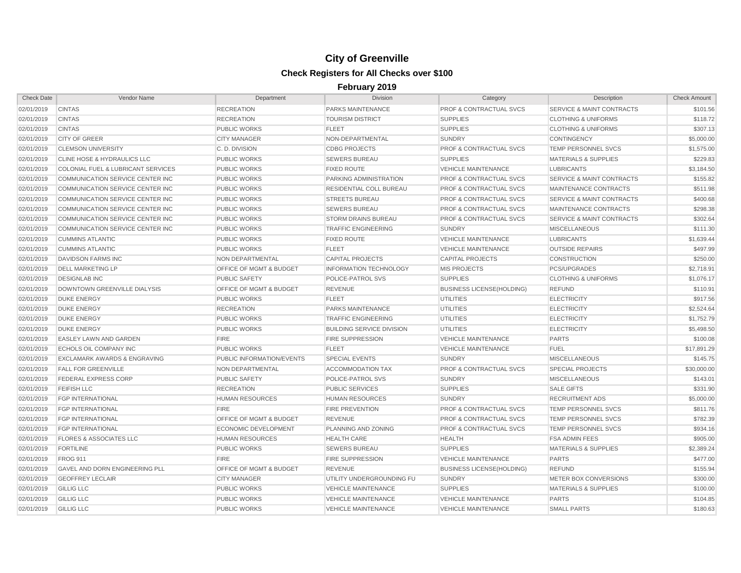| <b>Check Date</b> | Vendor Name                            | Department                         | <b>Division</b>                  | Category                           | Description                          | <b>Check Amount</b> |
|-------------------|----------------------------------------|------------------------------------|----------------------------------|------------------------------------|--------------------------------------|---------------------|
| 02/01/2019        | <b>CINTAS</b>                          | <b>RECREATION</b>                  | PARKS MAINTENANCE                | PROF & CONTRACTUAL SVCS            | SERVICE & MAINT CONTRACTS            | \$101.56            |
| 02/01/2019        | <b>CINTAS</b>                          | <b>RECREATION</b>                  | <b>TOURISM DISTRICT</b>          | <b>SUPPLIES</b>                    | <b>CLOTHING &amp; UNIFORMS</b>       | \$118.72            |
| 02/01/2019        | <b>CINTAS</b>                          | <b>PUBLIC WORKS</b>                | <b>FLEET</b>                     | <b>SUPPLIES</b>                    | <b>CLOTHING &amp; UNIFORMS</b>       | \$307.13            |
| 02/01/2019        | <b>CITY OF GREER</b>                   | <b>CITY MANAGER</b>                | NON-DEPARTMENTAL                 | <b>SUNDRY</b>                      | <b>CONTINGENCY</b>                   | \$5,000.00          |
| 02/01/2019        | <b>CLEMSON UNIVERSITY</b>              | C.D. DIVISION                      | <b>CDBG PROJECTS</b>             | <b>PROF &amp; CONTRACTUAL SVCS</b> | <b>TEMP PERSONNEL SVCS</b>           | \$1,575.00          |
| 02/01/2019        | <b>CLINE HOSE &amp; HYDRAULICS LLC</b> | <b>PUBLIC WORKS</b>                | <b>SEWERS BUREAU</b>             | <b>SUPPLIES</b>                    | <b>MATERIALS &amp; SUPPLIES</b>      | \$229.83            |
| 02/01/2019        | COLONIAL FUEL & LUBRICANT SERVICES     | <b>PUBLIC WORKS</b>                | <b>FIXED ROUTE</b>               | <b>VEHICLE MAINTENANCE</b>         | <b>LUBRICANTS</b>                    | \$3,184.50          |
| 02/01/2019        | COMMUNICATION SERVICE CENTER INC       | <b>PUBLIC WORKS</b>                | PARKING ADMINISTRATION           | <b>PROF &amp; CONTRACTUAL SVCS</b> | <b>SERVICE &amp; MAINT CONTRACTS</b> | \$155.82            |
| 02/01/2019        | COMMUNICATION SERVICE CENTER INC       | <b>PUBLIC WORKS</b>                | RESIDENTIAL COLL BUREAU          | <b>PROF &amp; CONTRACTUAL SVCS</b> | MAINTENANCE CONTRACTS                | \$511.98            |
| 02/01/2019        | COMMUNICATION SERVICE CENTER INC       | <b>PUBLIC WORKS</b>                | <b>STREETS BUREAU</b>            | <b>PROF &amp; CONTRACTUAL SVCS</b> | <b>SERVICE &amp; MAINT CONTRACTS</b> | \$400.68            |
| 02/01/2019        | COMMUNICATION SERVICE CENTER INC       | <b>PUBLIC WORKS</b>                | <b>SEWERS BUREAU</b>             | <b>PROF &amp; CONTRACTUAL SVCS</b> | MAINTENANCE CONTRACTS                | \$298.38            |
| 02/01/2019        | COMMUNICATION SERVICE CENTER INC       | <b>PUBLIC WORKS</b>                | <b>STORM DRAINS BUREAU</b>       | <b>PROF &amp; CONTRACTUAL SVCS</b> | <b>SERVICE &amp; MAINT CONTRACTS</b> | \$302.64            |
| 02/01/2019        | COMMUNICATION SERVICE CENTER INC       | <b>PUBLIC WORKS</b>                | <b>TRAFFIC ENGINEERING</b>       | <b>SUNDRY</b>                      | <b>MISCELLANEOUS</b>                 | \$111.30            |
| 02/01/2019        | <b>CUMMINS ATLANTIC</b>                | <b>PUBLIC WORKS</b>                | <b>FIXED ROUTE</b>               | <b>VEHICLE MAINTENANCE</b>         | <b>LUBRICANTS</b>                    | \$1,639.44          |
| 02/01/2019        | <b>CUMMINS ATLANTIC</b>                | <b>PUBLIC WORKS</b>                | <b>FLEET</b>                     | <b>VEHICLE MAINTENANCE</b>         | <b>OUTSIDE REPAIRS</b>               | \$497.99            |
| 02/01/2019        | <b>DAVIDSON FARMS INC</b>              | NON DEPARTMENTAL                   | <b>CAPITAL PROJECTS</b>          | <b>CAPITAL PROJECTS</b>            | <b>CONSTRUCTION</b>                  | \$250.00            |
| 02/01/2019        | <b>DELL MARKETING LP</b>               | OFFICE OF MGMT & BUDGET            | <b>INFORMATION TECHNOLOGY</b>    | <b>MIS PROJECTS</b>                | <b>PCS/UPGRADES</b>                  | \$2,718.91          |
| 02/01/2019        | <b>DESIGNLAB INC</b>                   | <b>PUBLIC SAFETY</b>               | POLICE-PATROL SVS                | <b>SUPPLIES</b>                    | <b>CLOTHING &amp; UNIFORMS</b>       | \$1,076.17          |
| 02/01/2019        | DOWNTOWN GREENVILLE DIALYSIS           | <b>OFFICE OF MGMT &amp; BUDGET</b> | <b>REVENUE</b>                   | <b>BUSINESS LICENSE(HOLDING)</b>   | <b>REFUND</b>                        | \$110.91            |
| 02/01/2019        | <b>DUKE ENERGY</b>                     | <b>PUBLIC WORKS</b>                | <b>FLEET</b>                     | <b>UTILITIES</b>                   | <b>ELECTRICITY</b>                   | \$917.56            |
| 02/01/2019        | <b>DUKE ENERGY</b>                     | <b>RECREATION</b>                  | PARKS MAINTENANCE                | <b>UTILITIES</b>                   | <b>ELECTRICITY</b>                   | \$2,524.64          |
| 02/01/2019        | <b>DUKE ENERGY</b>                     | PUBLIC WORKS                       | <b>TRAFFIC ENGINEERING</b>       | <b>UTILITIES</b>                   | <b>ELECTRICITY</b>                   | \$1,752.79          |
| 02/01/2019        | <b>DUKE ENERGY</b>                     | <b>PUBLIC WORKS</b>                | <b>BUILDING SERVICE DIVISION</b> | <b>UTILITIES</b>                   | <b>ELECTRICITY</b>                   | \$5,498.50          |
| 02/01/2019        | <b>EASLEY LAWN AND GARDEN</b>          | <b>FIRE</b>                        | <b>FIRE SUPPRESSION</b>          | <b>VEHICLE MAINTENANCE</b>         | <b>PARTS</b>                         | \$100.08            |
| 02/01/2019        | <b>ECHOLS OIL COMPANY INC</b>          | <b>PUBLIC WORKS</b>                | <b>FLEET</b>                     | <b>VEHICLE MAINTENANCE</b>         | <b>FUEL</b>                          | \$17,891.29         |
| 02/01/2019        | EXCLAMARK AWARDS & ENGRAVING           | PUBLIC INFORMATION/EVENTS          | <b>SPECIAL EVENTS</b>            | <b>SUNDRY</b>                      | <b>MISCELLANEOUS</b>                 | \$145.75            |
| 02/01/2019        | <b>FALL FOR GREENVILLE</b>             | <b>NON DEPARTMENTAL</b>            | <b>ACCOMMODATION TAX</b>         | PROF & CONTRACTUAL SVCS            | <b>SPECIAL PROJECTS</b>              | \$30,000.00         |
| 02/01/2019        | <b>FEDERAL EXPRESS CORP</b>            | <b>PUBLIC SAFETY</b>               | POLICE-PATROL SVS                | <b>SUNDRY</b>                      | <b>MISCELLANEOUS</b>                 | \$143.01            |
| 02/01/2019        | <b>FEIFISH LLC</b>                     | <b>RECREATION</b>                  | <b>PUBLIC SERVICES</b>           | <b>SUPPLIES</b>                    | <b>SALE GIFTS</b>                    | \$331.90            |
| 02/01/2019        | <b>FGP INTERNATIONAL</b>               | <b>HUMAN RESOURCES</b>             | <b>HUMAN RESOURCES</b>           | <b>SUNDRY</b>                      | <b>RECRUITMENT ADS</b>               | \$5,000.00          |
| 02/01/2019        | <b>FGP INTERNATIONAL</b>               | <b>FIRE</b>                        | <b>FIRE PREVENTION</b>           | <b>PROF &amp; CONTRACTUAL SVCS</b> | TEMP PERSONNEL SVCS                  | \$811.76            |
| 02/01/2019        | <b>FGP INTERNATIONAL</b>               | OFFICE OF MGMT & BUDGET            | <b>REVENUE</b>                   | <b>PROF &amp; CONTRACTUAL SVCS</b> | TEMP PERSONNEL SVCS                  | \$782.39            |
| 02/01/2019        | <b>FGP INTERNATIONAL</b>               | <b>ECONOMIC DEVELOPMENT</b>        | PLANNING AND ZONING              | PROF & CONTRACTUAL SVCS            | <b>TEMP PERSONNEL SVCS</b>           | \$934.16            |
| 02/01/2019        | <b>FLORES &amp; ASSOCIATES LLC</b>     | <b>HUMAN RESOURCES</b>             | <b>HEALTH CARE</b>               | <b>HEALTH</b>                      | <b>FSA ADMIN FEES</b>                | \$905.00            |
| 02/01/2019        | <b>FORTILINE</b>                       | <b>PUBLIC WORKS</b>                | <b>SEWERS BUREAU</b>             | <b>SUPPLIES</b>                    | <b>MATERIALS &amp; SUPPLIES</b>      | \$2,389.24          |
| 02/01/2019        | <b>FROG 911</b>                        | <b>FIRE</b>                        | <b>FIRE SUPPRESSION</b>          | <b>VEHICLE MAINTENANCE</b>         | <b>PARTS</b>                         | \$477.00            |
| 02/01/2019        | <b>GAVEL AND DORN ENGINEERING PLL</b>  | OFFICE OF MGMT & BUDGET            | <b>REVENUE</b>                   | <b>BUSINESS LICENSE(HOLDING)</b>   | <b>REFUND</b>                        | \$155.94            |
| 02/01/2019        | <b>GEOFFREY LECLAIR</b>                | <b>CITY MANAGER</b>                | UTILITY UNDERGROUNDING FU        | <b>SUNDRY</b>                      | METER BOX CONVERSIONS                | \$300.00            |
| 02/01/2019        | <b>GILLIG LLC</b>                      | <b>PUBLIC WORKS</b>                | <b>VEHICLE MAINTENANCE</b>       | <b>SUPPLIES</b>                    | <b>MATERIALS &amp; SUPPLIES</b>      | \$100.00            |
| 02/01/2019        | <b>GILLIG LLC</b>                      | <b>PUBLIC WORKS</b>                | <b>VEHICLE MAINTENANCE</b>       | <b>VEHICLE MAINTENANCE</b>         | <b>PARTS</b>                         | \$104.85            |
| 02/01/2019        | <b>GILLIG LLC</b>                      | <b>PUBLIC WORKS</b>                | <b>VEHICLE MAINTENANCE</b>       | <b>VEHICLE MAINTENANCE</b>         | <b>SMALL PARTS</b>                   | \$180.63            |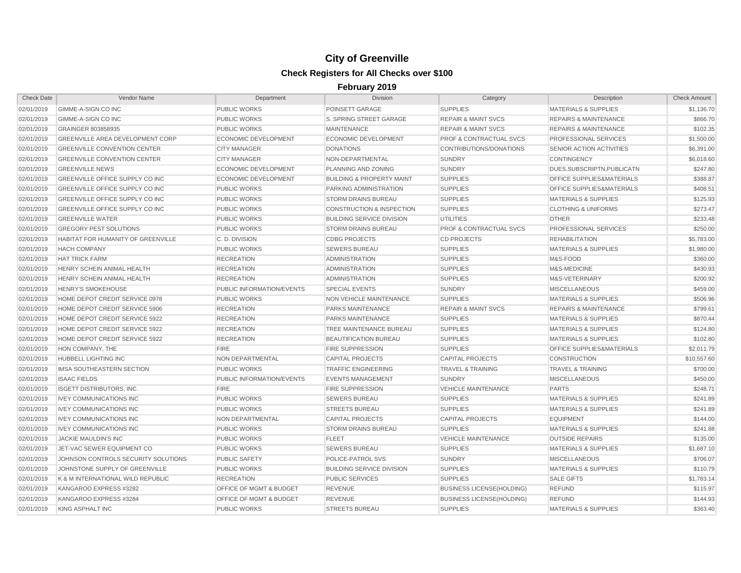| <b>Check Date</b> | Vendor Name                             | Department                  | Division                             | Category                           | Description                          | <b>Check Amount</b> |
|-------------------|-----------------------------------------|-----------------------------|--------------------------------------|------------------------------------|--------------------------------------|---------------------|
| 02/01/2019        | GIMME-A-SIGN CO INC                     | <b>PUBLIC WORKS</b>         | POINSETT GARAGE                      | <b>SUPPLIES</b>                    | <b>MATERIALS &amp; SUPPLIES</b>      | \$1,136.70          |
| 02/01/2019        | <b>GIMME-A-SIGN CO INC</b>              | <b>PUBLIC WORKS</b>         | S. SPRING STREET GARAGE              | <b>REPAIR &amp; MAINT SVCS</b>     | <b>REPAIRS &amp; MAINTENANCE</b>     | \$866.70            |
| 02/01/2019        | GRAINGER 803858935                      | <b>PUBLIC WORKS</b>         | <b>MAINTENANCE</b>                   | <b>REPAIR &amp; MAINT SVCS</b>     | <b>REPAIRS &amp; MAINTENANCE</b>     | \$102.35            |
| 02/01/2019        | <b>GREENVILLE AREA DEVELOPMENT CORP</b> | ECONOMIC DEVELOPMENT        | ECONOMIC DEVELOPMENT                 | <b>PROF &amp; CONTRACTUAL SVCS</b> | PROFESSIONAL SERVICES                | \$1,500.00          |
| 02/01/2019        | <b>GREENVILLE CONVENTION CENTER</b>     | <b>CITY MANAGER</b>         | <b>DONATIONS</b>                     | CONTRIBUTIONS/DONATIONS            | SENIOR ACTION ACTIVITIES             | \$6,391.00          |
| 02/01/2019        | <b>GREENVILLE CONVENTION CENTER</b>     | <b>CITY MANAGER</b>         | NON-DEPARTMENTAL                     | <b>SUNDRY</b>                      | <b>CONTINGENCY</b>                   | \$6,018.60          |
| 02/01/2019        | <b>GREENVILLE NEWS</b>                  | <b>ECONOMIC DEVELOPMENT</b> | PLANNING AND ZONING                  | <b>SUNDRY</b>                      | DUES, SUBSCRIPTN, PUBLICATN          | \$247.80            |
| 02/01/2019        | GREENVILLE OFFICE SUPPLY CO INC         | <b>ECONOMIC DEVELOPMENT</b> | <b>BUILDING &amp; PROPERTY MAINT</b> | <b>SUPPLIES</b>                    | OFFICE SUPPLIES&MATERIALS            | \$388.87            |
| 02/01/2019        | GREENVILLE OFFICE SUPPLY CO INC         | <b>PUBLIC WORKS</b>         | PARKING ADMINISTRATION               | <b>SUPPLIES</b>                    | <b>OFFICE SUPPLIES&amp;MATERIALS</b> | \$408.51            |
| 02/01/2019        | GREENVILLE OFFICE SUPPLY CO INC         | <b>PUBLIC WORKS</b>         | <b>STORM DRAINS BUREAU</b>           | <b>SUPPLIES</b>                    | <b>MATERIALS &amp; SUPPLIES</b>      | \$125.93            |
| 02/01/2019        | GREENVILLE OFFICE SUPPLY CO INC         | <b>PUBLIC WORKS</b>         | <b>CONSTRUCTION &amp; INSPECTION</b> | <b>SUPPLIES</b>                    | <b>CLOTHING &amp; UNIFORMS</b>       | \$273.47            |
| 02/01/2019        | <b>GREENVILLE WATER</b>                 | <b>PUBLIC WORKS</b>         | <b>BUILDING SERVICE DIVISION</b>     | <b>UTILITIES</b>                   | <b>OTHER</b>                         | \$233.48            |
| 02/01/2019        | <b>GREGORY PEST SOLUTIONS</b>           | <b>PUBLIC WORKS</b>         | <b>STORM DRAINS BUREAU</b>           | <b>PROF &amp; CONTRACTUAL SVCS</b> | <b>PROFESSIONAL SERVICES</b>         | \$250.00            |
| 02/01/2019        | HABITAT FOR HUMANITY OF GREENVILLE      | C.D. DIVISION               | <b>CDBG PROJECTS</b>                 | <b>CD PROJECTS</b>                 | <b>REHABILITATION</b>                | \$5,783.00          |
| 02/01/2019        | <b>HACH COMPANY</b>                     | <b>PUBLIC WORKS</b>         | <b>SEWERS BUREAU</b>                 | <b>SUPPLIES</b>                    | <b>MATERIALS &amp; SUPPLIES</b>      | \$1,980.00          |
| 02/01/2019        | <b>HAT TRICK FARM</b>                   | <b>RECREATION</b>           | <b>ADMINISTRATION</b>                | <b>SUPPLIES</b>                    | M&S-FOOD                             | \$360.00            |
| 02/01/2019        | HENRY SCHEIN ANIMAL HEALTH              | <b>RECREATION</b>           | <b>ADMINISTRATION</b>                | <b>SUPPLIES</b>                    | M&S-MEDICINE                         | \$430.93            |
| 02/01/2019        | HENRY SCHEIN ANIMAL HEALTH              | <b>RECREATION</b>           | <b>ADMINISTRATION</b>                | <b>SUPPLIES</b>                    | M&S-VETERINARY                       | \$200.92            |
| 02/01/2019        | <b>HENRY'S SMOKEHOUSE</b>               | PUBLIC INFORMATION/EVENTS   | <b>SPECIAL EVENTS</b>                | <b>SUNDRY</b>                      | <b>MISCELLANEOUS</b>                 | \$459.00            |
| 02/01/2019        | HOME DEPOT CREDIT SERVICE 0978          | <b>PUBLIC WORKS</b>         | NON VEHICLE MAINTENANCE              | <b>SUPPLIES</b>                    | <b>MATERIALS &amp; SUPPLIES</b>      | \$506.96            |
| 02/01/2019        | HOME DEPOT CREDIT SERVICE 5906          | <b>RECREATION</b>           | <b>PARKS MAINTENANCE</b>             | <b>REPAIR &amp; MAINT SVCS</b>     | <b>REPAIRS &amp; MAINTENANCE</b>     | \$799.61            |
| 02/01/2019        | HOME DEPOT CREDIT SERVICE 5922          | <b>RECREATION</b>           | <b>PARKS MAINTENANCE</b>             | <b>SUPPLIES</b>                    | <b>MATERIALS &amp; SUPPLIES</b>      | \$870.44            |
| 02/01/2019        | HOME DEPOT CREDIT SERVICE 5922          | <b>RECREATION</b>           | TREE MAINTENANCE BUREAU              | <b>SUPPLIES</b>                    | <b>MATERIALS &amp; SUPPLIES</b>      | \$124.80            |
| 02/01/2019        | HOME DEPOT CREDIT SERVICE 5922          | <b>RECREATION</b>           | <b>BEAUTIFICATION BUREAU</b>         | <b>SUPPLIES</b>                    | <b>MATERIALS &amp; SUPPLIES</b>      | \$102.80            |
| 02/01/2019        | HON COMPANY, THE                        | <b>FIRE</b>                 | <b>FIRE SUPPRESSION</b>              | <b>SUPPLIES</b>                    | OFFICE SUPPLIES&MATERIALS            | \$2,011.79          |
| 02/01/2019        | <b>HUBBELL LIGHTING INC</b>             | NON DEPARTMENTAL            | <b>CAPITAL PROJECTS</b>              | <b>CAPITAL PROJECTS</b>            | <b>CONSTRUCTION</b>                  | \$10,557.60         |
| 02/01/2019        | IMSA SOUTHEASTERN SECTION               | <b>PUBLIC WORKS</b>         | <b>TRAFFIC ENGINEERING</b>           | <b>TRAVEL &amp; TRAINING</b>       | TRAVEL & TRAINING                    | \$700.00            |
| 02/01/2019        | <b>ISAAC FIELDS</b>                     | PUBLIC INFORMATION/EVENTS   | <b>EVENTS MANAGEMENT</b>             | <b>SUNDRY</b>                      | <b>MISCELLANEOUS</b>                 | \$450.00            |
| 02/01/2019        | <b>ISGETT DISTRIBUTORS, INC.</b>        | <b>FIRE</b>                 | <b>FIRE SUPPRESSION</b>              | <b>VEHICLE MAINTENANCE</b>         | <b>PARTS</b>                         | \$248.71            |
| 02/01/2019        | <b>IVEY COMMUNICATIONS INC</b>          | <b>PUBLIC WORKS</b>         | <b>SEWERS BUREAU</b>                 | <b>SUPPLIES</b>                    | <b>MATERIALS &amp; SUPPLIES</b>      | \$241.89            |
| 02/01/2019        | <b>IVEY COMMUNICATIONS INC</b>          | <b>PUBLIC WORKS</b>         | <b>STREETS BUREAU</b>                | <b>SUPPLIES</b>                    | <b>MATERIALS &amp; SUPPLIES</b>      | \$241.89            |
| 02/01/2019        | <b>IVEY COMMUNICATIONS INC</b>          | NON DEPARTMENTAL            | <b>CAPITAL PROJECTS</b>              | <b>CAPITAL PROJECTS</b>            | <b>EQUIPMENT</b>                     | \$144.00            |
| 02/01/2019        | <b>IVEY COMMUNICATIONS INC</b>          | <b>PUBLIC WORKS</b>         | <b>STORM DRAINS BUREAU</b>           | <b>SUPPLIES</b>                    | <b>MATERIALS &amp; SUPPLIES</b>      | \$241.88            |
| 02/01/2019        | JACKIE MAULDIN'S INC                    | <b>PUBLIC WORKS</b>         | <b>FLEET</b>                         | <b>VEHICLE MAINTENANCE</b>         | <b>OUTSIDE REPAIRS</b>               | \$135.00            |
| 02/01/2019        | JET-VAC SEWER EQUIPMENT CO              | <b>PUBLIC WORKS</b>         | <b>SEWERS BUREAU</b>                 | <b>SUPPLIES</b>                    | <b>MATERIALS &amp; SUPPLIES</b>      | \$1,687.10          |
| 02/01/2019        | JOHNSON CONTROLS SECURITY SOLUTIONS     | <b>PUBLIC SAFETY</b>        | POLICE-PATROL SVS                    | <b>SUNDRY</b>                      | <b>MISCELLANEOUS</b>                 | \$706.07            |
| 02/01/2019        | JOHNSTONE SUPPLY OF GREENVILLE          | <b>PUBLIC WORKS</b>         | <b>BUILDING SERVICE DIVISION</b>     | <b>SUPPLIES</b>                    | <b>MATERIALS &amp; SUPPLIES</b>      | \$110.79            |
| 02/01/2019        | K & M INTERNATIONAL WILD REPUBLIC       | <b>RECREATION</b>           | <b>PUBLIC SERVICES</b>               | <b>SUPPLIES</b>                    | <b>SALE GIFTS</b>                    | \$1,783.14          |
| 02/01/2019        | KANGAROO EXPRESS #3282                  | OFFICE OF MGMT & BUDGET     | <b>REVENUE</b>                       | <b>BUSINESS LICENSE(HOLDING)</b>   | <b>REFUND</b>                        | \$115.97            |
| 02/01/2019        | KANGAROO EXPRESS #3284                  | OFFICE OF MGMT & BUDGET     | <b>REVENUE</b>                       | <b>BUSINESS LICENSE (HOLDING)</b>  | <b>REFUND</b>                        | \$144.93            |
| 02/01/2019        | KING ASPHALT INC                        | <b>PUBLIC WORKS</b>         | <b>STREETS BUREAU</b>                | <b>SUPPLIES</b>                    | <b>MATERIALS &amp; SUPPLIES</b>      | \$363.40            |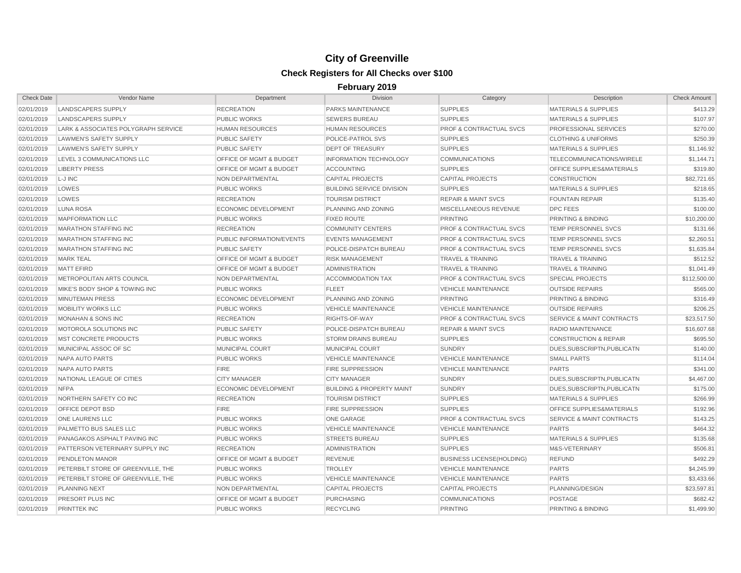| <b>Check Date</b> | Vendor Name                         | Department                         | <b>Division</b>                      | Category                           | Description                          | <b>Check Amount</b> |
|-------------------|-------------------------------------|------------------------------------|--------------------------------------|------------------------------------|--------------------------------------|---------------------|
| 02/01/2019        | <b>LANDSCAPERS SUPPLY</b>           | <b>RECREATION</b>                  | PARKS MAINTENANCE                    | <b>SUPPLIES</b>                    | <b>MATERIALS &amp; SUPPLIES</b>      | \$413.29            |
| 02/01/2019        | <b>LANDSCAPERS SUPPLY</b>           | <b>PUBLIC WORKS</b>                | <b>SEWERS BUREAU</b>                 | <b>SUPPLIES</b>                    | <b>MATERIALS &amp; SUPPLIES</b>      | \$107.97            |
| 02/01/2019        | LARK & ASSOCIATES POLYGRAPH SERVICE | <b>HUMAN RESOURCES</b>             | <b>HUMAN RESOURCES</b>               | <b>PROF &amp; CONTRACTUAL SVCS</b> | PROFESSIONAL SERVICES                | \$270.00            |
| 02/01/2019        | <b>LAWMEN'S SAFETY SUPPLY</b>       | <b>PUBLIC SAFETY</b>               | POLICE-PATROL SVS                    | <b>SUPPLIES</b>                    | <b>CLOTHING &amp; UNIFORMS</b>       | \$250.39            |
| 02/01/2019        | <b>LAWMEN'S SAFETY SUPPLY</b>       | <b>PUBLIC SAFETY</b>               | <b>DEPT OF TREASURY</b>              | <b>SUPPLIES</b>                    | <b>MATERIALS &amp; SUPPLIES</b>      | \$1,146.92          |
| 02/01/2019        | LEVEL 3 COMMUNICATIONS LLC          | <b>OFFICE OF MGMT &amp; BUDGET</b> | <b>INFORMATION TECHNOLOGY</b>        | <b>COMMUNICATIONS</b>              | <b>TELECOMMUNICATIONS/WIRELE</b>     | \$1,144.71          |
| 02/01/2019        | <b>LIBERTY PRESS</b>                | OFFICE OF MGMT & BUDGET            | <b>ACCOUNTING</b>                    | <b>SUPPLIES</b>                    | <b>OFFICE SUPPLIES&amp;MATERIALS</b> | \$319.80            |
| 02/01/2019        | L-J INC                             | NON DEPARTMENTAL                   | <b>CAPITAL PROJECTS</b>              | <b>CAPITAL PROJECTS</b>            | <b>CONSTRUCTION</b>                  | \$82,721.65         |
| 02/01/2019        | LOWES                               | <b>PUBLIC WORKS</b>                | <b>BUILDING SERVICE DIVISION</b>     | <b>SUPPLIES</b>                    | <b>MATERIALS &amp; SUPPLIES</b>      | \$218.65            |
| 02/01/2019        | LOWES                               | <b>RECREATION</b>                  | <b>TOURISM DISTRICT</b>              | <b>REPAIR &amp; MAINT SVCS</b>     | <b>FOUNTAIN REPAIR</b>               | \$135.40            |
| 02/01/2019        | <b>LUNA ROSA</b>                    | ECONOMIC DEVELOPMENT               | PLANNING AND ZONING                  | MISCELLANEOUS REVENUE              | <b>DPC FEES</b>                      | \$100.00            |
| 02/01/2019        | <b>MAPFORMATION LLC</b>             | <b>PUBLIC WORKS</b>                | <b>FIXED ROUTE</b>                   | PRINTING                           | PRINTING & BINDING                   | \$10,200.00         |
| 02/01/2019        | <b>MARATHON STAFFING INC</b>        | <b>RECREATION</b>                  | <b>COMMUNITY CENTERS</b>             | <b>PROF &amp; CONTRACTUAL SVCS</b> | <b>TEMP PERSONNEL SVCS</b>           | \$131.66            |
| 02/01/2019        | <b>MARATHON STAFFING INC</b>        | PUBLIC INFORMATION/EVENTS          | <b>EVENTS MANAGEMENT</b>             | <b>PROF &amp; CONTRACTUAL SVCS</b> | <b>TEMP PERSONNEL SVCS</b>           | \$2,260.51          |
| 02/01/2019        | <b>MARATHON STAFFING INC</b>        | <b>PUBLIC SAFETY</b>               | POLICE-DISPATCH BUREAU               | <b>PROF &amp; CONTRACTUAL SVCS</b> | <b>TEMP PERSONNEL SVCS</b>           | \$1,635.84          |
| 02/01/2019        | <b>MARK TEAL</b>                    | OFFICE OF MGMT & BUDGET            | <b>RISK MANAGEMENT</b>               | <b>TRAVEL &amp; TRAINING</b>       | <b>TRAVEL &amp; TRAINING</b>         | \$512.52            |
| 02/01/2019        | <b>MATT EFIRD</b>                   | OFFICE OF MGMT & BUDGET            | <b>ADMINISTRATION</b>                | <b>TRAVEL &amp; TRAINING</b>       | <b>TRAVEL &amp; TRAINING</b>         | \$1,041.49          |
| 02/01/2019        | METROPOLITAN ARTS COUNCIL           | NON DEPARTMENTAL                   | <b>ACCOMMODATION TAX</b>             | <b>PROF &amp; CONTRACTUAL SVCS</b> | <b>SPECIAL PROJECTS</b>              | \$112,500.00        |
| 02/01/2019        | MIKE'S BODY SHOP & TOWING INC       | <b>PUBLIC WORKS</b>                | <b>FLEET</b>                         | <b>VEHICLE MAINTENANCE</b>         | <b>OUTSIDE REPAIRS</b>               | \$565.00            |
| 02/01/2019        | <b>MINUTEMAN PRESS</b>              | <b>ECONOMIC DEVELOPMENT</b>        | PLANNING AND ZONING                  | PRINTING                           | PRINTING & BINDING                   | \$316.49            |
| 02/01/2019        | <b>MOBILITY WORKS LLC</b>           | <b>PUBLIC WORKS</b>                | <b>VEHICLE MAINTENANCE</b>           | <b>VEHICLE MAINTENANCE</b>         | <b>OUTSIDE REPAIRS</b>               | \$206.25            |
| 02/01/2019        | <b>MONAHAN &amp; SONS INC</b>       | <b>RECREATION</b>                  | RIGHTS-OF-WAY                        | <b>PROF &amp; CONTRACTUAL SVCS</b> | <b>SERVICE &amp; MAINT CONTRACTS</b> | \$23,517.50         |
| 02/01/2019        | MOTOROLA SOLUTIONS INC              | <b>PUBLIC SAFETY</b>               | POLICE-DISPATCH BUREAU               | <b>REPAIR &amp; MAINT SVCS</b>     | RADIO MAINTENANCE                    | \$16,607.68         |
| 02/01/2019        | <b>MST CONCRETE PRODUCTS</b>        | <b>PUBLIC WORKS</b>                | <b>STORM DRAINS BUREAU</b>           | <b>SUPPLIES</b>                    | <b>CONSTRUCTION &amp; REPAIR</b>     | \$695.50            |
| 02/01/2019        | MUNICIPAL ASSOC OF SC               | MUNICIPAL COURT                    | <b>MUNICIPAL COURT</b>               | <b>SUNDRY</b>                      | DUES, SUBSCRIPTN, PUBLICATN          | \$140.00            |
| 02/01/2019        | NAPA AUTO PARTS                     | <b>PUBLIC WORKS</b>                | <b>VEHICLE MAINTENANCE</b>           | <b>VEHICLE MAINTENANCE</b>         | <b>SMALL PARTS</b>                   | \$114.04            |
| 02/01/2019        | NAPA AUTO PARTS                     | <b>FIRE</b>                        | <b>FIRE SUPPRESSION</b>              | <b>VEHICLE MAINTENANCE</b>         | <b>PARTS</b>                         | \$341.00            |
| 02/01/2019        | NATIONAL LEAGUE OF CITIES           | <b>CITY MANAGER</b>                | <b>CITY MANAGER</b>                  | <b>SUNDRY</b>                      | DUES, SUBSCRIPTN, PUBLICATN          | \$4,467.00          |
| 02/01/2019        | <b>NFPA</b>                         | <b>ECONOMIC DEVELOPMENT</b>        | <b>BUILDING &amp; PROPERTY MAINT</b> | <b>SUNDRY</b>                      | DUES.SUBSCRIPTN.PUBLICATN            | \$175.00            |
| 02/01/2019        | NORTHERN SAFETY CO INC              | <b>RECREATION</b>                  | <b>TOURISM DISTRICT</b>              | <b>SUPPLIES</b>                    | <b>MATERIALS &amp; SUPPLIES</b>      | \$266.99            |
| 02/01/2019        | <b>OFFICE DEPOT BSD</b>             | <b>FIRE</b>                        | <b>FIRE SUPPRESSION</b>              | <b>SUPPLIES</b>                    | <b>OFFICE SUPPLIES&amp;MATERIALS</b> | \$192.96            |
| 02/01/2019        | ONE LAURENS LLC                     | <b>PUBLIC WORKS</b>                | <b>ONE GARAGE</b>                    | <b>PROF &amp; CONTRACTUAL SVCS</b> | <b>SERVICE &amp; MAINT CONTRACTS</b> | \$143.25            |
| 02/01/2019        | PALMETTO BUS SALES LLC              | <b>PUBLIC WORKS</b>                | <b>VEHICLE MAINTENANCE</b>           | <b>VEHICLE MAINTENANCE</b>         | <b>PARTS</b>                         | \$464.32            |
| 02/01/2019        | PANAGAKOS ASPHALT PAVING INC        | <b>PUBLIC WORKS</b>                | <b>STREETS BUREAU</b>                | <b>SUPPLIES</b>                    | <b>MATERIALS &amp; SUPPLIES</b>      | \$135.68            |
| 02/01/2019        | PATTERSON VETERINARY SUPPLY INC     | <b>RECREATION</b>                  | <b>ADMINISTRATION</b>                | <b>SUPPLIES</b>                    | M&S-VETERINARY                       | \$506.81            |
| 02/01/2019        | <b>PENDLETON MANOR</b>              | <b>OFFICE OF MGMT &amp; BUDGET</b> | <b>REVENUE</b>                       | <b>BUSINESS LICENSE(HOLDING)</b>   | <b>REFUND</b>                        | \$492.29            |
| 02/01/2019        | PETERBILT STORE OF GREENVILLE, THE  | <b>PUBLIC WORKS</b>                | <b>TROLLEY</b>                       | <b>VEHICLE MAINTENANCE</b>         | <b>PARTS</b>                         | \$4,245.99          |
| 02/01/2019        | PETERBILT STORE OF GREENVILLE. THE  | <b>PUBLIC WORKS</b>                | <b>VEHICLE MAINTENANCE</b>           | <b>VEHICLE MAINTENANCE</b>         | <b>PARTS</b>                         | \$3.433.66          |
| 02/01/2019        | <b>PLANNING NEXT</b>                | <b>NON DEPARTMENTAL</b>            | <b>CAPITAL PROJECTS</b>              | <b>CAPITAL PROJECTS</b>            | PLANNING/DESIGN                      | \$23.597.81         |
| 02/01/2019        | PRESORT PLUS INC                    | OFFICE OF MGMT & BUDGET            | <b>PURCHASING</b>                    | <b>COMMUNICATIONS</b>              | <b>POSTAGE</b>                       | \$682.42            |
| 02/01/2019        | <b>PRINTTEK INC</b>                 | <b>PUBLIC WORKS</b>                | <b>RECYCLING</b>                     | <b>PRINTING</b>                    | PRINTING & BINDING                   | \$1,499.90          |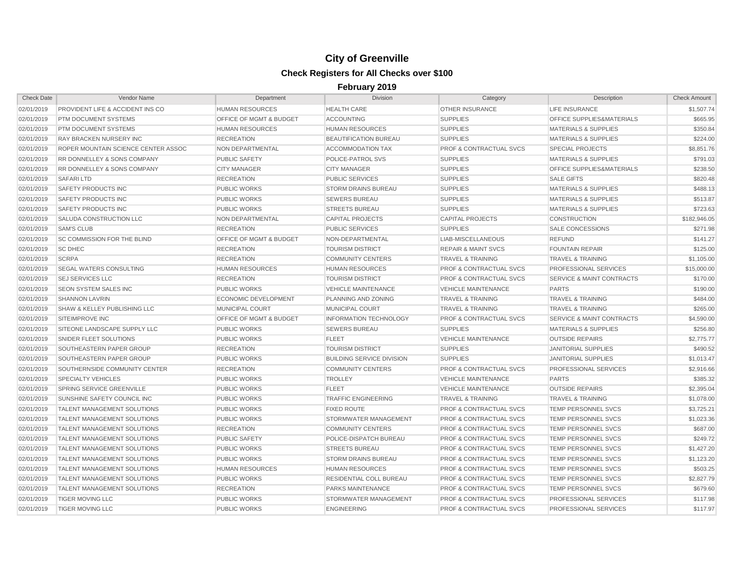| <b>Check Date</b> | <b>Vendor Name</b>                     | Department                         | <b>Division</b>                  | Category                           | Description                          | <b>Check Amount</b> |
|-------------------|----------------------------------------|------------------------------------|----------------------------------|------------------------------------|--------------------------------------|---------------------|
| 02/01/2019        | PROVIDENT LIFE & ACCIDENT INS CO       | <b>HUMAN RESOURCES</b>             | <b>HEALTH CARE</b>               | OTHER INSURANCE                    | <b>LIFE INSURANCE</b>                | \$1,507.74          |
| 02/01/2019        | PTM DOCUMENT SYSTEMS                   | OFFICE OF MGMT & BUDGET            | <b>ACCOUNTING</b>                | <b>SUPPLIES</b>                    | OFFICE SUPPLIES&MATERIALS            | \$665.95            |
| 02/01/2019        | PTM DOCUMENT SYSTEMS                   | <b>HUMAN RESOURCES</b>             | <b>HUMAN RESOURCES</b>           | <b>SUPPLIES</b>                    | <b>MATERIALS &amp; SUPPLIES</b>      | \$350.84            |
| 02/01/2019        | RAY BRACKEN NURSERY INC                | <b>RECREATION</b>                  | <b>BEAUTIFICATION BUREAU</b>     | <b>SUPPLIES</b>                    | <b>MATERIALS &amp; SUPPLIES</b>      | \$224.00            |
| 02/01/2019        | ROPER MOUNTAIN SCIENCE CENTER ASSOC    | NON DEPARTMENTAL                   | <b>ACCOMMODATION TAX</b>         | <b>PROF &amp; CONTRACTUAL SVCS</b> | <b>SPECIAL PROJECTS</b>              | \$8,851.76          |
| 02/01/2019        | <b>RR DONNELLEY &amp; SONS COMPANY</b> | <b>PUBLIC SAFETY</b>               | <b>POLICE-PATROL SVS</b>         | <b>SUPPLIES</b>                    | <b>MATERIALS &amp; SUPPLIES</b>      | \$791.03            |
| 02/01/2019        | RR DONNELLEY & SONS COMPANY            | <b>CITY MANAGER</b>                | <b>CITY MANAGER</b>              | <b>SUPPLIES</b>                    | OFFICE SUPPLIES&MATERIALS            | \$238.50            |
| 02/01/2019        | <b>SAFARILTD</b>                       | <b>RECREATION</b>                  | <b>PUBLIC SERVICES</b>           | <b>SUPPLIES</b>                    | <b>SALE GIFTS</b>                    | \$820.48            |
| 02/01/2019        | <b>SAFETY PRODUCTS INC</b>             | <b>PUBLIC WORKS</b>                | <b>STORM DRAINS BUREAU</b>       | <b>SUPPLIES</b>                    | <b>MATERIALS &amp; SUPPLIES</b>      | \$488.13            |
| 02/01/2019        | <b>SAFETY PRODUCTS INC</b>             | <b>PUBLIC WORKS</b>                | <b>SEWERS BUREAU</b>             | <b>SUPPLIES</b>                    | <b>MATERIALS &amp; SUPPLIES</b>      | \$513.87            |
| 02/01/2019        | SAFETY PRODUCTS INC                    | <b>PUBLIC WORKS</b>                | <b>STREETS BUREAU</b>            | <b>SUPPLIES</b>                    | <b>MATERIALS &amp; SUPPLIES</b>      | \$723.63            |
| 02/01/2019        | SALUDA CONSTRUCTION LLC                | NON DEPARTMENTAL                   | <b>CAPITAL PROJECTS</b>          | <b>CAPITAL PROJECTS</b>            | <b>CONSTRUCTION</b>                  | \$182,946.05        |
| 02/01/2019        | <b>SAM'S CLUB</b>                      | <b>RECREATION</b>                  | <b>PUBLIC SERVICES</b>           | <b>SUPPLIES</b>                    | SALE CONCESSIONS                     | \$271.98            |
| 02/01/2019        | SC COMMISSION FOR THE BLIND            | OFFICE OF MGMT & BUDGET            | NON-DEPARTMENTAL                 | LIAB-MISCELLANEOUS                 | <b>REFUND</b>                        | \$141.27            |
| 02/01/2019        | <b>SC DHEC</b>                         | <b>RECREATION</b>                  | <b>TOURISM DISTRICT</b>          | <b>REPAIR &amp; MAINT SVCS</b>     | <b>FOUNTAIN REPAIR</b>               | \$125.00            |
| 02/01/2019        | <b>SCRPA</b>                           | <b>RECREATION</b>                  | <b>COMMUNITY CENTERS</b>         | <b>TRAVEL &amp; TRAINING</b>       | <b>TRAVEL &amp; TRAINING</b>         | \$1,105.00          |
| 02/01/2019        | <b>SEGAL WATERS CONSULTING</b>         | <b>HUMAN RESOURCES</b>             | HUMAN RESOURCES                  | <b>PROF &amp; CONTRACTUAL SVCS</b> | PROFESSIONAL SERVICES                | \$15,000.00         |
| 02/01/2019        | <b>SEJ SERVICES LLC</b>                | <b>RECREATION</b>                  | <b>TOURISM DISTRICT</b>          | <b>PROF &amp; CONTRACTUAL SVCS</b> | <b>SERVICE &amp; MAINT CONTRACTS</b> | \$170.00            |
| 02/01/2019        | <b>SEON SYSTEM SALES INC</b>           | <b>PUBLIC WORKS</b>                | <b>VEHICLE MAINTENANCE</b>       | <b>VEHICLE MAINTENANCE</b>         | <b>PARTS</b>                         | \$190.00            |
| 02/01/2019        | <b>SHANNON LAVRIN</b>                  | <b>ECONOMIC DEVELOPMENT</b>        | PLANNING AND ZONING              | <b>TRAVEL &amp; TRAINING</b>       | <b>TRAVEL &amp; TRAINING</b>         | \$484.00            |
| 02/01/2019        | SHAW & KELLEY PUBLISHING LLC           | <b>MUNICIPAL COURT</b>             | <b>MUNICIPAL COURT</b>           | <b>TRAVEL &amp; TRAINING</b>       | <b>TRAVEL &amp; TRAINING</b>         | \$265.00            |
| 02/01/2019        | SITEIMPROVE INC                        | <b>OFFICE OF MGMT &amp; BUDGET</b> | <b>INFORMATION TECHNOLOGY</b>    | <b>PROF &amp; CONTRACTUAL SVCS</b> | <b>SERVICE &amp; MAINT CONTRACTS</b> | \$4,590.00          |
| 02/01/2019        | SITEONE LANDSCAPE SUPPLY LLC           | <b>PUBLIC WORKS</b>                | <b>SEWERS BUREAU</b>             | <b>SUPPLIES</b>                    | <b>MATERIALS &amp; SUPPLIES</b>      | \$256.80            |
| 02/01/2019        | SNIDER FLEET SOLUTIONS                 | <b>PUBLIC WORKS</b>                | <b>FLEET</b>                     | <b>VEHICLE MAINTENANCE</b>         | <b>OUTSIDE REPAIRS</b>               | \$2,775.77          |
| 02/01/2019        | SOUTHEASTERN PAPER GROUP               | <b>RECREATION</b>                  | <b>TOURISM DISTRICT</b>          | <b>SUPPLIES</b>                    | <b>JANITORIAL SUPPLIES</b>           | \$490.52            |
| 02/01/2019        | SOUTHEASTERN PAPER GROUP               | <b>PUBLIC WORKS</b>                | <b>BUILDING SERVICE DIVISION</b> | <b>SUPPLIES</b>                    | <b>JANITORIAL SUPPLIES</b>           | \$1,013.47          |
| 02/01/2019        | SOUTHERNSIDE COMMUNITY CENTER          | <b>RECREATION</b>                  | <b>COMMUNITY CENTERS</b>         | <b>PROF &amp; CONTRACTUAL SVCS</b> | PROFESSIONAL SERVICES                | \$2,916.66          |
| 02/01/2019        | <b>SPECIALTY VEHICLES</b>              | <b>PUBLIC WORKS</b>                | <b>TROLLEY</b>                   | <b>VEHICLE MAINTENANCE</b>         | <b>PARTS</b>                         | \$385.32            |
| 02/01/2019        | SPRING SERVICE GREENVILLE              | <b>PUBLIC WORKS</b>                | <b>FLEET</b>                     | <b>VEHICLE MAINTENANCE</b>         | <b>OUTSIDE REPAIRS</b>               | \$2,395.04          |
| 02/01/2019        | SUNSHINE SAFETY COUNCIL INC            | <b>PUBLIC WORKS</b>                | <b>TRAFFIC ENGINEERING</b>       | <b>TRAVEL &amp; TRAINING</b>       | <b>TRAVEL &amp; TRAINING</b>         | \$1,078.00          |
| 02/01/2019        | TALENT MANAGEMENT SOLUTIONS            | <b>PUBLIC WORKS</b>                | <b>FIXED ROUTE</b>               | <b>PROF &amp; CONTRACTUAL SVCS</b> | TEMP PERSONNEL SVCS                  | \$3,725.21          |
| 02/01/2019        | TALENT MANAGEMENT SOLUTIONS            | <b>PUBLIC WORKS</b>                | STORMWATER MANAGEMENT            | <b>PROF &amp; CONTRACTUAL SVCS</b> | TEMP PERSONNEL SVCS                  | \$1,023.36          |
| 02/01/2019        | TALENT MANAGEMENT SOLUTIONS            | <b>RECREATION</b>                  | <b>COMMUNITY CENTERS</b>         | <b>PROF &amp; CONTRACTUAL SVCS</b> | TEMP PERSONNEL SVCS                  | \$687.00            |
| 02/01/2019        | TALENT MANAGEMENT SOLUTIONS            | <b>PUBLIC SAFETY</b>               | POLICE-DISPATCH BUREAU           | <b>PROF &amp; CONTRACTUAL SVCS</b> | TEMP PERSONNEL SVCS                  | \$249.72            |
| 02/01/2019        | TALENT MANAGEMENT SOLUTIONS            | <b>PUBLIC WORKS</b>                | <b>STREETS BUREAU</b>            | <b>PROF &amp; CONTRACTUAL SVCS</b> | TEMP PERSONNEL SVCS                  | \$1,427.20          |
| 02/01/2019        | TALENT MANAGEMENT SOLUTIONS            | <b>PUBLIC WORKS</b>                | <b>STORM DRAINS BUREAU</b>       | <b>PROF &amp; CONTRACTUAL SVCS</b> | TEMP PERSONNEL SVCS                  | \$1,123.20          |
| 02/01/2019        | TALENT MANAGEMENT SOLUTIONS            | <b>HUMAN RESOURCES</b>             | <b>HUMAN RESOURCES</b>           | <b>PROF &amp; CONTRACTUAL SVCS</b> | <b>TEMP PERSONNEL SVCS</b>           | \$503.25            |
| 02/01/2019        | TALENT MANAGEMENT SOLUTIONS            | <b>PUBLIC WORKS</b>                | RESIDENTIAL COLL BUREAU          | <b>PROF &amp; CONTRACTUAL SVCS</b> | TEMP PERSONNEL SVCS                  | \$2,827.79          |
| 02/01/2019        | TALENT MANAGEMENT SOLUTIONS            | <b>RECREATION</b>                  | <b>PARKS MAINTENANCE</b>         | <b>PROF &amp; CONTRACTUAL SVCS</b> | <b>TEMP PERSONNEL SVCS</b>           | \$679.60            |
| 02/01/2019        | <b>TIGER MOVING LLC</b>                | <b>PUBLIC WORKS</b>                | STORMWATER MANAGEMENT            | <b>PROF &amp; CONTRACTUAL SVCS</b> | PROFESSIONAL SERVICES                | \$117.98            |
| 02/01/2019        | <b>TIGER MOVING LLC</b>                | <b>PUBLIC WORKS</b>                | <b>ENGINEERING</b>               | <b>PROF &amp; CONTRACTUAL SVCS</b> | PROFESSIONAL SERVICES                | \$117.97            |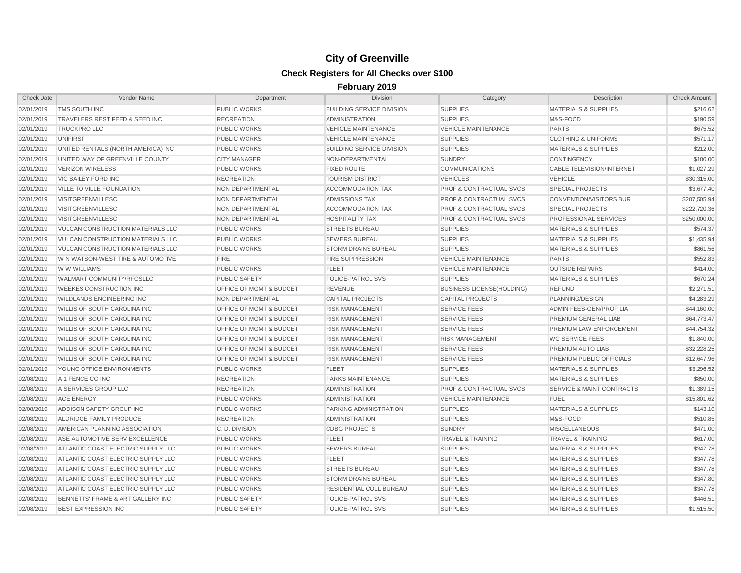| <b>Check Date</b> | Vendor Name                              | Department                         | <b>Division</b>                  | Category                           | Description                          | <b>Check Amount</b> |
|-------------------|------------------------------------------|------------------------------------|----------------------------------|------------------------------------|--------------------------------------|---------------------|
| 02/01/2019        | TMS SOUTH INC                            | <b>PUBLIC WORKS</b>                | <b>BUILDING SERVICE DIVISION</b> | <b>SUPPLIES</b>                    | <b>MATERIALS &amp; SUPPLIES</b>      | \$216.62            |
| 02/01/2019        | TRAVELERS REST FEED & SEED INC           | <b>RECREATION</b>                  | <b>ADMINISTRATION</b>            | <b>SUPPLIES</b>                    | M&S-FOOD                             | \$190.59            |
| 02/01/2019        | <b>TRUCKPRO LLC</b>                      | <b>PUBLIC WORKS</b>                | <b>VEHICLE MAINTENANCE</b>       | <b>VEHICLE MAINTENANCE</b>         | <b>PARTS</b>                         | \$675.52            |
| 02/01/2019        | <b>UNIFIRST</b>                          | <b>PUBLIC WORKS</b>                | <b>VEHICLE MAINTENANCE</b>       | <b>SUPPLIES</b>                    | <b>CLOTHING &amp; UNIFORMS</b>       | \$571.17            |
| 02/01/2019        | UNITED RENTALS (NORTH AMERICA) INC       | <b>PUBLIC WORKS</b>                | <b>BUILDING SERVICE DIVISION</b> | <b>SUPPLIES</b>                    | <b>MATERIALS &amp; SUPPLIES</b>      | \$212.00            |
| 02/01/2019        | UNITED WAY OF GREENVILLE COUNTY          | <b>CITY MANAGER</b>                | NON-DEPARTMENTAL                 | <b>SUNDRY</b>                      | <b>CONTINGENCY</b>                   | \$100.00            |
| 02/01/2019        | <b>VERIZON WIRELESS</b>                  | <b>PUBLIC WORKS</b>                | <b>FIXED ROUTE</b>               | <b>COMMUNICATIONS</b>              | <b>CABLE TELEVISION/INTERNET</b>     | \$1,027.29          |
| 02/01/2019        | VIC BAILEY FORD INC                      | <b>RECREATION</b>                  | <b>TOURISM DISTRICT</b>          | <b>VEHICLES</b>                    | <b>VEHICLE</b>                       | \$30,315.00         |
| 02/01/2019        | <b>VILLE TO VILLE FOUNDATION</b>         | NON DEPARTMENTAL                   | <b>ACCOMMODATION TAX</b>         | <b>PROF &amp; CONTRACTUAL SVCS</b> | <b>SPECIAL PROJECTS</b>              | \$3,677.40          |
| 02/01/2019        | VISITGREENVILLESC                        | NON DEPARTMENTAL                   | <b>ADMISSIONS TAX</b>            | <b>PROF &amp; CONTRACTUAL SVCS</b> | <b>CONVENTION/VISITORS BUR</b>       | \$207,505.94        |
| 02/01/2019        | <b>VISITGREENVILLESC</b>                 | NON DEPARTMENTAL                   | <b>ACCOMMODATION TAX</b>         | <b>PROF &amp; CONTRACTUAL SVCS</b> | <b>SPECIAL PROJECTS</b>              | \$222,720.36        |
| 02/01/2019        | <b>VISITGREENVILLESC</b>                 | NON DEPARTMENTAL                   | <b>HOSPITALITY TAX</b>           | <b>PROF &amp; CONTRACTUAL SVCS</b> | PROFESSIONAL SERVICES                | \$250,000.00        |
| 02/01/2019        | <b>VULCAN CONSTRUCTION MATERIALS LLC</b> | <b>PUBLIC WORKS</b>                | <b>STREETS BUREAU</b>            | <b>SUPPLIES</b>                    | <b>MATERIALS &amp; SUPPLIES</b>      | \$574.37            |
| 02/01/2019        | VULCAN CONSTRUCTION MATERIALS LLC        | <b>PUBLIC WORKS</b>                | <b>SEWERS BUREAU</b>             | <b>SUPPLIES</b>                    | <b>MATERIALS &amp; SUPPLIES</b>      | \$1,435.94          |
| 02/01/2019        | <b>VULCAN CONSTRUCTION MATERIALS LLC</b> | <b>PUBLIC WORKS</b>                | <b>STORM DRAINS BUREAU</b>       | <b>SUPPLIES</b>                    | <b>MATERIALS &amp; SUPPLIES</b>      | \$861.56            |
| 02/01/2019        | W N WATSON-WEST TIRE & AUTOMOTIVE        | <b>FIRE</b>                        | <b>FIRE SUPPRESSION</b>          | <b>VEHICLE MAINTENANCE</b>         | <b>PARTS</b>                         | \$552.83            |
| 02/01/2019        | W W WILLIAMS                             | <b>PUBLIC WORKS</b>                | <b>FLEET</b>                     | <b>VEHICLE MAINTENANCE</b>         | <b>OUTSIDE REPAIRS</b>               | \$414.00            |
| 02/01/2019        | WALMART COMMUNITY/RFCSLLC                | <b>PUBLIC SAFETY</b>               | POLICE-PATROL SVS                | <b>SUPPLIES</b>                    | <b>MATERIALS &amp; SUPPLIES</b>      | \$670.24            |
| 02/01/2019        | <b>WEEKES CONSTRUCTION INC</b>           | <b>OFFICE OF MGMT &amp; BUDGET</b> | <b>REVENUE</b>                   | <b>BUSINESS LICENSE(HOLDING)</b>   | <b>REFUND</b>                        | \$2,271.51          |
| 02/01/2019        | <b>WILDLANDS ENGINEERING INC</b>         | <b>NON DEPARTMENTAL</b>            | <b>CAPITAL PROJECTS</b>          | <b>CAPITAL PROJECTS</b>            | PLANNING/DESIGN                      | \$4.283.29          |
| 02/01/2019        | WILLIS OF SOUTH CAROLINA INC             | OFFICE OF MGMT & BUDGET            | <b>RISK MANAGEMENT</b>           | <b>SERVICE FEES</b>                | ADMIN FEES-GEN/PROP LIA              | \$44,160.00         |
| 02/01/2019        | <b>WILLIS OF SOUTH CAROLINA INC</b>      | OFFICE OF MGMT & BUDGET            | <b>RISK MANAGEMENT</b>           | <b>SERVICE FEES</b>                | PREMIUM GENERAL LIAB                 | \$64,773.47         |
| 02/01/2019        | WILLIS OF SOUTH CAROLINA INC             | OFFICE OF MGMT & BUDGET            | <b>RISK MANAGEMENT</b>           | <b>SERVICE FEES</b>                | PREMIUM LAW ENFORCEMENT              | \$44,754.32         |
| 02/01/2019        | WILLIS OF SOUTH CAROLINA INC             | OFFICE OF MGMT & BUDGET            | <b>RISK MANAGEMENT</b>           | <b>RISK MANAGEMENT</b>             | <b>WC SERVICE FEES</b>               | \$1,840.00          |
| 02/01/2019        | WILLIS OF SOUTH CAROLINA INC             | OFFICE OF MGMT & BUDGET            | <b>RISK MANAGEMENT</b>           | <b>SERVICE FEES</b>                | PREMIUM AUTO LIAB                    | \$32,228.25         |
| 02/01/2019        | WILLIS OF SOUTH CAROLINA INC             | <b>OFFICE OF MGMT &amp; BUDGET</b> | <b>RISK MANAGEMENT</b>           | <b>SERVICE FEES</b>                | PREMIUM PUBLIC OFFICIALS             | \$12,647.96         |
| 02/01/2019        | YOUNG OFFICE ENVIRONMENTS                | <b>PUBLIC WORKS</b>                | <b>FLEET</b>                     | <b>SUPPLIES</b>                    | <b>MATERIALS &amp; SUPPLIES</b>      | \$3,296.52          |
| 02/08/2019        | A 1 FENCE CO INC                         | <b>RECREATION</b>                  | PARKS MAINTENANCE                | <b>SUPPLIES</b>                    | <b>MATERIALS &amp; SUPPLIES</b>      | \$850.00            |
| 02/08/2019        | A SERVICES GROUP LLC                     | <b>RECREATION</b>                  | <b>ADMINISTRATION</b>            | <b>PROF &amp; CONTRACTUAL SVCS</b> | <b>SERVICE &amp; MAINT CONTRACTS</b> | \$1,389.15          |
| 02/08/2019        | <b>ACE ENERGY</b>                        | <b>PUBLIC WORKS</b>                | <b>ADMINISTRATION</b>            | <b>VEHICLE MAINTENANCE</b>         | <b>FUEL</b>                          | \$15,801.62         |
| 02/08/2019        | ADDISON SAFETY GROUP INC                 | <b>PUBLIC WORKS</b>                | PARKING ADMINISTRATION           | <b>SUPPLIES</b>                    | <b>MATERIALS &amp; SUPPLIES</b>      | \$143.10            |
| 02/08/2019        | ALDRIDGE FAMILY PRODUCE                  | <b>RECREATION</b>                  | <b>ADMINISTRATION</b>            | <b>SUPPLIES</b>                    | M&S-FOOD                             | \$510.85            |
| 02/08/2019        | AMERICAN PLANNING ASSOCIATION            | C.D. DIVISION                      | <b>CDBG PROJECTS</b>             | <b>SUNDRY</b>                      | <b>MISCELLANEOUS</b>                 | \$471.00            |
| 02/08/2019        | ASE AUTOMOTIVE SERV EXCELLENCE           | <b>PUBLIC WORKS</b>                | <b>FLEET</b>                     | <b>TRAVEL &amp; TRAINING</b>       | <b>TRAVEL &amp; TRAINING</b>         | \$617.00            |
| 02/08/2019        | ATLANTIC COAST ELECTRIC SUPPLY LLC       | <b>PUBLIC WORKS</b>                | <b>SEWERS BUREAU</b>             | <b>SUPPLIES</b>                    | <b>MATERIALS &amp; SUPPLIES</b>      | \$347.78            |
| 02/08/2019        | ATLANTIC COAST ELECTRIC SUPPLY LLC       | <b>PUBLIC WORKS</b>                | <b>FLEET</b>                     | <b>SUPPLIES</b>                    | <b>MATERIALS &amp; SUPPLIES</b>      | \$347.78            |
| 02/08/2019        | ATLANTIC COAST ELECTRIC SUPPLY LLC       | <b>PUBLIC WORKS</b>                | <b>STREETS BUREAU</b>            | <b>SUPPLIES</b>                    | <b>MATERIALS &amp; SUPPLIES</b>      | \$347.78            |
| 02/08/2019        | ATLANTIC COAST ELECTRIC SUPPLY LLC       | <b>PUBLIC WORKS</b>                | <b>STORM DRAINS BUREAU</b>       | <b>SUPPLIES</b>                    | <b>MATERIALS &amp; SUPPLIES</b>      | \$347.80            |
| 02/08/2019        | ATLANTIC COAST ELECTRIC SUPPLY LLC       | <b>PUBLIC WORKS</b>                | RESIDENTIAL COLL BUREAU          | <b>SUPPLIES</b>                    | <b>MATERIALS &amp; SUPPLIES</b>      | \$347.78            |
| 02/08/2019        | BENNETTS' FRAME & ART GALLERY INC        | <b>PUBLIC SAFETY</b>               | POLICE-PATROL SVS                | <b>SUPPLIES</b>                    | <b>MATERIALS &amp; SUPPLIES</b>      | \$446.51            |
| 02/08/2019        | <b>BEST EXPRESSION INC</b>               | <b>PUBLIC SAFETY</b>               | POLICE-PATROL SVS                | <b>SUPPLIES</b>                    | <b>MATERIALS &amp; SUPPLIES</b>      | \$1,515.50          |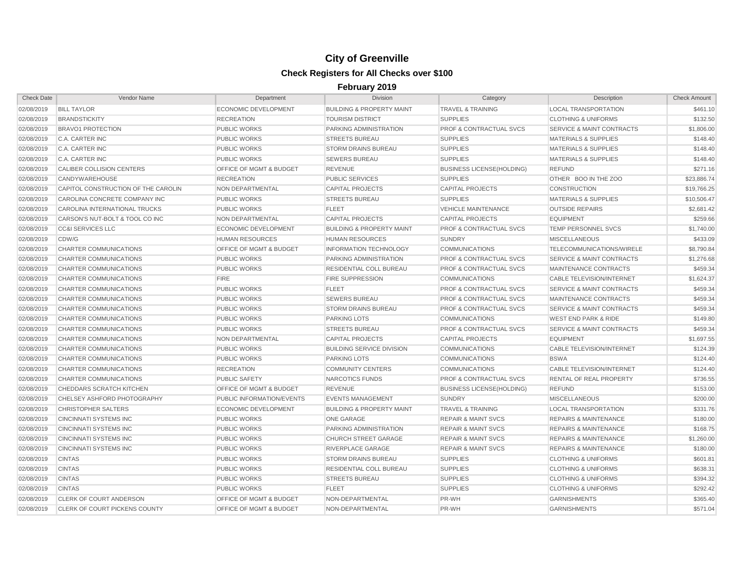| <b>Check Date</b> | Vendor Name                          | Department                         | <b>Division</b>                      | Category                           | Description                          | <b>Check Amount</b> |
|-------------------|--------------------------------------|------------------------------------|--------------------------------------|------------------------------------|--------------------------------------|---------------------|
| 02/08/2019        | <b>BILL TAYLOR</b>                   | <b>ECONOMIC DEVELOPMENT</b>        | <b>BUILDING &amp; PROPERTY MAINT</b> | <b>TRAVEL &amp; TRAINING</b>       | <b>LOCAL TRANSPORTATION</b>          | \$461.10            |
| 02/08/2019        | <b>BRANDSTICKITY</b>                 | <b>RECREATION</b>                  | <b>TOURISM DISTRICT</b>              | <b>SUPPLIES</b>                    | <b>CLOTHING &amp; UNIFORMS</b>       | \$132.50            |
| 02/08/2019        | <b>BRAVO1 PROTECTION</b>             | <b>PUBLIC WORKS</b>                | PARKING ADMINISTRATION               | <b>PROF &amp; CONTRACTUAL SVCS</b> | <b>SERVICE &amp; MAINT CONTRACTS</b> | \$1,806.00          |
| 02/08/2019        | C.A. CARTER INC                      | <b>PUBLIC WORKS</b>                | <b>STREETS BUREAU</b>                | <b>SUPPLIES</b>                    | <b>MATERIALS &amp; SUPPLIES</b>      | \$148.40            |
| 02/08/2019        | C.A. CARTER INC                      | <b>PUBLIC WORKS</b>                | <b>STORM DRAINS BUREAU</b>           | <b>SUPPLIES</b>                    | <b>MATERIALS &amp; SUPPLIES</b>      | \$148.40            |
| 02/08/2019        | C.A. CARTER INC                      | <b>PUBLIC WORKS</b>                | <b>SEWERS BUREAU</b>                 | <b>SUPPLIES</b>                    | <b>MATERIALS &amp; SUPPLIES</b>      | \$148.40            |
| 02/08/2019        | CALIBER COLLISION CENTERS            | OFFICE OF MGMT & BUDGET            | <b>REVENUE</b>                       | <b>BUSINESS LICENSE(HOLDING)</b>   | <b>REFUND</b>                        | \$271.16            |
| 02/08/2019        | CANDYWAREHOUSE                       | <b>RECREATION</b>                  | <b>PUBLIC SERVICES</b>               | <b>SUPPLIES</b>                    | OTHER BOO IN THE ZOO                 | \$23,886.74         |
| 02/08/2019        | CAPITOL CONSTRUCTION OF THE CAROLIN  | NON DEPARTMENTAL                   | <b>CAPITAL PROJECTS</b>              | CAPITAL PROJECTS                   | <b>CONSTRUCTION</b>                  | \$19,766.25         |
| 02/08/2019        | CAROLINA CONCRETE COMPANY INC        | <b>PUBLIC WORKS</b>                | <b>STREETS BUREAU</b>                | <b>SUPPLIES</b>                    | <b>MATERIALS &amp; SUPPLIES</b>      | \$10,506.47         |
| 02/08/2019        | <b>CAROLINA INTERNATIONAL TRUCKS</b> | <b>PUBLIC WORKS</b>                | <b>FLEET</b>                         | <b>VEHICLE MAINTENANCE</b>         | <b>OUTSIDE REPAIRS</b>               | \$2,681.42          |
| 02/08/2019        | CARSON'S NUT-BOLT & TOOL CO INC      | NON DEPARTMENTAL                   | <b>CAPITAL PROJECTS</b>              | <b>CAPITAL PROJECTS</b>            | <b>EQUIPMENT</b>                     | \$259.66            |
| 02/08/2019        | <b>CC&amp;I SERVICES LLC</b>         | <b>ECONOMIC DEVELOPMENT</b>        | <b>BUILDING &amp; PROPERTY MAINT</b> | <b>PROF &amp; CONTRACTUAL SVCS</b> | TEMP PERSONNEL SVCS                  | \$1,740.00          |
| 02/08/2019        | CDW/G                                | <b>HUMAN RESOURCES</b>             | <b>HUMAN RESOURCES</b>               | <b>SUNDRY</b>                      | <b>MISCELLANEOUS</b>                 | \$433.09            |
| 02/08/2019        | CHARTER COMMUNICATIONS               | <b>OFFICE OF MGMT &amp; BUDGET</b> | <b>INFORMATION TECHNOLOGY</b>        | <b>COMMUNICATIONS</b>              | TELECOMMUNICATIONS/WIRELE            | \$8,790.84          |
| 02/08/2019        | CHARTER COMMUNICATIONS               | <b>PUBLIC WORKS</b>                | PARKING ADMINISTRATION               | <b>PROF &amp; CONTRACTUAL SVCS</b> | <b>SERVICE &amp; MAINT CONTRACTS</b> | \$1,276.68          |
| 02/08/2019        | CHARTER COMMUNICATIONS               | <b>PUBLIC WORKS</b>                | RESIDENTIAL COLL BUREAU              | <b>PROF &amp; CONTRACTUAL SVCS</b> | MAINTENANCE CONTRACTS                | \$459.34            |
| 02/08/2019        | CHARTER COMMUNICATIONS               | <b>FIRE</b>                        | <b>FIRE SUPPRESSION</b>              | <b>COMMUNICATIONS</b>              | <b>CABLE TELEVISION/INTERNET</b>     | \$1,624.37          |
| 02/08/2019        | CHARTER COMMUNICATIONS               | <b>PUBLIC WORKS</b>                | <b>FLEET</b>                         | <b>PROF &amp; CONTRACTUAL SVCS</b> | <b>SERVICE &amp; MAINT CONTRACTS</b> | \$459.34            |
| 02/08/2019        | CHARTER COMMUNICATIONS               | <b>PUBLIC WORKS</b>                | <b>SEWERS BUREAU</b>                 | <b>PROF &amp; CONTRACTUAL SVCS</b> | <b>MAINTENANCE CONTRACTS</b>         | \$459.34            |
| 02/08/2019        | CHARTER COMMUNICATIONS               | <b>PUBLIC WORKS</b>                | <b>STORM DRAINS BUREAU</b>           | <b>PROF &amp; CONTRACTUAL SVCS</b> | <b>SERVICE &amp; MAINT CONTRACTS</b> | \$459.34            |
| 02/08/2019        | CHARTER COMMUNICATIONS               | <b>PUBLIC WORKS</b>                | <b>PARKING LOTS</b>                  | <b>COMMUNICATIONS</b>              | <b>WEST END PARK &amp; RIDE</b>      | \$149.80            |
| 02/08/2019        | CHARTER COMMUNICATIONS               | <b>PUBLIC WORKS</b>                | <b>STREETS BUREAU</b>                | <b>PROF &amp; CONTRACTUAL SVCS</b> | <b>SERVICE &amp; MAINT CONTRACTS</b> | \$459.34            |
| 02/08/2019        | CHARTER COMMUNICATIONS               | NON DEPARTMENTAL                   | <b>CAPITAL PROJECTS</b>              | <b>CAPITAL PROJECTS</b>            | <b>EQUIPMENT</b>                     | \$1,697.55          |
| 02/08/2019        | CHARTER COMMUNICATIONS               | <b>PUBLIC WORKS</b>                | <b>BUILDING SERVICE DIVISION</b>     | <b>COMMUNICATIONS</b>              | <b>CABLE TELEVISION/INTERNET</b>     | \$124.39            |
| 02/08/2019        | CHARTER COMMUNICATIONS               | <b>PUBLIC WORKS</b>                | <b>PARKING LOTS</b>                  | <b>COMMUNICATIONS</b>              | <b>BSWA</b>                          | \$124.40            |
| 02/08/2019        | CHARTER COMMUNICATIONS               | <b>RECREATION</b>                  | <b>COMMUNITY CENTERS</b>             | <b>COMMUNICATIONS</b>              | <b>CABLE TELEVISION/INTERNET</b>     | \$124.40            |
| 02/08/2019        | CHARTER COMMUNICATIONS               | <b>PUBLIC SAFETY</b>               | NARCOTICS FUNDS                      | <b>PROF &amp; CONTRACTUAL SVCS</b> | RENTAL OF REAL PROPERTY              | \$736.55            |
| 02/08/2019        | CHEDDARS SCRATCH KITCHEN             | <b>OFFICE OF MGMT &amp; BUDGET</b> | <b>REVENUE</b>                       | <b>BUSINESS LICENSE(HOLDING)</b>   | <b>REFUND</b>                        | \$153.00            |
| 02/08/2019        | CHELSEY ASHFORD PHOTOGRAPHY          | PUBLIC INFORMATION/EVENTS          | <b>EVENTS MANAGEMENT</b>             | <b>SUNDRY</b>                      | <b>MISCELLANEOUS</b>                 | \$200.00            |
| 02/08/2019        | <b>CHRISTOPHER SALTERS</b>           | <b>ECONOMIC DEVELOPMENT</b>        | <b>BUILDING &amp; PROPERTY MAINT</b> | <b>TRAVEL &amp; TRAINING</b>       | <b>LOCAL TRANSPORTATION</b>          | \$331.76            |
| 02/08/2019        | <b>CINCINNATI SYSTEMS INC</b>        | <b>PUBLIC WORKS</b>                | <b>ONE GARAGE</b>                    | <b>REPAIR &amp; MAINT SVCS</b>     | <b>REPAIRS &amp; MAINTENANCE</b>     | \$180.00            |
| 02/08/2019        | <b>CINCINNATI SYSTEMS INC</b>        | <b>PUBLIC WORKS</b>                | PARKING ADMINISTRATION               | <b>REPAIR &amp; MAINT SVCS</b>     | <b>REPAIRS &amp; MAINTENANCE</b>     | \$168.75            |
| 02/08/2019        | <b>CINCINNATI SYSTEMS INC</b>        | <b>PUBLIC WORKS</b>                | <b>CHURCH STREET GARAGE</b>          | <b>REPAIR &amp; MAINT SVCS</b>     | <b>REPAIRS &amp; MAINTENANCE</b>     | \$1,260.00          |
| 02/08/2019        | CINCINNATI SYSTEMS INC               | <b>PUBLIC WORKS</b>                | RIVERPLACE GARAGE                    | <b>REPAIR &amp; MAINT SVCS</b>     | <b>REPAIRS &amp; MAINTENANCE</b>     | \$180.00            |
| 02/08/2019        | <b>CINTAS</b>                        | <b>PUBLIC WORKS</b>                | <b>STORM DRAINS BUREAU</b>           | <b>SUPPLIES</b>                    | <b>CLOTHING &amp; UNIFORMS</b>       | \$601.81            |
| 02/08/2019        | <b>CINTAS</b>                        | <b>PUBLIC WORKS</b>                | <b>RESIDENTIAL COLL BUREAU</b>       | <b>SUPPLIES</b>                    | <b>CLOTHING &amp; UNIFORMS</b>       | \$638.31            |
| 02/08/2019        | <b>CINTAS</b>                        | <b>PUBLIC WORKS</b>                | <b>STREETS BUREAU</b>                | <b>SUPPLIES</b>                    | <b>CLOTHING &amp; UNIFORMS</b>       | \$394.32            |
| 02/08/2019        | <b>CINTAS</b>                        | <b>PUBLIC WORKS</b>                | <b>FLEET</b>                         | <b>SUPPLIES</b>                    | <b>CLOTHING &amp; UNIFORMS</b>       | \$292.42            |
| 02/08/2019        | <b>CLERK OF COURT ANDERSON</b>       | <b>OFFICE OF MGMT &amp; BUDGET</b> | NON-DEPARTMENTAL                     | PR-WH                              | <b>GARNISHMENTS</b>                  | \$365.40            |
| 02/08/2019        | <b>CLERK OF COURT PICKENS COUNTY</b> | OFFICE OF MGMT & BUDGET            | NON-DEPARTMENTAL                     | PR-WH                              | <b>GARNISHMENTS</b>                  | \$571.04            |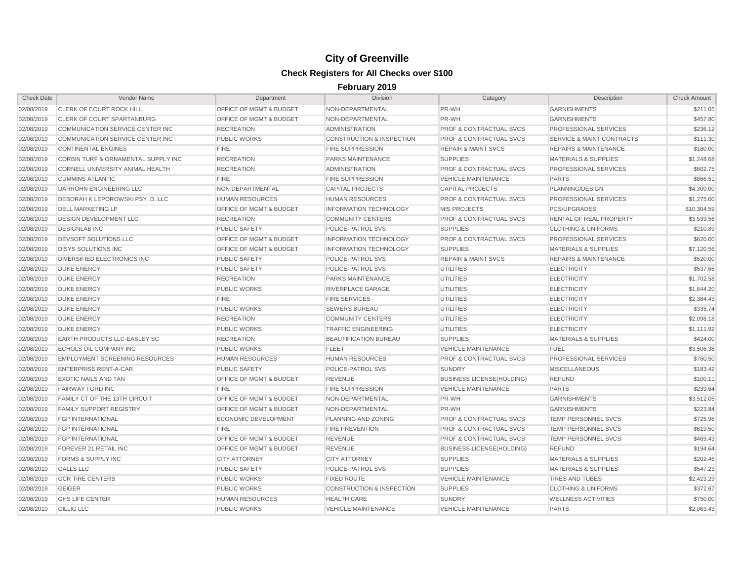| <b>Check Date</b> | Vendor Name                           | Department                         | <b>Division</b>                      | Category                           | Description                          | <b>Check Amount</b> |
|-------------------|---------------------------------------|------------------------------------|--------------------------------------|------------------------------------|--------------------------------------|---------------------|
| 02/08/2019        | <b>CLERK OF COURT ROCK HILL</b>       | OFFICE OF MGMT & BUDGET            | NON-DEPARTMENTAL                     | PR-WH                              | <b>GARNISHMENTS</b>                  | \$211.05            |
| 02/08/2019        | <b>CLERK OF COURT SPARTANBURG</b>     | OFFICE OF MGMT & BUDGET            | NON-DEPARTMENTAL                     | PR-WH                              | <b>GARNISHMENTS</b>                  | \$457.80            |
| 02/08/2019        | COMMUNICATION SERVICE CENTER INC      | <b>RECREATION</b>                  | <b>ADMINISTRATION</b>                | <b>PROF &amp; CONTRACTUAL SVCS</b> | PROFESSIONAL SERVICES                | \$236.12            |
| 02/08/2019        | COMMUNICATION SERVICE CENTER INC      | <b>PUBLIC WORKS</b>                | <b>CONSTRUCTION &amp; INSPECTION</b> | <b>PROF &amp; CONTRACTUAL SVCS</b> | <b>SERVICE &amp; MAINT CONTRACTS</b> | \$111.30            |
| 02/08/2019        | <b>CONTINENTAL ENGINES</b>            | <b>FIRE</b>                        | <b>FIRE SUPPRESSION</b>              | <b>REPAIR &amp; MAINT SVCS</b>     | <b>REPAIRS &amp; MAINTENANCE</b>     | \$180.00            |
| 02/08/2019        | CORBIN TURF & ORNAMENTAL SUPPLY INC   | <b>RECREATION</b>                  | PARKS MAINTENANCE                    | <b>SUPPLIES</b>                    | <b>MATERIALS &amp; SUPPLIES</b>      | \$1,248.68          |
| 02/08/2019        | CORNELL UNIVERSITY ANIMAL HEALTH      | <b>RECREATION</b>                  | <b>ADMINISTRATION</b>                | <b>PROF &amp; CONTRACTUAL SVCS</b> | PROFESSIONAL SERVICES                | \$602.75            |
| 02/08/2019        | <b>CUMMINS ATLANTIC</b>               | <b>FIRE</b>                        | <b>FIRE SUPPRESSION</b>              | <b>VEHICLE MAINTENANCE</b>         | <b>PARTS</b>                         | \$866.51            |
| 02/08/2019        | DARROHN ENGINEERING LLC               | NON DEPARTMENTAL                   | <b>CAPITAL PROJECTS</b>              | <b>CAPITAL PROJECTS</b>            | PLANNING/DESIGN                      | \$4,300.00          |
| 02/08/2019        | DEBORAH K LEPOROWSKI PSY. D. LLC      | <b>HUMAN RESOURCES</b>             | <b>HUMAN RESOURCES</b>               | <b>PROF &amp; CONTRACTUAL SVCS</b> | PROFESSIONAL SERVICES                | \$1,275.00          |
| 02/08/2019        | <b>DELL MARKETING LP</b>              | <b>OFFICE OF MGMT &amp; BUDGET</b> | <b>INFORMATION TECHNOLOGY</b>        | <b>MIS PROJECTS</b>                | <b>PCS/UPGRADES</b>                  | \$10,304.59         |
| 02/08/2019        | <b>DESIGN DEVELOPMENT LLC</b>         | <b>RECREATION</b>                  | <b>COMMUNITY CENTERS</b>             | <b>PROF &amp; CONTRACTUAL SVCS</b> | RENTAL OF REAL PROPERTY              | \$3,539.56          |
| 02/08/2019        | <b>DESIGNLAB INC</b>                  | <b>PUBLIC SAFETY</b>               | POLICE-PATROL SVS                    | <b>SUPPLIES</b>                    | <b>CLOTHING &amp; UNIFORMS</b>       | \$210.89            |
| 02/08/2019        | DEVSOFT SOLUTIONS LLC                 | OFFICE OF MGMT & BUDGET            | <b>INFORMATION TECHNOLOGY</b>        | PROF & CONTRACTUAL SVCS            | PROFESSIONAL SERVICES                | \$620.00            |
| 02/08/2019        | <b>DISYS SOLUTIONS INC</b>            | OFFICE OF MGMT & BUDGET            | <b>INFORMATION TECHNOLOGY</b>        | <b>SUPPLIES</b>                    | <b>MATERIALS &amp; SUPPLIES</b>      | \$7,120.56          |
| 02/08/2019        | <b>DIVERSIFIED ELECTRONICS INC</b>    | <b>PUBLIC SAFETY</b>               | POLICE-PATROL SVS                    | <b>REPAIR &amp; MAINT SVCS</b>     | <b>REPAIRS &amp; MAINTENANCE</b>     | \$520.00            |
| 02/08/2019        | <b>DUKE ENERGY</b>                    | <b>PUBLIC SAFETY</b>               | POLICE-PATROL SVS                    | <b>UTILITIES</b>                   | <b>ELECTRICITY</b>                   | \$537.66            |
| 02/08/2019        | <b>DUKE ENERGY</b>                    | <b>RECREATION</b>                  | PARKS MAINTENANCE                    | <b>UTILITIES</b>                   | <b>ELECTRICITY</b>                   | \$1,702.58          |
| 02/08/2019        | <b>DUKE ENERGY</b>                    | <b>PUBLIC WORKS</b>                | <b>RIVERPLACE GARAGE</b>             | <b>UTILITIES</b>                   | <b>ELECTRICITY</b>                   | \$1,644.20          |
| 02/08/2019        | <b>DUKE ENERGY</b>                    | <b>FIRE</b>                        | <b>FIRE SERVICES</b>                 | <b>UTILITIES</b>                   | <b>ELECTRICITY</b>                   | \$2,384.43          |
| 02/08/2019        | <b>DUKE ENERGY</b>                    | <b>PUBLIC WORKS</b>                | <b>SEWERS BUREAU</b>                 | <b>UTILITIES</b>                   | <b>ELECTRICITY</b>                   | \$335.74            |
| 02/08/2019        | <b>DUKE ENERGY</b>                    | <b>RECREATION</b>                  | <b>COMMUNITY CENTERS</b>             | <b>UTILITIES</b>                   | <b>ELECTRICITY</b>                   | \$2,098.18          |
| 02/08/2019        | <b>DUKE ENERGY</b>                    | PUBLIC WORKS                       | <b>TRAFFIC ENGINEERING</b>           | <b>UTILITIES</b>                   | <b>ELECTRICITY</b>                   | \$1,111.92          |
| 02/08/2019        | <b>EARTH PRODUCTS LLC-EASLEY SC</b>   | <b>RECREATION</b>                  | <b>BEAUTIFICATION BUREAU</b>         | <b>SUPPLIES</b>                    | <b>MATERIALS &amp; SUPPLIES</b>      | \$424.00            |
| 02/08/2019        | <b>ECHOLS OIL COMPANY INC</b>         | <b>PUBLIC WORKS</b>                | <b>FLEET</b>                         | <b>VEHICLE MAINTENANCE</b>         | <b>FUEL</b>                          | \$3,506.38          |
| 02/08/2019        | <b>EMPLOYMENT SCREENING RESOURCES</b> | <b>HUMAN RESOURCES</b>             | <b>HUMAN RESOURCES</b>               | <b>PROF &amp; CONTRACTUAL SVCS</b> | PROFESSIONAL SERVICES                | \$760.50            |
| 02/08/2019        | <b>ENTERPRISE RENT-A-CAR</b>          | <b>PUBLIC SAFETY</b>               | POLICE-PATROL SVS                    | <b>SUNDRY</b>                      | <b>MISCELLANEOUS</b>                 | \$183.42            |
| 02/08/2019        | <b>EXOTIC NAILS AND TAN</b>           | <b>OFFICE OF MGMT &amp; BUDGET</b> | <b>REVENUE</b>                       | <b>BUSINESS LICENSE(HOLDING)</b>   | <b>REFUND</b>                        | \$100.11            |
| 02/08/2019        | <b>FAIRWAY FORD INC</b>               | <b>FIRE</b>                        | <b>FIRE SUPPRESSION</b>              | <b>VEHICLE MAINTENANCE</b>         | <b>PARTS</b>                         | \$239.64            |
| 02/08/2019        | <b>FAMILY CT OF THE 13TH CIRCUIT</b>  | OFFICE OF MGMT & BUDGET            | NON-DEPARTMENTAL                     | PR-WH                              | <b>GARNISHMENTS</b>                  | \$3,512.05          |
| 02/08/2019        | <b>FAMILY SUPPORT REGISTRY</b>        | OFFICE OF MGMT & BUDGET            | NON-DEPARTMENTAL                     | PR-WH                              | <b>GARNISHMENTS</b>                  | \$223.84            |
| 02/08/2019        | <b>FGP INTERNATIONAL</b>              | <b>ECONOMIC DEVELOPMENT</b>        | PLANNING AND ZONING                  | <b>PROF &amp; CONTRACTUAL SVCS</b> | TEMP PERSONNEL SVCS                  | \$725.96            |
| 02/08/2019        | <b>FGP INTERNATIONAL</b>              | <b>FIRE</b>                        | <b>FIRE PREVENTION</b>               | <b>PROF &amp; CONTRACTUAL SVCS</b> | <b>TEMP PERSONNEL SVCS</b>           | \$619.50            |
| 02/08/2019        | <b>FGP INTERNATIONAL</b>              | <b>OFFICE OF MGMT &amp; BUDGET</b> | <b>REVENUE</b>                       | <b>PROF &amp; CONTRACTUAL SVCS</b> | <b>TEMP PERSONNEL SVCS</b>           | \$469.43            |
| 02/08/2019        | FOREVER 21 RETAIL INC                 | <b>OFFICE OF MGMT &amp; BUDGET</b> | <b>REVENUE</b>                       | <b>BUSINESS LICENSE(HOLDING)</b>   | <b>REFUND</b>                        | \$194.64            |
| 02/08/2019        | <b>FORMS &amp; SUPPLY INC</b>         | <b>CITY ATTORNEY</b>               | <b>CITY ATTORNEY</b>                 | <b>SUPPLIES</b>                    | <b>MATERIALS &amp; SUPPLIES</b>      | \$202.46            |
| 02/08/2019        | <b>GALLS LLC</b>                      | <b>PUBLIC SAFETY</b>               | POLICE-PATROL SVS                    | <b>SUPPLIES</b>                    | <b>MATERIALS &amp; SUPPLIES</b>      | \$547.23            |
| 02/08/2019        | <b>GCR TIRE CENTERS</b>               | <b>PUBLIC WORKS</b>                | <b>FIXED ROUTE</b>                   | <b>VEHICLE MAINTENANCE</b>         | <b>TIRES AND TUBES</b>               | \$2,423.29          |
| 02/08/2019        | <b>GEIGER</b>                         | <b>PUBLIC WORKS</b>                | CONSTRUCTION & INSPECTION            | <b>SUPPLIES</b>                    | <b>CLOTHING &amp; UNIFORMS</b>       | \$372.67            |
| 02/08/2019        | <b>GHS LIFE CENTER</b>                | <b>HUMAN RESOURCES</b>             | <b>HEALTH CARE</b>                   | <b>SUNDRY</b>                      | <b>WELLNESS ACTIVITIES</b>           | \$750.00            |
| 02/08/2019        | <b>GILLIG LLC</b>                     | <b>PUBLIC WORKS</b>                | <b>VEHICLE MAINTENANCE</b>           | <b>VEHICLE MAINTENANCE</b>         | <b>PARTS</b>                         | \$2,063.43          |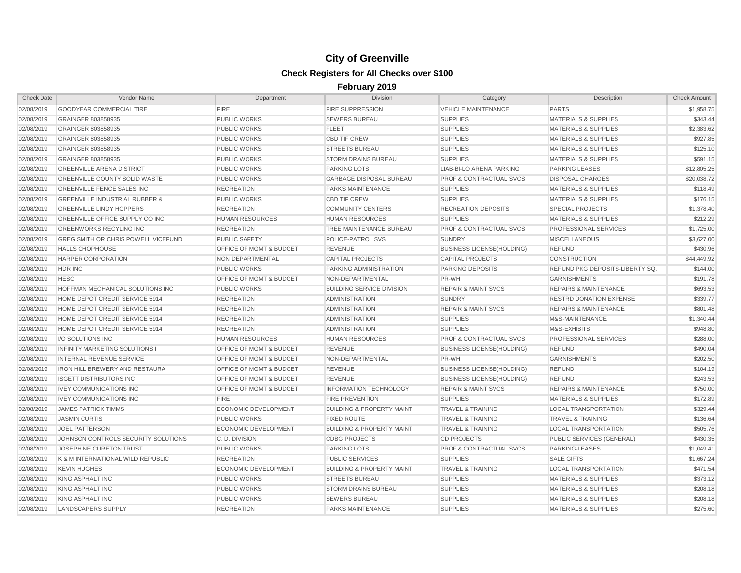| <b>Check Date</b> | Vendor Name                               | Department                         | <b>Division</b>                      | Category                           | Description                      | <b>Check Amount</b> |
|-------------------|-------------------------------------------|------------------------------------|--------------------------------------|------------------------------------|----------------------------------|---------------------|
| 02/08/2019        | <b>GOODYEAR COMMERCIAL TIRE</b>           | <b>FIRE</b>                        | <b>FIRE SUPPRESSION</b>              | <b>VEHICLE MAINTENANCE</b>         | <b>PARTS</b>                     | \$1,958.75          |
| 02/08/2019        | GRAINGER 803858935                        | <b>PUBLIC WORKS</b>                | <b>SEWERS BUREAU</b>                 | <b>SUPPLIES</b>                    | <b>MATERIALS &amp; SUPPLIES</b>  | \$343.44            |
| 02/08/2019        | GRAINGER 803858935                        | <b>PUBLIC WORKS</b>                | <b>FLEET</b>                         | <b>SUPPLIES</b>                    | <b>MATERIALS &amp; SUPPLIES</b>  | \$2,383.62          |
| 02/08/2019        | GRAINGER 803858935                        | <b>PUBLIC WORKS</b>                | <b>CBD TIF CREW</b>                  | <b>SUPPLIES</b>                    | <b>MATERIALS &amp; SUPPLIES</b>  | \$927.85            |
| 02/08/2019        | GRAINGER 803858935                        | <b>PUBLIC WORKS</b>                | <b>STREETS BUREAU</b>                | <b>SUPPLIES</b>                    | <b>MATERIALS &amp; SUPPLIES</b>  | \$125.10            |
| 02/08/2019        | GRAINGER 803858935                        | <b>PUBLIC WORKS</b>                | <b>STORM DRAINS BUREAU</b>           | <b>SUPPLIES</b>                    | <b>MATERIALS &amp; SUPPLIES</b>  | \$591.15            |
| 02/08/2019        | <b>GREENVILLE ARENA DISTRICT</b>          | <b>PUBLIC WORKS</b>                | <b>PARKING LOTS</b>                  | <b>LIAB-BI-LO ARENA PARKING</b>    | <b>PARKING LEASES</b>            | \$12,805.25         |
| 02/08/2019        | <b>GREENVILLE COUNTY SOLID WASTE</b>      | <b>PUBLIC WORKS</b>                | <b>GARBAGE DISPOSAL BUREAU</b>       | <b>PROF &amp; CONTRACTUAL SVCS</b> | <b>DISPOSAL CHARGES</b>          | \$20,038.72         |
| 02/08/2019        | <b>GREENVILLE FENCE SALES INC</b>         | <b>RECREATION</b>                  | PARKS MAINTENANCE                    | <b>SUPPLIES</b>                    | <b>MATERIALS &amp; SUPPLIES</b>  | \$118.49            |
| 02/08/2019        | <b>GREENVILLE INDUSTRIAL RUBBER &amp;</b> | <b>PUBLIC WORKS</b>                | <b>CBD TIF CREW</b>                  | <b>SUPPLIES</b>                    | <b>MATERIALS &amp; SUPPLIES</b>  | \$176.15            |
| 02/08/2019        | <b>GREENVILLE LINDY HOPPERS</b>           | <b>RECREATION</b>                  | <b>COMMUNITY CENTERS</b>             | <b>RECREATION DEPOSITS</b>         | <b>SPECIAL PROJECTS</b>          | \$1,378.40          |
| 02/08/2019        | GREENVILLE OFFICE SUPPLY CO INC           | <b>HUMAN RESOURCES</b>             | <b>HUMAN RESOURCES</b>               | <b>SUPPLIES</b>                    | <b>MATERIALS &amp; SUPPLIES</b>  | \$212.29            |
| 02/08/2019        | <b>GREENWORKS RECYLING INC</b>            | <b>RECREATION</b>                  | TREE MAINTENANCE BUREAU              | <b>PROF &amp; CONTRACTUAL SVCS</b> | PROFESSIONAL SERVICES            | \$1,725.00          |
| 02/08/2019        | GREG SMITH OR CHRIS POWELL VICEFUND       | <b>PUBLIC SAFETY</b>               | POLICE-PATROL SVS                    | <b>SUNDRY</b>                      | <b>MISCELLANEOUS</b>             | \$3,627.00          |
| 02/08/2019        | <b>HALLS CHOPHOUSE</b>                    | <b>OFFICE OF MGMT &amp; BUDGET</b> | <b>REVENUE</b>                       | <b>BUSINESS LICENSE(HOLDING)</b>   | <b>REFUND</b>                    | \$430.96            |
| 02/08/2019        | HARPER CORPORATION                        | NON DEPARTMENTAL                   | <b>CAPITAL PROJECTS</b>              | <b>CAPITAL PROJECTS</b>            | <b>CONSTRUCTION</b>              | \$44,449.92         |
| 02/08/2019        | HDR INC                                   | <b>PUBLIC WORKS</b>                | PARKING ADMINISTRATION               | <b>PARKING DEPOSITS</b>            | REFUND PKG DEPOSITS-LIBERTY SQ.  | \$144.00            |
| 02/08/2019        | <b>HESC</b>                               | OFFICE OF MGMT & BUDGET            | NON-DEPARTMENTAL                     | PR-WH                              | <b>GARNISHMENTS</b>              | \$191.78            |
| 02/08/2019        | HOFFMAN MECHANICAL SOLUTIONS INC          | <b>PUBLIC WORKS</b>                | <b>BUILDING SERVICE DIVISION</b>     | <b>REPAIR &amp; MAINT SVCS</b>     | <b>REPAIRS &amp; MAINTENANCE</b> | \$693.53            |
| 02/08/2019        | HOME DEPOT CREDIT SERVICE 5914            | <b>RECREATION</b>                  | <b>ADMINISTRATION</b>                | <b>SUNDRY</b>                      | <b>RESTRD DONATION EXPENSE</b>   | \$339.77            |
| 02/08/2019        | HOME DEPOT CREDIT SERVICE 5914            | <b>RECREATION</b>                  | <b>ADMINISTRATION</b>                | <b>REPAIR &amp; MAINT SVCS</b>     | <b>REPAIRS &amp; MAINTENANCE</b> | \$801.48            |
| 02/08/2019        | HOME DEPOT CREDIT SERVICE 5914            | <b>RECREATION</b>                  | <b>ADMINISTRATION</b>                | <b>SUPPLIES</b>                    | M&S-MAINTENANCE                  | \$1,340.44          |
| 02/08/2019        | HOME DEPOT CREDIT SERVICE 5914            | <b>RECREATION</b>                  | <b>ADMINISTRATION</b>                | <b>SUPPLIES</b>                    | M&S-EXHIBITS                     | \$948.80            |
| 02/08/2019        | <b>VO SOLUTIONS INC</b>                   | <b>HUMAN RESOURCES</b>             | <b>HUMAN RESOURCES</b>               | <b>PROF &amp; CONTRACTUAL SVCS</b> | PROFESSIONAL SERVICES            | \$288.00            |
| 02/08/2019        | <b>INFINITY MARKETING SOLUTIONS I</b>     | <b>OFFICE OF MGMT &amp; BUDGET</b> | <b>REVENUE</b>                       | <b>BUSINESS LICENSE(HOLDING)</b>   | <b>REFUND</b>                    | \$490.04            |
| 02/08/2019        | <b>INTERNAL REVENUE SERVICE</b>           | <b>OFFICE OF MGMT &amp; BUDGET</b> | NON-DEPARTMENTAL                     | PR-WH                              | <b>GARNISHMENTS</b>              | \$202.50            |
| 02/08/2019        | <b>IRON HILL BREWERY AND RESTAURA</b>     | <b>OFFICE OF MGMT &amp; BUDGET</b> | <b>REVENUE</b>                       | <b>BUSINESS LICENSE(HOLDING)</b>   | <b>REFUND</b>                    | \$104.19            |
| 02/08/2019        | <b>ISGETT DISTRIBUTORS INC</b>            | OFFICE OF MGMT & BUDGET            | <b>REVENUE</b>                       | <b>BUSINESS LICENSE(HOLDING)</b>   | <b>REFUND</b>                    | \$243.53            |
| 02/08/2019        | <b>IVEY COMMUNICATIONS INC</b>            | OFFICE OF MGMT & BUDGET            | <b>INFORMATION TECHNOLOGY</b>        | <b>REPAIR &amp; MAINT SVCS</b>     | <b>REPAIRS &amp; MAINTENANCE</b> | \$750.00            |
| 02/08/2019        | <b>IVEY COMMUNICATIONS INC</b>            | <b>FIRE</b>                        | <b>FIRE PREVENTION</b>               | <b>SUPPLIES</b>                    | <b>MATERIALS &amp; SUPPLIES</b>  | \$172.89            |
| 02/08/2019        | <b>JAMES PATRICK TIMMS</b>                | ECONOMIC DEVELOPMENT               | <b>BUILDING &amp; PROPERTY MAINT</b> | <b>TRAVEL &amp; TRAINING</b>       | <b>LOCAL TRANSPORTATION</b>      | \$329.44            |
| 02/08/2019        | <b>JASMIN CURTIS</b>                      | <b>PUBLIC WORKS</b>                | <b>FIXED ROUTE</b>                   | <b>TRAVEL &amp; TRAINING</b>       | <b>TRAVEL &amp; TRAINING</b>     | \$136.64            |
| 02/08/2019        | <b>JOEL PATTERSON</b>                     | <b>ECONOMIC DEVELOPMENT</b>        | <b>BUILDING &amp; PROPERTY MAINT</b> | <b>TRAVEL &amp; TRAINING</b>       | <b>LOCAL TRANSPORTATION</b>      | \$505.76            |
| 02/08/2019        | JOHNSON CONTROLS SECURITY SOLUTIONS       | C.D. DIVISION                      | <b>CDBG PROJECTS</b>                 | <b>CD PROJECTS</b>                 | PUBLIC SERVICES (GENERAL)        | \$430.35            |
| 02/08/2019        | <b>JOSEPHINE CURETON TRUST</b>            | <b>PUBLIC WORKS</b>                | <b>PARKING LOTS</b>                  | <b>PROF &amp; CONTRACTUAL SVCS</b> | PARKING-LEASES                   | \$1,049.41          |
| 02/08/2019        | K & M INTERNATIONAL WILD REPUBLIC         | <b>RECREATION</b>                  | <b>PUBLIC SERVICES</b>               | <b>SUPPLIES</b>                    | <b>SALE GIFTS</b>                | \$1,667.24          |
| 02/08/2019        | <b>KEVIN HUGHES</b>                       | ECONOMIC DEVELOPMENT               | <b>BUILDING &amp; PROPERTY MAINT</b> | <b>TRAVEL &amp; TRAINING</b>       | <b>LOCAL TRANSPORTATION</b>      | \$471.54            |
| 02/08/2019        | KING ASPHALT INC                          | <b>PUBLIC WORKS</b>                | <b>STREETS BUREAU</b>                | <b>SUPPLIES</b>                    | <b>MATERIALS &amp; SUPPLIES</b>  | \$373.12            |
| 02/08/2019        | KING ASPHALT INC                          | <b>PUBLIC WORKS</b>                | <b>STORM DRAINS BUREAU</b>           | <b>SUPPLIES</b>                    | <b>MATERIALS &amp; SUPPLIES</b>  | \$208.18            |
| 02/08/2019        | KING ASPHALT INC                          | <b>PUBLIC WORKS</b>                | <b>SEWERS BUREAU</b>                 | <b>SUPPLIES</b>                    | <b>MATERIALS &amp; SUPPLIES</b>  | \$208.18            |
| 02/08/2019        | LANDSCAPERS SUPPLY                        | <b>RECREATION</b>                  | <b>PARKS MAINTENANCE</b>             | <b>SUPPLIES</b>                    | <b>MATERIALS &amp; SUPPLIES</b>  | \$275.60            |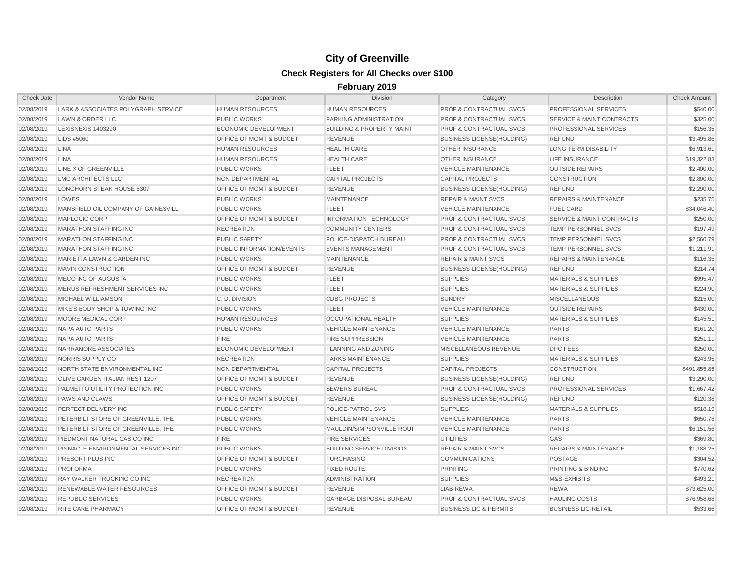| <b>Check Date</b> | Vendor Name                         | Department                         | <b>Division</b>                      | Category                           | Description                          | <b>Check Amount</b> |
|-------------------|-------------------------------------|------------------------------------|--------------------------------------|------------------------------------|--------------------------------------|---------------------|
| 02/08/2019        | LARK & ASSOCIATES POLYGRAPH SERVICE | <b>HUMAN RESOURCES</b>             | <b>HUMAN RESOURCES</b>               | PROF & CONTRACTUAL SVCS            | PROFESSIONAL SERVICES                | \$540.00            |
| 02/08/2019        | LAWN & ORDER LLC                    | <b>PUBLIC WORKS</b>                | PARKING ADMINISTRATION               | <b>PROF &amp; CONTRACTUAL SVCS</b> | <b>SERVICE &amp; MAINT CONTRACTS</b> | \$325.00            |
| 02/08/2019        | <b>LEXISNEXIS 1403290</b>           | <b>ECONOMIC DEVELOPMENT</b>        | <b>BUILDING &amp; PROPERTY MAINT</b> | <b>PROF &amp; CONTRACTUAL SVCS</b> | PROFESSIONAL SERVICES                | \$156.35            |
| 02/08/2019        | LIDS #5060                          | OFFICE OF MGMT & BUDGET            | <b>REVENUE</b>                       | <b>BUSINESS LICENSE(HOLDING)</b>   | <b>REFUND</b>                        | \$3,495.86          |
| 02/08/2019        | <b>LINA</b>                         | <b>HUMAN RESOURCES</b>             | <b>HEALTH CARE</b>                   | <b>OTHER INSURANCE</b>             | <b>LONG TERM DISABILITY</b>          | \$6,913.61          |
| 02/08/2019        | <b>LINA</b>                         | <b>HUMAN RESOURCES</b>             | <b>HEALTH CARE</b>                   | <b>OTHER INSURANCE</b>             | <b>LIFE INSURANCE</b>                | \$19,322.83         |
| 02/08/2019        | LINE X OF GREENVILLE                | <b>PUBLIC WORKS</b>                | <b>FLEET</b>                         | <b>VEHICLE MAINTENANCE</b>         | <b>OUTSIDE REPAIRS</b>               | \$2,400.00          |
| 02/08/2019        | <b>LMG ARCHITECTS LLC</b>           | NON DEPARTMENTAL                   | <b>CAPITAL PROJECTS</b>              | <b>CAPITAL PROJECTS</b>            | <b>CONSTRUCTION</b>                  | \$2,800.00          |
| 02/08/2019        | LONGHORN STEAK HOUSE 5307           | OFFICE OF MGMT & BUDGET            | <b>REVENUE</b>                       | <b>BUSINESS LICENSE(HOLDING)</b>   | <b>REFUND</b>                        | \$2,290.00          |
| 02/08/2019        | LOWES                               | <b>PUBLIC WORKS</b>                | <b>MAINTENANCE</b>                   | <b>REPAIR &amp; MAINT SVCS</b>     | <b>REPAIRS &amp; MAINTENANCE</b>     | \$235.75            |
| 02/08/2019        | MANSFIELD OIL COMPANY OF GAINESVILL | <b>PUBLIC WORKS</b>                | <b>FLEET</b>                         | <b>VEHICLE MAINTENANCE</b>         | <b>FUEL CARD</b>                     | \$34,046.40         |
| 02/08/2019        | MAPLOGIC CORP                       | OFFICE OF MGMT & BUDGET            | <b>INFORMATION TECHNOLOGY</b>        | <b>PROF &amp; CONTRACTUAL SVCS</b> | <b>SERVICE &amp; MAINT CONTRACTS</b> | \$250.00            |
| 02/08/2019        | <b>MARATHON STAFFING INC</b>        | <b>RECREATION</b>                  | <b>COMMUNITY CENTERS</b>             | <b>PROF &amp; CONTRACTUAL SVCS</b> | <b>TEMP PERSONNEL SVCS</b>           | \$197.49            |
| 02/08/2019        | <b>MARATHON STAFFING INC</b>        | <b>PUBLIC SAFETY</b>               | POLICE-DISPATCH BUREAU               | <b>PROF &amp; CONTRACTUAL SVCS</b> | TEMP PERSONNEL SVCS                  | \$2,560.79          |
| 02/08/2019        | <b>MARATHON STAFFING INC</b>        | PUBLIC INFORMATION/EVENTS          | <b>EVENTS MANAGEMENT</b>             | <b>PROF &amp; CONTRACTUAL SVCS</b> | TEMP PERSONNEL SVCS                  | \$1,211.91          |
| 02/08/2019        | MARIETTA LAWN & GARDEN INC          | <b>PUBLIC WORKS</b>                | <b>MAINTENANCE</b>                   | <b>REPAIR &amp; MAINT SVCS</b>     | <b>REPAIRS &amp; MAINTENANCE</b>     | \$116.35            |
| 02/08/2019        | <b>MAVIN CONSTRUCTION</b>           | OFFICE OF MGMT & BUDGET            | <b>REVENUE</b>                       | <b>BUSINESS LICENSE(HOLDING)</b>   | <b>REFUND</b>                        | \$214.74            |
| 02/08/2019        | MECO INC OF AUGUSTA                 | <b>PUBLIC WORKS</b>                | <b>FLEET</b>                         | <b>SUPPLIES</b>                    | <b>MATERIALS &amp; SUPPLIES</b>      | \$995.47            |
| 02/08/2019        | MERUS REFRESHMENT SERVICES INC      | <b>PUBLIC WORKS</b>                | <b>FLEET</b>                         | <b>SUPPLIES</b>                    | <b>MATERIALS &amp; SUPPLIES</b>      | \$224.90            |
| 02/08/2019        | MICHAEL WILLIAMSON                  | C.D. DIVISION                      | <b>CDBG PROJECTS</b>                 | <b>SUNDRY</b>                      | <b>MISCELLANEOUS</b>                 | \$215.00            |
| 02/08/2019        | MIKE'S BODY SHOP & TOWING INC       | <b>PUBLIC WORKS</b>                | <b>FLEET</b>                         | <b>VEHICLE MAINTENANCE</b>         | <b>OUTSIDE REPAIRS</b>               | \$430.00            |
| 02/08/2019        | MOORE MEDICAL CORP                  | <b>HUMAN RESOURCES</b>             | <b>OCCUPATIONAL HEALTH</b>           | <b>SUPPLIES</b>                    | <b>MATERIALS &amp; SUPPLIES</b>      | \$145.51            |
| 02/08/2019        | NAPA AUTO PARTS                     | <b>PUBLIC WORKS</b>                | <b>VEHICLE MAINTENANCE</b>           | <b>VEHICLE MAINTENANCE</b>         | <b>PARTS</b>                         | \$161.20            |
| 02/08/2019        | NAPA AUTO PARTS                     | <b>FIRE</b>                        | <b>FIRE SUPPRESSION</b>              | <b>VEHICLE MAINTENANCE</b>         | <b>PARTS</b>                         | \$251.11            |
| 02/08/2019        | NARRAMORE ASSOCIATES                | <b>ECONOMIC DEVELOPMENT</b>        | PLANNING AND ZONING                  | MISCELLANEOUS REVENUE              | <b>DPC FEES</b>                      | \$250.00            |
| 02/08/2019        | NORRIS SUPPLY CO                    | <b>RECREATION</b>                  | PARKS MAINTENANCE                    | <b>SUPPLIES</b>                    | <b>MATERIALS &amp; SUPPLIES</b>      | \$243.95            |
| 02/08/2019        | NORTH STATE ENVIRONMENTAL INC       | NON DEPARTMENTAL                   | <b>CAPITAL PROJECTS</b>              | <b>CAPITAL PROJECTS</b>            | <b>CONSTRUCTION</b>                  | \$491,855.85        |
| 02/08/2019        | OLIVE GARDEN ITALIAN REST 1207      | OFFICE OF MGMT & BUDGET            | <b>REVENUE</b>                       | <b>BUSINESS LICENSE(HOLDING)</b>   | <b>REFUND</b>                        | \$3,290.00          |
| 02/08/2019        | PALMETTO UTILITY PROTECTION INC     | <b>PUBLIC WORKS</b>                | <b>SEWERS BUREAU</b>                 | PROF & CONTRACTUAL SVCS            | PROFESSIONAL SERVICES                | \$1,667.42          |
| 02/08/2019        | PAWS AND CLAWS                      | OFFICE OF MGMT & BUDGET            | <b>REVENUE</b>                       | <b>BUSINESS LICENSE(HOLDING)</b>   | <b>REFUND</b>                        | \$120.38            |
| 02/08/2019        | PERFECT DELIVERY INC                | <b>PUBLIC SAFETY</b>               | POLICE-PATROL SVS                    | <b>SUPPLIES</b>                    | <b>MATERIALS &amp; SUPPLIES</b>      | \$518.19            |
| 02/08/2019        | PETERBILT STORE OF GREENVILLE, THE  | <b>PUBLIC WORKS</b>                | <b>VEHICLE MAINTENANCE</b>           | <b>VEHICLE MAINTENANCE</b>         | <b>PARTS</b>                         | \$650.78            |
| 02/08/2019        | PETERBILT STORE OF GREENVILLE, THE  | <b>PUBLIC WORKS</b>                | MAULDIN/SIMPSONVILLE ROUT            | <b>VEHICLE MAINTENANCE</b>         | <b>PARTS</b>                         | \$6,151.56          |
| 02/08/2019        | PIEDMONT NATURAL GAS CO INC         | <b>FIRE</b>                        | <b>FIRE SERVICES</b>                 | <b>UTILITIES</b>                   | GAS                                  | \$369.80            |
| 02/08/2019        | PINNACLE ENVIRONMENTAL SERVICES INC | <b>PUBLIC WORKS</b>                | <b>BUILDING SERVICE DIVISION</b>     | <b>REPAIR &amp; MAINT SVCS</b>     | <b>REPAIRS &amp; MAINTENANCE</b>     | \$1,188.25          |
| 02/08/2019        | PRESORT PLUS INC                    | OFFICE OF MGMT & BUDGET            | <b>PURCHASING</b>                    | <b>COMMUNICATIONS</b>              | <b>POSTAGE</b>                       | \$304.52            |
| 02/08/2019        | <b>PROFORMA</b>                     | <b>PUBLIC WORKS</b>                | <b>FIXED ROUTE</b>                   | <b>PRINTING</b>                    | PRINTING & BINDING                   | \$770.62            |
| 02/08/2019        | RAY WALKER TRUCKING CO INC          | <b>RECREATION</b>                  | <b>ADMINISTRATION</b>                | <b>SUPPLIES</b>                    | M&S-EXHIBITS                         | \$493.21            |
| 02/08/2019        | RENEWABLE WATER RESOURCES           | OFFICE OF MGMT & BUDGET            | <b>REVENUE</b>                       | LIAB-REWA                          | <b>REWA</b>                          | \$73,625.00         |
| 02/08/2019        | <b>REPUBLIC SERVICES</b>            | <b>PUBLIC WORKS</b>                | <b>GARBAGE DISPOSAL BUREAU</b>       | <b>PROF &amp; CONTRACTUAL SVCS</b> | <b>HAULING COSTS</b>                 | \$76,958.68         |
| 02/08/2019        | <b>RITE CARE PHARMACY</b>           | <b>OFFICE OF MGMT &amp; BUDGET</b> | <b>REVENUE</b>                       | <b>BUSINESS LIC &amp; PERMITS</b>  | <b>BUSINESS LIC-RETAIL</b>           | \$533.66            |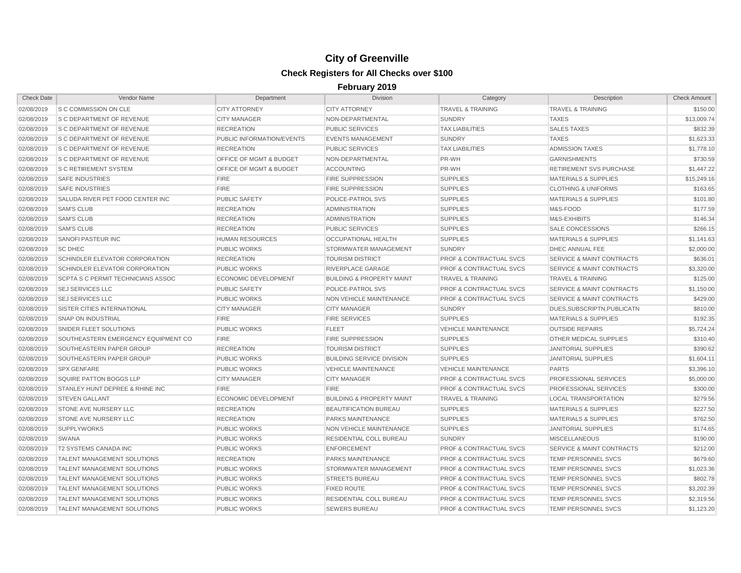| <b>Check Date</b> | <b>Vendor Name</b>                        | Department                         | <b>Division</b>                      | Category                           | Description                          | <b>Check Amount</b> |
|-------------------|-------------------------------------------|------------------------------------|--------------------------------------|------------------------------------|--------------------------------------|---------------------|
| 02/08/2019        | S C COMMISSION ON CLE                     | <b>CITY ATTORNEY</b>               | <b>CITY ATTORNEY</b>                 | <b>TRAVEL &amp; TRAINING</b>       | <b>TRAVEL &amp; TRAINING</b>         | \$150.00            |
| 02/08/2019        | <b>S C DEPARTMENT OF REVENUE</b>          | <b>CITY MANAGER</b>                | NON-DEPARTMENTAL                     | <b>SUNDRY</b>                      | <b>TAXES</b>                         | \$13,009.74         |
| 02/08/2019        | <b>S C DEPARTMENT OF REVENUE</b>          | <b>RECREATION</b>                  | <b>PUBLIC SERVICES</b>               | <b>TAX LIABILITIES</b>             | <b>SALES TAXES</b>                   | \$832.39            |
| 02/08/2019        | <b>S C DEPARTMENT OF REVENUE</b>          | PUBLIC INFORMATION/EVENTS          | <b>EVENTS MANAGEMENT</b>             | <b>SUNDRY</b>                      | <b>TAXES</b>                         | \$1,623.33          |
| 02/08/2019        | <b>S C DEPARTMENT OF REVENUE</b>          | <b>RECREATION</b>                  | <b>PUBLIC SERVICES</b>               | <b>TAX LIABILITIES</b>             | <b>ADMISSION TAXES</b>               | \$1,778.10          |
| 02/08/2019        | <b>S C DEPARTMENT OF REVENUE</b>          | <b>OFFICE OF MGMT &amp; BUDGET</b> | NON-DEPARTMENTAL                     | PR-WH                              | <b>GARNISHMENTS</b>                  | \$730.59            |
| 02/08/2019        | <b>S C RETIREMENT SYSTEM</b>              | OFFICE OF MGMT & BUDGET            | <b>ACCOUNTING</b>                    | PR-WH                              | <b>RETIREMENT SVS PURCHASE</b>       | \$1,447.22          |
| 02/08/2019        | <b>SAFE INDUSTRIES</b>                    | <b>FIRE</b>                        | <b>FIRE SUPPRESSION</b>              | <b>SUPPLIES</b>                    | <b>MATERIALS &amp; SUPPLIES</b>      | \$15,249.16         |
| 02/08/2019        | <b>SAFE INDUSTRIES</b>                    | <b>FIRE</b>                        | <b>FIRE SUPPRESSION</b>              | <b>SUPPLIES</b>                    | <b>CLOTHING &amp; UNIFORMS</b>       | \$163.65            |
| 02/08/2019        | SALUDA RIVER PET FOOD CENTER INC          | <b>PUBLIC SAFETY</b>               | POLICE-PATROL SVS                    | <b>SUPPLIES</b>                    | <b>MATERIALS &amp; SUPPLIES</b>      | \$101.80            |
| 02/08/2019        | <b>SAM'S CLUB</b>                         | <b>RECREATION</b>                  | <b>ADMINISTRATION</b>                | <b>SUPPLIES</b>                    | M&S-FOOD                             | \$177.59            |
| 02/08/2019        | <b>SAM'S CLUB</b>                         | <b>RECREATION</b>                  | <b>ADMINISTRATION</b>                | <b>SUPPLIES</b>                    | M&S-EXHIBITS                         | \$146.34            |
| 02/08/2019        | <b>SAM'S CLUB</b>                         | <b>RECREATION</b>                  | <b>PUBLIC SERVICES</b>               | <b>SUPPLIES</b>                    | <b>SALE CONCESSIONS</b>              | \$266.15            |
| 02/08/2019        | <b>SANOFI PASTEUR INC</b>                 | <b>HUMAN RESOURCES</b>             | <b>OCCUPATIONAL HEALTH</b>           | <b>SUPPLIES</b>                    | <b>MATERIALS &amp; SUPPLIES</b>      | \$1,141.63          |
| 02/08/2019        | <b>SC DHEC</b>                            | <b>PUBLIC WORKS</b>                | STORMWATER MANAGEMENT                | <b>SUNDRY</b>                      | <b>DHEC ANNUAL FEE</b>               | \$2,000.00          |
| 02/08/2019        | SCHINDLER ELEVATOR CORPORATION            | <b>RECREATION</b>                  | <b>TOURISM DISTRICT</b>              | <b>PROF &amp; CONTRACTUAL SVCS</b> | <b>SERVICE &amp; MAINT CONTRACTS</b> | \$636.01            |
| 02/08/2019        | SCHINDLER ELEVATOR CORPORATION            | <b>PUBLIC WORKS</b>                | RIVERPLACE GARAGE                    | <b>PROF &amp; CONTRACTUAL SVCS</b> | <b>SERVICE &amp; MAINT CONTRACTS</b> | \$3,320.00          |
| 02/08/2019        | <b>SCPTA S C PERMIT TECHNICIANS ASSOC</b> | <b>ECONOMIC DEVELOPMENT</b>        | <b>BUILDING &amp; PROPERTY MAINT</b> | <b>TRAVEL &amp; TRAINING</b>       | <b>TRAVEL &amp; TRAINING</b>         | \$125.00            |
| 02/08/2019        | <b>SEJ SERVICES LLC</b>                   | <b>PUBLIC SAFETY</b>               | POLICE-PATROL SVS                    | <b>PROF &amp; CONTRACTUAL SVCS</b> | <b>SERVICE &amp; MAINT CONTRACTS</b> | \$1,150.00          |
| 02/08/2019        | <b>SEJ SERVICES LLC</b>                   | <b>PUBLIC WORKS</b>                | <b>NON VEHICLE MAINTENANCE</b>       | <b>PROF &amp; CONTRACTUAL SVCS</b> | <b>SERVICE &amp; MAINT CONTRACTS</b> | \$429.00            |
| 02/08/2019        | SISTER CITIES INTERNATIONAL               | <b>CITY MANAGER</b>                | <b>CITY MANAGER</b>                  | <b>SUNDRY</b>                      | DUES.SUBSCRIPTN.PUBLICATN            | \$810.00            |
| 02/08/2019        | <b>SNAP ON INDUSTRIAL</b>                 | <b>FIRE</b>                        | <b>FIRE SERVICES</b>                 | <b>SUPPLIES</b>                    | <b>MATERIALS &amp; SUPPLIES</b>      | \$192.35            |
| 02/08/2019        | SNIDER FLEET SOLUTIONS                    | <b>PUBLIC WORKS</b>                | <b>FLEET</b>                         | <b>VEHICLE MAINTENANCE</b>         | <b>OUTSIDE REPAIRS</b>               | \$5,724.24          |
| 02/08/2019        | SOUTHEASTERN EMERGENCY EQUIPMENT CO       | <b>FIRE</b>                        | <b>FIRE SUPPRESSION</b>              | <b>SUPPLIES</b>                    | OTHER MEDICAL SUPPLIES               | \$310.40            |
| 02/08/2019        | SOUTHEASTERN PAPER GROUP                  | <b>RECREATION</b>                  | <b>TOURISM DISTRICT</b>              | <b>SUPPLIES</b>                    | <b>JANITORIAL SUPPLIES</b>           | \$390.62            |
| 02/08/2019        | SOUTHEASTERN PAPER GROUP                  | <b>PUBLIC WORKS</b>                | <b>BUILDING SERVICE DIVISION</b>     | <b>SUPPLIES</b>                    | <b>JANITORIAL SUPPLIES</b>           | \$1,604.11          |
| 02/08/2019        | <b>SPX GENFARE</b>                        | <b>PUBLIC WORKS</b>                | <b>VEHICLE MAINTENANCE</b>           | <b>VEHICLE MAINTENANCE</b>         | <b>PARTS</b>                         | \$3,396.10          |
| 02/08/2019        | SQUIRE PATTON BOGGS LLP                   | <b>CITY MANAGER</b>                | <b>CITY MANAGER</b>                  | <b>PROF &amp; CONTRACTUAL SVCS</b> | PROFESSIONAL SERVICES                | \$5,000.00          |
| 02/08/2019        | STANLEY HUNT DEPREE & RHINE INC           | <b>FIRE</b>                        | <b>FIRE</b>                          | <b>PROF &amp; CONTRACTUAL SVCS</b> | PROFESSIONAL SERVICES                | \$300.00            |
| 02/08/2019        | <b>STEVEN GALLANT</b>                     | <b>ECONOMIC DEVELOPMENT</b>        | <b>BUILDING &amp; PROPERTY MAINT</b> | <b>TRAVEL &amp; TRAINING</b>       | <b>LOCAL TRANSPORTATION</b>          | \$279.56            |
| 02/08/2019        | STONE AVE NURSERY LLC                     | <b>RECREATION</b>                  | <b>BEAUTIFICATION BUREAU</b>         | <b>SUPPLIES</b>                    | <b>MATERIALS &amp; SUPPLIES</b>      | \$227.50            |
| 02/08/2019        | <b>STONE AVE NURSERY LLC</b>              | <b>RECREATION</b>                  | <b>PARKS MAINTENANCE</b>             | <b>SUPPLIES</b>                    | <b>MATERIALS &amp; SUPPLIES</b>      | \$762.50            |
| 02/08/2019        | <b>SUPPLYWORKS</b>                        | <b>PUBLIC WORKS</b>                | NON VEHICLE MAINTENANCE              | <b>SUPPLIES</b>                    | <b>JANITORIAL SUPPLIES</b>           | \$174.65            |
| 02/08/2019        | <b>SWANA</b>                              | <b>PUBLIC WORKS</b>                | <b>RESIDENTIAL COLL BUREAU</b>       | <b>SUNDRY</b>                      | <b>MISCELLANEOUS</b>                 | \$190.00            |
| 02/08/2019        | T2 SYSTEMS CANADA INC                     | <b>PUBLIC WORKS</b>                | <b>ENFORCEMENT</b>                   | <b>PROF &amp; CONTRACTUAL SVCS</b> | <b>SERVICE &amp; MAINT CONTRACTS</b> | \$212.00            |
| 02/08/2019        | TALENT MANAGEMENT SOLUTIONS               | <b>RECREATION</b>                  | PARKS MAINTENANCE                    | <b>PROF &amp; CONTRACTUAL SVCS</b> | TEMP PERSONNEL SVCS                  | \$679.60            |
| 02/08/2019        | TALENT MANAGEMENT SOLUTIONS               | <b>PUBLIC WORKS</b>                | STORMWATER MANAGEMENT                | <b>PROF &amp; CONTRACTUAL SVCS</b> | <b>TEMP PERSONNEL SVCS</b>           | \$1,023.36          |
| 02/08/2019        | <b>TALENT MANAGEMENT SOLUTIONS</b>        | <b>PUBLIC WORKS</b>                | <b>STREETS BUREAU</b>                | <b>PROF &amp; CONTRACTUAL SVCS</b> | <b>TEMP PERSONNEL SVCS</b>           | \$802.78            |
| 02/08/2019        | TALENT MANAGEMENT SOLUTIONS               | <b>PUBLIC WORKS</b>                | <b>FIXED ROUTE</b>                   | <b>PROF &amp; CONTRACTUAL SVCS</b> | <b>TEMP PERSONNEL SVCS</b>           | \$3,202.39          |
| 02/08/2019        | TALENT MANAGEMENT SOLUTIONS               | <b>PUBLIC WORKS</b>                | RESIDENTIAL COLL BUREAU              | <b>PROF &amp; CONTRACTUAL SVCS</b> | <b>TEMP PERSONNEL SVCS</b>           | \$2,319.56          |
| 02/08/2019        | <b>TALENT MANAGEMENT SOLUTIONS</b>        | <b>PUBLIC WORKS</b>                | <b>SEWERS BUREAU</b>                 | <b>PROF &amp; CONTRACTUAL SVCS</b> | <b>TEMP PERSONNEL SVCS</b>           | \$1,123.20          |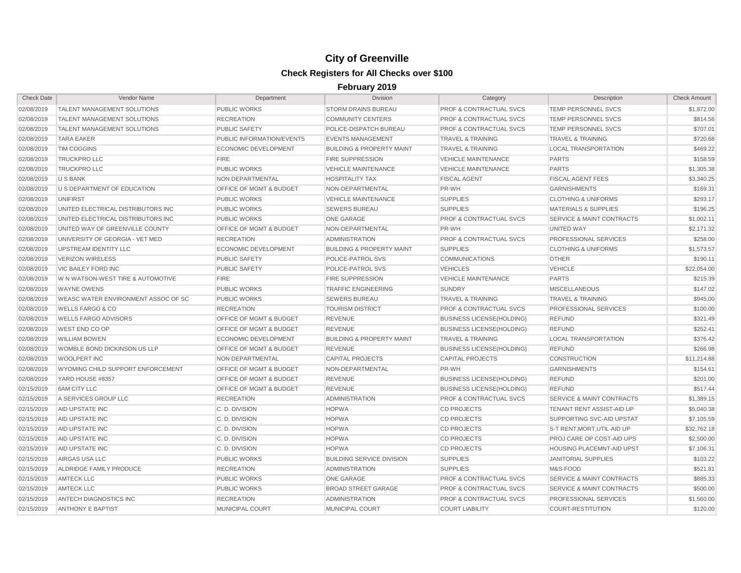| <b>Check Date</b> | Vendor Name                         | Department                         | <b>Division</b>                      | Category                           | Description                          | <b>Check Amount</b> |
|-------------------|-------------------------------------|------------------------------------|--------------------------------------|------------------------------------|--------------------------------------|---------------------|
| 02/08/2019        | <b>TALENT MANAGEMENT SOLUTIONS</b>  | <b>PUBLIC WORKS</b>                | <b>STORM DRAINS BUREAU</b>           | PROF & CONTRACTUAL SVCS            | TEMP PERSONNEL SVCS                  | \$1,872.00          |
| 02/08/2019        | <b>TALENT MANAGEMENT SOLUTIONS</b>  | <b>RECREATION</b>                  | <b>COMMUNITY CENTERS</b>             | <b>PROF &amp; CONTRACTUAL SVCS</b> | <b>TEMP PERSONNEL SVCS</b>           | \$814.56            |
| 02/08/2019        | <b>TALENT MANAGEMENT SOLUTIONS</b>  | <b>PUBLIC SAFETY</b>               | POLICE-DISPATCH BUREAU               | <b>PROF &amp; CONTRACTUAL SVCS</b> | <b>TEMP PERSONNEL SVCS</b>           | \$707.01            |
| 02/08/2019        | <b>TARA EAKER</b>                   | PUBLIC INFORMATION/EVENTS          | <b>EVENTS MANAGEMENT</b>             | <b>TRAVEL &amp; TRAINING</b>       | <b>TRAVEL &amp; TRAINING</b>         | \$720.68            |
| 02/08/2019        | <b>TIM COGGINS</b>                  | <b>ECONOMIC DEVELOPMENT</b>        | <b>BUILDING &amp; PROPERTY MAINT</b> | <b>TRAVEL &amp; TRAINING</b>       | <b>LOCAL TRANSPORTATION</b>          | \$469.22            |
| 02/08/2019        | <b>TRUCKPRO LLC</b>                 | <b>FIRE</b>                        | <b>FIRE SUPPRESSION</b>              | <b>VEHICLE MAINTENANCE</b>         | <b>PARTS</b>                         | \$158.59            |
| 02/08/2019        | <b>TRUCKPRO LLC</b>                 | <b>PUBLIC WORKS</b>                | <b>VEHICLE MAINTENANCE</b>           | <b>VEHICLE MAINTENANCE</b>         | <b>PARTS</b>                         | \$1,305.38          |
| 02/08/2019        | U S BANK                            | NON DEPARTMENTAL                   | <b>HOSPITALITY TAX</b>               | <b>FISCAL AGENT</b>                | <b>FISCAL AGENT FEES</b>             | \$3,340.25          |
| 02/08/2019        | U S DEPARTMENT OF EDUCATION         | OFFICE OF MGMT & BUDGET            | NON-DEPARTMENTAL                     | PR-WH                              | <b>GARNISHMENTS</b>                  | \$169.31            |
| 02/08/2019        | <b>UNIFIRST</b>                     | <b>PUBLIC WORKS</b>                | <b>VEHICLE MAINTENANCE</b>           | <b>SUPPLIES</b>                    | <b>CLOTHING &amp; UNIFORMS</b>       | \$293.17            |
| 02/08/2019        | UNITED ELECTRICAL DISTRIBUTORS INC  | <b>PUBLIC WORKS</b>                | <b>SEWERS BUREAU</b>                 | <b>SUPPLIES</b>                    | <b>MATERIALS &amp; SUPPLIES</b>      | \$196.25            |
| 02/08/2019        | UNITED ELECTRICAL DISTRIBUTORS INC  | <b>PUBLIC WORKS</b>                | <b>ONE GARAGE</b>                    | <b>PROF &amp; CONTRACTUAL SVCS</b> | <b>SERVICE &amp; MAINT CONTRACTS</b> | \$1,002.11          |
| 02/08/2019        | UNITED WAY OF GREENVILLE COUNTY     | <b>OFFICE OF MGMT &amp; BUDGET</b> | NON-DEPARTMENTAL                     | PR-WH                              | <b>UNITED WAY</b>                    | \$2,171.32          |
| 02/08/2019        | UNIVERSITY OF GEORGIA - VET MED     | <b>RECREATION</b>                  | <b>ADMINISTRATION</b>                | <b>PROF &amp; CONTRACTUAL SVCS</b> | PROFESSIONAL SERVICES                | \$258.00            |
| 02/08/2019        | UPSTREAM IDENTITY LLC               | <b>ECONOMIC DEVELOPMENT</b>        | <b>BUILDING &amp; PROPERTY MAINT</b> | <b>SUPPLIES</b>                    | <b>CLOTHING &amp; UNIFORMS</b>       | \$1,573.57          |
| 02/08/2019        | <b>VERIZON WIRELESS</b>             | <b>PUBLIC SAFETY</b>               | POLICE-PATROL SVS                    | <b>COMMUNICATIONS</b>              | <b>OTHER</b>                         | \$190.11            |
| 02/08/2019        | <b>VIC BAILEY FORD INC</b>          | <b>PUBLIC SAFETY</b>               | POLICE-PATROL SVS                    | <b>VEHICLES</b>                    | <b>VEHICLE</b>                       | \$22,054.00         |
| 02/08/2019        | W N WATSON-WEST TIRE & AUTOMOTIVE   | <b>FIRE</b>                        | <b>FIRE SUPPRESSION</b>              | <b>VEHICLE MAINTENANCE</b>         | <b>PARTS</b>                         | \$215.39            |
| 02/08/2019        | <b>WAYNE OWENS</b>                  | <b>PUBLIC WORKS</b>                | <b>TRAFFIC ENGINEERING</b>           | <b>SUNDRY</b>                      | <b>MISCELLANEOUS</b>                 | \$147.02            |
| 02/08/2019        | WEASC WATER ENVIRONMENT ASSOC OF SC | <b>PUBLIC WORKS</b>                | <b>SEWERS BUREAU</b>                 | <b>TRAVEL &amp; TRAINING</b>       | <b>TRAVEL &amp; TRAINING</b>         | \$945.00            |
| 02/08/2019        | <b>WELLS FARGO &amp; CO</b>         | <b>RECREATION</b>                  | <b>TOURISM DISTRICT</b>              | <b>PROF &amp; CONTRACTUAL SVCS</b> | PROFESSIONAL SERVICES                | \$100.00            |
| 02/08/2019        | <b>WELLS FARGO ADVISORS</b>         | <b>OFFICE OF MGMT &amp; BUDGET</b> | <b>REVENUE</b>                       | <b>BUSINESS LICENSE(HOLDING)</b>   | <b>REFUND</b>                        | \$321.49            |
| 02/08/2019        | WEST END CO OP                      | OFFICE OF MGMT & BUDGET            | <b>REVENUE</b>                       | <b>BUSINESS LICENSE(HOLDING)</b>   | <b>REFUND</b>                        | \$252.41            |
| 02/08/2019        | <b>WILLIAM BOWEN</b>                | <b>ECONOMIC DEVELOPMENT</b>        | <b>BUILDING &amp; PROPERTY MAINT</b> | <b>TRAVEL &amp; TRAINING</b>       | <b>LOCAL TRANSPORTATION</b>          | \$376.42            |
| 02/08/2019        | WOMBLE BOND DICKINSON US LLP        | <b>OFFICE OF MGMT &amp; BUDGET</b> | <b>REVENUE</b>                       | <b>BUSINESS LICENSE(HOLDING)</b>   | <b>REFUND</b>                        | \$266.98            |
| 02/08/2019        | <b>WOOLPERT INC</b>                 | NON DEPARTMENTAL                   | <b>CAPITAL PROJECTS</b>              | <b>CAPITAL PROJECTS</b>            | <b>CONSTRUCTION</b>                  | \$11,214.88         |
| 02/08/2019        | WYOMING CHILD SUPPORT ENFORCEMENT   | <b>OFFICE OF MGMT &amp; BUDGET</b> | NON-DEPARTMENTAL                     | PR-WH                              | <b>GARNISHMENTS</b>                  | \$154.61            |
| 02/08/2019        | YARD HOUSE #8357                    | <b>OFFICE OF MGMT &amp; BUDGET</b> | <b>REVENUE</b>                       | <b>BUSINESS LICENSE(HOLDING)</b>   | <b>REFUND</b>                        | \$201.00            |
| 02/15/2019        | <b>6AM CITY LLC</b>                 | <b>OFFICE OF MGMT &amp; BUDGET</b> | <b>REVENUE</b>                       | <b>BUSINESS LICENSE(HOLDING)</b>   | <b>REFUND</b>                        | \$517.44            |
| 02/15/2019        | A SERVICES GROUP LLC                | <b>RECREATION</b>                  | <b>ADMINISTRATION</b>                | <b>PROF &amp; CONTRACTUAL SVCS</b> | <b>SERVICE &amp; MAINT CONTRACTS</b> | \$1,389.15          |
| 02/15/2019        | AID UPSTATE INC                     | C.D. DIVISION                      | <b>HOPWA</b>                         | <b>CD PROJECTS</b>                 | TENANT RENT ASSIST-AID UP            | \$5,040.38          |
| 02/15/2019        | AID UPSTATE INC                     | C.D. DIVISION                      | <b>HOPWA</b>                         | <b>CD PROJECTS</b>                 | SUPPORTING SVC-AID UPSTAT            | \$7,105.59          |
| 02/15/2019        | AID UPSTATE INC                     | C.D. DIVISION                      | <b>HOPWA</b>                         | <b>CD PROJECTS</b>                 | S-T RENT, MORT, UTIL-AID UP          | \$32,762.18         |
| 02/15/2019        | AID UPSTATE INC                     | C.D. DIVISION                      | <b>HOPWA</b>                         | <b>CD PROJECTS</b>                 | PROJ CARE OP COST-AID UPS            | \$2,500.00          |
| 02/15/2019        | AID UPSTATE INC                     | C.D. DIVISION                      | <b>HOPWA</b>                         | <b>CD PROJECTS</b>                 | HOUSING PLACEMNT-AID UPST            | \$7,106.31          |
| 02/15/2019        | AIRGAS USA LLC                      | <b>PUBLIC WORKS</b>                | <b>BUILDING SERVICE DIVISION</b>     | <b>SUPPLIES</b>                    | <b>JANITORIAL SUPPLIES</b>           | \$103.22            |
| 02/15/2019        | ALDRIDGE FAMILY PRODUCE             | <b>RECREATION</b>                  | <b>ADMINISTRATION</b>                | <b>SUPPLIES</b>                    | M&S-FOOD                             | \$521.81            |
| 02/15/2019        | <b>AMTECK LLC</b>                   | <b>PUBLIC WORKS</b>                | <b>ONE GARAGE</b>                    | <b>PROF &amp; CONTRACTUAL SVCS</b> | <b>SERVICE &amp; MAINT CONTRACTS</b> | \$885.33            |
| 02/15/2019        | <b>AMTECK LLC</b>                   | <b>PUBLIC WORKS</b>                | <b>BROAD STREET GARAGE</b>           | <b>PROF &amp; CONTRACTUAL SVCS</b> | <b>SERVICE &amp; MAINT CONTRACTS</b> | \$500.00            |
| 02/15/2019        | ANTECH DIAGNOSTICS INC              | <b>RECREATION</b>                  | <b>ADMINISTRATION</b>                | <b>PROF &amp; CONTRACTUAL SVCS</b> | PROFESSIONAL SERVICES                | \$1,560.00          |
| 02/15/2019        | <b>ANTHONY E BAPTIST</b>            | <b>MUNICIPAL COURT</b>             | <b>MUNICIPAL COURT</b>               | <b>COURT LIABILITY</b>             | <b>COURT-RESTITUTION</b>             | \$120.00            |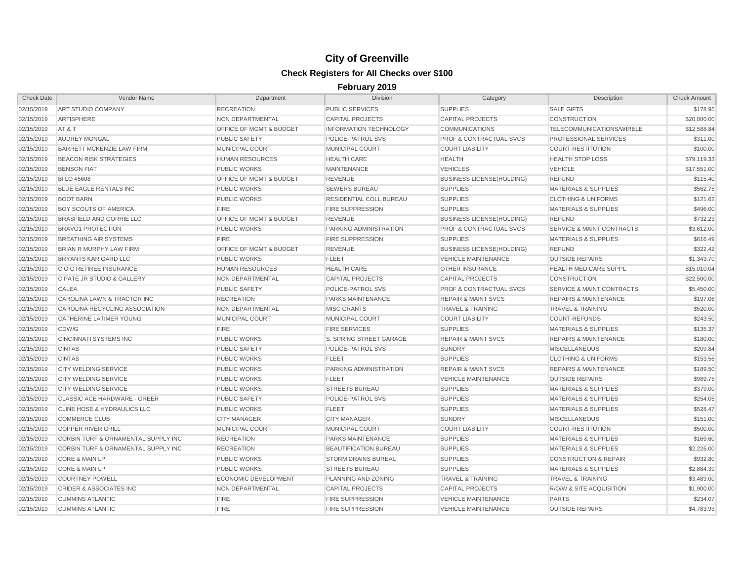| <b>Check Date</b> | Vendor Name                            | Department                         | <b>Division</b>               | Category                           | Description                          | <b>Check Amount</b> |
|-------------------|----------------------------------------|------------------------------------|-------------------------------|------------------------------------|--------------------------------------|---------------------|
| 02/15/2019        | ART STUDIO COMPANY                     | <b>RECREATION</b>                  | <b>PUBLIC SERVICES</b>        | <b>SUPPLIES</b>                    | <b>SALE GIFTS</b>                    | \$178.95            |
| 02/15/2019        | ARTISPHERE                             | NON DEPARTMENTAL                   | <b>CAPITAL PROJECTS</b>       | <b>CAPITAL PROJECTS</b>            | <b>CONSTRUCTION</b>                  | \$20,000.00         |
| 02/15/2019        | AT&T                                   | OFFICE OF MGMT & BUDGET            | <b>INFORMATION TECHNOLOGY</b> | <b>COMMUNICATIONS</b>              | TELECOMMUNICATIONS/WIRELE            | \$12,588.84         |
| 02/15/2019        | <b>AUDREY MONGAL</b>                   | <b>PUBLIC SAFETY</b>               | POLICE-PATROL SVS             | <b>PROF &amp; CONTRACTUAL SVCS</b> | <b>PROFESSIONAL SERVICES</b>         | \$311.00            |
| 02/15/2019        | BARRETT MCKENZIE LAW FIRM              | MUNICIPAL COURT                    | <b>MUNICIPAL COURT</b>        | <b>COURT LIABILITY</b>             | <b>COURT-RESTITUTION</b>             | \$100.00            |
| 02/15/2019        | <b>BEACON RISK STRATEGIES</b>          | <b>HUMAN RESOURCES</b>             | <b>HEALTH CARE</b>            | <b>HEALTH</b>                      | <b>HEALTH STOP LOSS</b>              | \$79,119.33         |
| 02/15/2019        | <b>BENSON FIAT</b>                     | <b>PUBLIC WORKS</b>                | <b>MAINTENANCE</b>            | <b>VEHICLES</b>                    | <b>VEHICLE</b>                       | \$17,551.00         |
| 02/15/2019        | <b>BI LO #5608</b>                     | <b>OFFICE OF MGMT &amp; BUDGET</b> | <b>REVENUE</b>                | <b>BUSINESS LICENSE(HOLDING)</b>   | <b>REFUND</b>                        | \$115.40            |
| 02/15/2019        | <b>BLUE EAGLE RENTALS INC</b>          | <b>PUBLIC WORKS</b>                | <b>SEWERS BUREAU</b>          | <b>SUPPLIES</b>                    | <b>MATERIALS &amp; SUPPLIES</b>      | \$562.75            |
| 02/15/2019        | <b>BOOT BARN</b>                       | <b>PUBLIC WORKS</b>                | RESIDENTIAL COLL BUREAU       | <b>SUPPLIES</b>                    | <b>CLOTHING &amp; UNIFORMS</b>       | \$121.62            |
| 02/15/2019        | <b>BOY SCOUTS OF AMERICA</b>           | <b>FIRE</b>                        | <b>FIRE SUPPRESSION</b>       | <b>SUPPLIES</b>                    | <b>MATERIALS &amp; SUPPLIES</b>      | \$496.00            |
| 02/15/2019        | <b>BRASFIELD AND GORRIE LLC</b>        | <b>OFFICE OF MGMT &amp; BUDGET</b> | <b>REVENUE</b>                | <b>BUSINESS LICENSE(HOLDING)</b>   | <b>REFUND</b>                        | \$732.23            |
| 02/15/2019        | <b>BRAVO1 PROTECTION</b>               | <b>PUBLIC WORKS</b>                | PARKING ADMINISTRATION        | <b>PROF &amp; CONTRACTUAL SVCS</b> | <b>SERVICE &amp; MAINT CONTRACTS</b> | \$3,612.00          |
| 02/15/2019        | <b>BREATHING AIR SYSTEMS</b>           | <b>FIRE</b>                        | <b>FIRE SUPPRESSION</b>       | <b>SUPPLIES</b>                    | <b>MATERIALS &amp; SUPPLIES</b>      | \$616.49            |
| 02/15/2019        | <b>BRIAN R MURPHY LAW FIRM</b>         | <b>OFFICE OF MGMT &amp; BUDGET</b> | <b>REVENUE</b>                | <b>BUSINESS LICENSE(HOLDING)</b>   | <b>REFUND</b>                        | \$322.42            |
| 02/15/2019        | BRYANTS KAR GARD LLC                   | <b>PUBLIC WORKS</b>                | <b>FLEET</b>                  | <b>VEHICLE MAINTENANCE</b>         | <b>OUTSIDE REPAIRS</b>               | \$1,343.70          |
| 02/15/2019        | C O G RETIREE INSURANCE                | <b>HUMAN RESOURCES</b>             | <b>HEALTH CARE</b>            | <b>OTHER INSURANCE</b>             | <b>HEALTH MEDICARE SUPPL</b>         | \$15,010.04         |
| 02/15/2019        | C PATE JR STUDIO & GALLERY             | <b>NON DEPARTMENTAL</b>            | <b>CAPITAL PROJECTS</b>       | <b>CAPITAL PROJECTS</b>            | <b>CONSTRUCTION</b>                  | \$22,500.00         |
| 02/15/2019        | CALEA                                  | <b>PUBLIC SAFETY</b>               | POLICE-PATROL SVS             | <b>PROF &amp; CONTRACTUAL SVCS</b> | <b>SERVICE &amp; MAINT CONTRACTS</b> | \$5,450.00          |
| 02/15/2019        | CAROLINA LAWN & TRACTOR INC            | <b>RECREATION</b>                  | <b>PARKS MAINTENANCE</b>      | <b>REPAIR &amp; MAINT SVCS</b>     | <b>REPAIRS &amp; MAINTENANCE</b>     | \$197.06            |
| 02/15/2019        | CAROLINA RECYCLING ASSOCIATION         | NON DEPARTMENTAL                   | <b>MISC GRANTS</b>            | <b>TRAVEL &amp; TRAINING</b>       | <b>TRAVEL &amp; TRAINING</b>         | \$520.00            |
| 02/15/2019        | <b>CATHERINE LATIMER YOUNG</b>         | MUNICIPAL COURT                    | MUNICIPAL COURT               | <b>COURT LIABILITY</b>             | <b>COURT-REFUNDS</b>                 | \$243.50            |
| 02/15/2019        | CDW/G                                  | <b>FIRE</b>                        | <b>FIRE SERVICES</b>          | <b>SUPPLIES</b>                    | <b>MATERIALS &amp; SUPPLIES</b>      | \$135.37            |
| 02/15/2019        | <b>CINCINNATI SYSTEMS INC</b>          | <b>PUBLIC WORKS</b>                | S. SPRING STREET GARAGE       | <b>REPAIR &amp; MAINT SVCS</b>     | <b>REPAIRS &amp; MAINTENANCE</b>     | \$180.00            |
| 02/15/2019        | <b>CINTAS</b>                          | <b>PUBLIC SAFETY</b>               | POLICE-PATROL SVS             | <b>SUNDRY</b>                      | <b>MISCELLANEOUS</b>                 | \$209.84            |
| 02/15/2019        | <b>CINTAS</b>                          | <b>PUBLIC WORKS</b>                | <b>FLEET</b>                  | <b>SUPPLIES</b>                    | <b>CLOTHING &amp; UNIFORMS</b>       | \$153.56            |
| 02/15/2019        | <b>CITY WELDING SERVICE</b>            | <b>PUBLIC WORKS</b>                | PARKING ADMINISTRATION        | <b>REPAIR &amp; MAINT SVCS</b>     | <b>REPAIRS &amp; MAINTENANCE</b>     | \$189.50            |
| 02/15/2019        | <b>CITY WELDING SERVICE</b>            | <b>PUBLIC WORKS</b>                | <b>FLEET</b>                  | <b>VEHICLE MAINTENANCE</b>         | <b>OUTSIDE REPAIRS</b>               | \$989.75            |
| 02/15/2019        | CITY WELDING SERVICE                   | <b>PUBLIC WORKS</b>                | <b>STREETS BUREAU</b>         | <b>SUPPLIES</b>                    | <b>MATERIALS &amp; SUPPLIES</b>      | \$379.00            |
| 02/15/2019        | <b>CLASSIC ACE HARDWARE - GREER</b>    | <b>PUBLIC SAFETY</b>               | <b>POLICE-PATROL SVS</b>      | <b>SUPPLIES</b>                    | <b>MATERIALS &amp; SUPPLIES</b>      | \$254.05            |
| 02/15/2019        | <b>CLINE HOSE &amp; HYDRAULICS LLC</b> | <b>PUBLIC WORKS</b>                | <b>FLEET</b>                  | <b>SUPPLIES</b>                    | <b>MATERIALS &amp; SUPPLIES</b>      | \$528.47            |
| 02/15/2019        | <b>COMMERCE CLUB</b>                   | <b>CITY MANAGER</b>                | <b>CITY MANAGER</b>           | <b>SUNDRY</b>                      | <b>MISCELLANEOUS</b>                 | \$151.00            |
| 02/15/2019        | <b>COPPER RIVER GRILL</b>              | MUNICIPAL COURT                    | <b>MUNICIPAL COURT</b>        | <b>COURT LIABILITY</b>             | <b>COURT-RESTITUTION</b>             | \$500.00            |
| 02/15/2019        | CORBIN TURF & ORNAMENTAL SUPPLY INC    | <b>RECREATION</b>                  | PARKS MAINTENANCE             | <b>SUPPLIES</b>                    | <b>MATERIALS &amp; SUPPLIES</b>      | \$169.60            |
| 02/15/2019        | CORBIN TURF & ORNAMENTAL SUPPLY INC    | <b>RECREATION</b>                  | <b>BEAUTIFICATION BUREAU</b>  | <b>SUPPLIES</b>                    | <b>MATERIALS &amp; SUPPLIES</b>      | \$2,226.00          |
| 02/15/2019        | <b>CORE &amp; MAIN LP</b>              | <b>PUBLIC WORKS</b>                | <b>STORM DRAINS BUREAU</b>    | <b>SUPPLIES</b>                    | <b>CONSTRUCTION &amp; REPAIR</b>     | \$932.80            |
| 02/15/2019        | <b>CORE &amp; MAIN LP</b>              | <b>PUBLIC WORKS</b>                | <b>STREETS BUREAU</b>         | <b>SUPPLIES</b>                    | <b>MATERIALS &amp; SUPPLIES</b>      | \$2,884.39          |
| 02/15/2019        | <b>COURTNEY POWELL</b>                 | <b>ECONOMIC DEVELOPMENT</b>        | PLANNING AND ZONING           | <b>TRAVEL &amp; TRAINING</b>       | <b>TRAVEL &amp; TRAINING</b>         | \$3,489.00          |
| 02/15/2019        | <b>CRIDER &amp; ASSOCIATES INC</b>     | NON DEPARTMENTAL                   | <b>CAPITAL PROJECTS</b>       | <b>CAPITAL PROJECTS</b>            | <b>R/O/W &amp; SITE ACQUISITION</b>  | \$1,900.00          |
| 02/15/2019        | <b>CUMMINS ATLANTIC</b>                | <b>FIRE</b>                        | <b>FIRE SUPPRESSION</b>       | <b>VEHICLE MAINTENANCE</b>         | <b>PARTS</b>                         | \$234.07            |
| 02/15/2019        | <b>CUMMINS ATLANTIC</b>                | <b>FIRE</b>                        | <b>FIRE SUPPRESSION</b>       | <b>VEHICLE MAINTENANCE</b>         | <b>OUTSIDE REPAIRS</b>               | \$4,783.93          |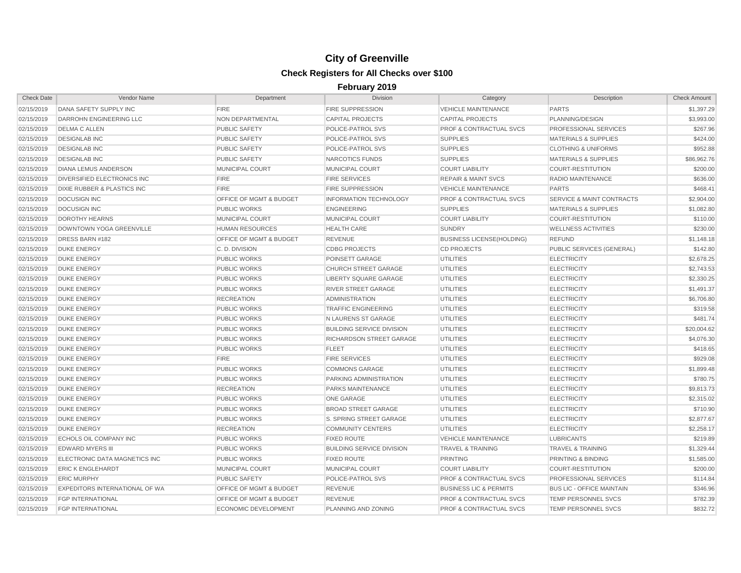| <b>Check Date</b> | Vendor Name                            | Department                         | Division                         | Category                           | Description                          | <b>Check Amount</b> |
|-------------------|----------------------------------------|------------------------------------|----------------------------------|------------------------------------|--------------------------------------|---------------------|
| 02/15/2019        | DANA SAFETY SUPPLY INC                 | <b>FIRE</b>                        | <b>FIRE SUPPRESSION</b>          | <b>VEHICLE MAINTENANCE</b>         | <b>PARTS</b>                         | \$1,397.29          |
| 02/15/2019        | DARROHN ENGINEERING LLC                | NON DEPARTMENTAL                   | <b>CAPITAL PROJECTS</b>          | <b>CAPITAL PROJECTS</b>            | PLANNING/DESIGN                      | \$3,993.00          |
| 02/15/2019        | <b>DELMA C ALLEN</b>                   | <b>PUBLIC SAFETY</b>               | POLICE-PATROL SVS                | <b>PROF &amp; CONTRACTUAL SVCS</b> | PROFESSIONAL SERVICES                | \$267.96            |
| 02/15/2019        | <b>DESIGNLAB INC</b>                   | <b>PUBLIC SAFETY</b>               | POLICE-PATROL SVS                | <b>SUPPLIES</b>                    | <b>MATERIALS &amp; SUPPLIES</b>      | \$424.00            |
| 02/15/2019        | <b>DESIGNLAB INC</b>                   | PUBLIC SAFETY                      | POLICE-PATROL SVS                | <b>SUPPLIES</b>                    | <b>CLOTHING &amp; UNIFORMS</b>       | \$952.88            |
| 02/15/2019        | <b>DESIGNLAB INC</b>                   | <b>PUBLIC SAFETY</b>               | NARCOTICS FUNDS                  | <b>SUPPLIES</b>                    | <b>MATERIALS &amp; SUPPLIES</b>      | \$86,962.76         |
| 02/15/2019        | <b>DIANA LEMUS ANDERSON</b>            | MUNICIPAL COURT                    | MUNICIPAL COURT                  | <b>COURT LIABILITY</b>             | <b>COURT-RESTITUTION</b>             | \$200.00            |
| 02/15/2019        | <b>DIVERSIFIED ELECTRONICS INC</b>     | <b>FIRE</b>                        | <b>FIRE SERVICES</b>             | <b>REPAIR &amp; MAINT SVCS</b>     | RADIO MAINTENANCE                    | \$636.00            |
| 02/15/2019        | <b>DIXIE RUBBER &amp; PLASTICS INC</b> | <b>FIRE</b>                        | <b>FIRE SUPPRESSION</b>          | <b>VEHICLE MAINTENANCE</b>         | <b>PARTS</b>                         | \$468.41            |
| 02/15/2019        | <b>DOCUSIGN INC</b>                    | OFFICE OF MGMT & BUDGET            | <b>INFORMATION TECHNOLOGY</b>    | <b>PROF &amp; CONTRACTUAL SVCS</b> | <b>SERVICE &amp; MAINT CONTRACTS</b> | \$2,904.00          |
| 02/15/2019        | <b>DOCUSIGN INC</b>                    | <b>PUBLIC WORKS</b>                | <b>ENGINEERING</b>               | <b>SUPPLIES</b>                    | <b>MATERIALS &amp; SUPPLIES</b>      | \$1,082.80          |
| 02/15/2019        | <b>DOROTHY HEARNS</b>                  | <b>MUNICIPAL COURT</b>             | <b>MUNICIPAL COURT</b>           | <b>COURT LIABILITY</b>             | <b>COURT-RESTITUTION</b>             | \$110.00            |
| 02/15/2019        | DOWNTOWN YOGA GREENVILLE               | <b>HUMAN RESOURCES</b>             | <b>HEALTH CARE</b>               | <b>SUNDRY</b>                      | <b>WELLNESS ACTIVITIES</b>           | \$230.00            |
| 02/15/2019        | DRESS BARN #182                        | OFFICE OF MGMT & BUDGET            | <b>REVENUE</b>                   | <b>BUSINESS LICENSE(HOLDING)</b>   | <b>REFUND</b>                        | \$1,148.18          |
| 02/15/2019        | <b>DUKE ENERGY</b>                     | C.D. DIVISION                      | <b>CDBG PROJECTS</b>             | <b>CD PROJECTS</b>                 | PUBLIC SERVICES (GENERAL)            | \$142.80            |
| 02/15/2019        | <b>DUKE ENERGY</b>                     | <b>PUBLIC WORKS</b>                | POINSETT GARAGE                  | <b>UTILITIES</b>                   | <b>ELECTRICITY</b>                   | \$2,678.25          |
| 02/15/2019        | <b>DUKE ENERGY</b>                     | <b>PUBLIC WORKS</b>                | CHURCH STREET GARAGE             | <b>UTILITIES</b>                   | <b>ELECTRICITY</b>                   | \$2,743.53          |
| 02/15/2019        | <b>DUKE ENERGY</b>                     | <b>PUBLIC WORKS</b>                | <b>LIBERTY SQUARE GARAGE</b>     | <b>UTILITIES</b>                   | <b>ELECTRICITY</b>                   | \$2,330.25          |
| 02/15/2019        | <b>DUKE ENERGY</b>                     | <b>PUBLIC WORKS</b>                | <b>RIVER STREET GARAGE</b>       | <b>UTILITIES</b>                   | <b>ELECTRICITY</b>                   | \$1,491.37          |
| 02/15/2019        | <b>DUKE ENERGY</b>                     | <b>RECREATION</b>                  | <b>ADMINISTRATION</b>            | <b>UTILITIES</b>                   | <b>ELECTRICITY</b>                   | \$6,706.80          |
| 02/15/2019        | <b>DUKE ENERGY</b>                     | <b>PUBLIC WORKS</b>                | <b>TRAFFIC ENGINEERING</b>       | <b>UTILITIES</b>                   | <b>ELECTRICITY</b>                   | \$319.58            |
| 02/15/2019        | <b>DUKE ENERGY</b>                     | <b>PUBLIC WORKS</b>                | N LAURENS ST GARAGE              | <b>UTILITIES</b>                   | <b>ELECTRICITY</b>                   | \$481.74            |
| 02/15/2019        | <b>DUKE ENERGY</b>                     | <b>PUBLIC WORKS</b>                | <b>BUILDING SERVICE DIVISION</b> | <b>UTILITIES</b>                   | <b>ELECTRICITY</b>                   | \$20,004.62         |
| 02/15/2019        | <b>DUKE ENERGY</b>                     | <b>PUBLIC WORKS</b>                | RICHARDSON STREET GARAGE         | <b>UTILITIES</b>                   | <b>ELECTRICITY</b>                   | \$4,076.30          |
| 02/15/2019        | <b>DUKE ENERGY</b>                     | <b>PUBLIC WORKS</b>                | <b>FLEET</b>                     | <b>UTILITIES</b>                   | <b>ELECTRICITY</b>                   | \$418.65            |
| 02/15/2019        | <b>DUKE ENERGY</b>                     | <b>FIRE</b>                        | <b>FIRE SERVICES</b>             | <b>UTILITIES</b>                   | <b>ELECTRICITY</b>                   | \$929.08            |
| 02/15/2019        | <b>DUKE ENERGY</b>                     | <b>PUBLIC WORKS</b>                | <b>COMMONS GARAGE</b>            | <b>UTILITIES</b>                   | <b>ELECTRICITY</b>                   | \$1,899.48          |
| 02/15/2019        | <b>DUKE ENERGY</b>                     | <b>PUBLIC WORKS</b>                | PARKING ADMINISTRATION           | <b>UTILITIES</b>                   | <b>ELECTRICITY</b>                   | \$780.75            |
| 02/15/2019        | <b>DUKE ENERGY</b>                     | <b>RECREATION</b>                  | <b>PARKS MAINTENANCE</b>         | <b>UTILITIES</b>                   | <b>ELECTRICITY</b>                   | \$9.813.73          |
| 02/15/2019        | <b>DUKE ENERGY</b>                     | <b>PUBLIC WORKS</b>                | <b>ONE GARAGE</b>                | <b>UTILITIES</b>                   | <b>ELECTRICITY</b>                   | \$2,315.02          |
| 02/15/2019        | <b>DUKE ENERGY</b>                     | <b>PUBLIC WORKS</b>                | <b>BROAD STREET GARAGE</b>       | <b>UTILITIES</b>                   | <b>ELECTRICITY</b>                   | \$710.90            |
| 02/15/2019        | <b>DUKE ENERGY</b>                     | PUBLIC WORKS                       | S. SPRING STREET GARAGE          | <b>UTILITIES</b>                   | <b>ELECTRICITY</b>                   | \$2,877.67          |
| 02/15/2019        | <b>DUKE ENERGY</b>                     | <b>RECREATION</b>                  | <b>COMMUNITY CENTERS</b>         | <b>UTILITIES</b>                   | <b>ELECTRICITY</b>                   | \$2,258.17          |
| 02/15/2019        | <b>ECHOLS OIL COMPANY INC</b>          | <b>PUBLIC WORKS</b>                | <b>FIXED ROUTE</b>               | <b>VEHICLE MAINTENANCE</b>         | <b>LUBRICANTS</b>                    | \$219.89            |
| 02/15/2019        | <b>EDWARD MYERS III</b>                | <b>PUBLIC WORKS</b>                | <b>BUILDING SERVICE DIVISION</b> | <b>TRAVEL &amp; TRAINING</b>       | <b>TRAVEL &amp; TRAINING</b>         | \$1,329.44          |
| 02/15/2019        | ELECTRONIC DATA MAGNETICS INC          | <b>PUBLIC WORKS</b>                | <b>FIXED ROUTE</b>               | <b>PRINTING</b>                    | <b>PRINTING &amp; BINDING</b>        | \$1,585.00          |
| 02/15/2019        | <b>ERIC K ENGLEHARDT</b>               | <b>MUNICIPAL COURT</b>             | <b>MUNICIPAL COURT</b>           | <b>COURT LIABILITY</b>             | <b>COURT-RESTITUTION</b>             | \$200.00            |
| 02/15/2019        | <b>ERIC MURPHY</b>                     | <b>PUBLIC SAFETY</b>               | POLICE-PATROL SVS                | <b>PROF &amp; CONTRACTUAL SVCS</b> | <b>PROFESSIONAL SERVICES</b>         | \$114.84            |
| 02/15/2019        | <b>EXPEDITORS INTERNATIONAL OF WA</b>  | <b>OFFICE OF MGMT &amp; BUDGET</b> | <b>REVENUE</b>                   | <b>BUSINESS LIC &amp; PERMITS</b>  | <b>BUS LIC - OFFICE MAINTAIN</b>     | \$346.96            |
| 02/15/2019        | <b>FGP INTERNATIONAL</b>               | <b>OFFICE OF MGMT &amp; BUDGET</b> | <b>REVENUE</b>                   | <b>PROF &amp; CONTRACTUAL SVCS</b> | <b>TEMP PERSONNEL SVCS</b>           | \$782.39            |
| 02/15/2019        | <b>FGP INTERNATIONAL</b>               | <b>ECONOMIC DEVELOPMENT</b>        | PLANNING AND ZONING              | <b>PROF &amp; CONTRACTUAL SVCS</b> | <b>TEMP PERSONNEL SVCS</b>           | \$832.72            |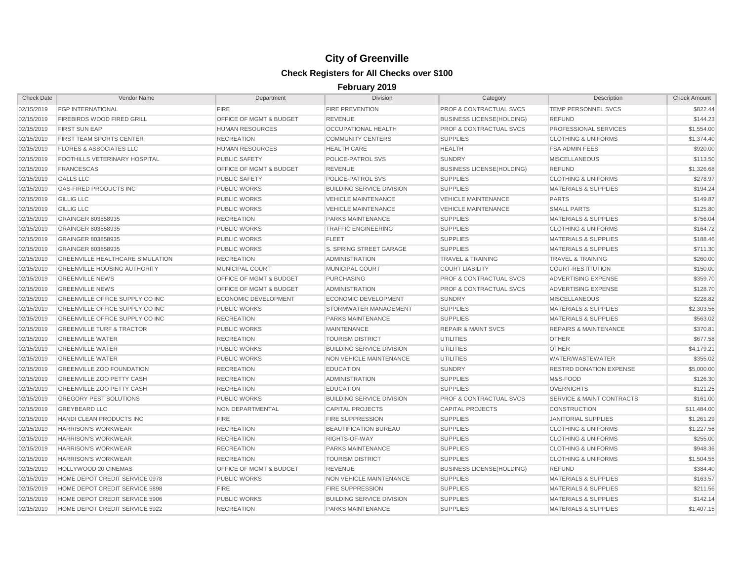| <b>Check Date</b> | Vendor Name                             | Department                         | <b>Division</b>                  | Category                           | Description                          | <b>Check Amount</b> |
|-------------------|-----------------------------------------|------------------------------------|----------------------------------|------------------------------------|--------------------------------------|---------------------|
| 02/15/2019        | <b>FGP INTERNATIONAL</b>                | <b>FIRE</b>                        | <b>FIRE PREVENTION</b>           | PROF & CONTRACTUAL SVCS            | TEMP PERSONNEL SVCS                  | \$822.44            |
| 02/15/2019        | FIREBIRDS WOOD FIRED GRILL              | OFFICE OF MGMT & BUDGET            | <b>REVENUE</b>                   | <b>BUSINESS LICENSE(HOLDING)</b>   | <b>REFUND</b>                        | \$144.23            |
| 02/15/2019        | <b>FIRST SUN EAP</b>                    | <b>HUMAN RESOURCES</b>             | OCCUPATIONAL HEALTH              | <b>PROF &amp; CONTRACTUAL SVCS</b> | PROFESSIONAL SERVICES                | \$1,554.00          |
| 02/15/2019        | FIRST TEAM SPORTS CENTER                | <b>RECREATION</b>                  | <b>COMMUNITY CENTERS</b>         | <b>SUPPLIES</b>                    | <b>CLOTHING &amp; UNIFORMS</b>       | \$1,374.40          |
| 02/15/2019        | <b>FLORES &amp; ASSOCIATES LLC</b>      | <b>HUMAN RESOURCES</b>             | <b>HEALTH CARE</b>               | <b>HEALTH</b>                      | <b>FSA ADMIN FEES</b>                | \$920.00            |
| 02/15/2019        | FOOTHILLS VETERINARY HOSPITAL           | <b>PUBLIC SAFETY</b>               | POLICE-PATROL SVS                | <b>SUNDRY</b>                      | <b>MISCELLANEOUS</b>                 | \$113.50            |
| 02/15/2019        | <b>FRANCESCAS</b>                       | OFFICE OF MGMT & BUDGET            | <b>REVENUE</b>                   | <b>BUSINESS LICENSE(HOLDING)</b>   | <b>REFUND</b>                        | \$1,326.68          |
| 02/15/2019        | <b>GALLS LLC</b>                        | <b>PUBLIC SAFETY</b>               | POLICE-PATROL SVS                | <b>SUPPLIES</b>                    | <b>CLOTHING &amp; UNIFORMS</b>       | \$278.97            |
| 02/15/2019        | <b>GAS-FIRED PRODUCTS INC</b>           | <b>PUBLIC WORKS</b>                | <b>BUILDING SERVICE DIVISION</b> | <b>SUPPLIES</b>                    | <b>MATERIALS &amp; SUPPLIES</b>      | \$194.24            |
| 02/15/2019        | <b>GILLIG LLC</b>                       | <b>PUBLIC WORKS</b>                | <b>VEHICLE MAINTENANCE</b>       | <b>VEHICLE MAINTENANCE</b>         | <b>PARTS</b>                         | \$149.87            |
| 02/15/2019        | <b>GILLIG LLC</b>                       | <b>PUBLIC WORKS</b>                | <b>VEHICLE MAINTENANCE</b>       | <b>VEHICLE MAINTENANCE</b>         | <b>SMALL PARTS</b>                   | \$125.80            |
| 02/15/2019        | GRAINGER 803858935                      | <b>RECREATION</b>                  | <b>PARKS MAINTENANCE</b>         | <b>SUPPLIES</b>                    | <b>MATERIALS &amp; SUPPLIES</b>      | \$756.04            |
| 02/15/2019        | GRAINGER 803858935                      | <b>PUBLIC WORKS</b>                | <b>TRAFFIC ENGINEERING</b>       | <b>SUPPLIES</b>                    | <b>CLOTHING &amp; UNIFORMS</b>       | \$164.72            |
| 02/15/2019        | GRAINGER 803858935                      | <b>PUBLIC WORKS</b>                | <b>FLEET</b>                     | <b>SUPPLIES</b>                    | <b>MATERIALS &amp; SUPPLIES</b>      | \$188.46            |
| 02/15/2019        | GRAINGER 803858935                      | <b>PUBLIC WORKS</b>                | S. SPRING STREET GARAGE          | <b>SUPPLIES</b>                    | <b>MATERIALS &amp; SUPPLIES</b>      | \$711.30            |
| 02/15/2019        | <b>GREENVILLE HEALTHCARE SIMULATION</b> | <b>RECREATION</b>                  | <b>ADMINISTRATION</b>            | <b>TRAVEL &amp; TRAINING</b>       | <b>TRAVEL &amp; TRAINING</b>         | \$260.00            |
| 02/15/2019        | <b>GREENVILLE HOUSING AUTHORITY</b>     | MUNICIPAL COURT                    | MUNICIPAL COURT                  | <b>COURT LIABILITY</b>             | <b>COURT-RESTITUTION</b>             | \$150.00            |
| 02/15/2019        | <b>GREENVILLE NEWS</b>                  | OFFICE OF MGMT & BUDGET            | <b>PURCHASING</b>                | <b>PROF &amp; CONTRACTUAL SVCS</b> | <b>ADVERTISING EXPENSE</b>           | \$359.70            |
| 02/15/2019        | <b>GREENVILLE NEWS</b>                  | <b>OFFICE OF MGMT &amp; BUDGET</b> | <b>ADMINISTRATION</b>            | <b>PROF &amp; CONTRACTUAL SVCS</b> | <b>ADVERTISING EXPENSE</b>           | \$128.70            |
| 02/15/2019        | <b>GREENVILLE OFFICE SUPPLY CO INC</b>  | <b>ECONOMIC DEVELOPMENT</b>        | <b>ECONOMIC DEVELOPMENT</b>      | <b>SUNDRY</b>                      | <b>MISCELLANEOUS</b>                 | \$228.82            |
| 02/15/2019        | GREENVILLE OFFICE SUPPLY CO INC         | <b>PUBLIC WORKS</b>                | STORMWATER MANAGEMENT            | <b>SUPPLIES</b>                    | <b>MATERIALS &amp; SUPPLIES</b>      | \$2,303.56          |
| 02/15/2019        | GREENVILLE OFFICE SUPPLY CO INC         | <b>RECREATION</b>                  | <b>PARKS MAINTENANCE</b>         | <b>SUPPLIES</b>                    | <b>MATERIALS &amp; SUPPLIES</b>      | \$563.02            |
| 02/15/2019        | <b>GREENVILLE TURF &amp; TRACTOR</b>    | <b>PUBLIC WORKS</b>                | <b>MAINTENANCE</b>               | <b>REPAIR &amp; MAINT SVCS</b>     | <b>REPAIRS &amp; MAINTENANCE</b>     | \$370.81            |
| 02/15/2019        | <b>GREENVILLE WATER</b>                 | <b>RECREATION</b>                  | <b>TOURISM DISTRICT</b>          | <b>UTILITIES</b>                   | <b>OTHER</b>                         | \$677.58            |
| 02/15/2019        | <b>GREENVILLE WATER</b>                 | <b>PUBLIC WORKS</b>                | <b>BUILDING SERVICE DIVISION</b> | <b>UTILITIES</b>                   | <b>OTHER</b>                         | \$4,179.21          |
| 02/15/2019        | <b>GREENVILLE WATER</b>                 | <b>PUBLIC WORKS</b>                | NON VEHICLE MAINTENANCE          | <b>UTILITIES</b>                   | WATER/WASTEWATER                     | \$355.02            |
| 02/15/2019        | <b>GREENVILLE ZOO FOUNDATION</b>        | <b>RECREATION</b>                  | <b>EDUCATION</b>                 | <b>SUNDRY</b>                      | <b>RESTRD DONATION EXPENSE</b>       | \$5,000.00          |
| 02/15/2019        | <b>GREENVILLE ZOO PETTY CASH</b>        | <b>RECREATION</b>                  | <b>ADMINISTRATION</b>            | <b>SUPPLIES</b>                    | M&S-FOOD                             | \$126.30            |
| 02/15/2019        | <b>GREENVILLE ZOO PETTY CASH</b>        | <b>RECREATION</b>                  | <b>EDUCATION</b>                 | <b>SUPPLIES</b>                    | <b>OVERNIGHTS</b>                    | \$121.25            |
| 02/15/2019        | <b>GREGORY PEST SOLUTIONS</b>           | <b>PUBLIC WORKS</b>                | <b>BUILDING SERVICE DIVISION</b> | <b>PROF &amp; CONTRACTUAL SVCS</b> | <b>SERVICE &amp; MAINT CONTRACTS</b> | \$161.00            |
| 02/15/2019        | <b>GREYBEARD LLC</b>                    | NON DEPARTMENTAL                   | <b>CAPITAL PROJECTS</b>          | <b>CAPITAL PROJECTS</b>            | <b>CONSTRUCTION</b>                  | \$11,484.00         |
| 02/15/2019        | HANDI CLEAN PRODUCTS INC                | <b>FIRE</b>                        | <b>FIRE SUPPRESSION</b>          | <b>SUPPLIES</b>                    | <b>JANITORIAL SUPPLIES</b>           | \$1,261.29          |
| 02/15/2019        | <b>HARRISON'S WORKWEAR</b>              | <b>RECREATION</b>                  | <b>BEAUTIFICATION BUREAU</b>     | <b>SUPPLIES</b>                    | <b>CLOTHING &amp; UNIFORMS</b>       | \$1,227.56          |
| 02/15/2019        | <b>HARRISON'S WORKWEAR</b>              | <b>RECREATION</b>                  | RIGHTS-OF-WAY                    | <b>SUPPLIES</b>                    | <b>CLOTHING &amp; UNIFORMS</b>       | \$255.00            |
| 02/15/2019        | <b>HARRISON'S WORKWEAR</b>              | <b>RECREATION</b>                  | PARKS MAINTENANCE                | <b>SUPPLIES</b>                    | <b>CLOTHING &amp; UNIFORMS</b>       | \$948.36            |
| 02/15/2019        | <b>HARRISON'S WORKWEAR</b>              | <b>RECREATION</b>                  | <b>TOURISM DISTRICT</b>          | <b>SUPPLIES</b>                    | <b>CLOTHING &amp; UNIFORMS</b>       | \$1,504.55          |
| 02/15/2019        | HOLLYWOOD 20 CINEMAS                    | OFFICE OF MGMT & BUDGET            | <b>REVENUE</b>                   | <b>BUSINESS LICENSE(HOLDING)</b>   | <b>REFUND</b>                        | \$384.40            |
| 02/15/2019        | HOME DEPOT CREDIT SERVICE 0978          | <b>PUBLIC WORKS</b>                | <b>NON VEHICLE MAINTENANCE</b>   | <b>SUPPLIES</b>                    | <b>MATERIALS &amp; SUPPLIES</b>      | \$163.57            |
| 02/15/2019        | HOME DEPOT CREDIT SERVICE 5898          | <b>FIRE</b>                        | <b>FIRE SUPPRESSION</b>          | <b>SUPPLIES</b>                    | <b>MATERIALS &amp; SUPPLIES</b>      | \$211.56            |
| 02/15/2019        | HOME DEPOT CREDIT SERVICE 5906          | <b>PUBLIC WORKS</b>                | <b>BUILDING SERVICE DIVISION</b> | <b>SUPPLIES</b>                    | <b>MATERIALS &amp; SUPPLIES</b>      | \$142.14            |
| 02/15/2019        | HOME DEPOT CREDIT SERVICE 5922          | <b>RECREATION</b>                  | <b>PARKS MAINTENANCE</b>         | <b>SUPPLIES</b>                    | <b>MATERIALS &amp; SUPPLIES</b>      | \$1,407.15          |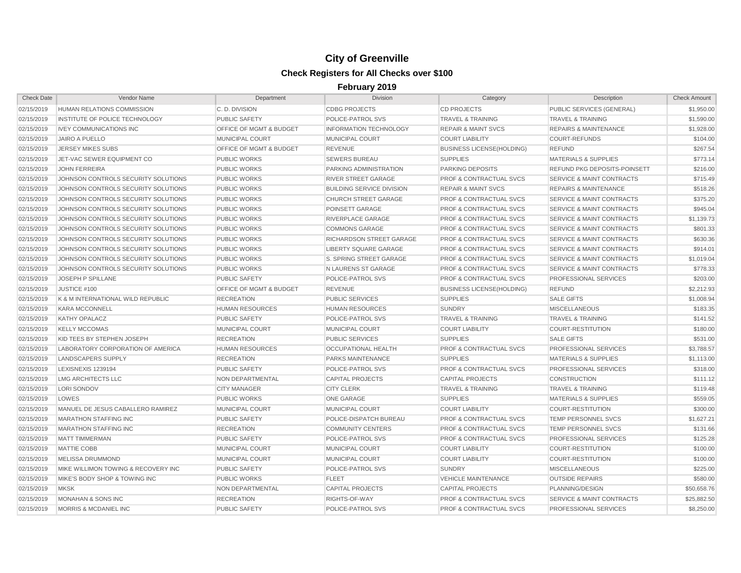| <b>Check Date</b> | <b>Vendor Name</b>                  | Department                         | <b>Division</b>                  | Category                           | Description                          | <b>Check Amount</b> |
|-------------------|-------------------------------------|------------------------------------|----------------------------------|------------------------------------|--------------------------------------|---------------------|
| 02/15/2019        | <b>HUMAN RELATIONS COMMISSION</b>   | C.D. DIVISION                      | <b>CDBG PROJECTS</b>             | <b>CD PROJECTS</b>                 | PUBLIC SERVICES (GENERAL)            | \$1,950.00          |
| 02/15/2019        | INSTITUTE OF POLICE TECHNOLOGY      | <b>PUBLIC SAFETY</b>               | POLICE-PATROL SVS                | <b>TRAVEL &amp; TRAINING</b>       | <b>TRAVEL &amp; TRAINING</b>         | \$1,590.00          |
| 02/15/2019        | <b>IVEY COMMUNICATIONS INC</b>      | <b>OFFICE OF MGMT &amp; BUDGET</b> | <b>INFORMATION TECHNOLOGY</b>    | <b>REPAIR &amp; MAINT SVCS</b>     | <b>REPAIRS &amp; MAINTENANCE</b>     | \$1,928.00          |
| 02/15/2019        | <b>JAIRO A PUELLO</b>               | MUNICIPAL COURT                    | MUNICIPAL COURT                  | <b>COURT LIABILITY</b>             | <b>COURT-REFUNDS</b>                 | \$104.00            |
| 02/15/2019        | <b>JERSEY MIKES SUBS</b>            | OFFICE OF MGMT & BUDGET            | <b>REVENUE</b>                   | <b>BUSINESS LICENSE(HOLDING)</b>   | <b>REFUND</b>                        | \$267.54            |
| 02/15/2019        | JET-VAC SEWER EQUIPMENT CO          | <b>PUBLIC WORKS</b>                | <b>SEWERS BUREAU</b>             | <b>SUPPLIES</b>                    | <b>MATERIALS &amp; SUPPLIES</b>      | \$773.14            |
| 02/15/2019        | <b>JOHN FERREIRA</b>                | <b>PUBLIC WORKS</b>                | PARKING ADMINISTRATION           | <b>PARKING DEPOSITS</b>            | <b>REFUND PKG DEPOSITS-POINSETT</b>  | \$216.00            |
| 02/15/2019        | JOHNSON CONTROLS SECURITY SOLUTIONS | <b>PUBLIC WORKS</b>                | RIVER STREET GARAGE              | PROF & CONTRACTUAL SVCS            | <b>SERVICE &amp; MAINT CONTRACTS</b> | \$715.49            |
| 02/15/2019        | JOHNSON CONTROLS SECURITY SOLUTIONS | <b>PUBLIC WORKS</b>                | <b>BUILDING SERVICE DIVISION</b> | <b>REPAIR &amp; MAINT SVCS</b>     | <b>REPAIRS &amp; MAINTENANCE</b>     | \$518.26            |
| 02/15/2019        | JOHNSON CONTROLS SECURITY SOLUTIONS | <b>PUBLIC WORKS</b>                | <b>CHURCH STREET GARAGE</b>      | <b>PROF &amp; CONTRACTUAL SVCS</b> | <b>SERVICE &amp; MAINT CONTRACTS</b> | \$375.20            |
| 02/15/2019        | JOHNSON CONTROLS SECURITY SOLUTIONS | <b>PUBLIC WORKS</b>                | POINSETT GARAGE                  | <b>PROF &amp; CONTRACTUAL SVCS</b> | <b>SERVICE &amp; MAINT CONTRACTS</b> | \$945.04            |
| 02/15/2019        | JOHNSON CONTROLS SECURITY SOLUTIONS | <b>PUBLIC WORKS</b>                | RIVERPLACE GARAGE                | <b>PROF &amp; CONTRACTUAL SVCS</b> | <b>SERVICE &amp; MAINT CONTRACTS</b> | \$1,139.73          |
| 02/15/2019        | JOHNSON CONTROLS SECURITY SOLUTIONS | <b>PUBLIC WORKS</b>                | <b>COMMONS GARAGE</b>            | <b>PROF &amp; CONTRACTUAL SVCS</b> | <b>SERVICE &amp; MAINT CONTRACTS</b> | \$801.33            |
| 02/15/2019        | JOHNSON CONTROLS SECURITY SOLUTIONS | <b>PUBLIC WORKS</b>                | RICHARDSON STREET GARAGE         | <b>PROF &amp; CONTRACTUAL SVCS</b> | <b>SERVICE &amp; MAINT CONTRACTS</b> | \$630.36            |
| 02/15/2019        | JOHNSON CONTROLS SECURITY SOLUTIONS | <b>PUBLIC WORKS</b>                | <b>LIBERTY SQUARE GARAGE</b>     | <b>PROF &amp; CONTRACTUAL SVCS</b> | <b>SERVICE &amp; MAINT CONTRACTS</b> | \$914.01            |
| 02/15/2019        | JOHNSON CONTROLS SECURITY SOLUTIONS | <b>PUBLIC WORKS</b>                | <b>S. SPRING STREET GARAGE</b>   | <b>PROF &amp; CONTRACTUAL SVCS</b> | <b>SERVICE &amp; MAINT CONTRACTS</b> | \$1,019.04          |
| 02/15/2019        | JOHNSON CONTROLS SECURITY SOLUTIONS | <b>PUBLIC WORKS</b>                | N LAURENS ST GARAGE              | <b>PROF &amp; CONTRACTUAL SVCS</b> | <b>SERVICE &amp; MAINT CONTRACTS</b> | \$778.33            |
| 02/15/2019        | JOSEPH P SPILLANE                   | <b>PUBLIC SAFETY</b>               | POLICE-PATROL SVS                | PROF & CONTRACTUAL SVCS            | PROFESSIONAL SERVICES                | \$203.00            |
| 02/15/2019        | JUSTICE #100                        | OFFICE OF MGMT & BUDGET            | <b>REVENUE</b>                   | <b>BUSINESS LICENSE(HOLDING)</b>   | <b>REFUND</b>                        | \$2,212.93          |
| 02/15/2019        | K & M INTERNATIONAL WILD REPUBLIC   | <b>RECREATION</b>                  | <b>PUBLIC SERVICES</b>           | <b>SUPPLIES</b>                    | <b>SALE GIFTS</b>                    | \$1,008.94          |
| 02/15/2019        | <b>KARA MCCONNELL</b>               | <b>HUMAN RESOURCES</b>             | <b>HUMAN RESOURCES</b>           | <b>SUNDRY</b>                      | <b>MISCELLANEOUS</b>                 | \$183.35            |
| 02/15/2019        | <b>KATHY OPALACZ</b>                | <b>PUBLIC SAFETY</b>               | POLICE-PATROL SVS                | <b>TRAVEL &amp; TRAINING</b>       | <b>TRAVEL &amp; TRAINING</b>         | \$141.52            |
| 02/15/2019        | <b>KELLY MCCOMAS</b>                | MUNICIPAL COURT                    | <b>MUNICIPAL COURT</b>           | <b>COURT LIABILITY</b>             | <b>COURT-RESTITUTION</b>             | \$180.00            |
| 02/15/2019        | KID TEES BY STEPHEN JOSEPH          | <b>RECREATION</b>                  | <b>PUBLIC SERVICES</b>           | <b>SUPPLIES</b>                    | <b>SALE GIFTS</b>                    | \$531.00            |
| 02/15/2019        | LABORATORY CORPORATION OF AMERICA   | <b>HUMAN RESOURCES</b>             | OCCUPATIONAL HEALTH              | PROF & CONTRACTUAL SVCS            | <b>PROFESSIONAL SERVICES</b>         | \$3,788.57          |
| 02/15/2019        | LANDSCAPERS SUPPLY                  | <b>RECREATION</b>                  | <b>PARKS MAINTENANCE</b>         | <b>SUPPLIES</b>                    | <b>MATERIALS &amp; SUPPLIES</b>      | \$1,113.00          |
| 02/15/2019        | LEXISNEXIS 1239194                  | <b>PUBLIC SAFETY</b>               | POLICE-PATROL SVS                | <b>PROF &amp; CONTRACTUAL SVCS</b> | PROFESSIONAL SERVICES                | \$318.00            |
| 02/15/2019        | LMG ARCHITECTS LLC                  | NON DEPARTMENTAL                   | <b>CAPITAL PROJECTS</b>          | <b>CAPITAL PROJECTS</b>            | <b>CONSTRUCTION</b>                  | \$111.12            |
| 02/15/2019        | <b>LORI SONDOV</b>                  | <b>CITY MANAGER</b>                | <b>CITY CLERK</b>                | <b>TRAVEL &amp; TRAINING</b>       | <b>TRAVEL &amp; TRAINING</b>         | \$119.48            |
| 02/15/2019        | LOWES                               | <b>PUBLIC WORKS</b>                | <b>ONE GARAGE</b>                | <b>SUPPLIES</b>                    | <b>MATERIALS &amp; SUPPLIES</b>      | \$559.05            |
| 02/15/2019        | MANUEL DE JESUS CABALLERO RAMIREZ   | <b>MUNICIPAL COURT</b>             | MUNICIPAL COURT                  | <b>COURT LIABILITY</b>             | <b>COURT-RESTITUTION</b>             | \$300.00            |
| 02/15/2019        | <b>MARATHON STAFFING INC</b>        | <b>PUBLIC SAFETY</b>               | POLICE-DISPATCH BUREAU           | <b>PROF &amp; CONTRACTUAL SVCS</b> | TEMP PERSONNEL SVCS                  | \$1,627.21          |
| 02/15/2019        | <b>MARATHON STAFFING INC</b>        | <b>RECREATION</b>                  | <b>COMMUNITY CENTERS</b>         | <b>PROF &amp; CONTRACTUAL SVCS</b> | TEMP PERSONNEL SVCS                  | \$131.66            |
| 02/15/2019        | <b>MATT TIMMERMAN</b>               | PUBLIC SAFETY                      | POLICE-PATROL SVS                | <b>PROF &amp; CONTRACTUAL SVCS</b> | PROFESSIONAL SERVICES                | \$125.28            |
| 02/15/2019        | MATTIE COBB                         | MUNICIPAL COURT                    | MUNICIPAL COURT                  | <b>COURT LIABILITY</b>             | <b>COURT-RESTITUTION</b>             | \$100.00            |
| 02/15/2019        | MELISSA DRUMMOND                    | MUNICIPAL COURT                    | <b>MUNICIPAL COURT</b>           | <b>COURT LIABILITY</b>             | <b>COURT-RESTITUTION</b>             | \$100.00            |
| 02/15/2019        | MIKE WILLIMON TOWING & RECOVERY INC | <b>PUBLIC SAFETY</b>               | POLICE-PATROL SVS                | <b>SUNDRY</b>                      | <b>MISCELLANEOUS</b>                 | \$225.00            |
| 02/15/2019        | MIKE'S BODY SHOP & TOWING INC       | <b>PUBLIC WORKS</b>                | <b>FLEET</b>                     | <b>VEHICLE MAINTENANCE</b>         | <b>OUTSIDE REPAIRS</b>               | \$580.00            |
| 02/15/2019        | <b>MKSK</b>                         | NON DEPARTMENTAL                   | <b>CAPITAL PROJECTS</b>          | <b>CAPITAL PROJECTS</b>            | PLANNING/DESIGN                      | \$50,658.76         |
| 02/15/2019        | <b>MONAHAN &amp; SONS INC</b>       | <b>RECREATION</b>                  | RIGHTS-OF-WAY                    | <b>PROF &amp; CONTRACTUAL SVCS</b> | <b>SERVICE &amp; MAINT CONTRACTS</b> | \$25,882.50         |
| 02/15/2019        | MORRIS & MCDANIEL INC               | <b>PUBLIC SAFETY</b>               | POLICE-PATROL SVS                | <b>PROF &amp; CONTRACTUAL SVCS</b> | PROFESSIONAL SERVICES                | \$8,250.00          |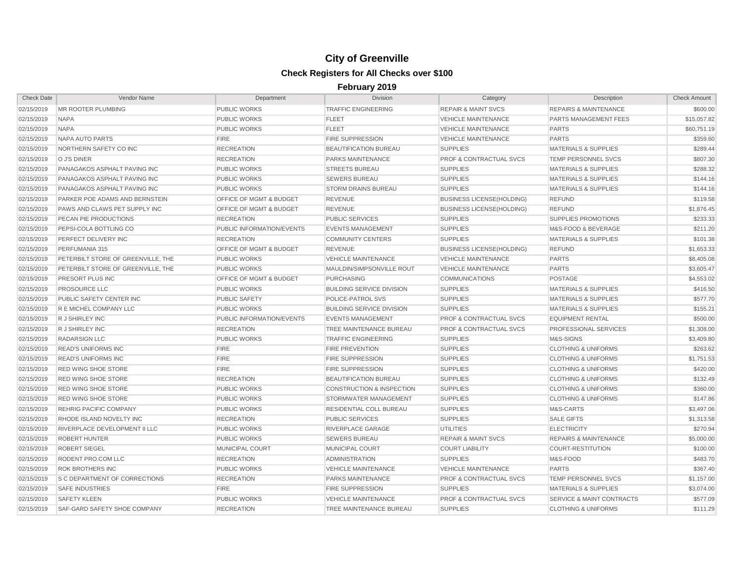| <b>Check Date</b> | <b>Vendor Name</b>                   | Department                         | <b>Division</b>                      | Category                           | Description                          | <b>Check Amount</b> |
|-------------------|--------------------------------------|------------------------------------|--------------------------------------|------------------------------------|--------------------------------------|---------------------|
| 02/15/2019        | MR ROOTER PLUMBING                   | <b>PUBLIC WORKS</b>                | <b>TRAFFIC ENGINEERING</b>           | <b>REPAIR &amp; MAINT SVCS</b>     | <b>REPAIRS &amp; MAINTENANCE</b>     | \$600.00            |
| 02/15/2019        | <b>NAPA</b>                          | <b>PUBLIC WORKS</b>                | <b>FLEET</b>                         | <b>VEHICLE MAINTENANCE</b>         | PARTS MANAGEMENT FEES                | \$15,057.82         |
| 02/15/2019        | <b>NAPA</b>                          | <b>PUBLIC WORKS</b>                | <b>FLEET</b>                         | <b>VEHICLE MAINTENANCE</b>         | <b>PARTS</b>                         | \$60,751.19         |
| 02/15/2019        | NAPA AUTO PARTS                      | <b>FIRE</b>                        | <b>FIRE SUPPRESSION</b>              | <b>VEHICLE MAINTENANCE</b>         | <b>PARTS</b>                         | \$359.60            |
| 02/15/2019        | NORTHERN SAFETY CO INC               | <b>RECREATION</b>                  | <b>BEAUTIFICATION BUREAU</b>         | <b>SUPPLIES</b>                    | MATERIALS & SUPPLIES                 | \$289.44            |
| 02/15/2019        | O J'S DINER                          | <b>RECREATION</b>                  | <b>PARKS MAINTENANCE</b>             | <b>PROF &amp; CONTRACTUAL SVCS</b> | <b>TEMP PERSONNEL SVCS</b>           | \$807.30            |
| 02/15/2019        | PANAGAKOS ASPHALT PAVING INC         | <b>PUBLIC WORKS</b>                | <b>STREETS BUREAU</b>                | <b>SUPPLIES</b>                    | <b>MATERIALS &amp; SUPPLIES</b>      | \$288.32            |
| 02/15/2019        | PANAGAKOS ASPHALT PAVING INC         | <b>PUBLIC WORKS</b>                | <b>SEWERS BUREAU</b>                 | <b>SUPPLIES</b>                    | <b>MATERIALS &amp; SUPPLIES</b>      | \$144.16            |
| 02/15/2019        | PANAGAKOS ASPHALT PAVING INC         | <b>PUBLIC WORKS</b>                | <b>STORM DRAINS BUREAU</b>           | <b>SUPPLIES</b>                    | <b>MATERIALS &amp; SUPPLIES</b>      | \$144.16            |
| 02/15/2019        | PARKER POE ADAMS AND BERNSTEIN       | OFFICE OF MGMT & BUDGET            | <b>REVENUE</b>                       | <b>BUSINESS LICENSE(HOLDING)</b>   | <b>REFUND</b>                        | \$119.58            |
| 02/15/2019        | PAWS AND CLAWS PET SUPPLY INC        | <b>OFFICE OF MGMT &amp; BUDGET</b> | <b>REVENUE</b>                       | <b>BUSINESS LICENSE(HOLDING)</b>   | <b>REFUND</b>                        | \$1,876.45          |
| 02/15/2019        | PECAN PIE PRODUCTIONS                | <b>RECREATION</b>                  | <b>PUBLIC SERVICES</b>               | <b>SUPPLIES</b>                    | <b>SUPPLIES PROMOTIONS</b>           | \$233.33            |
| 02/15/2019        | PEPSI-COLA BOTTLING CO               | PUBLIC INFORMATION/EVENTS          | <b>EVENTS MANAGEMENT</b>             | <b>SUPPLIES</b>                    | M&S-FOOD & BEVERAGE                  | \$211.20            |
| 02/15/2019        | PERFECT DELIVERY INC                 | <b>RECREATION</b>                  | <b>COMMUNITY CENTERS</b>             | <b>SUPPLIES</b>                    | <b>MATERIALS &amp; SUPPLIES</b>      | \$101.38            |
| 02/15/2019        | PERFUMANIA 315                       | OFFICE OF MGMT & BUDGET            | <b>REVENUE</b>                       | <b>BUSINESS LICENSE(HOLDING)</b>   | <b>REFUND</b>                        | \$1,653.33          |
| 02/15/2019        | PETERBILT STORE OF GREENVILLE, THE   | <b>PUBLIC WORKS</b>                | <b>VEHICLE MAINTENANCE</b>           | <b>VEHICLE MAINTENANCE</b>         | <b>PARTS</b>                         | \$8,405.08          |
| 02/15/2019        | PETERBILT STORE OF GREENVILLE, THE   | <b>PUBLIC WORKS</b>                | MAULDIN/SIMPSONVILLE ROUT            | <b>VEHICLE MAINTENANCE</b>         | <b>PARTS</b>                         | \$3,605.47          |
| 02/15/2019        | PRESORT PLUS INC                     | OFFICE OF MGMT & BUDGET            | <b>PURCHASING</b>                    | <b>COMMUNICATIONS</b>              | <b>POSTAGE</b>                       | \$4,553.02          |
| 02/15/2019        | <b>PROSOURCE LLC</b>                 | <b>PUBLIC WORKS</b>                | <b>BUILDING SERVICE DIVISION</b>     | <b>SUPPLIES</b>                    | <b>MATERIALS &amp; SUPPLIES</b>      | \$416.50            |
| 02/15/2019        | PUBLIC SAFETY CENTER INC             | <b>PUBLIC SAFETY</b>               | POLICE-PATROL SVS                    | <b>SUPPLIES</b>                    | <b>MATERIALS &amp; SUPPLIES</b>      | \$577.70            |
| 02/15/2019        | <b>R E MICHEL COMPANY LLC</b>        | <b>PUBLIC WORKS</b>                | <b>BUILDING SERVICE DIVISION</b>     | <b>SUPPLIES</b>                    | <b>MATERIALS &amp; SUPPLIES</b>      | \$155.21            |
| 02/15/2019        | R J SHIRLEY INC                      | PUBLIC INFORMATION/EVENTS          | <b>EVENTS MANAGEMENT</b>             | <b>PROF &amp; CONTRACTUAL SVCS</b> | <b>EQUIPMENT RENTAL</b>              | \$500.00            |
| 02/15/2019        | R J SHIRLEY INC                      | <b>RECREATION</b>                  | TREE MAINTENANCE BUREAU              | <b>PROF &amp; CONTRACTUAL SVCS</b> | PROFESSIONAL SERVICES                | \$1,308.00          |
| 02/15/2019        | <b>RADARSIGN LLC</b>                 | <b>PUBLIC WORKS</b>                | <b>TRAFFIC ENGINEERING</b>           | <b>SUPPLIES</b>                    | M&S-SIGNS                            | \$3,409.80          |
| 02/15/2019        | <b>READ'S UNIFORMS INC</b>           | <b>FIRE</b>                        | <b>FIRE PREVENTION</b>               | <b>SUPPLIES</b>                    | <b>CLOTHING &amp; UNIFORMS</b>       | \$263.62            |
| 02/15/2019        | <b>READ'S UNIFORMS INC</b>           | <b>FIRE</b>                        | <b>FIRE SUPPRESSION</b>              | <b>SUPPLIES</b>                    | <b>CLOTHING &amp; UNIFORMS</b>       | \$1,751.53          |
| 02/15/2019        | <b>RED WING SHOE STORE</b>           | <b>FIRE</b>                        | <b>FIRE SUPPRESSION</b>              | <b>SUPPLIES</b>                    | <b>CLOTHING &amp; UNIFORMS</b>       | \$420.00            |
| 02/15/2019        | <b>RED WING SHOE STORE</b>           | <b>RECREATION</b>                  | <b>BEAUTIFICATION BUREAU</b>         | <b>SUPPLIES</b>                    | <b>CLOTHING &amp; UNIFORMS</b>       | \$132.49            |
| 02/15/2019        | <b>RED WING SHOE STORE</b>           | <b>PUBLIC WORKS</b>                | <b>CONSTRUCTION &amp; INSPECTION</b> | <b>SUPPLIES</b>                    | <b>CLOTHING &amp; UNIFORMS</b>       | \$360.00            |
| 02/15/2019        | <b>RED WING SHOE STORE</b>           | <b>PUBLIC WORKS</b>                | STORMWATER MANAGEMENT                | <b>SUPPLIES</b>                    | <b>CLOTHING &amp; UNIFORMS</b>       | \$147.86            |
| 02/15/2019        | <b>REHRIG PACIFIC COMPANY</b>        | <b>PUBLIC WORKS</b>                | RESIDENTIAL COLL BUREAU              | <b>SUPPLIES</b>                    | M&S-CARTS                            | \$3,497.06          |
| 02/15/2019        | RHODE ISLAND NOVELTY INC             | <b>RECREATION</b>                  | <b>PUBLIC SERVICES</b>               | <b>SUPPLIES</b>                    | <b>SALE GIFTS</b>                    | \$1,313.58          |
| 02/15/2019        | RIVERPLACE DEVELOPMENT II LLC        | <b>PUBLIC WORKS</b>                | RIVERPLACE GARAGE                    | <b>UTILITIES</b>                   | <b>ELECTRICITY</b>                   | \$270.94            |
| 02/15/2019        | <b>ROBERT HUNTER</b>                 | <b>PUBLIC WORKS</b>                | <b>SEWERS BUREAU</b>                 | <b>REPAIR &amp; MAINT SVCS</b>     | <b>REPAIRS &amp; MAINTENANCE</b>     | \$5,000.00          |
| 02/15/2019        | <b>ROBERT SIEGEL</b>                 | <b>MUNICIPAL COURT</b>             | <b>MUNICIPAL COURT</b>               | <b>COURT LIABILITY</b>             | <b>COURT-RESTITUTION</b>             | \$100.00            |
| 02/15/2019        | RODENT PRO.COM LLC                   | <b>RECREATION</b>                  | <b>ADMINISTRATION</b>                | <b>SUPPLIES</b>                    | M&S-FOOD                             | \$483.70            |
| 02/15/2019        | <b>ROK BROTHERS INC</b>              | <b>PUBLIC WORKS</b>                | <b>VEHICLE MAINTENANCE</b>           | <b>VEHICLE MAINTENANCE</b>         | <b>PARTS</b>                         | \$367.40            |
| 02/15/2019        | <b>S C DEPARTMENT OF CORRECTIONS</b> | <b>RECREATION</b>                  | PARKS MAINTENANCE                    | PROF & CONTRACTUAL SVCS            | <b>TEMP PERSONNEL SVCS</b>           | \$1,157.00          |
| 02/15/2019        | <b>SAFE INDUSTRIES</b>               | <b>FIRE</b>                        | <b>FIRE SUPPRESSION</b>              | <b>SUPPLIES</b>                    | <b>MATERIALS &amp; SUPPLIES</b>      | \$3,074.00          |
| 02/15/2019        | <b>SAFETY KLEEN</b>                  | <b>PUBLIC WORKS</b>                | <b>VEHICLE MAINTENANCE</b>           | <b>PROF &amp; CONTRACTUAL SVCS</b> | <b>SERVICE &amp; MAINT CONTRACTS</b> | \$577.09            |
| 02/15/2019        | SAF-GARD SAFETY SHOE COMPANY         | <b>RECREATION</b>                  | TREE MAINTENANCE BUREAU              | <b>SUPPLIES</b>                    | <b>CLOTHING &amp; UNIFORMS</b>       | \$111.29            |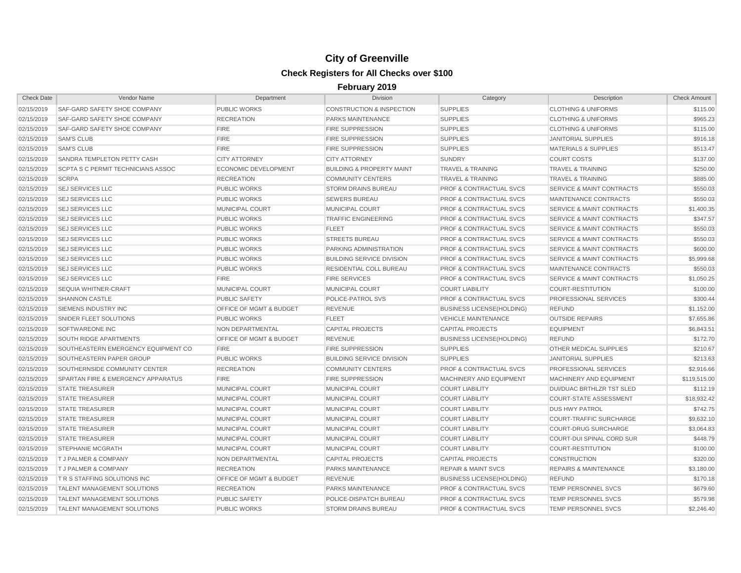| <b>Check Date</b> | Vendor Name                                   | Department                         | <b>Division</b>                      | Category                           | Description                          | <b>Check Amount</b> |
|-------------------|-----------------------------------------------|------------------------------------|--------------------------------------|------------------------------------|--------------------------------------|---------------------|
| 02/15/2019        | SAF-GARD SAFETY SHOE COMPANY                  | <b>PUBLIC WORKS</b>                | <b>CONSTRUCTION &amp; INSPECTION</b> | <b>SUPPLIES</b>                    | <b>CLOTHING &amp; UNIFORMS</b>       | \$115.00            |
| 02/15/2019        | SAF-GARD SAFETY SHOE COMPANY                  | <b>RECREATION</b>                  | PARKS MAINTENANCE                    | <b>SUPPLIES</b>                    | <b>CLOTHING &amp; UNIFORMS</b>       | \$965.23            |
| 02/15/2019        | SAF-GARD SAFETY SHOE COMPANY                  | <b>FIRE</b>                        | <b>FIRE SUPPRESSION</b>              | <b>SUPPLIES</b>                    | <b>CLOTHING &amp; UNIFORMS</b>       | \$115.00            |
| 02/15/2019        | <b>SAM'S CLUB</b>                             | <b>FIRE</b>                        | <b>FIRE SUPPRESSION</b>              | <b>SUPPLIES</b>                    | <b>JANITORIAL SUPPLIES</b>           | \$916.18            |
| 02/15/2019        | <b>SAM'S CLUB</b>                             | <b>FIRE</b>                        | <b>FIRE SUPPRESSION</b>              | <b>SUPPLIES</b>                    | <b>MATERIALS &amp; SUPPLIES</b>      | \$513.47            |
| 02/15/2019        | SANDRA TEMPLETON PETTY CASH                   | <b>CITY ATTORNEY</b>               | <b>CITY ATTORNEY</b>                 | <b>SUNDRY</b>                      | <b>COURT COSTS</b>                   | \$137.00            |
| 02/15/2019        | SCPTA S C PERMIT TECHNICIANS ASSOC            | <b>ECONOMIC DEVELOPMENT</b>        | <b>BUILDING &amp; PROPERTY MAINT</b> | <b>TRAVEL &amp; TRAINING</b>       | <b>TRAVEL &amp; TRAINING</b>         | \$250.00            |
| 02/15/2019        | <b>SCRPA</b>                                  | <b>RECREATION</b>                  | <b>COMMUNITY CENTERS</b>             | <b>TRAVEL &amp; TRAINING</b>       | <b>TRAVEL &amp; TRAINING</b>         | \$885.00            |
| 02/15/2019        | <b>SEJ SERVICES LLC</b>                       | <b>PUBLIC WORKS</b>                | <b>STORM DRAINS BUREAU</b>           | PROF & CONTRACTUAL SVCS            | <b>SERVICE &amp; MAINT CONTRACTS</b> | \$550.03            |
| 02/15/2019        | <b>SEJ SERVICES LLC</b>                       | <b>PUBLIC WORKS</b>                | <b>SEWERS BUREAU</b>                 | PROF & CONTRACTUAL SVCS            | MAINTENANCE CONTRACTS                | \$550.03            |
| 02/15/2019        | <b>SEJ SERVICES LLC</b>                       | <b>MUNICIPAL COURT</b>             | MUNICIPAL COURT                      | <b>PROF &amp; CONTRACTUAL SVCS</b> | <b>SERVICE &amp; MAINT CONTRACTS</b> | \$1,400.35          |
| 02/15/2019        | <b>SEJ SERVICES LLC</b>                       | <b>PUBLIC WORKS</b>                | <b>TRAFFIC ENGINEERING</b>           | <b>PROF &amp; CONTRACTUAL SVCS</b> | <b>SERVICE &amp; MAINT CONTRACTS</b> | \$347.57            |
| 02/15/2019        | <b>SEJ SERVICES LLC</b>                       | <b>PUBLIC WORKS</b>                | <b>FLEET</b>                         | <b>PROF &amp; CONTRACTUAL SVCS</b> | <b>SERVICE &amp; MAINT CONTRACTS</b> | \$550.03            |
| 02/15/2019        | <b>SEJ SERVICES LLC</b>                       | <b>PUBLIC WORKS</b>                | <b>STREETS BUREAU</b>                | <b>PROF &amp; CONTRACTUAL SVCS</b> | <b>SERVICE &amp; MAINT CONTRACTS</b> | \$550.03            |
| 02/15/2019        | <b>SEJ SERVICES LLC</b>                       | <b>PUBLIC WORKS</b>                | PARKING ADMINISTRATION               | <b>PROF &amp; CONTRACTUAL SVCS</b> | <b>SERVICE &amp; MAINT CONTRACTS</b> | \$600.00            |
| 02/15/2019        | <b>SEJ SERVICES LLC</b>                       | <b>PUBLIC WORKS</b>                | <b>BUILDING SERVICE DIVISION</b>     | <b>PROF &amp; CONTRACTUAL SVCS</b> | <b>SERVICE &amp; MAINT CONTRACTS</b> | \$5,999.68          |
| 02/15/2019        | <b>SEJ SERVICES LLC</b>                       | <b>PUBLIC WORKS</b>                | RESIDENTIAL COLL BUREAU              | <b>PROF &amp; CONTRACTUAL SVCS</b> | MAINTENANCE CONTRACTS                | \$550.03            |
| 02/15/2019        | <b>SEJ SERVICES LLC</b>                       | <b>FIRE</b>                        | <b>FIRE SERVICES</b>                 | <b>PROF &amp; CONTRACTUAL SVCS</b> | SERVICE & MAINT CONTRACTS            | \$1,050.25          |
| 02/15/2019        | <b>SEQUIA WHITNER-CRAFT</b>                   | MUNICIPAL COURT                    | <b>MUNICIPAL COURT</b>               | <b>COURT LIABILITY</b>             | <b>COURT-RESTITUTION</b>             | \$100.00            |
| 02/15/2019        | <b>SHANNON CASTLE</b>                         | <b>PUBLIC SAFETY</b>               | POLICE-PATROL SVS                    | <b>PROF &amp; CONTRACTUAL SVCS</b> | PROFESSIONAL SERVICES                | \$300.44            |
| 02/15/2019        | SIEMENS INDUSTRY INC                          | <b>OFFICE OF MGMT &amp; BUDGET</b> | <b>REVENUE</b>                       | <b>BUSINESS LICENSE(HOLDING)</b>   | <b>REFUND</b>                        | \$1,152.00          |
| 02/15/2019        | SNIDER FLEET SOLUTIONS                        | <b>PUBLIC WORKS</b>                | <b>FLEET</b>                         | <b>VEHICLE MAINTENANCE</b>         | <b>OUTSIDE REPAIRS</b>               | \$7,655.86          |
| 02/15/2019        | SOFTWAREONE INC                               | NON DEPARTMENTAL                   | <b>CAPITAL PROJECTS</b>              | <b>CAPITAL PROJECTS</b>            | EQUIPMENT                            | \$6,843.51          |
| 02/15/2019        | SOUTH RIDGE APARTMENTS                        | <b>OFFICE OF MGMT &amp; BUDGET</b> | <b>REVENUE</b>                       | <b>BUSINESS LICENSE(HOLDING)</b>   | <b>REFUND</b>                        | \$172.70            |
| 02/15/2019        | SOUTHEASTERN EMERGENCY EQUIPMENT CO           | <b>FIRE</b>                        | <b>FIRE SUPPRESSION</b>              | <b>SUPPLIES</b>                    | OTHER MEDICAL SUPPLIES               | \$210.67            |
| 02/15/2019        | SOUTHEASTERN PAPER GROUP                      | <b>PUBLIC WORKS</b>                | <b>BUILDING SERVICE DIVISION</b>     | <b>SUPPLIES</b>                    | <b>JANITORIAL SUPPLIES</b>           | \$213.63            |
| 02/15/2019        | SOUTHERNSIDE COMMUNITY CENTER                 | <b>RECREATION</b>                  | <b>COMMUNITY CENTERS</b>             | PROF & CONTRACTUAL SVCS            | PROFESSIONAL SERVICES                | \$2,916.66          |
| 02/15/2019        | <b>SPARTAN FIRE &amp; EMERGENCY APPARATUS</b> | <b>FIRE</b>                        | FIRE SUPPRESSION                     | MACHINERY AND EQUIPMENT            | MACHINERY AND EQUIPMENT              | \$119,515.00        |
| 02/15/2019        | <b>STATE TREASURER</b>                        | MUNICIPAL COURT                    | MUNICIPAL COURT                      | <b>COURT LIABILITY</b>             | DUI/DUAC BRTHLZR TST SLED            | \$112.19            |
| 02/15/2019        | <b>STATE TREASURER</b>                        | MUNICIPAL COURT                    | <b>MUNICIPAL COURT</b>               | <b>COURT LIABILITY</b>             | <b>COURT-STATE ASSESSMENT</b>        | \$18,932.42         |
| 02/15/2019        | <b>STATE TREASURER</b>                        | MUNICIPAL COURT                    | <b>MUNICIPAL COURT</b>               | <b>COURT LIABILITY</b>             | <b>DUS HWY PATROL</b>                | \$742.75            |
| 02/15/2019        | <b>STATE TREASURER</b>                        | <b>MUNICIPAL COURT</b>             | <b>MUNICIPAL COURT</b>               | <b>COURT LIABILITY</b>             | <b>COURT-TRAFFIC SURCHARGE</b>       | \$9,632.10          |
| 02/15/2019        | <b>STATE TREASURER</b>                        | MUNICIPAL COURT                    | MUNICIPAL COURT                      | <b>COURT LIABILITY</b>             | <b>COURT-DRUG SURCHARGE</b>          | \$3,064.83          |
| 02/15/2019        | <b>STATE TREASURER</b>                        | MUNICIPAL COURT                    | MUNICIPAL COURT                      | <b>COURT LIABILITY</b>             | COURT-DUI SPINAL CORD SUR            | \$448.79            |
| 02/15/2019        | <b>STEPHANIE MCGRATH</b>                      | MUNICIPAL COURT                    | MUNICIPAL COURT                      | <b>COURT LIABILITY</b>             | <b>COURT-RESTITUTION</b>             | \$100.00            |
| 02/15/2019        | <b>T J PALMER &amp; COMPANY</b>               | NON DEPARTMENTAL                   | <b>CAPITAL PROJECTS</b>              | <b>CAPITAL PROJECTS</b>            | <b>CONSTRUCTION</b>                  | \$320.00            |
| 02/15/2019        | <b>T J PALMER &amp; COMPANY</b>               | <b>RECREATION</b>                  | PARKS MAINTENANCE                    | <b>REPAIR &amp; MAINT SVCS</b>     | <b>REPAIRS &amp; MAINTENANCE</b>     | \$3,180.00          |
| 02/15/2019        | <b>T R S STAFFING SOLUTIONS INC</b>           | OFFICE OF MGMT & BUDGET            | <b>REVENUE</b>                       | <b>BUSINESS LICENSE(HOLDING)</b>   | <b>REFUND</b>                        | \$170.18            |
| 02/15/2019        | <b>TALENT MANAGEMENT SOLUTIONS</b>            | <b>RECREATION</b>                  | PARKS MAINTENANCE                    | PROF & CONTRACTUAL SVCS            | <b>TEMP PERSONNEL SVCS</b>           | \$679.60            |
| 02/15/2019        | <b>TALENT MANAGEMENT SOLUTIONS</b>            | <b>PUBLIC SAFETY</b>               | POLICE-DISPATCH BUREAU               | <b>PROF &amp; CONTRACTUAL SVCS</b> | <b>TEMP PERSONNEL SVCS</b>           | \$579.98            |
| 02/15/2019        | TALENT MANAGEMENT SOLUTIONS                   | <b>PUBLIC WORKS</b>                | <b>STORM DRAINS BUREAU</b>           | <b>PROF &amp; CONTRACTUAL SVCS</b> | TEMP PERSONNEL SVCS                  | \$2,246.40          |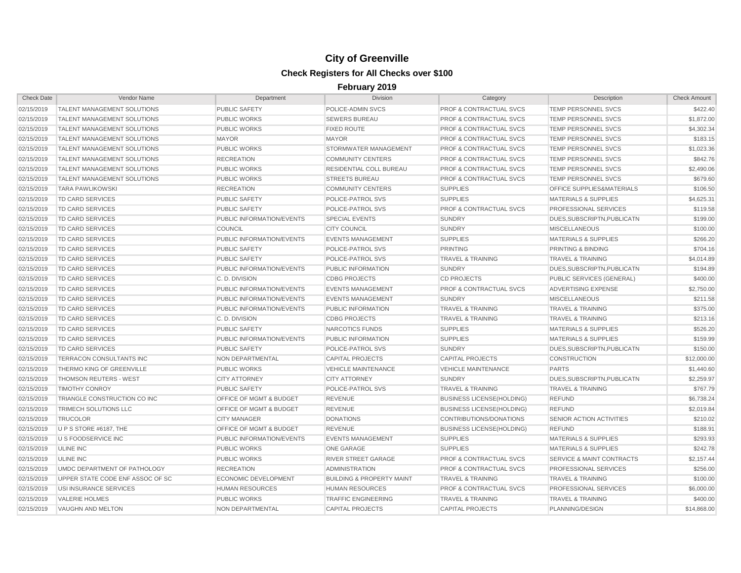| <b>Check Date</b> | Vendor Name                        | Department                         | <b>Division</b>                      | Category                           | Description                          | <b>Check Amount</b> |
|-------------------|------------------------------------|------------------------------------|--------------------------------------|------------------------------------|--------------------------------------|---------------------|
| 02/15/2019        | <b>TALENT MANAGEMENT SOLUTIONS</b> | <b>PUBLIC SAFETY</b>               | POLICE-ADMIN SVCS                    | PROF & CONTRACTUAL SVCS            | TEMP PERSONNEL SVCS                  | \$422.40            |
| 02/15/2019        | <b>TALENT MANAGEMENT SOLUTIONS</b> | <b>PUBLIC WORKS</b>                | <b>SEWERS BUREAU</b>                 | <b>PROF &amp; CONTRACTUAL SVCS</b> | <b>TEMP PERSONNEL SVCS</b>           | \$1,872.00          |
| 02/15/2019        | <b>TALENT MANAGEMENT SOLUTIONS</b> | <b>PUBLIC WORKS</b>                | <b>FIXED ROUTE</b>                   | <b>PROF &amp; CONTRACTUAL SVCS</b> | <b>TEMP PERSONNEL SVCS</b>           | \$4,302.34          |
| 02/15/2019        | <b>TALENT MANAGEMENT SOLUTIONS</b> | <b>MAYOR</b>                       | <b>MAYOR</b>                         | <b>PROF &amp; CONTRACTUAL SVCS</b> | <b>TEMP PERSONNEL SVCS</b>           | \$183.15            |
| 02/15/2019        | <b>TALENT MANAGEMENT SOLUTIONS</b> | <b>PUBLIC WORKS</b>                | STORMWATER MANAGEMENT                | <b>PROF &amp; CONTRACTUAL SVCS</b> | TEMP PERSONNEL SVCS                  | \$1,023.36          |
| 02/15/2019        | <b>TALENT MANAGEMENT SOLUTIONS</b> | <b>RECREATION</b>                  | <b>COMMUNITY CENTERS</b>             | <b>PROF &amp; CONTRACTUAL SVCS</b> | <b>TEMP PERSONNEL SVCS</b>           | \$842.76            |
| 02/15/2019        | <b>TALENT MANAGEMENT SOLUTIONS</b> | <b>PUBLIC WORKS</b>                | RESIDENTIAL COLL BUREAU              | <b>PROF &amp; CONTRACTUAL SVCS</b> | TEMP PERSONNEL SVCS                  | \$2,490.06          |
| 02/15/2019        | <b>TALENT MANAGEMENT SOLUTIONS</b> | <b>PUBLIC WORKS</b>                | <b>STREETS BUREAU</b>                | <b>PROF &amp; CONTRACTUAL SVCS</b> | TEMP PERSONNEL SVCS                  | \$679.60            |
| 02/15/2019        | <b>TARA PAWLIKOWSKI</b>            | <b>RECREATION</b>                  | <b>COMMUNITY CENTERS</b>             | <b>SUPPLIES</b>                    | OFFICE SUPPLIES&MATERIALS            | \$106.50            |
| 02/15/2019        | TD CARD SERVICES                   | <b>PUBLIC SAFETY</b>               | POLICE-PATROL SVS                    | <b>SUPPLIES</b>                    | <b>MATERIALS &amp; SUPPLIES</b>      | \$4,625.31          |
| 02/15/2019        | <b>TD CARD SERVICES</b>            | <b>PUBLIC SAFETY</b>               | POLICE-PATROL SVS                    | PROF & CONTRACTUAL SVCS            | PROFESSIONAL SERVICES                | \$119.58            |
| 02/15/2019        | TD CARD SERVICES                   | PUBLIC INFORMATION/EVENTS          | <b>SPECIAL EVENTS</b>                | <b>SUNDRY</b>                      | DUES, SUBSCRIPTN, PUBLICATN          | \$199.00            |
| 02/15/2019        | <b>TD CARD SERVICES</b>            | <b>COUNCIL</b>                     | <b>CITY COUNCIL</b>                  | <b>SUNDRY</b>                      | <b>MISCELLANEOUS</b>                 | \$100.00            |
| 02/15/2019        | TD CARD SERVICES                   | PUBLIC INFORMATION/EVENTS          | <b>EVENTS MANAGEMENT</b>             | <b>SUPPLIES</b>                    | <b>MATERIALS &amp; SUPPLIES</b>      | \$266.20            |
| 02/15/2019        | TD CARD SERVICES                   | <b>PUBLIC SAFETY</b>               | POLICE-PATROL SVS                    | <b>PRINTING</b>                    | PRINTING & BINDING                   | \$704.16            |
| 02/15/2019        | TD CARD SERVICES                   | <b>PUBLIC SAFETY</b>               | POLICE-PATROL SVS                    | <b>TRAVEL &amp; TRAINING</b>       | <b>TRAVEL &amp; TRAINING</b>         | \$4,014.89          |
| 02/15/2019        | TD CARD SERVICES                   | PUBLIC INFORMATION/EVENTS          | PUBLIC INFORMATION                   | <b>SUNDRY</b>                      | DUES, SUBSCRIPTN, PUBLICATN          | \$194.89            |
| 02/15/2019        | TD CARD SERVICES                   | C.D. DIVISION                      | <b>CDBG PROJECTS</b>                 | <b>CD PROJECTS</b>                 | PUBLIC SERVICES (GENERAL)            | \$400.00            |
| 02/15/2019        | <b>TD CARD SERVICES</b>            | PUBLIC INFORMATION/EVENTS          | <b>EVENTS MANAGEMENT</b>             | <b>PROF &amp; CONTRACTUAL SVCS</b> | ADVERTISING EXPENSE                  | \$2,750.00          |
| 02/15/2019        | <b>TD CARD SERVICES</b>            | PUBLIC INFORMATION/EVENTS          | <b>EVENTS MANAGEMENT</b>             | <b>SUNDRY</b>                      | <b>MISCELLANEOUS</b>                 | \$211.58            |
| 02/15/2019        | <b>TD CARD SERVICES</b>            | PUBLIC INFORMATION/EVENTS          | PUBLIC INFORMATION                   | <b>TRAVEL &amp; TRAINING</b>       | <b>TRAVEL &amp; TRAINING</b>         | \$375.00            |
| 02/15/2019        | <b>TD CARD SERVICES</b>            | C. D. DIVISION                     | <b>CDBG PROJECTS</b>                 | <b>TRAVEL &amp; TRAINING</b>       | <b>TRAVEL &amp; TRAINING</b>         | \$213.16            |
| 02/15/2019        | TD CARD SERVICES                   | <b>PUBLIC SAFETY</b>               | NARCOTICS FUNDS                      | <b>SUPPLIES</b>                    | <b>MATERIALS &amp; SUPPLIES</b>      | \$526.20            |
| 02/15/2019        | TD CARD SERVICES                   | PUBLIC INFORMATION/EVENTS          | PUBLIC INFORMATION                   | <b>SUPPLIES</b>                    | <b>MATERIALS &amp; SUPPLIES</b>      | \$159.99            |
| 02/15/2019        | <b>TD CARD SERVICES</b>            | <b>PUBLIC SAFETY</b>               | POLICE-PATROL SVS                    | <b>SUNDRY</b>                      | DUES, SUBSCRIPTN, PUBLICATN          | \$150.00            |
| 02/15/2019        | <b>TERRACON CONSULTANTS INC</b>    | <b>NON DEPARTMENTAL</b>            | <b>CAPITAL PROJECTS</b>              | <b>CAPITAL PROJECTS</b>            | <b>CONSTRUCTION</b>                  | \$12,000.00         |
| 02/15/2019        | THERMO KING OF GREENVILLE          | <b>PUBLIC WORKS</b>                | <b>VEHICLE MAINTENANCE</b>           | <b>VEHICLE MAINTENANCE</b>         | <b>PARTS</b>                         | \$1,440.60          |
| 02/15/2019        | <b>THOMSON REUTERS - WEST</b>      | <b>CITY ATTORNEY</b>               | <b>CITY ATTORNEY</b>                 | <b>SUNDRY</b>                      | DUES, SUBSCRIPTN, PUBLICATN          | \$2,259.97          |
| 02/15/2019        | <b>TIMOTHY CONROY</b>              | <b>PUBLIC SAFETY</b>               | POLICE-PATROL SVS                    | <b>TRAVEL &amp; TRAINING</b>       | <b>TRAVEL &amp; TRAINING</b>         | \$767.79            |
| 02/15/2019        | TRIANGLE CONSTRUCTION CO INC       | <b>OFFICE OF MGMT &amp; BUDGET</b> | <b>REVENUE</b>                       | <b>BUSINESS LICENSE(HOLDING)</b>   | <b>REFUND</b>                        | \$6,738.24          |
| 02/15/2019        | TRIMECH SOLUTIONS LLC              | <b>OFFICE OF MGMT &amp; BUDGET</b> | <b>REVENUE</b>                       | <b>BUSINESS LICENSE(HOLDING)</b>   | <b>REFUND</b>                        | \$2,019.84          |
| 02/15/2019        | TRUCOLOR                           | <b>CITY MANAGER</b>                | <b>DONATIONS</b>                     | CONTRIBUTIONS/DONATIONS            | SENIOR ACTION ACTIVITIES             | \$210.02            |
| 02/15/2019        | U P S STORE #6187. THE             | <b>OFFICE OF MGMT &amp; BUDGET</b> | <b>REVENUE</b>                       | <b>BUSINESS LICENSE(HOLDING)</b>   | <b>REFUND</b>                        | \$188.91            |
| 02/15/2019        | <b>U S FOODSERVICE INC</b>         | PUBLIC INFORMATION/EVENTS          | <b>EVENTS MANAGEMENT</b>             | <b>SUPPLIES</b>                    | <b>MATERIALS &amp; SUPPLIES</b>      | \$293.93            |
| 02/15/2019        | <b>ULINE INC</b>                   | <b>PUBLIC WORKS</b>                | <b>ONE GARAGE</b>                    | <b>SUPPLIES</b>                    | <b>MATERIALS &amp; SUPPLIES</b>      | \$242.78            |
| 02/15/2019        | <b>ULINE INC</b>                   | <b>PUBLIC WORKS</b>                | <b>RIVER STREET GARAGE</b>           | <b>PROF &amp; CONTRACTUAL SVCS</b> | <b>SERVICE &amp; MAINT CONTRACTS</b> | \$2,157.44          |
| 02/15/2019        | UMDC DEPARTMENT OF PATHOLOGY       | <b>RECREATION</b>                  | <b>ADMINISTRATION</b>                | <b>PROF &amp; CONTRACTUAL SVCS</b> | PROFESSIONAL SERVICES                | \$256.00            |
| 02/15/2019        | UPPER STATE CODE ENF ASSOC OF SC   | <b>ECONOMIC DEVELOPMENT</b>        | <b>BUILDING &amp; PROPERTY MAINT</b> | <b>TRAVEL &amp; TRAINING</b>       | <b>TRAVEL &amp; TRAINING</b>         | \$100.00            |
| 02/15/2019        | USI INSURANCE SERVICES             | <b>HUMAN RESOURCES</b>             | <b>HUMAN RESOURCES</b>               | <b>PROF &amp; CONTRACTUAL SVCS</b> | PROFESSIONAL SERVICES                | \$6,000.00          |
| 02/15/2019        | <b>VALERIE HOLMES</b>              | <b>PUBLIC WORKS</b>                | <b>TRAFFIC ENGINEERING</b>           | <b>TRAVEL &amp; TRAINING</b>       | <b>TRAVEL &amp; TRAINING</b>         | \$400.00            |
| 02/15/2019        | VAUGHN AND MELTON                  | <b>NON DEPARTMENTAL</b>            | <b>CAPITAL PROJECTS</b>              | <b>CAPITAL PROJECTS</b>            | PLANNING/DESIGN                      | \$14,868.00         |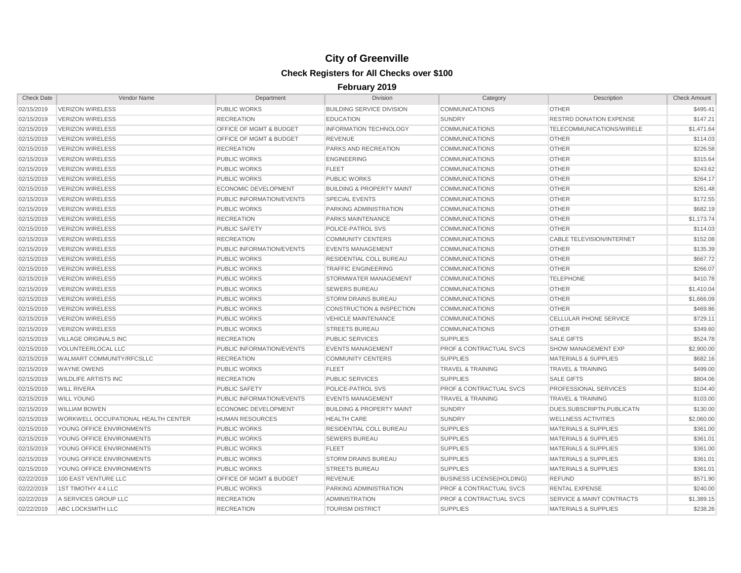| <b>Check Date</b> | Vendor Name                                | Department                         | <b>Division</b>                      | Category                           | Description                          | <b>Check Amount</b> |
|-------------------|--------------------------------------------|------------------------------------|--------------------------------------|------------------------------------|--------------------------------------|---------------------|
| 02/15/2019        | <b>VERIZON WIRELESS</b>                    | PUBLIC WORKS                       | <b>BUILDING SERVICE DIVISION</b>     | <b>COMMUNICATIONS</b>              | <b>OTHER</b>                         | \$495.41            |
| 02/15/2019        | <b>VERIZON WIRELESS</b>                    | <b>RECREATION</b>                  | <b>EDUCATION</b>                     | <b>SUNDRY</b>                      | <b>RESTRD DONATION EXPENSE</b>       | \$147.21            |
| 02/15/2019        | <b>VERIZON WIRELESS</b>                    | OFFICE OF MGMT & BUDGET            | <b>INFORMATION TECHNOLOGY</b>        | <b>COMMUNICATIONS</b>              | TELECOMMUNICATIONS/WIRELE            | \$1,471.64          |
| 02/15/2019        | <b>VERIZON WIRELESS</b>                    | <b>OFFICE OF MGMT &amp; BUDGET</b> | <b>REVENUE</b>                       | <b>COMMUNICATIONS</b>              | <b>OTHER</b>                         | \$114.03            |
| 02/15/2019        | <b>VERIZON WIRELESS</b>                    | <b>RECREATION</b>                  | PARKS AND RECREATION                 | <b>COMMUNICATIONS</b>              | <b>OTHER</b>                         | \$226.58            |
| 02/15/2019        | <b>VERIZON WIRELESS</b>                    | <b>PUBLIC WORKS</b>                | <b>ENGINEERING</b>                   | <b>COMMUNICATIONS</b>              | <b>OTHER</b>                         | \$315.64            |
| 02/15/2019        | <b>VERIZON WIRELESS</b>                    | <b>PUBLIC WORKS</b>                | <b>FLEET</b>                         | <b>COMMUNICATIONS</b>              | <b>OTHER</b>                         | \$243.62            |
| 02/15/2019        | <b>VERIZON WIRELESS</b>                    | <b>PUBLIC WORKS</b>                | <b>PUBLIC WORKS</b>                  | <b>COMMUNICATIONS</b>              | <b>OTHER</b>                         | \$264.17            |
| 02/15/2019        | <b>VERIZON WIRELESS</b>                    | <b>ECONOMIC DEVELOPMENT</b>        | <b>BUILDING &amp; PROPERTY MAINT</b> | <b>COMMUNICATIONS</b>              | <b>OTHER</b>                         | \$261.48            |
| 02/15/2019        | VERIZON WIRELESS                           | PUBLIC INFORMATION/EVENTS          | <b>SPECIAL EVENTS</b>                | <b>COMMUNICATIONS</b>              | <b>OTHER</b>                         | \$172.55            |
| 02/15/2019        | <b>VERIZON WIRELESS</b>                    | <b>PUBLIC WORKS</b>                | PARKING ADMINISTRATION               | <b>COMMUNICATIONS</b>              | <b>OTHER</b>                         | \$682.19            |
| 02/15/2019        | <b>VERIZON WIRELESS</b>                    | <b>RECREATION</b>                  | <b>PARKS MAINTENANCE</b>             | <b>COMMUNICATIONS</b>              | <b>OTHER</b>                         | \$1,173.74          |
| 02/15/2019        | <b>VERIZON WIRELESS</b>                    | <b>PUBLIC SAFETY</b>               | POLICE-PATROL SVS                    | <b>COMMUNICATIONS</b>              | <b>OTHER</b>                         | \$114.03            |
| 02/15/2019        | <b>VERIZON WIRELESS</b>                    | <b>RECREATION</b>                  | <b>COMMUNITY CENTERS</b>             | <b>COMMUNICATIONS</b>              | <b>CABLE TELEVISION/INTERNET</b>     | \$152.08            |
| 02/15/2019        | <b>VERIZON WIRELESS</b>                    | PUBLIC INFORMATION/EVENTS          | <b>EVENTS MANAGEMENT</b>             | <b>COMMUNICATIONS</b>              | <b>OTHER</b>                         | \$135.39            |
| 02/15/2019        | <b>VERIZON WIRELESS</b>                    | <b>PUBLIC WORKS</b>                | <b>RESIDENTIAL COLL BUREAU</b>       | <b>COMMUNICATIONS</b>              | <b>OTHER</b>                         | \$667.72            |
| 02/15/2019        | <b>VERIZON WIRELESS</b>                    | <b>PUBLIC WORKS</b>                | <b>TRAFFIC ENGINEERING</b>           | <b>COMMUNICATIONS</b>              | <b>OTHER</b>                         | \$266.07            |
| 02/15/2019        | <b>VERIZON WIRELESS</b>                    | <b>PUBLIC WORKS</b>                | STORMWATER MANAGEMENT                | <b>COMMUNICATIONS</b>              | <b>TELEPHONE</b>                     | \$410.78            |
| 02/15/2019        | <b>VERIZON WIRELESS</b>                    | <b>PUBLIC WORKS</b>                | <b>SEWERS BUREAU</b>                 | <b>COMMUNICATIONS</b>              | <b>OTHER</b>                         | \$1,410.04          |
| 02/15/2019        | <b>VERIZON WIRELESS</b>                    | <b>PUBLIC WORKS</b>                | <b>STORM DRAINS BUREAU</b>           | <b>COMMUNICATIONS</b>              | <b>OTHER</b>                         | \$1,666.09          |
| 02/15/2019        | <b>VERIZON WIRELESS</b>                    | <b>PUBLIC WORKS</b>                | <b>CONSTRUCTION &amp; INSPECTION</b> | <b>COMMUNICATIONS</b>              | <b>OTHER</b>                         | \$469.86            |
| 02/15/2019        | <b>VERIZON WIRELESS</b>                    | <b>PUBLIC WORKS</b>                | <b>VEHICLE MAINTENANCE</b>           | <b>COMMUNICATIONS</b>              | <b>CELLULAR PHONE SERVICE</b>        | \$729.11            |
| 02/15/2019        | <b>VERIZON WIRELESS</b>                    | <b>PUBLIC WORKS</b>                | <b>STREETS BUREAU</b>                | <b>COMMUNICATIONS</b>              | <b>OTHER</b>                         | \$349.60            |
| 02/15/2019        | <b>VILLAGE ORIGINALS INC</b>               | <b>RECREATION</b>                  | <b>PUBLIC SERVICES</b>               | <b>SUPPLIES</b>                    | <b>SALE GIFTS</b>                    | \$524.78            |
| 02/15/2019        | VOLUNTEERLOCAL LLC                         | PUBLIC INFORMATION/EVENTS          | <b>EVENTS MANAGEMENT</b>             | <b>PROF &amp; CONTRACTUAL SVCS</b> | SHOW MANAGEMENT EXP                  | \$2,900.00          |
| 02/15/2019        | WALMART COMMUNITY/RFCSLLC                  | <b>RECREATION</b>                  | <b>COMMUNITY CENTERS</b>             | <b>SUPPLIES</b>                    | <b>MATERIALS &amp; SUPPLIES</b>      | \$682.16            |
| 02/15/2019        | <b>WAYNE OWENS</b>                         | <b>PUBLIC WORKS</b>                | <b>FLEET</b>                         | <b>TRAVEL &amp; TRAINING</b>       | <b>TRAVEL &amp; TRAINING</b>         | \$499.00            |
| 02/15/2019        | <b>WILDLIFE ARTISTS INC</b>                | <b>RECREATION</b>                  | <b>PUBLIC SERVICES</b>               | <b>SUPPLIES</b>                    | <b>SALE GIFTS</b>                    | \$804.06            |
| 02/15/2019        | <b>WILL RIVERA</b>                         | <b>PUBLIC SAFETY</b>               | POLICE-PATROL SVS                    | <b>PROF &amp; CONTRACTUAL SVCS</b> | PROFESSIONAL SERVICES                | \$104.40            |
| 02/15/2019        | <b>WILL YOUNG</b>                          | PUBLIC INFORMATION/EVENTS          | <b>EVENTS MANAGEMENT</b>             | <b>TRAVEL &amp; TRAINING</b>       | <b>TRAVEL &amp; TRAINING</b>         | \$103.00            |
| 02/15/2019        | <b>WILLIAM BOWEN</b>                       | <b>ECONOMIC DEVELOPMENT</b>        | <b>BUILDING &amp; PROPERTY MAINT</b> | <b>SUNDRY</b>                      | DUES, SUBSCRIPTN, PUBLICATN          | \$130.00            |
| 02/15/2019        | <b>WORKWELL OCCUPATIONAL HEALTH CENTER</b> | <b>HUMAN RESOURCES</b>             | <b>HEALTH CARE</b>                   | <b>SUNDRY</b>                      | <b>WELLNESS ACTIVITIES</b>           | \$2,060.00          |
| 02/15/2019        | YOUNG OFFICE ENVIRONMENTS                  | <b>PUBLIC WORKS</b>                | <b>RESIDENTIAL COLL BUREAU</b>       | <b>SUPPLIES</b>                    | <b>MATERIALS &amp; SUPPLIES</b>      | \$361.00            |
| 02/15/2019        | YOUNG OFFICE ENVIRONMENTS                  | <b>PUBLIC WORKS</b>                | <b>SEWERS BUREAU</b>                 | <b>SUPPLIES</b>                    | <b>MATERIALS &amp; SUPPLIES</b>      | \$361.01            |
| 02/15/2019        | YOUNG OFFICE ENVIRONMENTS                  | <b>PUBLIC WORKS</b>                | <b>FLEET</b>                         | <b>SUPPLIES</b>                    | <b>MATERIALS &amp; SUPPLIES</b>      | \$361.00            |
| 02/15/2019        | YOUNG OFFICE ENVIRONMENTS                  | PUBLIC WORKS                       | <b>STORM DRAINS BUREAU</b>           | <b>SUPPLIES</b>                    | <b>MATERIALS &amp; SUPPLIES</b>      | \$361.01            |
| 02/15/2019        | YOUNG OFFICE ENVIRONMENTS                  | <b>PUBLIC WORKS</b>                | <b>STREETS BUREAU</b>                | <b>SUPPLIES</b>                    | <b>MATERIALS &amp; SUPPLIES</b>      | \$361.01            |
| 02/22/2019        | 100 EAST VENTURE LLC                       | <b>OFFICE OF MGMT &amp; BUDGET</b> | <b>REVENUE</b>                       | <b>BUSINESS LICENSE(HOLDING)</b>   | <b>REFUND</b>                        | \$571.90            |
| 02/22/2019        | 1ST TIMOTHY 4:4 LLC                        | <b>PUBLIC WORKS</b>                | PARKING ADMINISTRATION               | <b>PROF &amp; CONTRACTUAL SVCS</b> | <b>RENTAL EXPENSE</b>                | \$240.00            |
| 02/22/2019        | A SERVICES GROUP LLC                       | <b>RECREATION</b>                  | <b>ADMINISTRATION</b>                | <b>PROF &amp; CONTRACTUAL SVCS</b> | <b>SERVICE &amp; MAINT CONTRACTS</b> | \$1,389.15          |
| 02/22/2019        | ABC LOCKSMITH LLC                          | <b>RECREATION</b>                  | <b>TOURISM DISTRICT</b>              | <b>SUPPLIES</b>                    | <b>MATERIALS &amp; SUPPLIES</b>      | \$238.26            |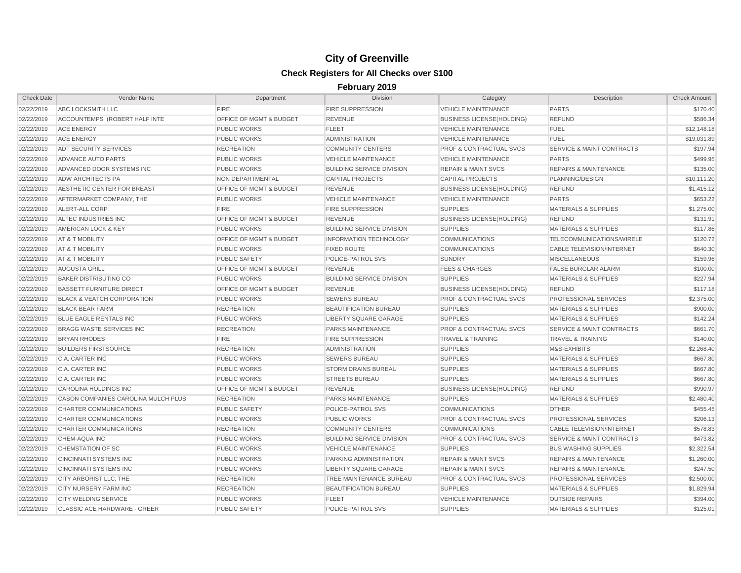| <b>Check Date</b> | Vendor Name                           | Department                         | <b>Division</b>                  | Category                           | Description                          | <b>Check Amount</b> |
|-------------------|---------------------------------------|------------------------------------|----------------------------------|------------------------------------|--------------------------------------|---------------------|
| 02/22/2019        | ABC LOCKSMITH LLC                     | <b>FIRE</b>                        | <b>FIRE SUPPRESSION</b>          | <b>VEHICLE MAINTENANCE</b>         | <b>PARTS</b>                         | \$170.40            |
| 02/22/2019        | ACCOUNTEMPS (ROBERT HALF INTE         | <b>OFFICE OF MGMT &amp; BUDGET</b> | <b>REVENUE</b>                   | <b>BUSINESS LICENSE(HOLDING)</b>   | <b>REFUND</b>                        | \$586.34            |
| 02/22/2019        | <b>ACE ENERGY</b>                     | <b>PUBLIC WORKS</b>                | <b>FLEET</b>                     | <b>VEHICLE MAINTENANCE</b>         | <b>FUEL</b>                          | \$12,148.18         |
| 02/22/2019        | <b>ACE ENERGY</b>                     | PUBLIC WORKS                       | <b>ADMINISTRATION</b>            | <b>VEHICLE MAINTENANCE</b>         | <b>FUEL</b>                          | \$19,031.89         |
| 02/22/2019        | ADT SECURITY SERVICES                 | <b>RECREATION</b>                  | <b>COMMUNITY CENTERS</b>         | <b>PROF &amp; CONTRACTUAL SVCS</b> | SERVICE & MAINT CONTRACTS            | \$197.94            |
| 02/22/2019        | <b>ADVANCE AUTO PARTS</b>             | <b>PUBLIC WORKS</b>                | <b>VEHICLE MAINTENANCE</b>       | <b>VEHICLE MAINTENANCE</b>         | <b>PARTS</b>                         | \$499.95            |
| 02/22/2019        | ADVANCED DOOR SYSTEMS INC             | <b>PUBLIC WORKS</b>                | <b>BUILDING SERVICE DIVISION</b> | <b>REPAIR &amp; MAINT SVCS</b>     | <b>REPAIRS &amp; MAINTENANCE</b>     | \$135.00            |
| 02/22/2019        | ADW ARCHITECTS PA                     | NON DEPARTMENTAL                   | <b>CAPITAL PROJECTS</b>          | <b>CAPITAL PROJECTS</b>            | PLANNING/DESIGN                      | \$10,111.20         |
| 02/22/2019        | AESTHETIC CENTER FOR BREAST           | OFFICE OF MGMT & BUDGET            | <b>REVENUE</b>                   | <b>BUSINESS LICENSE(HOLDING)</b>   | <b>REFUND</b>                        | \$1,415.12          |
| 02/22/2019        | AFTERMARKET COMPANY, THE              | <b>PUBLIC WORKS</b>                | <b>VEHICLE MAINTENANCE</b>       | <b>VEHICLE MAINTENANCE</b>         | <b>PARTS</b>                         | \$653.22            |
| 02/22/2019        | ALERT-ALL CORP                        | <b>FIRE</b>                        | <b>FIRE SUPPRESSION</b>          | <b>SUPPLIES</b>                    | <b>MATERIALS &amp; SUPPLIES</b>      | \$1,275.00          |
| 02/22/2019        | ALTEC INDUSTRIES INC                  | OFFICE OF MGMT & BUDGET            | <b>REVENUE</b>                   | <b>BUSINESS LICENSE(HOLDING)</b>   | <b>REFUND</b>                        | \$131.91            |
| 02/22/2019        | AMERICAN LOCK & KEY                   | <b>PUBLIC WORKS</b>                | <b>BUILDING SERVICE DIVISION</b> | <b>SUPPLIES</b>                    | <b>MATERIALS &amp; SUPPLIES</b>      | \$117.86            |
| 02/22/2019        | AT & T MOBILITY                       | <b>OFFICE OF MGMT &amp; BUDGET</b> | <b>INFORMATION TECHNOLOGY</b>    | <b>COMMUNICATIONS</b>              | TELECOMMUNICATIONS/WIRELE            | \$120.72            |
| 02/22/2019        | AT & T MOBILITY                       | <b>PUBLIC WORKS</b>                | <b>FIXED ROUTE</b>               | <b>COMMUNICATIONS</b>              | <b>CABLE TELEVISION/INTERNET</b>     | \$640.30            |
| 02/22/2019        | AT & T MOBILITY                       | <b>PUBLIC SAFETY</b>               | POLICE-PATROL SVS                | <b>SUNDRY</b>                      | <b>MISCELLANEOUS</b>                 | \$159.96            |
| 02/22/2019        | <b>AUGUSTA GRILL</b>                  | OFFICE OF MGMT & BUDGET            | <b>REVENUE</b>                   | <b>FEES &amp; CHARGES</b>          | <b>FALSE BURGLAR ALARM</b>           | \$100.00            |
| 02/22/2019        | <b>BAKER DISTRIBUTING CO</b>          | <b>PUBLIC WORKS</b>                | <b>BUILDING SERVICE DIVISION</b> | <b>SUPPLIES</b>                    | <b>MATERIALS &amp; SUPPLIES</b>      | \$227.94            |
| 02/22/2019        | <b>BASSETT FURNITURE DIRECT</b>       | <b>OFFICE OF MGMT &amp; BUDGET</b> | <b>REVENUE</b>                   | <b>BUSINESS LICENSE(HOLDING)</b>   | <b>REFUND</b>                        | \$117.18            |
| 02/22/2019        | <b>BLACK &amp; VEATCH CORPORATION</b> | <b>PUBLIC WORKS</b>                | <b>SEWERS BUREAU</b>             | <b>PROF &amp; CONTRACTUAL SVCS</b> | <b>PROFESSIONAL SERVICES</b>         | \$2,375.00          |
| 02/22/2019        | <b>BLACK BEAR FARM</b>                | <b>RECREATION</b>                  | <b>BEAUTIFICATION BUREAU</b>     | <b>SUPPLIES</b>                    | <b>MATERIALS &amp; SUPPLIES</b>      | \$900.00            |
| 02/22/2019        | <b>BLUE EAGLE RENTALS INC</b>         | <b>PUBLIC WORKS</b>                | <b>LIBERTY SQUARE GARAGE</b>     | <b>SUPPLIES</b>                    | <b>MATERIALS &amp; SUPPLIES</b>      | \$142.24            |
| 02/22/2019        | <b>BRAGG WASTE SERVICES INC</b>       | <b>RECREATION</b>                  | PARKS MAINTENANCE                | <b>PROF &amp; CONTRACTUAL SVCS</b> | <b>SERVICE &amp; MAINT CONTRACTS</b> | \$661.70            |
| 02/22/2019        | <b>BRYAN RHODES</b>                   | <b>FIRE</b>                        | <b>FIRE SUPPRESSION</b>          | <b>TRAVEL &amp; TRAINING</b>       | <b>TRAVEL &amp; TRAINING</b>         | \$140.00            |
| 02/22/2019        | <b>BUILDERS FIRSTSOURCE</b>           | <b>RECREATION</b>                  | <b>ADMINISTRATION</b>            | <b>SUPPLIES</b>                    | M&S-EXHIBITS                         | \$2,268.40          |
| 02/22/2019        | C.A. CARTER INC                       | <b>PUBLIC WORKS</b>                | <b>SEWERS BUREAU</b>             | <b>SUPPLIES</b>                    | <b>MATERIALS &amp; SUPPLIES</b>      | \$667.80            |
| 02/22/2019        | C.A. CARTER INC                       | <b>PUBLIC WORKS</b>                | <b>STORM DRAINS BUREAU</b>       | <b>SUPPLIES</b>                    | <b>MATERIALS &amp; SUPPLIES</b>      | \$667.80            |
| 02/22/2019        | C.A. CARTER INC                       | <b>PUBLIC WORKS</b>                | <b>STREETS BUREAU</b>            | <b>SUPPLIES</b>                    | <b>MATERIALS &amp; SUPPLIES</b>      | \$667.80            |
| 02/22/2019        | <b>CAROLINA HOLDINGS INC</b>          | <b>OFFICE OF MGMT &amp; BUDGET</b> | <b>REVENUE</b>                   | <b>BUSINESS LICENSE(HOLDING)</b>   | <b>REFUND</b>                        | \$990.97            |
| 02/22/2019        | CASON COMPANIES CAROLINA MULCH PLUS   | <b>RECREATION</b>                  | <b>PARKS MAINTENANCE</b>         | <b>SUPPLIES</b>                    | <b>MATERIALS &amp; SUPPLIES</b>      | \$2,480.40          |
| 02/22/2019        | <b>CHARTER COMMUNICATIONS</b>         | <b>PUBLIC SAFETY</b>               | POLICE-PATROL SVS                | <b>COMMUNICATIONS</b>              | <b>OTHER</b>                         | \$455.45            |
| 02/22/2019        | <b>CHARTER COMMUNICATIONS</b>         | <b>PUBLIC WORKS</b>                | <b>PUBLIC WORKS</b>              | <b>PROF &amp; CONTRACTUAL SVCS</b> | PROFESSIONAL SERVICES                | \$206.13            |
| 02/22/2019        | <b>CHARTER COMMUNICATIONS</b>         | <b>RECREATION</b>                  | <b>COMMUNITY CENTERS</b>         | <b>COMMUNICATIONS</b>              | <b>CABLE TELEVISION/INTERNET</b>     | \$578.83            |
| 02/22/2019        | CHEM-AQUA INC                         | <b>PUBLIC WORKS</b>                | <b>BUILDING SERVICE DIVISION</b> | <b>PROF &amp; CONTRACTUAL SVCS</b> | <b>SERVICE &amp; MAINT CONTRACTS</b> | \$473.82            |
| 02/22/2019        | CHEMSTATION OF SC                     | <b>PUBLIC WORKS</b>                | <b>VEHICLE MAINTENANCE</b>       | <b>SUPPLIES</b>                    | <b>BUS WASHING SUPPLIES</b>          | \$2,322.54          |
| 02/22/2019        | <b>CINCINNATI SYSTEMS INC</b>         | <b>PUBLIC WORKS</b>                | PARKING ADMINISTRATION           | <b>REPAIR &amp; MAINT SVCS</b>     | <b>REPAIRS &amp; MAINTENANCE</b>     | \$1,260.00          |
| 02/22/2019        | <b>CINCINNATI SYSTEMS INC</b>         | <b>PUBLIC WORKS</b>                | <b>LIBERTY SQUARE GARAGE</b>     | <b>REPAIR &amp; MAINT SVCS</b>     | <b>REPAIRS &amp; MAINTENANCE</b>     | \$247.50            |
| 02/22/2019        | CITY ARBORIST LLC, THE                | <b>RECREATION</b>                  | <b>TREE MAINTENANCE BUREAU</b>   | <b>PROF &amp; CONTRACTUAL SVCS</b> | PROFESSIONAL SERVICES                | \$2,500.00          |
| 02/22/2019        | <b>CITY NURSERY FARM INC</b>          | <b>RECREATION</b>                  | <b>BEAUTIFICATION BUREAU</b>     | <b>SUPPLIES</b>                    | <b>MATERIALS &amp; SUPPLIES</b>      | \$1,829.94          |
| 02/22/2019        | <b>CITY WELDING SERVICE</b>           | <b>PUBLIC WORKS</b>                | <b>FLEET</b>                     | <b>VEHICLE MAINTENANCE</b>         | <b>OUTSIDE REPAIRS</b>               | \$394.00            |
| 02/22/2019        | CLASSIC ACE HARDWARE - GREER          | <b>PUBLIC SAFETY</b>               | POLICE-PATROL SVS                | <b>SUPPLIES</b>                    | <b>MATERIALS &amp; SUPPLIES</b>      | \$125.01            |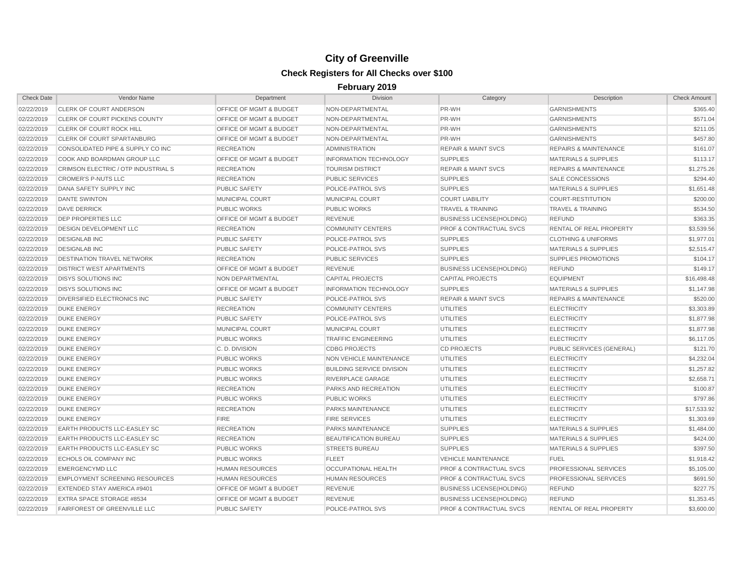| <b>Check Date</b> | Vendor Name                           | Department                         | <b>Division</b>                  | Category                           | Description                      | <b>Check Amount</b> |
|-------------------|---------------------------------------|------------------------------------|----------------------------------|------------------------------------|----------------------------------|---------------------|
| 02/22/2019        | <b>CLERK OF COURT ANDERSON</b>        | <b>OFFICE OF MGMT &amp; BUDGET</b> | NON-DEPARTMENTAL                 | PR-WH                              | <b>GARNISHMENTS</b>              | \$365.40            |
| 02/22/2019        | <b>CLERK OF COURT PICKENS COUNTY</b>  | <b>OFFICE OF MGMT &amp; BUDGET</b> | NON-DEPARTMENTAL                 | PR-WH                              | <b>GARNISHMENTS</b>              | \$571.04            |
| 02/22/2019        | <b>CLERK OF COURT ROCK HILL</b>       | <b>OFFICE OF MGMT &amp; BUDGET</b> | NON-DEPARTMENTAL                 | PR-WH                              | <b>GARNISHMENTS</b>              | \$211.05            |
| 02/22/2019        | <b>CLERK OF COURT SPARTANBURG</b>     | <b>OFFICE OF MGMT &amp; BUDGET</b> | NON-DEPARTMENTAL                 | PR-WH                              | <b>GARNISHMENTS</b>              | \$457.80            |
| 02/22/2019        | CONSOLIDATED PIPE & SUPPLY CO INC     | <b>RECREATION</b>                  | <b>ADMINISTRATION</b>            | <b>REPAIR &amp; MAINT SVCS</b>     | <b>REPAIRS &amp; MAINTENANCE</b> | \$161.07            |
| 02/22/2019        | COOK AND BOARDMAN GROUP LLC           | <b>OFFICE OF MGMT &amp; BUDGET</b> | <b>INFORMATION TECHNOLOGY</b>    | <b>SUPPLIES</b>                    | <b>MATERIALS &amp; SUPPLIES</b>  | \$113.17            |
| 02/22/2019        | CRIMSON ELECTRIC / OTP INDUSTRIAL S   | <b>RECREATION</b>                  | <b>TOURISM DISTRICT</b>          | <b>REPAIR &amp; MAINT SVCS</b>     | <b>REPAIRS &amp; MAINTENANCE</b> | \$1,275.26          |
| 02/22/2019        | <b>CROMER'S P-NUTS LLC</b>            | <b>RECREATION</b>                  | <b>PUBLIC SERVICES</b>           | <b>SUPPLIES</b>                    | <b>SALE CONCESSIONS</b>          | \$294.40            |
| 02/22/2019        | DANA SAFETY SUPPLY INC                | <b>PUBLIC SAFETY</b>               | POLICE-PATROL SVS                | <b>SUPPLIES</b>                    | MATERIALS & SUPPLIES             | \$1,651.48          |
| 02/22/2019        | <b>DANTE SWINTON</b>                  | <b>MUNICIPAL COURT</b>             | <b>MUNICIPAL COURT</b>           | <b>COURT LIABILITY</b>             | <b>COURT-RESTITUTION</b>         | \$200.00            |
| 02/22/2019        | <b>DAVE DERRICK</b>                   | <b>PUBLIC WORKS</b>                | <b>PUBLIC WORKS</b>              | <b>TRAVEL &amp; TRAINING</b>       | <b>TRAVEL &amp; TRAINING</b>     | \$534.50            |
| 02/22/2019        | <b>DEP PROPERTIES LLC</b>             | OFFICE OF MGMT & BUDGET            | <b>REVENUE</b>                   | <b>BUSINESS LICENSE(HOLDING)</b>   | <b>REFUND</b>                    | \$363.35            |
| 02/22/2019        | <b>DESIGN DEVELOPMENT LLC</b>         | <b>RECREATION</b>                  | <b>COMMUNITY CENTERS</b>         | <b>PROF &amp; CONTRACTUAL SVCS</b> | <b>RENTAL OF REAL PROPERTY</b>   | \$3,539.56          |
| 02/22/2019        | <b>DESIGNLAB INC</b>                  | <b>PUBLIC SAFETY</b>               | POLICE-PATROL SVS                | <b>SUPPLIES</b>                    | <b>CLOTHING &amp; UNIFORMS</b>   | \$1,977.01          |
| 02/22/2019        | <b>DESIGNLAB INC</b>                  | <b>PUBLIC SAFETY</b>               | POLICE-PATROL SVS                | <b>SUPPLIES</b>                    | <b>MATERIALS &amp; SUPPLIES</b>  | \$2,515.47          |
| 02/22/2019        | <b>DESTINATION TRAVEL NETWORK</b>     | <b>RECREATION</b>                  | <b>PUBLIC SERVICES</b>           | <b>SUPPLIES</b>                    | <b>SUPPLIES PROMOTIONS</b>       | \$104.17            |
| 02/22/2019        | <b>DISTRICT WEST APARTMENTS</b>       | OFFICE OF MGMT & BUDGET            | <b>REVENUE</b>                   | <b>BUSINESS LICENSE(HOLDING)</b>   | <b>REFUND</b>                    | \$149.17            |
| 02/22/2019        | <b>DISYS SOLUTIONS INC</b>            | NON DEPARTMENTAL                   | <b>CAPITAL PROJECTS</b>          | <b>CAPITAL PROJECTS</b>            | <b>EQUIPMENT</b>                 | \$16,498.48         |
| 02/22/2019        | <b>DISYS SOLUTIONS INC</b>            | OFFICE OF MGMT & BUDGET            | <b>INFORMATION TECHNOLOGY</b>    | <b>SUPPLIES</b>                    | <b>MATERIALS &amp; SUPPLIES</b>  | \$1,147.98          |
| 02/22/2019        | DIVERSIFIED ELECTRONICS INC           | <b>PUBLIC SAFETY</b>               | POLICE-PATROL SVS                | <b>REPAIR &amp; MAINT SVCS</b>     | <b>REPAIRS &amp; MAINTENANCE</b> | \$520.00            |
| 02/22/2019        | <b>DUKE ENERGY</b>                    | <b>RECREATION</b>                  | <b>COMMUNITY CENTERS</b>         | <b>UTILITIES</b>                   | <b>ELECTRICITY</b>               | \$3,303.89          |
| 02/22/2019        | <b>DUKE ENERGY</b>                    | <b>PUBLIC SAFETY</b>               | POLICE-PATROL SVS                | <b>UTILITIES</b>                   | <b>ELECTRICITY</b>               | \$1,877.98          |
| 02/22/2019        | <b>DUKE ENERGY</b>                    | MUNICIPAL COURT                    | <b>MUNICIPAL COURT</b>           | <b>UTILITIES</b>                   | <b>ELECTRICITY</b>               | \$1,877.98          |
| 02/22/2019        | <b>DUKE ENERGY</b>                    | <b>PUBLIC WORKS</b>                | <b>TRAFFIC ENGINEERING</b>       | <b>UTILITIES</b>                   | <b>ELECTRICITY</b>               | \$6,117.05          |
| 02/22/2019        | <b>DUKE ENERGY</b>                    | C.D. DIVISION                      | <b>CDBG PROJECTS</b>             | <b>CD PROJECTS</b>                 | PUBLIC SERVICES (GENERAL)        | \$121.70            |
| 02/22/2019        | <b>DUKE ENERGY</b>                    | <b>PUBLIC WORKS</b>                | NON VEHICLE MAINTENANCE          | <b>UTILITIES</b>                   | <b>ELECTRICITY</b>               | \$4,232.04          |
| 02/22/2019        | <b>DUKE ENERGY</b>                    | <b>PUBLIC WORKS</b>                | <b>BUILDING SERVICE DIVISION</b> | <b>UTILITIES</b>                   | <b>ELECTRICITY</b>               | \$1,257.82          |
| 02/22/2019        | <b>DUKE ENERGY</b>                    | <b>PUBLIC WORKS</b>                | RIVERPLACE GARAGE                | <b>UTILITIES</b>                   | <b>ELECTRICITY</b>               | \$2,658.71          |
| 02/22/2019        | <b>DUKE ENERGY</b>                    | <b>RECREATION</b>                  | PARKS AND RECREATION             | <b>UTILITIES</b>                   | <b>ELECTRICITY</b>               | \$100.87            |
| 02/22/2019        | <b>DUKE ENERGY</b>                    | <b>PUBLIC WORKS</b>                | <b>PUBLIC WORKS</b>              | <b>UTILITIES</b>                   | <b>ELECTRICITY</b>               | \$797.86            |
| 02/22/2019        | <b>DUKE ENERGY</b>                    | <b>RECREATION</b>                  | PARKS MAINTENANCE                | <b>UTILITIES</b>                   | <b>ELECTRICITY</b>               | \$17,533.92         |
| 02/22/2019        | <b>DUKE ENERGY</b>                    | <b>FIRE</b>                        | <b>FIRE SERVICES</b>             | UTILITIES                          | <b>ELECTRICITY</b>               | \$1,303.69          |
| 02/22/2019        | <b>EARTH PRODUCTS LLC-EASLEY SC</b>   | <b>RECREATION</b>                  | PARKS MAINTENANCE                | <b>SUPPLIES</b>                    | <b>MATERIALS &amp; SUPPLIES</b>  | \$1,484.00          |
| 02/22/2019        | <b>EARTH PRODUCTS LLC-EASLEY SC</b>   | <b>RECREATION</b>                  | BEAUTIFICATION BUREAU            | <b>SUPPLIES</b>                    | <b>MATERIALS &amp; SUPPLIES</b>  | \$424.00            |
| 02/22/2019        | <b>EARTH PRODUCTS LLC-EASLEY SC</b>   | <b>PUBLIC WORKS</b>                | <b>STREETS BUREAU</b>            | <b>SUPPLIES</b>                    | <b>MATERIALS &amp; SUPPLIES</b>  | \$397.50            |
| 02/22/2019        | <b>ECHOLS OIL COMPANY INC</b>         | <b>PUBLIC WORKS</b>                | <b>FLEET</b>                     | <b>VEHICLE MAINTENANCE</b>         | <b>FUEL</b>                      | \$1,918.42          |
| 02/22/2019        | <b>EMERGENCYMD LLC</b>                | <b>HUMAN RESOURCES</b>             | <b>OCCUPATIONAL HEALTH</b>       | <b>PROF &amp; CONTRACTUAL SVCS</b> | PROFESSIONAL SERVICES            | \$5,105.00          |
| 02/22/2019        | <b>EMPLOYMENT SCREENING RESOURCES</b> | <b>HUMAN RESOURCES</b>             | <b>HUMAN RESOURCES</b>           | PROF & CONTRACTUAL SVCS            | PROFESSIONAL SERVICES            | \$691.50            |
| 02/22/2019        | EXTENDED STAY AMERICA #9401           | OFFICE OF MGMT & BUDGET            | <b>REVENUE</b>                   | <b>BUSINESS LICENSE(HOLDING)</b>   | <b>REFUND</b>                    | \$227.75            |
| 02/22/2019        | EXTRA SPACE STORAGE #8534             | OFFICE OF MGMT & BUDGET            | <b>REVENUE</b>                   | <b>BUSINESS LICENSE(HOLDING)</b>   | <b>REFUND</b>                    | \$1,353.45          |
| 02/22/2019        | <b>FAIRFOREST OF GREENVILLE LLC</b>   | <b>PUBLIC SAFETY</b>               | POLICE-PATROL SVS                | PROF & CONTRACTUAL SVCS            | RENTAL OF REAL PROPERTY          | \$3,600.00          |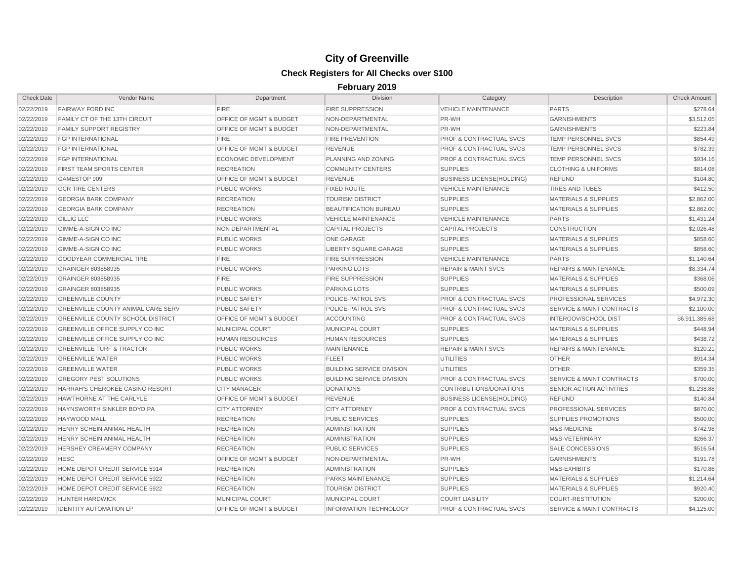| <b>Check Date</b> | Vendor Name                               | Department                         | <b>Division</b>                  | Category                           | Description                          | <b>Check Amount</b> |
|-------------------|-------------------------------------------|------------------------------------|----------------------------------|------------------------------------|--------------------------------------|---------------------|
| 02/22/2019        | <b>FAIRWAY FORD INC</b>                   | <b>FIRE</b>                        | <b>FIRE SUPPRESSION</b>          | <b>VEHICLE MAINTENANCE</b>         | <b>PARTS</b>                         | \$278.64            |
| 02/22/2019        | <b>FAMILY CT OF THE 13TH CIRCUIT</b>      | OFFICE OF MGMT & BUDGET            | NON-DEPARTMENTAL                 | PR-WH                              | <b>GARNISHMENTS</b>                  | \$3,512.05          |
| 02/22/2019        | <b>FAMILY SUPPORT REGISTRY</b>            | OFFICE OF MGMT & BUDGET            | NON-DEPARTMENTAL                 | PR-WH                              | <b>GARNISHMENTS</b>                  | \$223.84            |
| 02/22/2019        | <b>FGP INTERNATIONAL</b>                  | <b>FIRE</b>                        | <b>FIRE PREVENTION</b>           | <b>PROF &amp; CONTRACTUAL SVCS</b> | TEMP PERSONNEL SVCS                  | \$854.49            |
| 02/22/2019        | <b>FGP INTERNATIONAL</b>                  | OFFICE OF MGMT & BUDGET            | <b>REVENUE</b>                   | <b>PROF &amp; CONTRACTUAL SVCS</b> | TEMP PERSONNEL SVCS                  | \$782.39            |
| 02/22/2019        | <b>FGP INTERNATIONAL</b>                  | <b>ECONOMIC DEVELOPMENT</b>        | PLANNING AND ZONING              | <b>PROF &amp; CONTRACTUAL SVCS</b> | <b>TEMP PERSONNEL SVCS</b>           | \$934.16            |
| 02/22/2019        | <b>FIRST TEAM SPORTS CENTER</b>           | <b>RECREATION</b>                  | <b>COMMUNITY CENTERS</b>         | <b>SUPPLIES</b>                    | <b>CLOTHING &amp; UNIFORMS</b>       | \$814.08            |
| 02/22/2019        | GAMESTOP 909                              | OFFICE OF MGMT & BUDGET            | <b>REVENUE</b>                   | <b>BUSINESS LICENSE(HOLDING)</b>   | <b>REFUND</b>                        | \$104.80            |
| 02/22/2019        | <b>GCR TIRE CENTERS</b>                   | <b>PUBLIC WORKS</b>                | <b>FIXED ROUTE</b>               | <b>VEHICLE MAINTENANCE</b>         | <b>TIRES AND TUBES</b>               | \$412.50            |
| 02/22/2019        | <b>GEORGIA BARK COMPANY</b>               | <b>RECREATION</b>                  | <b>TOURISM DISTRICT</b>          | <b>SUPPLIES</b>                    | <b>MATERIALS &amp; SUPPLIES</b>      | \$2,862.00          |
| 02/22/2019        | <b>GEORGIA BARK COMPANY</b>               | <b>RECREATION</b>                  | BEAUTIFICATION BUREAU            | <b>SUPPLIES</b>                    | <b>MATERIALS &amp; SUPPLIES</b>      | \$2,862.00          |
| 02/22/2019        | <b>GILLIG LLC</b>                         | <b>PUBLIC WORKS</b>                | <b>VEHICLE MAINTENANCE</b>       | <b>VEHICLE MAINTENANCE</b>         | <b>PARTS</b>                         | \$1,431.24          |
| 02/22/2019        | <b>GIMME-A-SIGN CO INC</b>                | NON DEPARTMENTAL                   | <b>CAPITAL PROJECTS</b>          | <b>CAPITAL PROJECTS</b>            | <b>CONSTRUCTION</b>                  | \$2,026.48          |
| 02/22/2019        | GIMME-A-SIGN CO INC                       | <b>PUBLIC WORKS</b>                | <b>ONE GARAGE</b>                | <b>SUPPLIES</b>                    | <b>MATERIALS &amp; SUPPLIES</b>      | \$858.60            |
| 02/22/2019        | GIMME-A-SIGN CO INC                       | <b>PUBLIC WORKS</b>                | <b>LIBERTY SQUARE GARAGE</b>     | <b>SUPPLIES</b>                    | <b>MATERIALS &amp; SUPPLIES</b>      | \$858.60            |
| 02/22/2019        | <b>GOODYEAR COMMERCIAL TIRE</b>           | <b>FIRE</b>                        | <b>FIRE SUPPRESSION</b>          | <b>VEHICLE MAINTENANCE</b>         | <b>PARTS</b>                         | \$1,140.64          |
| 02/22/2019        | GRAINGER 803858935                        | <b>PUBLIC WORKS</b>                | <b>PARKING LOTS</b>              | <b>REPAIR &amp; MAINT SVCS</b>     | <b>REPAIRS &amp; MAINTENANCE</b>     | \$8,334.74          |
| 02/22/2019        | GRAINGER 803858935                        | <b>FIRE</b>                        | <b>FIRE SUPPRESSION</b>          | <b>SUPPLIES</b>                    | <b>MATERIALS &amp; SUPPLIES</b>      | \$368.06            |
| 02/22/2019        | GRAINGER 803858935                        | <b>PUBLIC WORKS</b>                | <b>PARKING LOTS</b>              | <b>SUPPLIES</b>                    | <b>MATERIALS &amp; SUPPLIES</b>      | \$500.09            |
| 02/22/2019        | <b>GREENVILLE COUNTY</b>                  | <b>PUBLIC SAFETY</b>               | POLICE-PATROL SVS                | <b>PROF &amp; CONTRACTUAL SVCS</b> | <b>PROFESSIONAL SERVICES</b>         | \$4,972.30          |
| 02/22/2019        | <b>GREENVILLE COUNTY ANIMAL CARE SERV</b> | <b>PUBLIC SAFETY</b>               | POLICE-PATROL SVS                | <b>PROF &amp; CONTRACTUAL SVCS</b> | <b>SERVICE &amp; MAINT CONTRACTS</b> | \$2,100.00          |
| 02/22/2019        | <b>GREENVILLE COUNTY SCHOOL DISTRICT</b>  | <b>OFFICE OF MGMT &amp; BUDGET</b> | <b>ACCOUNTING</b>                | <b>PROF &amp; CONTRACTUAL SVCS</b> | <b>INTERGOV/SCHOOL DIST</b>          | \$6,911,385.68      |
| 02/22/2019        | GREENVILLE OFFICE SUPPLY CO INC           | MUNICIPAL COURT                    | <b>MUNICIPAL COURT</b>           | <b>SUPPLIES</b>                    | <b>MATERIALS &amp; SUPPLIES</b>      | \$448.94            |
| 02/22/2019        | <b>GREENVILLE OFFICE SUPPLY CO INC.</b>   | <b>HUMAN RESOURCES</b>             | <b>HUMAN RESOURCES</b>           | <b>SUPPLIES</b>                    | <b>MATERIALS &amp; SUPPLIES</b>      | \$438.72            |
| 02/22/2019        | <b>GREENVILLE TURF &amp; TRACTOR</b>      | <b>PUBLIC WORKS</b>                | <b>MAINTENANCE</b>               | <b>REPAIR &amp; MAINT SVCS</b>     | <b>REPAIRS &amp; MAINTENANCE</b>     | \$120.21            |
| 02/22/2019        | <b>GREENVILLE WATER</b>                   | <b>PUBLIC WORKS</b>                | <b>FLEET</b>                     | <b>UTILITIES</b>                   | <b>OTHER</b>                         | \$914.34            |
| 02/22/2019        | <b>GREENVILLE WATER</b>                   | <b>PUBLIC WORKS</b>                | <b>BUILDING SERVICE DIVISION</b> | <b>UTILITIES</b>                   | <b>OTHER</b>                         | \$359.35            |
| 02/22/2019        | <b>GREGORY PEST SOLUTIONS</b>             | <b>PUBLIC WORKS</b>                | <b>BUILDING SERVICE DIVISION</b> | <b>PROF &amp; CONTRACTUAL SVCS</b> | <b>SERVICE &amp; MAINT CONTRACTS</b> | \$700.00            |
| 02/22/2019        | HARRAH'S CHEROKEE CASINO RESORT           | <b>CITY MANAGER</b>                | <b>DONATIONS</b>                 | CONTRIBUTIONS/DONATIONS            | SENIOR ACTION ACTIVITIES             | \$1,238.88          |
| 02/22/2019        | <b>HAWTHORNE AT THE CARLYLE</b>           | <b>OFFICE OF MGMT &amp; BUDGET</b> | <b>REVENUE</b>                   | <b>BUSINESS LICENSE(HOLDING)</b>   | <b>REFUND</b>                        | \$140.84            |
| 02/22/2019        | <b>HAYNSWORTH SINKLER BOYD PA</b>         | <b>CITY ATTORNEY</b>               | <b>CITY ATTORNEY</b>             | <b>PROF &amp; CONTRACTUAL SVCS</b> | <b>PROFESSIONAL SERVICES</b>         | \$870.00            |
| 02/22/2019        | <b>HAYWOOD MALL</b>                       | <b>RECREATION</b>                  | <b>PUBLIC SERVICES</b>           | <b>SUPPLIES</b>                    | <b>SUPPLIES PROMOTIONS</b>           | \$500.00            |
| 02/22/2019        | HENRY SCHEIN ANIMAL HEALTH                | <b>RECREATION</b>                  | <b>ADMINISTRATION</b>            | <b>SUPPLIES</b>                    | M&S-MEDICINE                         | \$742.98            |
| 02/22/2019        | HENRY SCHEIN ANIMAL HEALTH                | <b>RECREATION</b>                  | <b>ADMINISTRATION</b>            | <b>SUPPLIES</b>                    | M&S-VETERINARY                       | \$266.37            |
| 02/22/2019        | HERSHEY CREAMERY COMPANY                  | <b>RECREATION</b>                  | <b>PUBLIC SERVICES</b>           | <b>SUPPLIES</b>                    | SALE CONCESSIONS                     | \$516.54            |
| 02/22/2019        | <b>HESC</b>                               | OFFICE OF MGMT & BUDGET            | NON-DEPARTMENTAL                 | PR-WH                              | <b>GARNISHMENTS</b>                  | \$191.78            |
| 02/22/2019        | HOME DEPOT CREDIT SERVICE 5914            | <b>RECREATION</b>                  | <b>ADMINISTRATION</b>            | <b>SUPPLIES</b>                    | M&S-EXHIBITS                         | \$170.86            |
| 02/22/2019        | HOME DEPOT CREDIT SERVICE 5922            | <b>RECREATION</b>                  | <b>PARKS MAINTENANCE</b>         | <b>SUPPLIES</b>                    | <b>MATERIALS &amp; SUPPLIES</b>      | \$1.214.64          |
| 02/22/2019        | HOME DEPOT CREDIT SERVICE 5922            | <b>RECREATION</b>                  | <b>TOURISM DISTRICT</b>          | <b>SUPPLIES</b>                    | <b>MATERIALS &amp; SUPPLIES</b>      | \$920.40            |
| 02/22/2019        | <b>HUNTER HARDWICK</b>                    | MUNICIPAL COURT                    | <b>MUNICIPAL COURT</b>           | <b>COURT LIABILITY</b>             | <b>COURT-RESTITUTION</b>             | \$200.00            |
| 02/22/2019        | <b>IDENTITY AUTOMATION LP</b>             | <b>OFFICE OF MGMT &amp; BUDGET</b> | <b>INFORMATION TECHNOLOGY</b>    | <b>PROF &amp; CONTRACTUAL SVCS</b> | <b>SERVICE &amp; MAINT CONTRACTS</b> | \$4,125.00          |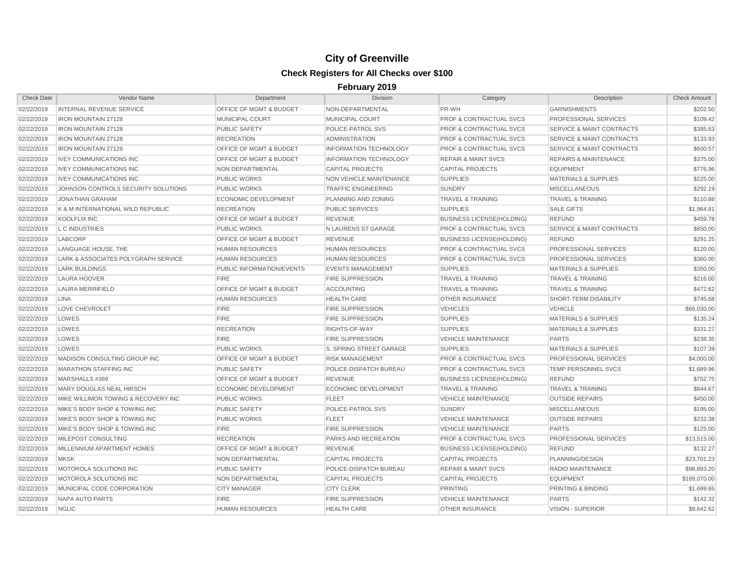| <b>Check Date</b> | Vendor Name                         | Department                         | <b>Division</b>                | Category                           | Description                          | <b>Check Amount</b> |
|-------------------|-------------------------------------|------------------------------------|--------------------------------|------------------------------------|--------------------------------------|---------------------|
| 02/22/2019        | <b>INTERNAL REVENUE SERVICE</b>     | <b>OFFICE OF MGMT &amp; BUDGET</b> | NON-DEPARTMENTAL               | PR-WH                              | <b>GARNISHMENTS</b>                  | \$202.50            |
| 02/22/2019        | <b>IRON MOUNTAIN 27128</b>          | <b>MUNICIPAL COURT</b>             | <b>MUNICIPAL COURT</b>         | <b>PROF &amp; CONTRACTUAL SVCS</b> | PROFESSIONAL SERVICES                | \$109.42            |
| 02/22/2019        | <b>IRON MOUNTAIN 27128</b>          | <b>PUBLIC SAFETY</b>               | POLICE-PATROL SVS              | <b>PROF &amp; CONTRACTUAL SVCS</b> | <b>SERVICE &amp; MAINT CONTRACTS</b> | \$385.63            |
| 02/22/2019        | IRON MOUNTAIN 27128                 | <b>RECREATION</b>                  | <b>ADMINISTRATION</b>          | <b>PROF &amp; CONTRACTUAL SVCS</b> | <b>SERVICE &amp; MAINT CONTRACTS</b> | \$133.93            |
| 02/22/2019        | <b>IRON MOUNTAIN 27129</b>          | <b>OFFICE OF MGMT &amp; BUDGET</b> | <b>INFORMATION TECHNOLOGY</b>  | <b>PROF &amp; CONTRACTUAL SVCS</b> | <b>SERVICE &amp; MAINT CONTRACTS</b> | \$600.57            |
| 02/22/2019        | <b>IVEY COMMUNICATIONS INC</b>      | OFFICE OF MGMT & BUDGET            | <b>INFORMATION TECHNOLOGY</b>  | <b>REPAIR &amp; MAINT SVCS</b>     | <b>REPAIRS &amp; MAINTENANCE</b>     | \$375.00            |
| 02/22/2019        | <b>IVEY COMMUNICATIONS INC</b>      | NON DEPARTMENTAL                   | <b>CAPITAL PROJECTS</b>        | <b>CAPITAL PROJECTS</b>            | <b>EQUIPMENT</b>                     | \$776.96            |
| 02/22/2019        | <b>IVEY COMMUNICATIONS INC</b>      | <b>PUBLIC WORKS</b>                | <b>NON VEHICLE MAINTENANCE</b> | <b>SUPPLIES</b>                    | <b>MATERIALS &amp; SUPPLIES</b>      | \$225.00            |
| 02/22/2019        | JOHNSON CONTROLS SECURITY SOLUTIONS | <b>PUBLIC WORKS</b>                | <b>TRAFFIC ENGINEERING</b>     | <b>SUNDRY</b>                      | <b>MISCELLANEOUS</b>                 | \$292.19            |
| 02/22/2019        | <b>JONATHAN GRAHAM</b>              | <b>ECONOMIC DEVELOPMENT</b>        | PLANNING AND ZONING            | <b>TRAVEL &amp; TRAINING</b>       | <b>TRAVEL &amp; TRAINING</b>         | \$110.88            |
| 02/22/2019        | K & M INTERNATIONAL WILD REPUBLIC   | <b>RECREATION</b>                  | <b>PUBLIC SERVICES</b>         | <b>SUPPLIES</b>                    | <b>SALE GIFTS</b>                    | \$1,964.81          |
| 02/22/2019        | <b>KOOLFLIX INC</b>                 | <b>OFFICE OF MGMT &amp; BUDGET</b> | <b>REVENUE</b>                 | <b>BUSINESS LICENSE(HOLDING)</b>   | <b>REFUND</b>                        | \$459.78            |
| 02/22/2019        | L C INDUSTRIES                      | <b>PUBLIC WORKS</b>                | N LAURENS ST GARAGE            | <b>PROF &amp; CONTRACTUAL SVCS</b> | <b>SERVICE &amp; MAINT CONTRACTS</b> | \$850.00            |
| 02/22/2019        | LABCORP                             | OFFICE OF MGMT & BUDGET            | <b>REVENUE</b>                 | <b>BUSINESS LICENSE(HOLDING)</b>   | <b>REFUND</b>                        | \$291.25            |
| 02/22/2019        | LANGUAGE HOUSE, THE                 | <b>HUMAN RESOURCES</b>             | <b>HUMAN RESOURCES</b>         | <b>PROF &amp; CONTRACTUAL SVCS</b> | PROFESSIONAL SERVICES                | \$120.00            |
| 02/22/2019        | LARK & ASSOCIATES POLYGRAPH SERVICE | <b>HUMAN RESOURCES</b>             | <b>HUMAN RESOURCES</b>         | <b>PROF &amp; CONTRACTUAL SVCS</b> | PROFESSIONAL SERVICES                | \$360.00            |
| 02/22/2019        | <b>LARK BUILDINGS</b>               | PUBLIC INFORMATION/EVENTS          | <b>EVENTS MANAGEMENT</b>       | <b>SUPPLIES</b>                    | <b>MATERIALS &amp; SUPPLIES</b>      | \$350.00            |
| 02/22/2019        | LAURA HOOVER                        | <b>FIRE</b>                        | <b>FIRE SUPPRESSION</b>        | <b>TRAVEL &amp; TRAINING</b>       | <b>TRAVEL &amp; TRAINING</b>         | \$216.00            |
| 02/22/2019        | <b>LAURA MERRIFIELD</b>             | OFFICE OF MGMT & BUDGET            | <b>ACCOUNTING</b>              | <b>TRAVEL &amp; TRAINING</b>       | <b>TRAVEL &amp; TRAINING</b>         | \$472.62            |
| 02/22/2019        | <b>LINA</b>                         | <b>HUMAN RESOURCES</b>             | <b>HEALTH CARE</b>             | <b>OTHER INSURANCE</b>             | SHORT-TERM DISABILITY                | \$745.68            |
| 02/22/2019        | <b>LOVE CHEVROLET</b>               | <b>FIRE</b>                        | <b>FIRE SUPPRESSION</b>        | <b>VEHICLES</b>                    | <b>VEHICLE</b>                       | \$66,030.00         |
| 02/22/2019        | LOWES                               | <b>FIRE</b>                        | <b>FIRE SUPPRESSION</b>        | <b>SUPPLIES</b>                    | <b>MATERIALS &amp; SUPPLIES</b>      | \$135.24            |
| 02/22/2019        | LOWES                               | <b>RECREATION</b>                  | RIGHTS-OF-WAY                  | <b>SUPPLIES</b>                    | <b>MATERIALS &amp; SUPPLIES</b>      | \$331.27            |
| 02/22/2019        | LOWES                               | <b>FIRE</b>                        | <b>FIRE SUPPRESSION</b>        | <b>VEHICLE MAINTENANCE</b>         | <b>PARTS</b>                         | \$238.35            |
| 02/22/2019        | LOWES                               | <b>PUBLIC WORKS</b>                | S. SPRING STREET GARAGE        | <b>SUPPLIES</b>                    | <b>MATERIALS &amp; SUPPLIES</b>      | \$107.39            |
| 02/22/2019        | MADISON CONSULTING GROUP INC        | <b>OFFICE OF MGMT &amp; BUDGET</b> | <b>RISK MANAGEMENT</b>         | <b>PROF &amp; CONTRACTUAL SVCS</b> | PROFESSIONAL SERVICES                | \$4,000.00          |
| 02/22/2019        | <b>MARATHON STAFFING INC</b>        | PUBLIC SAFETY                      | POLICE-DISPATCH BUREAU         | PROF & CONTRACTUAL SVCS            | TEMP PERSONNEL SVCS                  | \$1,689.96          |
| 02/22/2019        | MARSHALLS #369                      | OFFICE OF MGMT & BUDGET            | <b>REVENUE</b>                 | <b>BUSINESS LICENSE(HOLDING)</b>   | <b>REFUND</b>                        | \$752.75            |
| 02/22/2019        | MARY DOUGLAS NEAL HIRSCH            | <b>ECONOMIC DEVELOPMENT</b>        | ECONOMIC DEVELOPMENT           | <b>TRAVEL &amp; TRAINING</b>       | <b>TRAVEL &amp; TRAINING</b>         | \$844.67            |
| 02/22/2019        | MIKE WILLIMON TOWING & RECOVERY INC | <b>PUBLIC WORKS</b>                | <b>FLEET</b>                   | <b>VEHICLE MAINTENANCE</b>         | <b>OUTSIDE REPAIRS</b>               | \$450.00            |
| 02/22/2019        | MIKE'S BODY SHOP & TOWING INC       | <b>PUBLIC SAFETY</b>               | POLICE-PATROL SVS              | <b>SUNDRY</b>                      | <b>MISCELLANEOUS</b>                 | \$195.00            |
| 02/22/2019        | MIKE'S BODY SHOP & TOWING INC       | <b>PUBLIC WORKS</b>                | <b>FLEET</b>                   | <b>VEHICLE MAINTENANCE</b>         | <b>OUTSIDE REPAIRS</b>               | \$232.38            |
| 02/22/2019        | MIKE'S BODY SHOP & TOWING INC       | <b>FIRE</b>                        | <b>FIRE SUPPRESSION</b>        | <b>VEHICLE MAINTENANCE</b>         | <b>PARTS</b>                         | \$125.00            |
| 02/22/2019        | MILEPOST CONSULTING                 | <b>RECREATION</b>                  | PARKS AND RECREATION           | PROF & CONTRACTUAL SVCS            | PROFESSIONAL SERVICES                | \$13,515.00         |
| 02/22/2019        | MILLENNIUM APARTMENT HOMES          | OFFICE OF MGMT & BUDGET            | <b>REVENUE</b>                 | <b>BUSINESS LICENSE(HOLDING)</b>   | <b>REFUND</b>                        | \$132.27            |
| 02/22/2019        | <b>MKSK</b>                         | NON DEPARTMENTAL                   | <b>CAPITAL PROJECTS</b>        | <b>CAPITAL PROJECTS</b>            | PLANNING/DESIGN                      | \$23,701.23         |
| 02/22/2019        | MOTOROLA SOLUTIONS INC              | <b>PUBLIC SAFETY</b>               | POLICE-DISPATCH BUREAU         | <b>REPAIR &amp; MAINT SVCS</b>     | RADIO MAINTENANCE                    | \$98,893.20         |
| 02/22/2019        | MOTOROLA SOLUTIONS INC              | NON DEPARTMENTAL                   | <b>CAPITAL PROJECTS</b>        | <b>CAPITAL PROJECTS</b>            | <b>EQUIPMENT</b>                     | \$189,070.00        |
| 02/22/2019        | MUNICIPAL CODE CORPORATION          | <b>CITY MANAGER</b>                | <b>CITY CLERK</b>              | <b>PRINTING</b>                    | PRINTING & BINDING                   | \$1,699.65          |
| 02/22/2019        | NAPA AUTO PARTS                     | <b>FIRE</b>                        | <b>FIRE SUPPRESSION</b>        | <b>VEHICLE MAINTENANCE</b>         | <b>PARTS</b>                         | \$142.32            |
| 02/22/2019        | <b>NGLIC</b>                        | <b>HUMAN RESOURCES</b>             | <b>HEALTH CARE</b>             | <b>OTHER INSURANCE</b>             | <b>VISION - SUPERIOR</b>             | \$9,642.62          |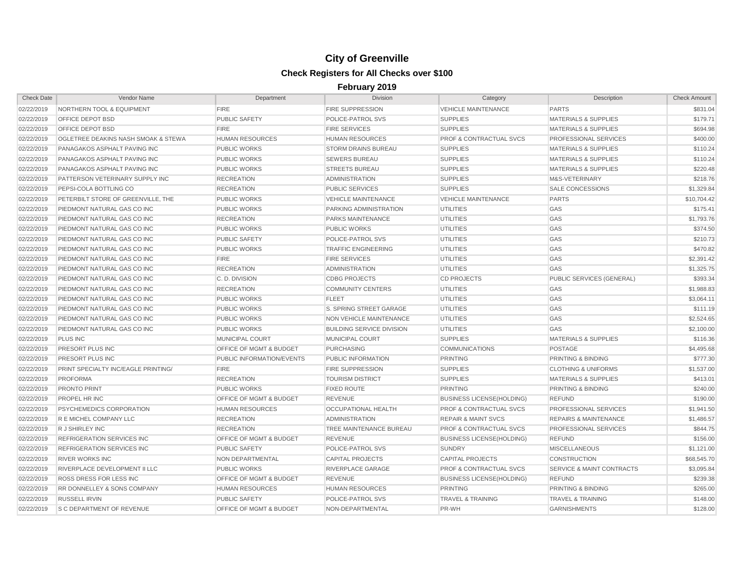| <b>Check Date</b> | <b>Vendor Name</b>                     | Department                         | <b>Division</b>                  | Category                           | Description                      | <b>Check Amount</b> |
|-------------------|----------------------------------------|------------------------------------|----------------------------------|------------------------------------|----------------------------------|---------------------|
| 02/22/2019        | <b>NORTHERN TOOL &amp; EQUIPMENT</b>   | <b>FIRE</b>                        | <b>FIRE SUPPRESSION</b>          | <b>VEHICLE MAINTENANCE</b>         | <b>PARTS</b>                     | \$831.04            |
| 02/22/2019        | <b>OFFICE DEPOT BSD</b>                | <b>PUBLIC SAFETY</b>               | POLICE-PATROL SVS                | <b>SUPPLIES</b>                    | <b>MATERIALS &amp; SUPPLIES</b>  | \$179.71            |
| 02/22/2019        | <b>OFFICE DEPOT BSD</b>                | <b>FIRE</b>                        | <b>FIRE SERVICES</b>             | <b>SUPPLIES</b>                    | <b>MATERIALS &amp; SUPPLIES</b>  | \$694.98            |
| 02/22/2019        | OGLETREE DEAKINS NASH SMOAK & STEWA    | <b>HUMAN RESOURCES</b>             | <b>HUMAN RESOURCES</b>           | <b>PROF &amp; CONTRACTUAL SVCS</b> | PROFESSIONAL SERVICES            | \$400.00            |
| 02/22/2019        | PANAGAKOS ASPHALT PAVING INC           | <b>PUBLIC WORKS</b>                | <b>STORM DRAINS BUREAU</b>       | <b>SUPPLIES</b>                    | <b>MATERIALS &amp; SUPPLIES</b>  | \$110.24            |
| 02/22/2019        | PANAGAKOS ASPHALT PAVING INC           | <b>PUBLIC WORKS</b>                | <b>SEWERS BUREAU</b>             | <b>SUPPLIES</b>                    | <b>MATERIALS &amp; SUPPLIES</b>  | \$110.24            |
| 02/22/2019        | PANAGAKOS ASPHALT PAVING INC           | <b>PUBLIC WORKS</b>                | <b>STREETS BUREAU</b>            | <b>SUPPLIES</b>                    | <b>MATERIALS &amp; SUPPLIES</b>  | \$220.48            |
| 02/22/2019        | PATTERSON VETERINARY SUPPLY INC        | <b>RECREATION</b>                  | <b>ADMINISTRATION</b>            | <b>SUPPLIES</b>                    | M&S-VETERINARY                   | \$218.76            |
| 02/22/2019        | PEPSI-COLA BOTTLING CO                 | <b>RECREATION</b>                  | <b>PUBLIC SERVICES</b>           | <b>SUPPLIES</b>                    | <b>SALE CONCESSIONS</b>          | \$1,329.84          |
| 02/22/2019        | PETERBILT STORE OF GREENVILLE. THE     | <b>PUBLIC WORKS</b>                | <b>VEHICLE MAINTENANCE</b>       | <b>VEHICLE MAINTENANCE</b>         | <b>PARTS</b>                     | \$10,704.42         |
| 02/22/2019        | PIEDMONT NATURAL GAS CO INC            | <b>PUBLIC WORKS</b>                | PARKING ADMINISTRATION           | UTILITIES                          | GAS                              | \$175.41            |
| 02/22/2019        | PIEDMONT NATURAL GAS CO INC            | <b>RECREATION</b>                  | <b>PARKS MAINTENANCE</b>         | <b>UTILITIES</b>                   | GAS                              | \$1,793.76          |
| 02/22/2019        | PIEDMONT NATURAL GAS CO INC            | <b>PUBLIC WORKS</b>                | <b>PUBLIC WORKS</b>              | <b>UTILITIES</b>                   | GAS                              | \$374.50            |
| 02/22/2019        | PIEDMONT NATURAL GAS CO INC            | <b>PUBLIC SAFETY</b>               | POLICE-PATROL SVS                | <b>UTILITIES</b>                   | GAS                              | \$210.73            |
| 02/22/2019        | PIEDMONT NATURAL GAS CO INC            | <b>PUBLIC WORKS</b>                | <b>TRAFFIC ENGINEERING</b>       | <b>UTILITIES</b>                   | <b>GAS</b>                       | \$470.82            |
| 02/22/2019        | PIEDMONT NATURAL GAS CO INC            | <b>FIRE</b>                        | <b>FIRE SERVICES</b>             | <b>UTILITIES</b>                   | GAS                              | \$2,391.42          |
| 02/22/2019        | PIEDMONT NATURAL GAS CO INC            | <b>RECREATION</b>                  | <b>ADMINISTRATION</b>            | UTILITIES                          | GAS                              | \$1,325.75          |
| 02/22/2019        | <b>PIEDMONT NATURAL GAS CO INC</b>     | C.D. DIVISION                      | <b>CDBG PROJECTS</b>             | <b>CD PROJECTS</b>                 | PUBLIC SERVICES (GENERAL)        | \$393.34            |
| 02/22/2019        | PIEDMONT NATURAL GAS CO INC            | <b>RECREATION</b>                  | <b>COMMUNITY CENTERS</b>         | <b>UTILITIES</b>                   | GAS                              | \$1,988.83          |
| 02/22/2019        | PIEDMONT NATURAL GAS CO INC            | <b>PUBLIC WORKS</b>                | <b>FLEET</b>                     | <b>UTILITIES</b>                   | GAS                              | \$3,064.11          |
| 02/22/2019        | PIEDMONT NATURAL GAS CO INC            | <b>PUBLIC WORKS</b>                | S. SPRING STREET GARAGE          | <b>UTILITIES</b>                   | GAS                              | \$111.19            |
| 02/22/2019        | PIEDMONT NATURAL GAS CO INC            | <b>PUBLIC WORKS</b>                | NON VEHICLE MAINTENANCE          | <b>UTILITIES</b>                   | GAS                              | \$2,524.65          |
| 02/22/2019        | PIEDMONT NATURAL GAS CO INC            | <b>PUBLIC WORKS</b>                | <b>BUILDING SERVICE DIVISION</b> | <b>UTILITIES</b>                   | <b>GAS</b>                       | \$2,100.00          |
| 02/22/2019        | <b>PLUS INC</b>                        | MUNICIPAL COURT                    | MUNICIPAL COURT                  | <b>SUPPLIES</b>                    | <b>MATERIALS &amp; SUPPLIES</b>  | \$116.36            |
| 02/22/2019        | PRESORT PLUS INC                       | <b>OFFICE OF MGMT &amp; BUDGET</b> | <b>PURCHASING</b>                | <b>COMMUNICATIONS</b>              | <b>POSTAGE</b>                   | \$4,495.68          |
| 02/22/2019        | PRESORT PLUS INC                       | <b>PUBLIC INFORMATION/EVENTS</b>   | PUBLIC INFORMATION               | <b>PRINTING</b>                    | PRINTING & BINDING               | \$777.30            |
| 02/22/2019        | PRINT SPECIALTY INC/EAGLE PRINTING/    | <b>FIRE</b>                        | <b>FIRE SUPPRESSION</b>          | <b>SUPPLIES</b>                    | <b>CLOTHING &amp; UNIFORMS</b>   | \$1,537.00          |
| 02/22/2019        | PROFORMA                               | <b>RECREATION</b>                  | <b>TOURISM DISTRICT</b>          | <b>SUPPLIES</b>                    | <b>MATERIALS &amp; SUPPLIES</b>  | \$413.01            |
| 02/22/2019        | <b>PRONTO PRINT</b>                    | <b>PUBLIC WORKS</b>                | <b>FIXED ROUTE</b>               | <b>PRINTING</b>                    | PRINTING & BINDING               | \$240.00            |
| 02/22/2019        | <b>PROPEL HR INC</b>                   | <b>OFFICE OF MGMT &amp; BUDGET</b> | <b>REVENUE</b>                   | <b>BUSINESS LICENSE(HOLDING)</b>   | <b>REFUND</b>                    | \$190.00            |
| 02/22/2019        | <b>PSYCHEMEDICS CORPORATION</b>        | <b>HUMAN RESOURCES</b>             | OCCUPATIONAL HEALTH              | <b>PROF &amp; CONTRACTUAL SVCS</b> | PROFESSIONAL SERVICES            | \$1,941.50          |
| 02/22/2019        | R E MICHEL COMPANY LLC                 | <b>RECREATION</b>                  | <b>ADMINISTRATION</b>            | <b>REPAIR &amp; MAINT SVCS</b>     | <b>REPAIRS &amp; MAINTENANCE</b> | \$1,486.57          |
| 02/22/2019        | R J SHIRLEY INC                        | <b>RECREATION</b>                  | TREE MAINTENANCE BUREAU          | <b>PROF &amp; CONTRACTUAL SVCS</b> | PROFESSIONAL SERVICES            | \$844.75            |
| 02/22/2019        | <b>REFRIGERATION SERVICES INC</b>      | <b>OFFICE OF MGMT &amp; BUDGET</b> | <b>REVENUE</b>                   | <b>BUSINESS LICENSE(HOLDING)</b>   | <b>REFUND</b>                    | \$156.00            |
| 02/22/2019        | <b>REFRIGERATION SERVICES INC</b>      | <b>PUBLIC SAFETY</b>               | POLICE-PATROL SVS                | <b>SUNDRY</b>                      | <b>MISCELLANEOUS</b>             | \$1,121.00          |
| 02/22/2019        | <b>RIVER WORKS INC</b>                 | NON DEPARTMENTAL                   | <b>CAPITAL PROJECTS</b>          | <b>CAPITAL PROJECTS</b>            | <b>CONSTRUCTION</b>              | \$68,545.70         |
| 02/22/2019        | RIVERPLACE DEVELOPMENT II LLC          | <b>PUBLIC WORKS</b>                | RIVERPLACE GARAGE                | PROF & CONTRACTUAL SVCS            | SERVICE & MAINT CONTRACTS        | \$3,095.84          |
| 02/22/2019        | <b>ROSS DRESS FOR LESS INC</b>         | <b>OFFICE OF MGMT &amp; BUDGET</b> | <b>REVENUE</b>                   | <b>BUSINESS LICENSE(HOLDING)</b>   | <b>REFUND</b>                    | \$239.38            |
| 02/22/2019        | <b>RR DONNELLEY &amp; SONS COMPANY</b> | <b>HUMAN RESOURCES</b>             | HUMAN RESOURCES                  | <b>PRINTING</b>                    | PRINTING & BINDING               | \$265.00            |
| 02/22/2019        | <b>RUSSELL IRVIN</b>                   | <b>PUBLIC SAFETY</b>               | POLICE-PATROL SVS                | <b>TRAVEL &amp; TRAINING</b>       | <b>TRAVEL &amp; TRAINING</b>     | \$148.00            |
| 02/22/2019        | <b>S C DEPARTMENT OF REVENUE</b>       | OFFICE OF MGMT & BUDGET            | NON-DEPARTMENTAL                 | PR-WH                              | <b>GARNISHMENTS</b>              | \$128.00            |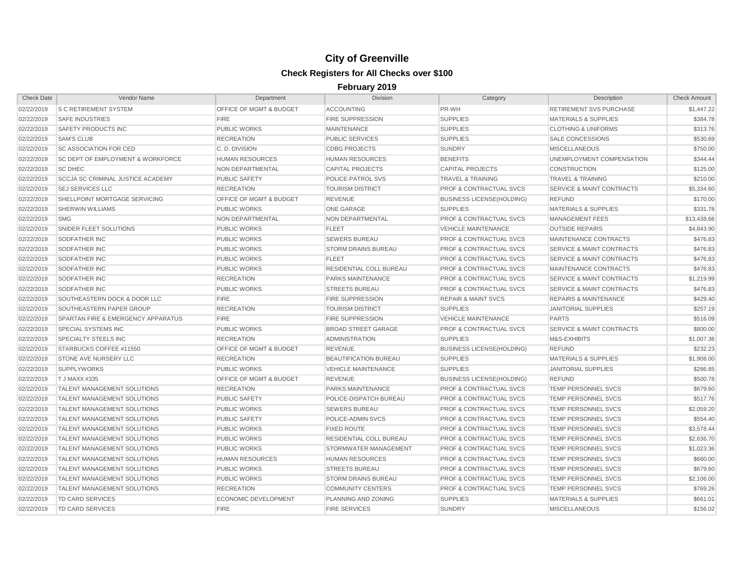| <b>Check Date</b> | Vendor Name                                   | Department                         | <b>Division</b>              | Category                           | Description                          | <b>Check Amount</b> |
|-------------------|-----------------------------------------------|------------------------------------|------------------------------|------------------------------------|--------------------------------------|---------------------|
| 02/22/2019        | <b>S C RETIREMENT SYSTEM</b>                  | OFFICE OF MGMT & BUDGET            | <b>ACCOUNTING</b>            | PR-WH                              | <b>RETIREMENT SVS PURCHASE</b>       | \$1,447.22          |
| 02/22/2019        | <b>SAFE INDUSTRIES</b>                        | <b>FIRE</b>                        | <b>FIRE SUPPRESSION</b>      | <b>SUPPLIES</b>                    | <b>MATERIALS &amp; SUPPLIES</b>      | \$384.78            |
| 02/22/2019        | SAFETY PRODUCTS INC                           | <b>PUBLIC WORKS</b>                | <b>MAINTENANCE</b>           | <b>SUPPLIES</b>                    | <b>CLOTHING &amp; UNIFORMS</b>       | \$313.76            |
| 02/22/2019        | <b>SAM'S CLUB</b>                             | <b>RECREATION</b>                  | <b>PUBLIC SERVICES</b>       | <b>SUPPLIES</b>                    | <b>SALE CONCESSIONS</b>              | \$530.69            |
| 02/22/2019        | <b>SC ASSOCIATION FOR CED</b>                 | C. D. DIVISION                     | <b>CDBG PROJECTS</b>         | <b>SUNDRY</b>                      | <b>MISCELLANEOUS</b>                 | \$750.00            |
| 02/22/2019        | <b>SC DEPT OF EMPLOYMENT &amp; WORKFORCE</b>  | <b>HUMAN RESOURCES</b>             | <b>HUMAN RESOURCES</b>       | <b>BENEFITS</b>                    | UNEMPLOYMENT COMPENSATION            | \$344.44            |
| 02/22/2019        | <b>SC DHEC</b>                                | NON DEPARTMENTAL                   | <b>CAPITAL PROJECTS</b>      | <b>CAPITAL PROJECTS</b>            | <b>CONSTRUCTION</b>                  | \$125.00            |
| 02/22/2019        | <b>SCCJA SC CRIMINAL JUSTICE ACADEMY</b>      | <b>PUBLIC SAFETY</b>               | POLICE-PATROL SVS            | <b>TRAVEL &amp; TRAINING</b>       | <b>TRAVEL &amp; TRAINING</b>         | \$210.00            |
| 02/22/2019        | <b>SEJ SERVICES LLC</b>                       | <b>RECREATION</b>                  | <b>TOURISM DISTRICT</b>      | PROF & CONTRACTUAL SVCS            | SERVICE & MAINT CONTRACTS            | \$5,334.60          |
| 02/22/2019        | SHELLPOINT MORTGAGE SERVICING                 | <b>OFFICE OF MGMT &amp; BUDGET</b> | <b>REVENUE</b>               | <b>BUSINESS LICENSE(HOLDING)</b>   | <b>REFUND</b>                        | \$170.00            |
| 02/22/2019        | <b>SHERWIN WILLIAMS</b>                       | <b>PUBLIC WORKS</b>                | <b>ONE GARAGE</b>            | <b>SUPPLIES</b>                    | <b>MATERIALS &amp; SUPPLIES</b>      | \$331.78            |
| 02/22/2019        | <b>SMG</b>                                    | NON DEPARTMENTAL                   | NON DEPARTMENTAL             | <b>PROF &amp; CONTRACTUAL SVCS</b> | <b>MANAGEMENT FEES</b>               | \$13,438.66         |
| 02/22/2019        | SNIDER FLEET SOLUTIONS                        | <b>PUBLIC WORKS</b>                | <b>FLEET</b>                 | <b>VEHICLE MAINTENANCE</b>         | <b>OUTSIDE REPAIRS</b>               | \$4,843.90          |
| 02/22/2019        | <b>SODFATHER INC</b>                          | <b>PUBLIC WORKS</b>                | <b>SEWERS BUREAU</b>         | <b>PROF &amp; CONTRACTUAL SVCS</b> | MAINTENANCE CONTRACTS                | \$476.83            |
| 02/22/2019        | <b>SODFATHER INC</b>                          | <b>PUBLIC WORKS</b>                | <b>STORM DRAINS BUREAU</b>   | <b>PROF &amp; CONTRACTUAL SVCS</b> | <b>SERVICE &amp; MAINT CONTRACTS</b> | \$476.83            |
| 02/22/2019        | <b>SODFATHER INC</b>                          | <b>PUBLIC WORKS</b>                | FLEET                        | <b>PROF &amp; CONTRACTUAL SVCS</b> | <b>SERVICE &amp; MAINT CONTRACTS</b> | \$476.83            |
| 02/22/2019        | <b>SODFATHER INC</b>                          | <b>PUBLIC WORKS</b>                | RESIDENTIAL COLL BUREAU      | <b>PROF &amp; CONTRACTUAL SVCS</b> | MAINTENANCE CONTRACTS                | \$476.83            |
| 02/22/2019        | <b>SODFATHER INC</b>                          | <b>RECREATION</b>                  | PARKS MAINTENANCE            | <b>PROF &amp; CONTRACTUAL SVCS</b> | <b>SERVICE &amp; MAINT CONTRACTS</b> | \$1,219.99          |
| 02/22/2019        | <b>SODFATHER INC</b>                          | <b>PUBLIC WORKS</b>                | <b>STREETS BUREAU</b>        | <b>PROF &amp; CONTRACTUAL SVCS</b> | <b>SERVICE &amp; MAINT CONTRACTS</b> | \$476.83            |
| 02/22/2019        | SOUTHEASTERN DOCK & DOOR LLC                  | <b>FIRE</b>                        | <b>FIRE SUPPRESSION</b>      | <b>REPAIR &amp; MAINT SVCS</b>     | <b>REPAIRS &amp; MAINTENANCE</b>     | \$429.40            |
| 02/22/2019        | SOUTHEASTERN PAPER GROUP                      | <b>RECREATION</b>                  | <b>TOURISM DISTRICT</b>      | <b>SUPPLIES</b>                    | <b>JANITORIAL SUPPLIES</b>           | \$257.19            |
| 02/22/2019        | <b>SPARTAN FIRE &amp; EMERGENCY APPARATUS</b> | <b>FIRE</b>                        | <b>FIRE SUPPRESSION</b>      | <b>VEHICLE MAINTENANCE</b>         | <b>PARTS</b>                         | \$516.09            |
| 02/22/2019        | <b>SPECIAL SYSTEMS INC</b>                    | <b>PUBLIC WORKS</b>                | <b>BROAD STREET GARAGE</b>   | <b>PROF &amp; CONTRACTUAL SVCS</b> | <b>SERVICE &amp; MAINT CONTRACTS</b> | \$800.00            |
| 02/22/2019        | <b>SPECIALTY STEELS INC</b>                   | <b>RECREATION</b>                  | <b>ADMINISTRATION</b>        | <b>SUPPLIES</b>                    | M&S-EXHIBITS                         | \$1,007.36          |
| 02/22/2019        | STARBUCKS COFFEE #11550                       | <b>OFFICE OF MGMT &amp; BUDGET</b> | <b>REVENUE</b>               | <b>BUSINESS LICENSE(HOLDING)</b>   | <b>REFUND</b>                        | \$232.23            |
| 02/22/2019        | STONE AVE NURSERY LLC                         | <b>RECREATION</b>                  | <b>BEAUTIFICATION BUREAU</b> | <b>SUPPLIES</b>                    | <b>MATERIALS &amp; SUPPLIES</b>      | \$1,908.00          |
| 02/22/2019        | <b>SUPPLYWORKS</b>                            | <b>PUBLIC WORKS</b>                | <b>VEHICLE MAINTENANCE</b>   | <b>SUPPLIES</b>                    | <b>JANITORIAL SUPPLIES</b>           | \$286.85            |
| 02/22/2019        | T J MAXX #335                                 | <b>OFFICE OF MGMT &amp; BUDGET</b> | <b>REVENUE</b>               | <b>BUSINESS LICENSE(HOLDING)</b>   | <b>REFUND</b>                        | \$500.78            |
| 02/22/2019        | <b>TALENT MANAGEMENT SOLUTIONS</b>            | <b>RECREATION</b>                  | PARKS MAINTENANCE            | <b>PROF &amp; CONTRACTUAL SVCS</b> | TEMP PERSONNEL SVCS                  | \$679.60            |
| 02/22/2019        | <b>TALENT MANAGEMENT SOLUTIONS</b>            | <b>PUBLIC SAFETY</b>               | POLICE-DISPATCH BUREAU       | <b>PROF &amp; CONTRACTUAL SVCS</b> | TEMP PERSONNEL SVCS                  | \$517.76            |
| 02/22/2019        | <b>TALENT MANAGEMENT SOLUTIONS</b>            | <b>PUBLIC WORKS</b>                | <b>SEWERS BUREAU</b>         | <b>PROF &amp; CONTRACTUAL SVCS</b> | TEMP PERSONNEL SVCS                  | \$2,059.20          |
| 02/22/2019        | <b>TALENT MANAGEMENT SOLUTIONS</b>            | <b>PUBLIC SAFETY</b>               | POLICE-ADMIN SVCS            | <b>PROF &amp; CONTRACTUAL SVCS</b> | TEMP PERSONNEL SVCS                  | \$554.40            |
| 02/22/2019        | <b>TALENT MANAGEMENT SOLUTIONS</b>            | <b>PUBLIC WORKS</b>                | <b>FIXED ROUTE</b>           | <b>PROF &amp; CONTRACTUAL SVCS</b> | <b>TEMP PERSONNEL SVCS</b>           | \$3,578.44          |
| 02/22/2019        | <b>TALENT MANAGEMENT SOLUTIONS</b>            | <b>PUBLIC WORKS</b>                | RESIDENTIAL COLL BUREAU      | <b>PROF &amp; CONTRACTUAL SVCS</b> | TEMP PERSONNEL SVCS                  | \$2,636.70          |
| 02/22/2019        | <b>TALENT MANAGEMENT SOLUTIONS</b>            | <b>PUBLIC WORKS</b>                | STORMWATER MANAGEMENT        | <b>PROF &amp; CONTRACTUAL SVCS</b> | TEMP PERSONNEL SVCS                  | \$1,023.36          |
| 02/22/2019        | <b>TALENT MANAGEMENT SOLUTIONS</b>            | <b>HUMAN RESOURCES</b>             | <b>HUMAN RESOURCES</b>       | <b>PROF &amp; CONTRACTUAL SVCS</b> | TEMP PERSONNEL SVCS                  | \$660.00            |
| 02/22/2019        | <b>TALENT MANAGEMENT SOLUTIONS</b>            | <b>PUBLIC WORKS</b>                | <b>STREETS BUREAU</b>        | <b>PROF &amp; CONTRACTUAL SVCS</b> | TEMP PERSONNEL SVCS                  | \$679.60            |
| 02/22/2019        | <b>TALENT MANAGEMENT SOLUTIONS</b>            | <b>PUBLIC WORKS</b>                | <b>STORM DRAINS BUREAU</b>   | <b>PROF &amp; CONTRACTUAL SVCS</b> | <b>TEMP PERSONNEL SVCS</b>           | \$2,106.00          |
| 02/22/2019        | <b>TALENT MANAGEMENT SOLUTIONS</b>            | <b>RECREATION</b>                  | <b>COMMUNITY CENTERS</b>     | <b>PROF &amp; CONTRACTUAL SVCS</b> | <b>TEMP PERSONNEL SVCS</b>           | \$769.26            |
| 02/22/2019        | TD CARD SERVICES                              | ECONOMIC DEVELOPMENT               | PLANNING AND ZONING          | <b>SUPPLIES</b>                    | <b>MATERIALS &amp; SUPPLIES</b>      | \$661.01            |
| 02/22/2019        | TD CARD SERVICES                              | <b>FIRE</b>                        | <b>FIRE SERVICES</b>         | <b>SUNDRY</b>                      | <b>MISCELLANEOUS</b>                 | \$156.02            |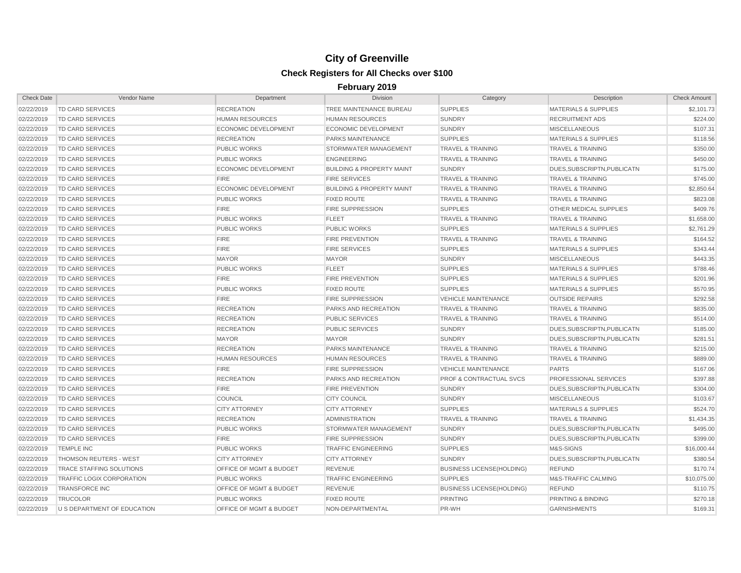| <b>Check Date</b> | Vendor Name                      | Department                         | <b>Division</b>                      | Category                           | Description                     | <b>Check Amount</b> |
|-------------------|----------------------------------|------------------------------------|--------------------------------------|------------------------------------|---------------------------------|---------------------|
| 02/22/2019        | <b>TD CARD SERVICES</b>          | <b>RECREATION</b>                  | TREE MAINTENANCE BUREAU              | <b>SUPPLIES</b>                    | <b>MATERIALS &amp; SUPPLIES</b> | \$2,101.73          |
| 02/22/2019        | TD CARD SERVICES                 | <b>HUMAN RESOURCES</b>             | <b>HUMAN RESOURCES</b>               | <b>SUNDRY</b>                      | <b>RECRUITMENT ADS</b>          | \$224.00            |
| 02/22/2019        | TD CARD SERVICES                 | <b>ECONOMIC DEVELOPMENT</b>        | ECONOMIC DEVELOPMENT                 | <b>SUNDRY</b>                      | <b>MISCELLANEOUS</b>            | \$107.31            |
| 02/22/2019        | <b>TD CARD SERVICES</b>          | <b>RECREATION</b>                  | <b>PARKS MAINTENANCE</b>             | <b>SUPPLIES</b>                    | <b>MATERIALS &amp; SUPPLIES</b> | \$118.56            |
| 02/22/2019        | TD CARD SERVICES                 | <b>PUBLIC WORKS</b>                | STORMWATER MANAGEMENT                | <b>TRAVEL &amp; TRAINING</b>       | <b>TRAVEL &amp; TRAINING</b>    | \$350.00            |
| 02/22/2019        | TD CARD SERVICES                 | <b>PUBLIC WORKS</b>                | <b>ENGINEERING</b>                   | <b>TRAVEL &amp; TRAINING</b>       | <b>TRAVEL &amp; TRAINING</b>    | \$450.00            |
| 02/22/2019        | TD CARD SERVICES                 | <b>ECONOMIC DEVELOPMENT</b>        | <b>BUILDING &amp; PROPERTY MAINT</b> | <b>SUNDRY</b>                      | DUES, SUBSCRIPTN, PUBLICATN     | \$175.00            |
| 02/22/2019        | TD CARD SERVICES                 | <b>FIRE</b>                        | <b>FIRE SERVICES</b>                 | <b>TRAVEL &amp; TRAINING</b>       | <b>TRAVEL &amp; TRAINING</b>    | \$745.00            |
| 02/22/2019        | TD CARD SERVICES                 | <b>ECONOMIC DEVELOPMENT</b>        | <b>BUILDING &amp; PROPERTY MAINT</b> | <b>TRAVEL &amp; TRAINING</b>       | <b>TRAVEL &amp; TRAINING</b>    | \$2,850.64          |
| 02/22/2019        | <b>TD CARD SERVICES</b>          | <b>PUBLIC WORKS</b>                | <b>FIXED ROUTE</b>                   | <b>TRAVEL &amp; TRAINING</b>       | <b>TRAVEL &amp; TRAINING</b>    | \$823.08            |
| 02/22/2019        | <b>TD CARD SERVICES</b>          | <b>FIRE</b>                        | <b>FIRE SUPPRESSION</b>              | <b>SUPPLIES</b>                    | OTHER MEDICAL SUPPLIES          | \$409.76            |
| 02/22/2019        | <b>TD CARD SERVICES</b>          | <b>PUBLIC WORKS</b>                | <b>FLEET</b>                         | <b>TRAVEL &amp; TRAINING</b>       | <b>TRAVEL &amp; TRAINING</b>    | \$1,658.00          |
| 02/22/2019        | <b>TD CARD SERVICES</b>          | <b>PUBLIC WORKS</b>                | <b>PUBLIC WORKS</b>                  | <b>SUPPLIES</b>                    | <b>MATERIALS &amp; SUPPLIES</b> | \$2,761.29          |
| 02/22/2019        | <b>TD CARD SERVICES</b>          | <b>FIRE</b>                        | <b>FIRE PREVENTION</b>               | <b>TRAVEL &amp; TRAINING</b>       | <b>TRAVEL &amp; TRAINING</b>    | \$164.52            |
| 02/22/2019        | <b>TD CARD SERVICES</b>          | <b>FIRE</b>                        | <b>FIRE SERVICES</b>                 | <b>SUPPLIES</b>                    | <b>MATERIALS &amp; SUPPLIES</b> | \$343.44            |
| 02/22/2019        | TD CARD SERVICES                 | <b>MAYOR</b>                       | <b>MAYOR</b>                         | <b>SUNDRY</b>                      | <b>MISCELLANEOUS</b>            | \$443.35            |
| 02/22/2019        | TD CARD SERVICES                 | <b>PUBLIC WORKS</b>                | <b>FLEET</b>                         | <b>SUPPLIES</b>                    | <b>MATERIALS &amp; SUPPLIES</b> | \$788.46            |
| 02/22/2019        | <b>TD CARD SERVICES</b>          | <b>FIRE</b>                        | <b>FIRE PREVENTION</b>               | <b>SUPPLIES</b>                    | <b>MATERIALS &amp; SUPPLIES</b> | \$201.96            |
| 02/22/2019        | <b>TD CARD SERVICES</b>          | <b>PUBLIC WORKS</b>                | <b>FIXED ROUTE</b>                   | <b>SUPPLIES</b>                    | <b>MATERIALS &amp; SUPPLIES</b> | \$570.95            |
| 02/22/2019        | <b>TD CARD SERVICES</b>          | <b>FIRE</b>                        | <b>FIRE SUPPRESSION</b>              | <b>VEHICLE MAINTENANCE</b>         | <b>OUTSIDE REPAIRS</b>          | \$292.58            |
| 02/22/2019        | TD CARD SERVICES                 | <b>RECREATION</b>                  | PARKS AND RECREATION                 | <b>TRAVEL &amp; TRAINING</b>       | <b>TRAVEL &amp; TRAINING</b>    | \$835.00            |
| 02/22/2019        | TD CARD SERVICES                 | <b>RECREATION</b>                  | <b>PUBLIC SERVICES</b>               | <b>TRAVEL &amp; TRAINING</b>       | <b>TRAVEL &amp; TRAINING</b>    | \$514.00            |
| 02/22/2019        | TD CARD SERVICES                 | <b>RECREATION</b>                  | PUBLIC SERVICES                      | <b>SUNDRY</b>                      | DUES, SUBSCRIPTN, PUBLICATN     | \$185.00            |
| 02/22/2019        | TD CARD SERVICES                 | <b>MAYOR</b>                       | <b>MAYOR</b>                         | <b>SUNDRY</b>                      | DUES, SUBSCRIPTN, PUBLICATN     | \$281.51            |
| 02/22/2019        | TD CARD SERVICES                 | <b>RECREATION</b>                  | <b>PARKS MAINTENANCE</b>             | <b>TRAVEL &amp; TRAINING</b>       | <b>TRAVEL &amp; TRAINING</b>    | \$215.00            |
| 02/22/2019        | TD CARD SERVICES                 | <b>HUMAN RESOURCES</b>             | <b>HUMAN RESOURCES</b>               | <b>TRAVEL &amp; TRAINING</b>       | <b>TRAVEL &amp; TRAINING</b>    | \$889.00            |
| 02/22/2019        | TD CARD SERVICES                 | <b>FIRE</b>                        | <b>FIRE SUPPRESSION</b>              | <b>VEHICLE MAINTENANCE</b>         | <b>PARTS</b>                    | \$167.06            |
| 02/22/2019        | <b>TD CARD SERVICES</b>          | <b>RECREATION</b>                  | <b>PARKS AND RECREATION</b>          | <b>PROF &amp; CONTRACTUAL SVCS</b> | PROFESSIONAL SERVICES           | \$397.88            |
| 02/22/2019        | TD CARD SERVICES                 | <b>FIRE</b>                        | <b>FIRE PREVENTION</b>               | <b>SUNDRY</b>                      | DUES, SUBSCRIPTN, PUBLICATN     | \$304.00            |
| 02/22/2019        | TD CARD SERVICES                 | <b>COUNCIL</b>                     | <b>CITY COUNCIL</b>                  | <b>SUNDRY</b>                      | <b>MISCELLANEOUS</b>            | \$103.67            |
| 02/22/2019        | <b>TD CARD SERVICES</b>          | <b>CITY ATTORNEY</b>               | <b>CITY ATTORNEY</b>                 | <b>SUPPLIES</b>                    | <b>MATERIALS &amp; SUPPLIES</b> | \$524.70            |
| 02/22/2019        | TD CARD SERVICES                 | <b>RECREATION</b>                  | <b>ADMINISTRATION</b>                | <b>TRAVEL &amp; TRAINING</b>       | <b>TRAVEL &amp; TRAINING</b>    | \$1,434.35          |
| 02/22/2019        | <b>TD CARD SERVICES</b>          | <b>PUBLIC WORKS</b>                | <b>STORMWATER MANAGEMENT</b>         | <b>SUNDRY</b>                      | DUES.SUBSCRIPTN.PUBLICATN       | \$495.00            |
| 02/22/2019        | TD CARD SERVICES                 | <b>FIRE</b>                        | <b>FIRE SUPPRESSION</b>              | <b>SUNDRY</b>                      | DUES, SUBSCRIPTN, PUBLICATN     | \$399.00            |
| 02/22/2019        | <b>TEMPLE INC</b>                | <b>PUBLIC WORKS</b>                | <b>TRAFFIC ENGINEERING</b>           | <b>SUPPLIES</b>                    | M&S-SIGNS                       | \$16,000.44         |
| 02/22/2019        | THOMSON REUTERS - WEST           | <b>CITY ATTORNEY</b>               | <b>CITY ATTORNEY</b>                 | <b>SUNDRY</b>                      | DUES, SUBSCRIPTN, PUBLICATN     | \$380.54            |
| 02/22/2019        | <b>TRACE STAFFING SOLUTIONS</b>  | OFFICE OF MGMT & BUDGET            | <b>REVENUE</b>                       | <b>BUSINESS LICENSE(HOLDING)</b>   | <b>REFUND</b>                   | \$170.74            |
| 02/22/2019        | <b>TRAFFIC LOGIX CORPORATION</b> | <b>PUBLIC WORKS</b>                | <b>TRAFFIC ENGINEERING</b>           | <b>SUPPLIES</b>                    | M&S-TRAFFIC CALMING             | \$10.075.00         |
| 02/22/2019        | <b>TRANSFORCE INC</b>            | <b>OFFICE OF MGMT &amp; BUDGET</b> | <b>REVENUE</b>                       | <b>BUSINESS LICENSE(HOLDING)</b>   | <b>REFUND</b>                   | \$110.75            |
| 02/22/2019        | <b>TRUCOLOR</b>                  | <b>PUBLIC WORKS</b>                | <b>FIXED ROUTE</b>                   | <b>PRINTING</b>                    | PRINTING & BINDING              | \$270.18            |
| 02/22/2019        | U S DEPARTMENT OF EDUCATION      | <b>OFFICE OF MGMT &amp; BUDGET</b> | NON-DEPARTMENTAL                     | PR-WH                              | <b>GARNISHMENTS</b>             | \$169.31            |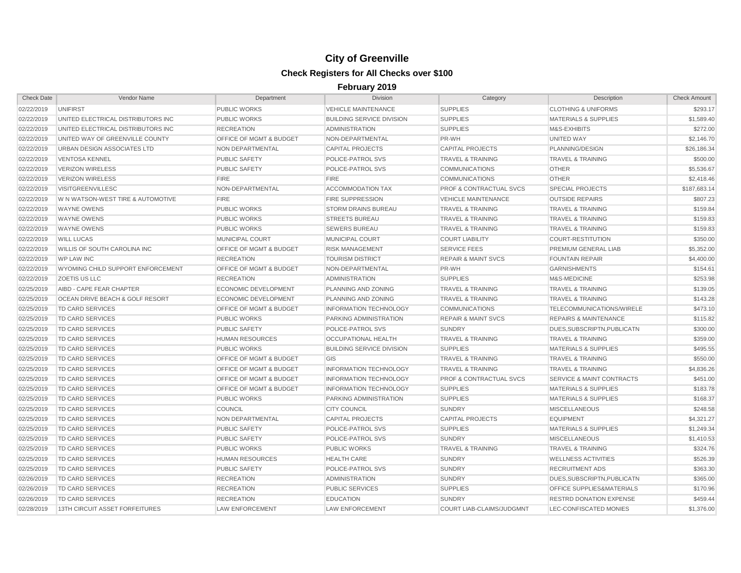| <b>Check Date</b> | Vendor Name                                | Department                         | <b>Division</b>                  | Category                           | Description                          | <b>Check Amount</b> |
|-------------------|--------------------------------------------|------------------------------------|----------------------------------|------------------------------------|--------------------------------------|---------------------|
| 02/22/2019        | <b>UNIFIRST</b>                            | <b>PUBLIC WORKS</b>                | <b>VEHICLE MAINTENANCE</b>       | <b>SUPPLIES</b>                    | <b>CLOTHING &amp; UNIFORMS</b>       | \$293.17            |
| 02/22/2019        | UNITED ELECTRICAL DISTRIBUTORS INC         | <b>PUBLIC WORKS</b>                | <b>BUILDING SERVICE DIVISION</b> | <b>SUPPLIES</b>                    | <b>MATERIALS &amp; SUPPLIES</b>      | \$1,589.40          |
| 02/22/2019        | UNITED ELECTRICAL DISTRIBUTORS INC         | <b>RECREATION</b>                  | <b>ADMINISTRATION</b>            | <b>SUPPLIES</b>                    | M&S-EXHIBITS                         | \$272.00            |
| 02/22/2019        | UNITED WAY OF GREENVILLE COUNTY            | <b>OFFICE OF MGMT &amp; BUDGET</b> | NON-DEPARTMENTAL                 | PR-WH                              | <b>UNITED WAY</b>                    | \$2,146.70          |
| 02/22/2019        | URBAN DESIGN ASSOCIATES LTD                | <b>NON DEPARTMENTAL</b>            | <b>CAPITAL PROJECTS</b>          | <b>CAPITAL PROJECTS</b>            | PLANNING/DESIGN                      | \$26,186.34         |
| 02/22/2019        | <b>VENTOSA KENNEL</b>                      | <b>PUBLIC SAFETY</b>               | POLICE-PATROL SVS                | <b>TRAVEL &amp; TRAINING</b>       | <b>TRAVEL &amp; TRAINING</b>         | \$500.00            |
| 02/22/2019        | <b>VERIZON WIRELESS</b>                    | <b>PUBLIC SAFETY</b>               | POLICE-PATROL SVS                | <b>COMMUNICATIONS</b>              | <b>OTHER</b>                         | \$5,536.67          |
| 02/22/2019        | <b>VERIZON WIRELESS</b>                    | <b>FIRE</b>                        | FIRE                             | <b>COMMUNICATIONS</b>              | <b>OTHER</b>                         | \$2,418.46          |
| 02/22/2019        | VISITGREENVILLESC                          | NON-DEPARTMENTAL                   | <b>ACCOMMODATION TAX</b>         | <b>PROF &amp; CONTRACTUAL SVCS</b> | <b>SPECIAL PROJECTS</b>              | \$187,683.14        |
| 02/22/2019        | W N WATSON-WEST TIRE & AUTOMOTIVE          | <b>FIRE</b>                        | <b>FIRE SUPPRESSION</b>          | <b>VEHICLE MAINTENANCE</b>         | <b>OUTSIDE REPAIRS</b>               | \$807.23            |
| 02/22/2019        | <b>WAYNE OWENS</b>                         | <b>PUBLIC WORKS</b>                | <b>STORM DRAINS BUREAU</b>       | <b>TRAVEL &amp; TRAINING</b>       | <b>TRAVEL &amp; TRAINING</b>         | \$159.84            |
| 02/22/2019        | <b>WAYNE OWENS</b>                         | <b>PUBLIC WORKS</b>                | <b>STREETS BUREAU</b>            | <b>TRAVEL &amp; TRAINING</b>       | <b>TRAVEL &amp; TRAINING</b>         | \$159.83            |
| 02/22/2019        | <b>WAYNE OWENS</b>                         | <b>PUBLIC WORKS</b>                | <b>SEWERS BUREAU</b>             | <b>TRAVEL &amp; TRAINING</b>       | <b>TRAVEL &amp; TRAINING</b>         | \$159.83            |
| 02/22/2019        | <b>WILL LUCAS</b>                          | <b>MUNICIPAL COURT</b>             | <b>MUNICIPAL COURT</b>           | <b>COURT LIABILITY</b>             | <b>COURT-RESTITUTION</b>             | \$350.00            |
| 02/22/2019        | <b>WILLIS OF SOUTH CAROLINA INC</b>        | <b>OFFICE OF MGMT &amp; BUDGET</b> | <b>RISK MANAGEMENT</b>           | <b>SERVICE FEES</b>                | PREMIUM GENERAL LIAB                 | \$5,352.00          |
| 02/22/2019        | <b>WP LAW INC</b>                          | <b>RECREATION</b>                  | <b>TOURISM DISTRICT</b>          | <b>REPAIR &amp; MAINT SVCS</b>     | <b>FOUNTAIN REPAIR</b>               | \$4,400.00          |
| 02/22/2019        | WYOMING CHILD SUPPORT ENFORCEMENT          | OFFICE OF MGMT & BUDGET            | NON-DEPARTMENTAL                 | PR-WH                              | <b>GARNISHMENTS</b>                  | \$154.61            |
| 02/22/2019        | <b>ZOETIS US LLC</b>                       | <b>RECREATION</b>                  | <b>ADMINISTRATION</b>            | <b>SUPPLIES</b>                    | M&S-MEDICINE                         | \$253.98            |
| 02/25/2019        | AIBD - CAPE FEAR CHAPTER                   | <b>ECONOMIC DEVELOPMENT</b>        | PLANNING AND ZONING              | <b>TRAVEL &amp; TRAINING</b>       | <b>TRAVEL &amp; TRAINING</b>         | \$139.05            |
| 02/25/2019        | <b>OCEAN DRIVE BEACH &amp; GOLF RESORT</b> | <b>ECONOMIC DEVELOPMENT</b>        | PLANNING AND ZONING              | <b>TRAVEL &amp; TRAINING</b>       | <b>TRAVEL &amp; TRAINING</b>         | \$143.28            |
| 02/25/2019        | <b>TD CARD SERVICES</b>                    | <b>OFFICE OF MGMT &amp; BUDGET</b> | <b>INFORMATION TECHNOLOGY</b>    | <b>COMMUNICATIONS</b>              | TELECOMMUNICATIONS/WIRELE            | \$473.10            |
| 02/25/2019        | <b>TD CARD SERVICES</b>                    | <b>PUBLIC WORKS</b>                | PARKING ADMINISTRATION           | <b>REPAIR &amp; MAINT SVCS</b>     | <b>REPAIRS &amp; MAINTENANCE</b>     | \$115.82            |
| 02/25/2019        | TD CARD SERVICES                           | <b>PUBLIC SAFETY</b>               | POLICE-PATROL SVS                | <b>SUNDRY</b>                      | DUES, SUBSCRIPTN, PUBLICATN          | \$300.00            |
| 02/25/2019        | TD CARD SERVICES                           | <b>HUMAN RESOURCES</b>             | <b>OCCUPATIONAL HEALTH</b>       | <b>TRAVEL &amp; TRAINING</b>       | <b>TRAVEL &amp; TRAINING</b>         | \$359.00            |
| 02/25/2019        | TD CARD SERVICES                           | <b>PUBLIC WORKS</b>                | <b>BUILDING SERVICE DIVISION</b> | <b>SUPPLIES</b>                    | <b>MATERIALS &amp; SUPPLIES</b>      | \$495.55            |
| 02/25/2019        | TD CARD SERVICES                           | OFFICE OF MGMT & BUDGET            | GIS                              | <b>TRAVEL &amp; TRAINING</b>       | <b>TRAVEL &amp; TRAINING</b>         | \$550.00            |
| 02/25/2019        | TD CARD SERVICES                           | OFFICE OF MGMT & BUDGET            | <b>INFORMATION TECHNOLOGY</b>    | <b>TRAVEL &amp; TRAINING</b>       | <b>TRAVEL &amp; TRAINING</b>         | \$4,836.26          |
| 02/25/2019        | TD CARD SERVICES                           | OFFICE OF MGMT & BUDGET            | <b>INFORMATION TECHNOLOGY</b>    | <b>PROF &amp; CONTRACTUAL SVCS</b> | <b>SERVICE &amp; MAINT CONTRACTS</b> | \$451.00            |
| 02/25/2019        | TD CARD SERVICES                           | <b>OFFICE OF MGMT &amp; BUDGET</b> | <b>INFORMATION TECHNOLOGY</b>    | <b>SUPPLIES</b>                    | <b>MATERIALS &amp; SUPPLIES</b>      | \$183.78            |
| 02/25/2019        | <b>TD CARD SERVICES</b>                    | <b>PUBLIC WORKS</b>                | <b>PARKING ADMINISTRATION</b>    | <b>SUPPLIES</b>                    | <b>MATERIALS &amp; SUPPLIES</b>      | \$168.37            |
| 02/25/2019        | TD CARD SERVICES                           | <b>COUNCIL</b>                     | <b>CITY COUNCIL</b>              | <b>SUNDRY</b>                      | <b>MISCELLANEOUS</b>                 | \$248.58            |
| 02/25/2019        | TD CARD SERVICES                           | NON DEPARTMENTAL                   | <b>CAPITAL PROJECTS</b>          | <b>CAPITAL PROJECTS</b>            | <b>EQUIPMENT</b>                     | \$4,321.27          |
| 02/25/2019        | TD CARD SERVICES                           | <b>PUBLIC SAFETY</b>               | POLICE-PATROL SVS                | <b>SUPPLIES</b>                    | <b>MATERIALS &amp; SUPPLIES</b>      | \$1,249.34          |
| 02/25/2019        | TD CARD SERVICES                           | <b>PUBLIC SAFETY</b>               | POLICE-PATROL SVS                | <b>SUNDRY</b>                      | <b>MISCELLANEOUS</b>                 | \$1,410.53          |
| 02/25/2019        | TD CARD SERVICES                           | <b>PUBLIC WORKS</b>                | <b>PUBLIC WORKS</b>              | <b>TRAVEL &amp; TRAINING</b>       | <b>TRAVEL &amp; TRAINING</b>         | \$324.76            |
| 02/25/2019        | TD CARD SERVICES                           | <b>HUMAN RESOURCES</b>             | <b>HEALTH CARE</b>               | <b>SUNDRY</b>                      | <b>WELLNESS ACTIVITIES</b>           | \$526.39            |
| 02/25/2019        | TD CARD SERVICES                           | <b>PUBLIC SAFETY</b>               | POLICE-PATROL SVS                | <b>SUNDRY</b>                      | <b>RECRUITMENT ADS</b>               | \$363.30            |
| 02/26/2019        | TD CARD SERVICES                           | <b>RECREATION</b>                  | <b>ADMINISTRATION</b>            | <b>SUNDRY</b>                      | DUES, SUBSCRIPTN, PUBLICATN          | \$365.00            |
| 02/26/2019        | TD CARD SERVICES                           | <b>RECREATION</b>                  | <b>PUBLIC SERVICES</b>           | <b>SUPPLIES</b>                    | OFFICE SUPPLIES&MATERIALS            | \$170.96            |
| 02/26/2019        | TD CARD SERVICES                           | <b>RECREATION</b>                  | <b>EDUCATION</b>                 | <b>SUNDRY</b>                      | <b>RESTRD DONATION EXPENSE</b>       | \$459.44            |
| 02/28/2019        | 13TH CIRCUIT ASSET FORFEITURES             | <b>LAW ENFORCEMENT</b>             | <b>LAW ENFORCEMENT</b>           | <b>COURT LIAB-CLAIMS/JUDGMNT</b>   | LEC-CONFISCATED MONIES               | \$1,376.00          |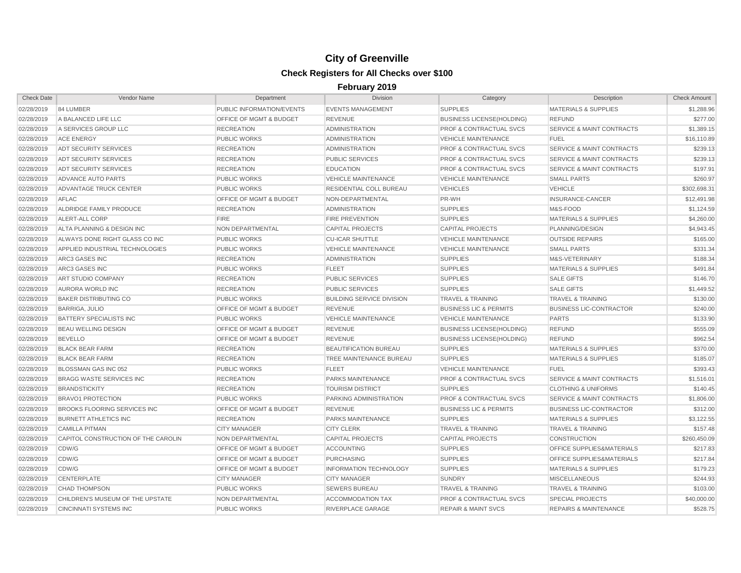| <b>Check Date</b> | Vendor Name                         | Department                         | Division                         | Category                           | Description                          | <b>Check Amount</b> |
|-------------------|-------------------------------------|------------------------------------|----------------------------------|------------------------------------|--------------------------------------|---------------------|
| 02/28/2019        | 84 LUMBER                           | PUBLIC INFORMATION/EVENTS          | <b>EVENTS MANAGEMENT</b>         | <b>SUPPLIES</b>                    | <b>MATERIALS &amp; SUPPLIES</b>      | \$1,288.96          |
| 02/28/2019        | A BALANCED LIFE LLC                 | OFFICE OF MGMT & BUDGET            | <b>REVENUE</b>                   | <b>BUSINESS LICENSE(HOLDING)</b>   | <b>REFUND</b>                        | \$277.00            |
| 02/28/2019        | A SERVICES GROUP LLC                | <b>RECREATION</b>                  | <b>ADMINISTRATION</b>            | <b>PROF &amp; CONTRACTUAL SVCS</b> | <b>SERVICE &amp; MAINT CONTRACTS</b> | \$1,389.15          |
| 02/28/2019        | <b>ACE ENERGY</b>                   | <b>PUBLIC WORKS</b>                | <b>ADMINISTRATION</b>            | <b>VEHICLE MAINTENANCE</b>         | <b>FUEL</b>                          | \$16,110.89         |
| 02/28/2019        | <b>ADT SECURITY SERVICES</b>        | <b>RECREATION</b>                  | <b>ADMINISTRATION</b>            | <b>PROF &amp; CONTRACTUAL SVCS</b> | <b>SERVICE &amp; MAINT CONTRACTS</b> | \$239.13            |
| 02/28/2019        | <b>ADT SECURITY SERVICES</b>        | <b>RECREATION</b>                  | PUBLIC SERVICES                  | <b>PROF &amp; CONTRACTUAL SVCS</b> | <b>SERVICE &amp; MAINT CONTRACTS</b> | \$239.13            |
| 02/28/2019        | <b>ADT SECURITY SERVICES</b>        | <b>RECREATION</b>                  | <b>EDUCATION</b>                 | <b>PROF &amp; CONTRACTUAL SVCS</b> | <b>SERVICE &amp; MAINT CONTRACTS</b> | \$197.91            |
| 02/28/2019        | ADVANCE AUTO PARTS                  | <b>PUBLIC WORKS</b>                | <b>VEHICLE MAINTENANCE</b>       | <b>VEHICLE MAINTENANCE</b>         | <b>SMALL PARTS</b>                   | \$260.97            |
| 02/28/2019        | ADVANTAGE TRUCK CENTER              | <b>PUBLIC WORKS</b>                | <b>RESIDENTIAL COLL BUREAU</b>   | <b>VEHICLES</b>                    | <b>VEHICLE</b>                       | \$302,698.31        |
| 02/28/2019        | <b>AFLAC</b>                        | <b>OFFICE OF MGMT &amp; BUDGET</b> | NON-DEPARTMENTAL                 | PR-WH                              | <b>INSURANCE-CANCER</b>              | \$12,491.98         |
| 02/28/2019        | ALDRIDGE FAMILY PRODUCE             | <b>RECREATION</b>                  | <b>ADMINISTRATION</b>            | <b>SUPPLIES</b>                    | M&S-FOOD                             | \$1,124.59          |
| 02/28/2019        | ALERT-ALL CORP                      | <b>FIRE</b>                        | <b>FIRE PREVENTION</b>           | <b>SUPPLIES</b>                    | <b>MATERIALS &amp; SUPPLIES</b>      | \$4,260.00          |
| 02/28/2019        | ALTA PLANNING & DESIGN INC          | <b>NON DEPARTMENTAL</b>            | <b>CAPITAL PROJECTS</b>          | <b>CAPITAL PROJECTS</b>            | PLANNING/DESIGN                      | \$4,943.45          |
| 02/28/2019        | ALWAYS DONE RIGHT GLASS CO INC      | <b>PUBLIC WORKS</b>                | <b>CU-ICAR SHUTTLE</b>           | <b>VEHICLE MAINTENANCE</b>         | <b>OUTSIDE REPAIRS</b>               | \$165.00            |
| 02/28/2019        | APPLIED INDUSTRIAL TECHNOLOGIES     | <b>PUBLIC WORKS</b>                | <b>VEHICLE MAINTENANCE</b>       | <b>VEHICLE MAINTENANCE</b>         | <b>SMALL PARTS</b>                   | \$331.34            |
| 02/28/2019        | <b>ARC3 GASES INC</b>               | <b>RECREATION</b>                  | <b>ADMINISTRATION</b>            | <b>SUPPLIES</b>                    | M&S-VETERINARY                       | \$188.34            |
| 02/28/2019        | ARC3 GASES INC                      | <b>PUBLIC WORKS</b>                | <b>FLEET</b>                     | <b>SUPPLIES</b>                    | <b>MATERIALS &amp; SUPPLIES</b>      | \$491.84            |
| 02/28/2019        | ART STUDIO COMPANY                  | <b>RECREATION</b>                  | <b>PUBLIC SERVICES</b>           | <b>SUPPLIES</b>                    | <b>SALE GIFTS</b>                    | \$146.70            |
| 02/28/2019        | AURORA WORLD INC                    | <b>RECREATION</b>                  | PUBLIC SERVICES                  | <b>SUPPLIES</b>                    | <b>SALE GIFTS</b>                    | \$1,449.52          |
| 02/28/2019        | <b>BAKER DISTRIBUTING CO</b>        | <b>PUBLIC WORKS</b>                | <b>BUILDING SERVICE DIVISION</b> | <b>TRAVEL &amp; TRAINING</b>       | <b>TRAVEL &amp; TRAINING</b>         | \$130.00            |
| 02/28/2019        | <b>BARRIGA, JULIO</b>               | OFFICE OF MGMT & BUDGET            | <b>REVENUE</b>                   | <b>BUSINESS LIC &amp; PERMITS</b>  | <b>BUSINESS LIC-CONTRACTOR</b>       | \$240.00            |
| 02/28/2019        | <b>BATTERY SPECIALISTS INC</b>      | <b>PUBLIC WORKS</b>                | <b>VEHICLE MAINTENANCE</b>       | <b>VEHICLE MAINTENANCE</b>         | <b>PARTS</b>                         | \$133.90            |
| 02/28/2019        | <b>BEAU WELLING DESIGN</b>          | OFFICE OF MGMT & BUDGET            | <b>REVENUE</b>                   | <b>BUSINESS LICENSE(HOLDING)</b>   | <b>REFUND</b>                        | \$555.09            |
| 02/28/2019        | <b>BEVELLO</b>                      | OFFICE OF MGMT & BUDGET            | <b>REVENUE</b>                   | <b>BUSINESS LICENSE(HOLDING)</b>   | <b>REFUND</b>                        | \$962.54            |
| 02/28/2019        | <b>BLACK BEAR FARM</b>              | <b>RECREATION</b>                  | <b>BEAUTIFICATION BUREAU</b>     | <b>SUPPLIES</b>                    | <b>MATERIALS &amp; SUPPLIES</b>      | \$370.00            |
| 02/28/2019        | <b>BLACK BEAR FARM</b>              | <b>RECREATION</b>                  | TREE MAINTENANCE BUREAU          | <b>SUPPLIES</b>                    | <b>MATERIALS &amp; SUPPLIES</b>      | \$185.07            |
| 02/28/2019        | BLOSSMAN GAS INC 052                | <b>PUBLIC WORKS</b>                | <b>FLEET</b>                     | <b>VEHICLE MAINTENANCE</b>         | <b>FUEL</b>                          | \$393.43            |
| 02/28/2019        | <b>BRAGG WASTE SERVICES INC</b>     | <b>RECREATION</b>                  | PARKS MAINTENANCE                | <b>PROF &amp; CONTRACTUAL SVCS</b> | <b>SERVICE &amp; MAINT CONTRACTS</b> | \$1,516.01          |
| 02/28/2019        | <b>BRANDSTICKITY</b>                | <b>RECREATION</b>                  | <b>TOURISM DISTRICT</b>          | <b>SUPPLIES</b>                    | <b>CLOTHING &amp; UNIFORMS</b>       | \$140.45            |
| 02/28/2019        | <b>BRAVO1 PROTECTION</b>            | <b>PUBLIC WORKS</b>                | PARKING ADMINISTRATION           | <b>PROF &amp; CONTRACTUAL SVCS</b> | <b>SERVICE &amp; MAINT CONTRACTS</b> | \$1,806.00          |
| 02/28/2019        | <b>BROOKS FLOORING SERVICES INC</b> | OFFICE OF MGMT & BUDGET            | <b>REVENUE</b>                   | <b>BUSINESS LIC &amp; PERMITS</b>  | <b>BUSINESS LIC-CONTRACTOR</b>       | \$312.00            |
| 02/28/2019        | <b>BURNETT ATHLETICS INC</b>        | <b>RECREATION</b>                  | PARKS MAINTENANCE                | <b>SUPPLIES</b>                    | <b>MATERIALS &amp; SUPPLIES</b>      | \$3,122.55          |
| 02/28/2019        | <b>CAMILLA PITMAN</b>               | <b>CITY MANAGER</b>                | <b>CITY CLERK</b>                | <b>TRAVEL &amp; TRAINING</b>       | <b>TRAVEL &amp; TRAINING</b>         | \$157.48            |
| 02/28/2019        | CAPITOL CONSTRUCTION OF THE CAROLIN | NON DEPARTMENTAL                   | <b>CAPITAL PROJECTS</b>          | <b>CAPITAL PROJECTS</b>            | CONSTRUCTION                         | \$260,450.09        |
| 02/28/2019        | CDW/G                               | OFFICE OF MGMT & BUDGET            | <b>ACCOUNTING</b>                | <b>SUPPLIES</b>                    | OFFICE SUPPLIES&MATERIALS            | \$217.83            |
| 02/28/2019        | CDW/G                               | OFFICE OF MGMT & BUDGET            | <b>PURCHASING</b>                | <b>SUPPLIES</b>                    | OFFICE SUPPLIES&MATERIALS            | \$217.84            |
| 02/28/2019        | CDW/G                               | OFFICE OF MGMT & BUDGET            | <b>INFORMATION TECHNOLOGY</b>    | <b>SUPPLIES</b>                    | <b>MATERIALS &amp; SUPPLIES</b>      | \$179.23            |
| 02/28/2019        | CENTERPLATE                         | <b>CITY MANAGER</b>                | <b>CITY MANAGER</b>              | <b>SUNDRY</b>                      | <b>MISCELLANEOUS</b>                 | \$244.93            |
| 02/28/2019        | <b>CHAD THOMPSON</b>                | <b>PUBLIC WORKS</b>                | <b>SEWERS BUREAU</b>             | <b>TRAVEL &amp; TRAINING</b>       | <b>TRAVEL &amp; TRAINING</b>         | \$103.00            |
| 02/28/2019        | CHILDREN'S MUSEUM OF THE UPSTATE    | NON DEPARTMENTAL                   | <b>ACCOMMODATION TAX</b>         | <b>PROF &amp; CONTRACTUAL SVCS</b> | <b>SPECIAL PROJECTS</b>              | \$40,000.00         |
| 02/28/2019        | <b>CINCINNATI SYSTEMS INC</b>       | <b>PUBLIC WORKS</b>                | RIVERPLACE GARAGE                | <b>REPAIR &amp; MAINT SVCS</b>     | <b>REPAIRS &amp; MAINTENANCE</b>     | \$528.75            |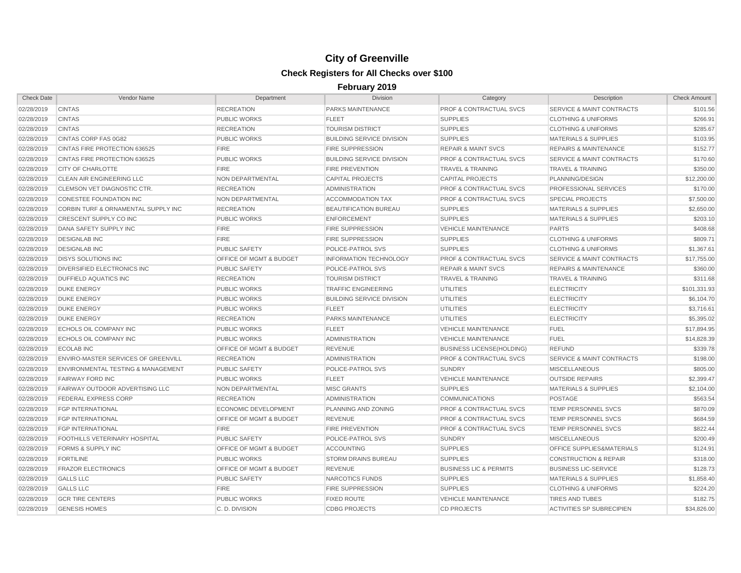| <b>Check Date</b> | Vendor Name                                    | Department                         | Division                         | Category                           | Description                          | <b>Check Amount</b> |
|-------------------|------------------------------------------------|------------------------------------|----------------------------------|------------------------------------|--------------------------------------|---------------------|
| 02/28/2019        | <b>CINTAS</b>                                  | <b>RECREATION</b>                  | <b>PARKS MAINTENANCE</b>         | <b>PROF &amp; CONTRACTUAL SVCS</b> | <b>SERVICE &amp; MAINT CONTRACTS</b> | \$101.56            |
| 02/28/2019        | <b>CINTAS</b>                                  | <b>PUBLIC WORKS</b>                | <b>FLEET</b>                     | <b>SUPPLIES</b>                    | <b>CLOTHING &amp; UNIFORMS</b>       | \$266.91            |
| 02/28/2019        | <b>CINTAS</b>                                  | <b>RECREATION</b>                  | <b>TOURISM DISTRICT</b>          | <b>SUPPLIES</b>                    | <b>CLOTHING &amp; UNIFORMS</b>       | \$285.67            |
| 02/28/2019        | CINTAS CORP FAS 0G82                           | <b>PUBLIC WORKS</b>                | <b>BUILDING SERVICE DIVISION</b> | <b>SUPPLIES</b>                    | <b>MATERIALS &amp; SUPPLIES</b>      | \$103.95            |
| 02/28/2019        | CINTAS FIRE PROTECTION 636525                  | <b>FIRE</b>                        | <b>FIRE SUPPRESSION</b>          | <b>REPAIR &amp; MAINT SVCS</b>     | <b>REPAIRS &amp; MAINTENANCE</b>     | \$152.77            |
| 02/28/2019        | CINTAS FIRE PROTECTION 636525                  | <b>PUBLIC WORKS</b>                | <b>BUILDING SERVICE DIVISION</b> | <b>PROF &amp; CONTRACTUAL SVCS</b> | <b>SERVICE &amp; MAINT CONTRACTS</b> | \$170.60            |
| 02/28/2019        | <b>CITY OF CHARLOTTE</b>                       | FIRE                               | <b>FIRE PREVENTION</b>           | <b>TRAVEL &amp; TRAINING</b>       | <b>TRAVEL &amp; TRAINING</b>         | \$350.00            |
| 02/28/2019        | CLEAN AIR ENGINEERING LLC                      | NON DEPARTMENTAL                   | <b>CAPITAL PROJECTS</b>          | <b>CAPITAL PROJECTS</b>            | PLANNING/DESIGN                      | \$12,200.00         |
| 02/28/2019        | CLEMSON VET DIAGNOSTIC CTR.                    | <b>RECREATION</b>                  | <b>ADMINISTRATION</b>            | <b>PROF &amp; CONTRACTUAL SVCS</b> | PROFESSIONAL SERVICES                | \$170.00            |
| 02/28/2019        | <b>CONESTEE FOUNDATION INC</b>                 | NON DEPARTMENTAL                   | <b>ACCOMMODATION TAX</b>         | <b>PROF &amp; CONTRACTUAL SVCS</b> | <b>SPECIAL PROJECTS</b>              | \$7,500.00          |
| 02/28/2019        | <b>CORBIN TURF &amp; ORNAMENTAL SUPPLY INC</b> | <b>RECREATION</b>                  | <b>BEAUTIFICATION BUREAU</b>     | <b>SUPPLIES</b>                    | <b>MATERIALS &amp; SUPPLIES</b>      | \$2,650.00          |
| 02/28/2019        | CRESCENT SUPPLY CO INC                         | <b>PUBLIC WORKS</b>                | <b>ENFORCEMENT</b>               | <b>SUPPLIES</b>                    | <b>MATERIALS &amp; SUPPLIES</b>      | \$203.10            |
| 02/28/2019        | DANA SAFETY SUPPLY INC                         | <b>FIRE</b>                        | <b>FIRE SUPPRESSION</b>          | <b>VEHICLE MAINTENANCE</b>         | <b>PARTS</b>                         | \$408.68            |
| 02/28/2019        | <b>DESIGNLAB INC</b>                           | <b>FIRE</b>                        | <b>FIRE SUPPRESSION</b>          | <b>SUPPLIES</b>                    | <b>CLOTHING &amp; UNIFORMS</b>       | \$809.71            |
| 02/28/2019        | <b>DESIGNLAB INC</b>                           | <b>PUBLIC SAFETY</b>               | POLICE-PATROL SVS                | <b>SUPPLIES</b>                    | <b>CLOTHING &amp; UNIFORMS</b>       | \$1,367.61          |
| 02/28/2019        | <b>DISYS SOLUTIONS INC</b>                     | <b>OFFICE OF MGMT &amp; BUDGET</b> | <b>INFORMATION TECHNOLOGY</b>    | <b>PROF &amp; CONTRACTUAL SVCS</b> | <b>SERVICE &amp; MAINT CONTRACTS</b> | \$17,755.00         |
| 02/28/2019        | DIVERSIFIED ELECTRONICS INC                    | <b>PUBLIC SAFETY</b>               | POLICE-PATROL SVS                | <b>REPAIR &amp; MAINT SVCS</b>     | <b>REPAIRS &amp; MAINTENANCE</b>     | \$360.00            |
| 02/28/2019        | <b>DUFFIELD AQUATICS INC</b>                   | <b>RECREATION</b>                  | <b>TOURISM DISTRICT</b>          | <b>TRAVEL &amp; TRAINING</b>       | <b>TRAVEL &amp; TRAINING</b>         | \$311.68            |
| 02/28/2019        | <b>DUKE ENERGY</b>                             | <b>PUBLIC WORKS</b>                | <b>TRAFFIC ENGINEERING</b>       | <b>UTILITIES</b>                   | <b>ELECTRICITY</b>                   | \$101,331.93        |
| 02/28/2019        | <b>DUKE ENERGY</b>                             | <b>PUBLIC WORKS</b>                | <b>BUILDING SERVICE DIVISION</b> | <b>UTILITIES</b>                   | <b>ELECTRICITY</b>                   | \$6,104.70          |
| 02/28/2019        | <b>DUKE ENERGY</b>                             | <b>PUBLIC WORKS</b>                | <b>FLEET</b>                     | <b>UTILITIES</b>                   | <b>ELECTRICITY</b>                   | \$3,716.61          |
| 02/28/2019        | <b>DUKE ENERGY</b>                             | <b>RECREATION</b>                  | PARKS MAINTENANCE                | <b>UTILITIES</b>                   | <b>ELECTRICITY</b>                   | \$5,395.02          |
| 02/28/2019        | ECHOLS OIL COMPANY INC                         | <b>PUBLIC WORKS</b>                | <b>FLEET</b>                     | <b>VEHICLE MAINTENANCE</b>         | <b>FUEL</b>                          | \$17,894.95         |
| 02/28/2019        | ECHOLS OIL COMPANY INC                         | <b>PUBLIC WORKS</b>                | <b>ADMINISTRATION</b>            | <b>VEHICLE MAINTENANCE</b>         | <b>FUEL</b>                          | \$14,828.39         |
| 02/28/2019        | <b>ECOLAB INC</b>                              | OFFICE OF MGMT & BUDGET            | <b>REVENUE</b>                   | <b>BUSINESS LICENSE(HOLDING)</b>   | <b>REFUND</b>                        | \$339.78            |
| 02/28/2019        | ENVIRO-MASTER SERVICES OF GREENVILL            | <b>RECREATION</b>                  | <b>ADMINISTRATION</b>            | <b>PROF &amp; CONTRACTUAL SVCS</b> | <b>SERVICE &amp; MAINT CONTRACTS</b> | \$198.00            |
| 02/28/2019        | <b>ENVIRONMENTAL TESTING &amp; MANAGEMENT</b>  | <b>PUBLIC SAFETY</b>               | POLICE-PATROL SVS                | <b>SUNDRY</b>                      | <b>MISCELLANEOUS</b>                 | \$805.00            |
| 02/28/2019        | <b>FAIRWAY FORD INC</b>                        | <b>PUBLIC WORKS</b>                | <b>FLEET</b>                     | <b>VEHICLE MAINTENANCE</b>         | <b>OUTSIDE REPAIRS</b>               | \$2,399.47          |
| 02/28/2019        | FAIRWAY OUTDOOR ADVERTISING LLC                | NON DEPARTMENTAL                   | <b>MISC GRANTS</b>               | <b>SUPPLIES</b>                    | <b>MATERIALS &amp; SUPPLIES</b>      | \$2,104.00          |
| 02/28/2019        | FEDERAL EXPRESS CORP                           | <b>RECREATION</b>                  | <b>ADMINISTRATION</b>            | <b>COMMUNICATIONS</b>              | <b>POSTAGE</b>                       | \$563.54            |
| 02/28/2019        | <b>FGP INTERNATIONAL</b>                       | <b>ECONOMIC DEVELOPMENT</b>        | PLANNING AND ZONING              | <b>PROF &amp; CONTRACTUAL SVCS</b> | <b>TEMP PERSONNEL SVCS</b>           | \$870.09            |
| 02/28/2019        | <b>FGP INTERNATIONAL</b>                       | OFFICE OF MGMT & BUDGET            | <b>REVENUE</b>                   | <b>PROF &amp; CONTRACTUAL SVCS</b> | TEMP PERSONNEL SVCS                  | \$684.59            |
| 02/28/2019        | <b>FGP INTERNATIONAL</b>                       | <b>FIRE</b>                        | <b>FIRE PREVENTION</b>           | <b>PROF &amp; CONTRACTUAL SVCS</b> | <b>TEMP PERSONNEL SVCS</b>           | \$822.44            |
| 02/28/2019        | FOOTHILLS VETERINARY HOSPITAL                  | <b>PUBLIC SAFETY</b>               | POLICE-PATROL SVS                | <b>SUNDRY</b>                      | <b>MISCELLANEOUS</b>                 | \$200.49            |
| 02/28/2019        | FORMS & SUPPLY INC                             | OFFICE OF MGMT & BUDGET            | <b>ACCOUNTING</b>                | <b>SUPPLIES</b>                    | OFFICE SUPPLIES&MATERIALS            | \$124.91            |
| 02/28/2019        | <b>FORTILINE</b>                               | <b>PUBLIC WORKS</b>                | STORM DRAINS BUREAU              | <b>SUPPLIES</b>                    | <b>CONSTRUCTION &amp; REPAIR</b>     | \$318.00            |
| 02/28/2019        | <b>FRAZOR ELECTRONICS</b>                      | OFFICE OF MGMT & BUDGET            | <b>REVENUE</b>                   | <b>BUSINESS LIC &amp; PERMITS</b>  | <b>BUSINESS LIC-SERVICE</b>          | \$128.73            |
| 02/28/2019        | <b>GALLS LLC</b>                               | <b>PUBLIC SAFETY</b>               | NARCOTICS FUNDS                  | <b>SUPPLIES</b>                    | <b>MATERIALS &amp; SUPPLIES</b>      | \$1,858.40          |
| 02/28/2019        | <b>GALLS LLC</b>                               | <b>FIRE</b>                        | <b>FIRE SUPPRESSION</b>          | <b>SUPPLIES</b>                    | <b>CLOTHING &amp; UNIFORMS</b>       | \$224.20            |
| 02/28/2019        | <b>GCR TIRE CENTERS</b>                        | <b>PUBLIC WORKS</b>                | <b>FIXED ROUTE</b>               | <b>VEHICLE MAINTENANCE</b>         | <b>TIRES AND TUBES</b>               | \$182.75            |
| 02/28/2019        | <b>GENESIS HOMES</b>                           | C.D. DIVISION                      | <b>CDBG PROJECTS</b>             | <b>CD PROJECTS</b>                 | <b>ACTIVITIES SP SUBRECIPIEN</b>     | \$34,826.00         |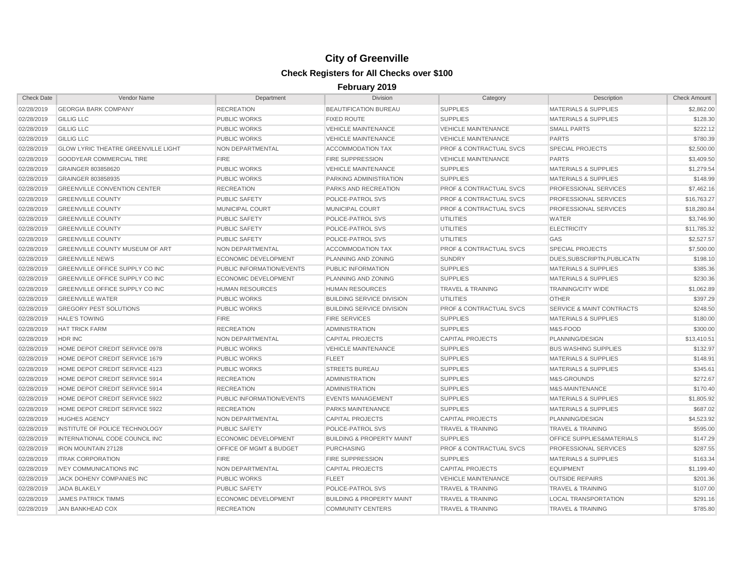| <b>Check Date</b> | Vendor Name                                | Department                       | <b>Division</b>                      | Category                           | Description                          | <b>Check Amount</b> |
|-------------------|--------------------------------------------|----------------------------------|--------------------------------------|------------------------------------|--------------------------------------|---------------------|
| 02/28/2019        | <b>GEORGIA BARK COMPANY</b>                | <b>RECREATION</b>                | <b>BEAUTIFICATION BUREAU</b>         | <b>SUPPLIES</b>                    | <b>MATERIALS &amp; SUPPLIES</b>      | \$2,862.00          |
| 02/28/2019        | <b>GILLIG LLC</b>                          | <b>PUBLIC WORKS</b>              | <b>FIXED ROUTE</b>                   | <b>SUPPLIES</b>                    | <b>MATERIALS &amp; SUPPLIES</b>      | \$128.30            |
| 02/28/2019        | <b>GILLIG LLC</b>                          | <b>PUBLIC WORKS</b>              | <b>VEHICLE MAINTENANCE</b>           | <b>VEHICLE MAINTENANCE</b>         | <b>SMALL PARTS</b>                   | \$222.12            |
| 02/28/2019        | <b>GILLIG LLC</b>                          | <b>PUBLIC WORKS</b>              | <b>VEHICLE MAINTENANCE</b>           | <b>VEHICLE MAINTENANCE</b>         | <b>PARTS</b>                         | \$780.39            |
| 02/28/2019        | <b>GLOW LYRIC THEATRE GREENVILLE LIGHT</b> | NON DEPARTMENTAL                 | <b>ACCOMMODATION TAX</b>             | <b>PROF &amp; CONTRACTUAL SVCS</b> | <b>SPECIAL PROJECTS</b>              | \$2,500.00          |
| 02/28/2019        | <b>GOODYEAR COMMERCIAL TIRE</b>            | <b>FIRE</b>                      | <b>FIRE SUPPRESSION</b>              | <b>VEHICLE MAINTENANCE</b>         | <b>PARTS</b>                         | \$3,409.50          |
| 02/28/2019        | GRAINGER 803858620                         | <b>PUBLIC WORKS</b>              | <b>VEHICLE MAINTENANCE</b>           | <b>SUPPLIES</b>                    | <b>MATERIALS &amp; SUPPLIES</b>      | \$1,279.54          |
| 02/28/2019        | GRAINGER 803858935                         | <b>PUBLIC WORKS</b>              | PARKING ADMINISTRATION               | <b>SUPPLIES</b>                    | <b>MATERIALS &amp; SUPPLIES</b>      | \$148.99            |
| 02/28/2019        | <b>GREENVILLE CONVENTION CENTER</b>        | <b>RECREATION</b>                | PARKS AND RECREATION                 | <b>PROF &amp; CONTRACTUAL SVCS</b> | PROFESSIONAL SERVICES                | \$7,462.16          |
| 02/28/2019        | <b>GREENVILLE COUNTY</b>                   | <b>PUBLIC SAFETY</b>             | POLICE-PATROL SVS                    | <b>PROF &amp; CONTRACTUAL SVCS</b> | PROFESSIONAL SERVICES                | \$16,763.27         |
| 02/28/2019        | <b>GREENVILLE COUNTY</b>                   | <b>MUNICIPAL COURT</b>           | <b>MUNICIPAL COURT</b>               | <b>PROF &amp; CONTRACTUAL SVCS</b> | PROFESSIONAL SERVICES                | \$18,280.84         |
| 02/28/2019        | <b>GREENVILLE COUNTY</b>                   | <b>PUBLIC SAFETY</b>             | POLICE-PATROL SVS                    | UTILITIES                          | <b>WATER</b>                         | \$3,746.90          |
| 02/28/2019        | <b>GREENVILLE COUNTY</b>                   | <b>PUBLIC SAFETY</b>             | POLICE-PATROL SVS                    | <b>UTILITIES</b>                   | <b>ELECTRICITY</b>                   | \$11.785.32         |
| 02/28/2019        | <b>GREENVILLE COUNTY</b>                   | <b>PUBLIC SAFETY</b>             | POLICE-PATROL SVS                    | <b>UTILITIES</b>                   | GAS                                  | \$2,527.57          |
| 02/28/2019        | <b>GREENVILLE COUNTY MUSEUM OF ART</b>     | NON DEPARTMENTAL                 | <b>ACCOMMODATION TAX</b>             | <b>PROF &amp; CONTRACTUAL SVCS</b> | <b>SPECIAL PROJECTS</b>              | \$7,500.00          |
| 02/28/2019        | <b>GREENVILLE NEWS</b>                     | ECONOMIC DEVELOPMENT             | PLANNING AND ZONING                  | <b>SUNDRY</b>                      | DUES, SUBSCRIPTN, PUBLICATN          | \$198.10            |
| 02/28/2019        | GREENVILLE OFFICE SUPPLY CO INC            | <b>PUBLIC INFORMATION/EVENTS</b> | PUBLIC INFORMATION                   | <b>SUPPLIES</b>                    | <b>MATERIALS &amp; SUPPLIES</b>      | \$385.36            |
| 02/28/2019        | <b>GREENVILLE OFFICE SUPPLY CO INC</b>     | <b>ECONOMIC DEVELOPMENT</b>      | PLANNING AND ZONING                  | <b>SUPPLIES</b>                    | <b>MATERIALS &amp; SUPPLIES</b>      | \$230.36            |
| 02/28/2019        | <b>GREENVILLE OFFICE SUPPLY CO INC</b>     | <b>HUMAN RESOURCES</b>           | <b>HUMAN RESOURCES</b>               | <b>TRAVEL &amp; TRAINING</b>       | <b>TRAINING/CITY WIDE</b>            | \$1,062.89          |
| 02/28/2019        | <b>GREENVILLE WATER</b>                    | <b>PUBLIC WORKS</b>              | <b>BUILDING SERVICE DIVISION</b>     | <b>UTILITIES</b>                   | <b>OTHER</b>                         | \$397.29            |
| 02/28/2019        | <b>GREGORY PEST SOLUTIONS</b>              | <b>PUBLIC WORKS</b>              | <b>BUILDING SERVICE DIVISION</b>     | <b>PROF &amp; CONTRACTUAL SVCS</b> | <b>SERVICE &amp; MAINT CONTRACTS</b> | \$248.50            |
| 02/28/2019        | <b>HALE'S TOWING</b>                       | <b>FIRE</b>                      | <b>FIRE SERVICES</b>                 | <b>SUPPLIES</b>                    | <b>MATERIALS &amp; SUPPLIES</b>      | \$180.00            |
| 02/28/2019        | <b>HAT TRICK FARM</b>                      | <b>RECREATION</b>                | <b>ADMINISTRATION</b>                | <b>SUPPLIES</b>                    | M&S-FOOD                             | \$300.00            |
| 02/28/2019        | HDR INC                                    | <b>NON DEPARTMENTAL</b>          | <b>CAPITAL PROJECTS</b>              | <b>CAPITAL PROJECTS</b>            | PLANNING/DESIGN                      | \$13,410.51         |
| 02/28/2019        | HOME DEPOT CREDIT SERVICE 0978             | <b>PUBLIC WORKS</b>              | <b>VEHICLE MAINTENANCE</b>           | <b>SUPPLIES</b>                    | <b>BUS WASHING SUPPLIES</b>          | \$132.97            |
| 02/28/2019        | HOME DEPOT CREDIT SERVICE 1679             | <b>PUBLIC WORKS</b>              | <b>FLEET</b>                         | <b>SUPPLIES</b>                    | <b>MATERIALS &amp; SUPPLIES</b>      | \$148.91            |
| 02/28/2019        | HOME DEPOT CREDIT SERVICE 4123             | <b>PUBLIC WORKS</b>              | <b>STREETS BUREAU</b>                | <b>SUPPLIES</b>                    | <b>MATERIALS &amp; SUPPLIES</b>      | \$345.61            |
| 02/28/2019        | HOME DEPOT CREDIT SERVICE 5914             | <b>RECREATION</b>                | <b>ADMINISTRATION</b>                | <b>SUPPLIES</b>                    | M&S-GROUNDS                          | \$272.67            |
| 02/28/2019        | HOME DEPOT CREDIT SERVICE 5914             | <b>RECREATION</b>                | <b>ADMINISTRATION</b>                | <b>SUPPLIES</b>                    | M&S-MAINTENANCE                      | \$170.40            |
| 02/28/2019        | HOME DEPOT CREDIT SERVICE 5922             | <b>PUBLIC INFORMATION/EVENTS</b> | <b>EVENTS MANAGEMENT</b>             | <b>SUPPLIES</b>                    | <b>MATERIALS &amp; SUPPLIES</b>      | \$1,805.92          |
| 02/28/2019        | HOME DEPOT CREDIT SERVICE 5922             | <b>RECREATION</b>                | PARKS MAINTENANCE                    | <b>SUPPLIES</b>                    | <b>MATERIALS &amp; SUPPLIES</b>      | \$687.02            |
| 02/28/2019        | <b>HUGHES AGENCY</b>                       | NON DEPARTMENTAL                 | <b>CAPITAL PROJECTS</b>              | <b>CAPITAL PROJECTS</b>            | PLANNING/DESIGN                      | \$4,523.92          |
| 02/28/2019        | INSTITUTE OF POLICE TECHNOLOGY             | <b>PUBLIC SAFETY</b>             | <b>POLICE-PATROL SVS</b>             | <b>TRAVEL &amp; TRAINING</b>       | <b>TRAVEL &amp; TRAINING</b>         | \$595.00            |
| 02/28/2019        | INTERNATIONAL CODE COUNCIL INC             | <b>ECONOMIC DEVELOPMENT</b>      | <b>BUILDING &amp; PROPERTY MAINT</b> | <b>SUPPLIES</b>                    | OFFICE SUPPLIES&MATERIALS            | \$147.29            |
| 02/28/2019        | <b>IRON MOUNTAIN 27128</b>                 | OFFICE OF MGMT & BUDGET          | <b>PURCHASING</b>                    | <b>PROF &amp; CONTRACTUAL SVCS</b> | <b>PROFESSIONAL SERVICES</b>         | \$287.55            |
| 02/28/2019        | <b>ITRAK CORPORATION</b>                   | <b>FIRE</b>                      | <b>FIRE SUPPRESSION</b>              | <b>SUPPLIES</b>                    | <b>MATERIALS &amp; SUPPLIES</b>      | \$163.34            |
| 02/28/2019        | <b>IVEY COMMUNICATIONS INC</b>             | NON DEPARTMENTAL                 | <b>CAPITAL PROJECTS</b>              | <b>CAPITAL PROJECTS</b>            | <b>EQUIPMENT</b>                     | \$1,199.40          |
| 02/28/2019        | JACK DOHENY COMPANIES INC                  | <b>PUBLIC WORKS</b>              | <b>FLEET</b>                         | <b>VEHICLE MAINTENANCE</b>         | <b>OUTSIDE REPAIRS</b>               | \$201.36            |
| 02/28/2019        | JADA BLAKELY                               | <b>PUBLIC SAFETY</b>             | POLICE-PATROL SVS                    | <b>TRAVEL &amp; TRAINING</b>       | <b>TRAVEL &amp; TRAINING</b>         | \$107.00            |
| 02/28/2019        | <b>JAMES PATRICK TIMMS</b>                 | <b>ECONOMIC DEVELOPMENT</b>      | <b>BUILDING &amp; PROPERTY MAINT</b> | <b>TRAVEL &amp; TRAINING</b>       | <b>LOCAL TRANSPORTATION</b>          | \$291.16            |
| 02/28/2019        | <b>JAN BANKHEAD COX</b>                    | <b>RECREATION</b>                | <b>COMMUNITY CENTERS</b>             | <b>TRAVEL &amp; TRAINING</b>       | <b>TRAVEL &amp; TRAINING</b>         | \$785.80            |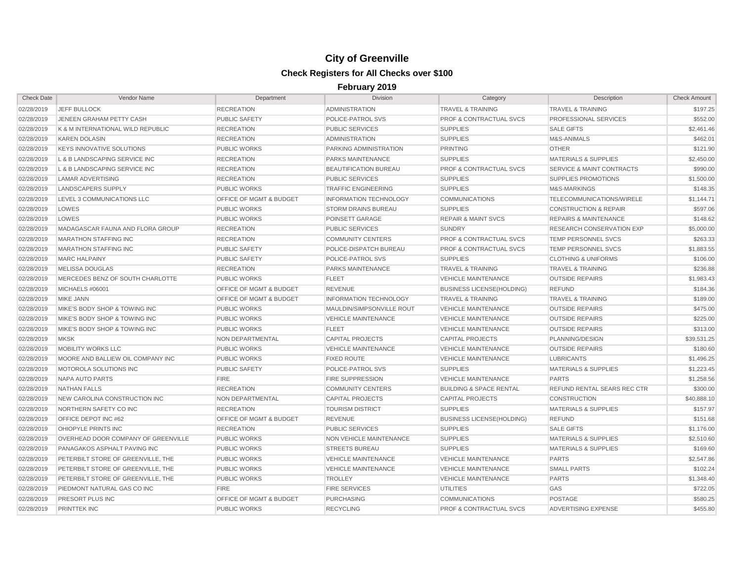| <b>Check Date</b> | Vendor Name                         | Department                         | <b>Division</b>               | Category                           | Description                          | <b>Check Amount</b> |
|-------------------|-------------------------------------|------------------------------------|-------------------------------|------------------------------------|--------------------------------------|---------------------|
| 02/28/2019        | <b>JEFF BULLOCK</b>                 | <b>RECREATION</b>                  | <b>ADMINISTRATION</b>         | <b>TRAVEL &amp; TRAINING</b>       | <b>TRAVEL &amp; TRAINING</b>         | \$197.25            |
| 02/28/2019        | JENEEN GRAHAM PETTY CASH            | <b>PUBLIC SAFETY</b>               | POLICE-PATROL SVS             | <b>PROF &amp; CONTRACTUAL SVCS</b> | PROFESSIONAL SERVICES                | \$552.00            |
| 02/28/2019        | K & M INTERNATIONAL WILD REPUBLIC   | <b>RECREATION</b>                  | <b>PUBLIC SERVICES</b>        | <b>SUPPLIES</b>                    | <b>SALE GIFTS</b>                    | \$2,461.46          |
| 02/28/2019        | <b>KAREN DOLASIN</b>                | <b>RECREATION</b>                  | <b>ADMINISTRATION</b>         | <b>SUPPLIES</b>                    | M&S-ANIMALS                          | \$462.01            |
| 02/28/2019        | <b>KEYS INNOVATIVE SOLUTIONS</b>    | <b>PUBLIC WORKS</b>                | PARKING ADMINISTRATION        | <b>PRINTING</b>                    | <b>OTHER</b>                         | \$121.90            |
| 02/28/2019        | L & B LANDSCAPING SERVICE INC       | <b>RECREATION</b>                  | PARKS MAINTENANCE             | <b>SUPPLIES</b>                    | <b>MATERIALS &amp; SUPPLIES</b>      | \$2,450.00          |
| 02/28/2019        | L & B LANDSCAPING SERVICE INC       | <b>RECREATION</b>                  | <b>BEAUTIFICATION BUREAU</b>  | <b>PROF &amp; CONTRACTUAL SVCS</b> | <b>SERVICE &amp; MAINT CONTRACTS</b> | \$990.00            |
| 02/28/2019        | <b>LAMAR ADVERTISING</b>            | <b>RECREATION</b>                  | <b>PUBLIC SERVICES</b>        | <b>SUPPLIES</b>                    | <b>SUPPLIES PROMOTIONS</b>           | \$1,500.00          |
| 02/28/2019        | LANDSCAPERS SUPPLY                  | <b>PUBLIC WORKS</b>                | <b>TRAFFIC ENGINEERING</b>    | <b>SUPPLIES</b>                    | <b>M&amp;S-MARKINGS</b>              | \$148.35            |
| 02/28/2019        | LEVEL 3 COMMUNICATIONS LLC          | <b>OFFICE OF MGMT &amp; BUDGET</b> | <b>INFORMATION TECHNOLOGY</b> | <b>COMMUNICATIONS</b>              | TELECOMMUNICATIONS/WIRELE            | \$1,144.71          |
| 02/28/2019        | LOWES                               | <b>PUBLIC WORKS</b>                | <b>STORM DRAINS BUREAU</b>    | <b>SUPPLIES</b>                    | <b>CONSTRUCTION &amp; REPAIR</b>     | \$597.06            |
| 02/28/2019        | LOWES                               | <b>PUBLIC WORKS</b>                | POINSETT GARAGE               | <b>REPAIR &amp; MAINT SVCS</b>     | <b>REPAIRS &amp; MAINTENANCE</b>     | \$148.62            |
| 02/28/2019        | MADAGASCAR FAUNA AND FLORA GROUP    | <b>RECREATION</b>                  | <b>PUBLIC SERVICES</b>        | <b>SUNDRY</b>                      | RESEARCH CONSERVATION EXP            | \$5,000.00          |
| 02/28/2019        | <b>MARATHON STAFFING INC</b>        | <b>RECREATION</b>                  | <b>COMMUNITY CENTERS</b>      | <b>PROF &amp; CONTRACTUAL SVCS</b> | TEMP PERSONNEL SVCS                  | \$263.33            |
| 02/28/2019        | <b>MARATHON STAFFING INC</b>        | <b>PUBLIC SAFETY</b>               | POLICE-DISPATCH BUREAU        | <b>PROF &amp; CONTRACTUAL SVCS</b> | <b>TEMP PERSONNEL SVCS</b>           | \$1,883.55          |
| 02/28/2019        | <b>MARC HALPAINY</b>                | <b>PUBLIC SAFETY</b>               | POLICE-PATROL SVS             | <b>SUPPLIES</b>                    | <b>CLOTHING &amp; UNIFORMS</b>       | \$106.00            |
| 02/28/2019        | MELISSA DOUGLAS                     | <b>RECREATION</b>                  | PARKS MAINTENANCE             | <b>TRAVEL &amp; TRAINING</b>       | <b>TRAVEL &amp; TRAINING</b>         | \$236.88            |
| 02/28/2019        | MERCEDES BENZ OF SOUTH CHARLOTTE    | <b>PUBLIC WORKS</b>                | <b>FLEET</b>                  | <b>VEHICLE MAINTENANCE</b>         | <b>OUTSIDE REPAIRS</b>               | \$1,983.43          |
| 02/28/2019        | <b>MICHAELS #06001</b>              | OFFICE OF MGMT & BUDGET            | <b>REVENUE</b>                | <b>BUSINESS LICENSE(HOLDING)</b>   | <b>REFUND</b>                        | \$184.36            |
| 02/28/2019        | <b>MIKE JANN</b>                    | <b>OFFICE OF MGMT &amp; BUDGET</b> | <b>INFORMATION TECHNOLOGY</b> | <b>TRAVEL &amp; TRAINING</b>       | <b>TRAVEL &amp; TRAINING</b>         | \$189.00            |
| 02/28/2019        | MIKE'S BODY SHOP & TOWING INC       | <b>PUBLIC WORKS</b>                | MAULDIN/SIMPSONVILLE ROUT     | <b>VEHICLE MAINTENANCE</b>         | <b>OUTSIDE REPAIRS</b>               | \$475.00            |
| 02/28/2019        | MIKE'S BODY SHOP & TOWING INC       | <b>PUBLIC WORKS</b>                | <b>VEHICLE MAINTENANCE</b>    | <b>VEHICLE MAINTENANCE</b>         | <b>OUTSIDE REPAIRS</b>               | \$225.00            |
| 02/28/2019        | MIKE'S BODY SHOP & TOWING INC       | <b>PUBLIC WORKS</b>                | <b>FLEET</b>                  | <b>VEHICLE MAINTENANCE</b>         | <b>OUTSIDE REPAIRS</b>               | \$313.00            |
| 02/28/2019        | <b>MKSK</b>                         | NON DEPARTMENTAL                   | <b>CAPITAL PROJECTS</b>       | <b>CAPITAL PROJECTS</b>            | PLANNING/DESIGN                      | \$39,531.25         |
| 02/28/2019        | <b>MOBILITY WORKS LLC</b>           | <b>PUBLIC WORKS</b>                | <b>VEHICLE MAINTENANCE</b>    | <b>VEHICLE MAINTENANCE</b>         | <b>OUTSIDE REPAIRS</b>               | \$180.60            |
| 02/28/2019        | MOORE AND BALLIEW OIL COMPANY INC   | <b>PUBLIC WORKS</b>                | <b>FIXED ROUTE</b>            | <b>VEHICLE MAINTENANCE</b>         | <b>LUBRICANTS</b>                    | \$1,496.25          |
| 02/28/2019        | MOTOROLA SOLUTIONS INC              | <b>PUBLIC SAFETY</b>               | POLICE-PATROL SVS             | <b>SUPPLIES</b>                    | <b>MATERIALS &amp; SUPPLIES</b>      | \$1,223.45          |
| 02/28/2019        | NAPA AUTO PARTS                     | <b>FIRE</b>                        | <b>FIRE SUPPRESSION</b>       | <b>VEHICLE MAINTENANCE</b>         | <b>PARTS</b>                         | \$1,258.56          |
| 02/28/2019        | <b>NATHAN FALLS</b>                 | <b>RECREATION</b>                  | <b>COMMUNITY CENTERS</b>      | <b>BUILDING &amp; SPACE RENTAL</b> | REFUND RENTAL SEARS REC CTR          | \$300.00            |
| 02/28/2019        | NEW CAROLINA CONSTRUCTION INC       | NON DEPARTMENTAL                   | <b>CAPITAL PROJECTS</b>       | <b>CAPITAL PROJECTS</b>            | <b>CONSTRUCTION</b>                  | \$40,888.10         |
| 02/28/2019        | NORTHERN SAFETY CO INC              | <b>RECREATION</b>                  | <b>TOURISM DISTRICT</b>       | <b>SUPPLIES</b>                    | <b>MATERIALS &amp; SUPPLIES</b>      | \$157.97            |
| 02/28/2019        | OFFICE DEPOT INC #62                | OFFICE OF MGMT & BUDGET            | <b>REVENUE</b>                | <b>BUSINESS LICENSE(HOLDING)</b>   | <b>REFUND</b>                        | \$151.68            |
| 02/28/2019        | OHIOPYLE PRINTS INC                 | <b>RECREATION</b>                  | <b>PUBLIC SERVICES</b>        | <b>SUPPLIES</b>                    | <b>SALE GIFTS</b>                    | \$1,176.00          |
| 02/28/2019        | OVERHEAD DOOR COMPANY OF GREENVILLE | <b>PUBLIC WORKS</b>                | NON VEHICLE MAINTENANCE       | <b>SUPPLIES</b>                    | <b>MATERIALS &amp; SUPPLIES</b>      | \$2,510.60          |
| 02/28/2019        | PANAGAKOS ASPHALT PAVING INC        | <b>PUBLIC WORKS</b>                | <b>STREETS BUREAU</b>         | <b>SUPPLIES</b>                    | <b>MATERIALS &amp; SUPPLIES</b>      | \$169.60            |
| 02/28/2019        | PETERBILT STORE OF GREENVILLE. THE  | <b>PUBLIC WORKS</b>                | <b>VEHICLE MAINTENANCE</b>    | <b>VEHICLE MAINTENANCE</b>         | <b>PARTS</b>                         | \$2,547.86          |
| 02/28/2019        | PETERBILT STORE OF GREENVILLE, THE  | <b>PUBLIC WORKS</b>                | <b>VEHICLE MAINTENANCE</b>    | <b>VEHICLE MAINTENANCE</b>         | <b>SMALL PARTS</b>                   | \$102.24            |
| 02/28/2019        | PETERBILT STORE OF GREENVILLE, THE  | <b>PUBLIC WORKS</b>                | <b>TROLLEY</b>                | <b>VEHICLE MAINTENANCE</b>         | <b>PARTS</b>                         | \$1,348.40          |
| 02/28/2019        | PIEDMONT NATURAL GAS CO INC         | <b>FIRE</b>                        | <b>FIRE SERVICES</b>          | <b>UTILITIES</b>                   | GAS                                  | \$722.05            |
| 02/28/2019        | <b>PRESORT PLUS INC</b>             | <b>OFFICE OF MGMT &amp; BUDGET</b> | <b>PURCHASING</b>             | <b>COMMUNICATIONS</b>              | <b>POSTAGE</b>                       | \$580.25            |
| 02/28/2019        | <b>PRINTTEK INC</b>                 | <b>PUBLIC WORKS</b>                | <b>RECYCLING</b>              | <b>PROF &amp; CONTRACTUAL SVCS</b> | ADVERTISING EXPENSE                  | \$455.80            |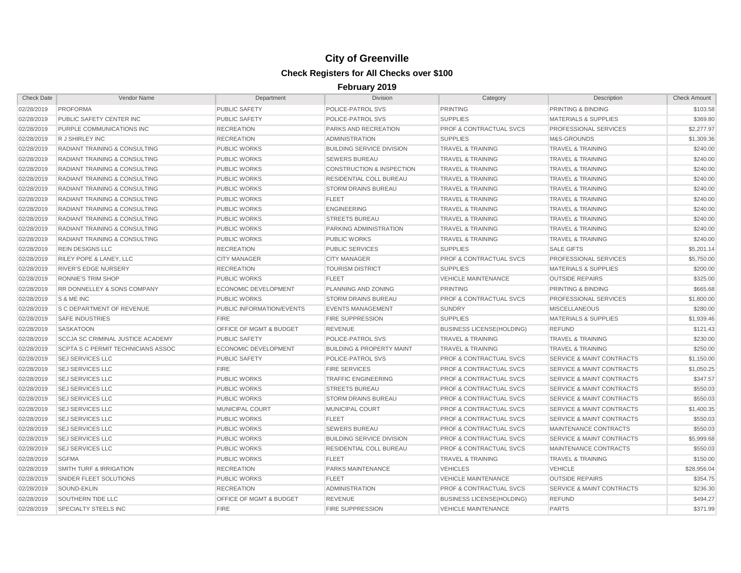| <b>Check Date</b> | Vendor Name                              | Department                         | <b>Division</b>                      | Category                           | Description                          | <b>Check Amount</b> |
|-------------------|------------------------------------------|------------------------------------|--------------------------------------|------------------------------------|--------------------------------------|---------------------|
| 02/28/2019        | <b>PROFORMA</b>                          | <b>PUBLIC SAFETY</b>               | POLICE-PATROL SVS                    | <b>PRINTING</b>                    | PRINTING & BINDING                   | \$103.58            |
| 02/28/2019        | PUBLIC SAFETY CENTER INC                 | <b>PUBLIC SAFETY</b>               | POLICE-PATROL SVS                    | <b>SUPPLIES</b>                    | <b>MATERIALS &amp; SUPPLIES</b>      | \$369.80            |
| 02/28/2019        | PURPLE COMMUNICATIONS INC                | <b>RECREATION</b>                  | PARKS AND RECREATION                 | <b>PROF &amp; CONTRACTUAL SVCS</b> | PROFESSIONAL SERVICES                | \$2,277.97          |
| 02/28/2019        | R J SHIRLEY INC                          | <b>RECREATION</b>                  | <b>ADMINISTRATION</b>                | <b>SUPPLIES</b>                    | M&S-GROUNDS                          | \$1,309.36          |
| 02/28/2019        | <b>RADIANT TRAINING &amp; CONSULTING</b> | <b>PUBLIC WORKS</b>                | <b>BUILDING SERVICE DIVISION</b>     | <b>TRAVEL &amp; TRAINING</b>       | <b>TRAVEL &amp; TRAINING</b>         | \$240.00            |
| 02/28/2019        | RADIANT TRAINING & CONSULTING            | <b>PUBLIC WORKS</b>                | <b>SEWERS BUREAU</b>                 | <b>TRAVEL &amp; TRAINING</b>       | <b>TRAVEL &amp; TRAINING</b>         | \$240.00            |
| 02/28/2019        | <b>RADIANT TRAINING &amp; CONSULTING</b> | <b>PUBLIC WORKS</b>                | <b>CONSTRUCTION &amp; INSPECTION</b> | <b>TRAVEL &amp; TRAINING</b>       | <b>TRAVEL &amp; TRAINING</b>         | \$240.00            |
| 02/28/2019        | <b>RADIANT TRAINING &amp; CONSULTING</b> | <b>PUBLIC WORKS</b>                | RESIDENTIAL COLL BUREAU              | <b>TRAVEL &amp; TRAINING</b>       | <b>TRAVEL &amp; TRAINING</b>         | \$240.00            |
| 02/28/2019        | <b>RADIANT TRAINING &amp; CONSULTING</b> | <b>PUBLIC WORKS</b>                | <b>STORM DRAINS BUREAU</b>           | <b>TRAVEL &amp; TRAINING</b>       | <b>TRAVEL &amp; TRAINING</b>         | \$240.00            |
| 02/28/2019        | <b>RADIANT TRAINING &amp; CONSULTING</b> | <b>PUBLIC WORKS</b>                | <b>FLEET</b>                         | <b>TRAVEL &amp; TRAINING</b>       | <b>TRAVEL &amp; TRAINING</b>         | \$240.00            |
| 02/28/2019        | <b>RADIANT TRAINING &amp; CONSULTING</b> | <b>PUBLIC WORKS</b>                | <b>ENGINEERING</b>                   | <b>TRAVEL &amp; TRAINING</b>       | <b>TRAVEL &amp; TRAINING</b>         | \$240.00            |
| 02/28/2019        | <b>RADIANT TRAINING &amp; CONSULTING</b> | <b>PUBLIC WORKS</b>                | <b>STREETS BUREAU</b>                | <b>TRAVEL &amp; TRAINING</b>       | <b>TRAVEL &amp; TRAINING</b>         | \$240.00            |
| 02/28/2019        | <b>RADIANT TRAINING &amp; CONSULTING</b> | <b>PUBLIC WORKS</b>                | PARKING ADMINISTRATION               | <b>TRAVEL &amp; TRAINING</b>       | <b>TRAVEL &amp; TRAINING</b>         | \$240.00            |
| 02/28/2019        | <b>RADIANT TRAINING &amp; CONSULTING</b> | <b>PUBLIC WORKS</b>                | <b>PUBLIC WORKS</b>                  | <b>TRAVEL &amp; TRAINING</b>       | <b>TRAVEL &amp; TRAINING</b>         | \$240.00            |
| 02/28/2019        | <b>REIN DESIGNS LLC</b>                  | <b>RECREATION</b>                  | <b>PUBLIC SERVICES</b>               | <b>SUPPLIES</b>                    | <b>SALE GIFTS</b>                    | \$5,201.14          |
| 02/28/2019        | RILEY POPE & LANEY, LLC                  | <b>CITY MANAGER</b>                | <b>CITY MANAGER</b>                  | PROF & CONTRACTUAL SVCS            | PROFESSIONAL SERVICES                | \$5,750.00          |
| 02/28/2019        | <b>RIVER'S EDGE NURSERY</b>              | <b>RECREATION</b>                  | <b>TOURISM DISTRICT</b>              | <b>SUPPLIES</b>                    | <b>MATERIALS &amp; SUPPLIES</b>      | \$200.00            |
| 02/28/2019        | <b>RONNIE'S TRIM SHOP</b>                | <b>PUBLIC WORKS</b>                | <b>FLEET</b>                         | <b>VEHICLE MAINTENANCE</b>         | <b>OUTSIDE REPAIRS</b>               | \$325.00            |
| 02/28/2019        | <b>RR DONNELLEY &amp; SONS COMPANY</b>   | <b>ECONOMIC DEVELOPMENT</b>        | PLANNING AND ZONING                  | PRINTING                           | PRINTING & BINDING                   | \$665.68            |
| 02/28/2019        | S & ME INC                               | <b>PUBLIC WORKS</b>                | <b>STORM DRAINS BUREAU</b>           | <b>PROF &amp; CONTRACTUAL SVCS</b> | PROFESSIONAL SERVICES                | \$1,800.00          |
| 02/28/2019        | <b>S C DEPARTMENT OF REVENUE</b>         | PUBLIC INFORMATION/EVENTS          | <b>EVENTS MANAGEMENT</b>             | <b>SUNDRY</b>                      | <b>MISCELLANEOUS</b>                 | \$280.00            |
| 02/28/2019        | <b>SAFE INDUSTRIES</b>                   | <b>FIRE</b>                        | <b>FIRE SUPPRESSION</b>              | <b>SUPPLIES</b>                    | <b>MATERIALS &amp; SUPPLIES</b>      | \$1,939.46          |
| 02/28/2019        | <b>SASKATOON</b>                         | OFFICE OF MGMT & BUDGET            | <b>REVENUE</b>                       | <b>BUSINESS LICENSE(HOLDING)</b>   | <b>REFUND</b>                        | \$121.43            |
| 02/28/2019        | <b>SCCJA SC CRIMINAL JUSTICE ACADEMY</b> | <b>PUBLIC SAFETY</b>               | POLICE-PATROL SVS                    | <b>TRAVEL &amp; TRAINING</b>       | <b>TRAVEL &amp; TRAINING</b>         | \$230.00            |
| 02/28/2019        | SCPTA S C PERMIT TECHNICIANS ASSOC       | <b>ECONOMIC DEVELOPMENT</b>        | <b>BUILDING &amp; PROPERTY MAINT</b> | <b>TRAVEL &amp; TRAINING</b>       | <b>TRAVEL &amp; TRAINING</b>         | \$250.00            |
| 02/28/2019        | <b>SEJ SERVICES LLC</b>                  | <b>PUBLIC SAFETY</b>               | POLICE-PATROL SVS                    | <b>PROF &amp; CONTRACTUAL SVCS</b> | SERVICE & MAINT CONTRACTS            | \$1,150.00          |
| 02/28/2019        | <b>SEJ SERVICES LLC</b>                  | <b>FIRE</b>                        | <b>FIRE SERVICES</b>                 | PROF & CONTRACTUAL SVCS            | SERVICE & MAINT CONTRACTS            | \$1,050.25          |
| 02/28/2019        | <b>SEJ SERVICES LLC</b>                  | <b>PUBLIC WORKS</b>                | <b>TRAFFIC ENGINEERING</b>           | <b>PROF &amp; CONTRACTUAL SVCS</b> | <b>SERVICE &amp; MAINT CONTRACTS</b> | \$347.57            |
| 02/28/2019        | <b>SEJ SERVICES LLC</b>                  | <b>PUBLIC WORKS</b>                | <b>STREETS BUREAU</b>                | <b>PROF &amp; CONTRACTUAL SVCS</b> | <b>SERVICE &amp; MAINT CONTRACTS</b> | \$550.03            |
| 02/28/2019        | <b>SEJ SERVICES LLC</b>                  | <b>PUBLIC WORKS</b>                | <b>STORM DRAINS BUREAU</b>           | <b>PROF &amp; CONTRACTUAL SVCS</b> | <b>SERVICE &amp; MAINT CONTRACTS</b> | \$550.03            |
| 02/28/2019        | <b>SEJ SERVICES LLC</b>                  | MUNICIPAL COURT                    | <b>MUNICIPAL COURT</b>               | <b>PROF &amp; CONTRACTUAL SVCS</b> | <b>SERVICE &amp; MAINT CONTRACTS</b> | \$1,400.35          |
| 02/28/2019        | <b>SEJ SERVICES LLC</b>                  | <b>PUBLIC WORKS</b>                | <b>FLEET</b>                         | <b>PROF &amp; CONTRACTUAL SVCS</b> | <b>SERVICE &amp; MAINT CONTRACTS</b> | \$550.03            |
| 02/28/2019        | <b>SEJ SERVICES LLC</b>                  | <b>PUBLIC WORKS</b>                | <b>SEWERS BUREAU</b>                 | <b>PROF &amp; CONTRACTUAL SVCS</b> | MAINTENANCE CONTRACTS                | \$550.03            |
| 02/28/2019        | <b>SEJ SERVICES LLC</b>                  | <b>PUBLIC WORKS</b>                | <b>BUILDING SERVICE DIVISION</b>     | <b>PROF &amp; CONTRACTUAL SVCS</b> | <b>SERVICE &amp; MAINT CONTRACTS</b> | \$5,999.68          |
| 02/28/2019        | SEJ SERVICES LLC                         | <b>PUBLIC WORKS</b>                | RESIDENTIAL COLL BUREAU              | <b>PROF &amp; CONTRACTUAL SVCS</b> | MAINTENANCE CONTRACTS                | \$550.03            |
| 02/28/2019        | <b>SGFMA</b>                             | <b>PUBLIC WORKS</b>                | <b>FLEET</b>                         | <b>TRAVEL &amp; TRAINING</b>       | <b>TRAVEL &amp; TRAINING</b>         | \$150.00            |
| 02/28/2019        | <b>SMITH TURF &amp; IRRIGATION</b>       | <b>RECREATION</b>                  | PARKS MAINTENANCE                    | <b>VEHICLES</b>                    | <b>VEHICLE</b>                       | \$28,956.04         |
| 02/28/2019        | SNIDER FLEET SOLUTIONS                   | <b>PUBLIC WORKS</b>                | <b>FLEET</b>                         | <b>VEHICLE MAINTENANCE</b>         | <b>OUTSIDE REPAIRS</b>               | \$354.75            |
| 02/28/2019        | SOUND-EKLIN                              | <b>RECREATION</b>                  | ADMINISTRATION                       | <b>PROF &amp; CONTRACTUAL SVCS</b> | <b>SERVICE &amp; MAINT CONTRACTS</b> | \$236.30            |
| 02/28/2019        | SOUTHERN TIDE LLC                        | <b>OFFICE OF MGMT &amp; BUDGET</b> | <b>REVENUE</b>                       | <b>BUSINESS LICENSE(HOLDING)</b>   | <b>REFUND</b>                        | \$494.27            |
| 02/28/2019        | SPECIALTY STEELS INC                     | <b>FIRE</b>                        | <b>FIRE SUPPRESSION</b>              | <b>VEHICLE MAINTENANCE</b>         | <b>PARTS</b>                         | \$371.99            |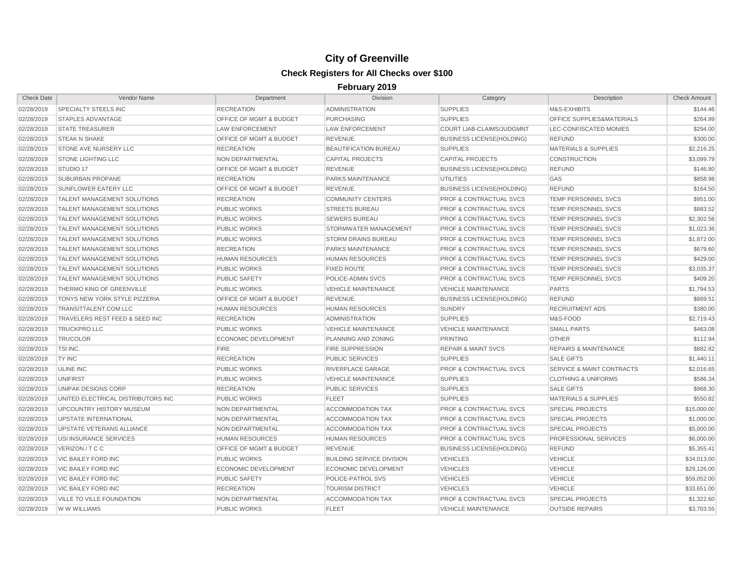| <b>Check Date</b> | Vendor Name                        | Department                         | <b>Division</b>                  | Category                           | Description                          | <b>Check Amount</b> |
|-------------------|------------------------------------|------------------------------------|----------------------------------|------------------------------------|--------------------------------------|---------------------|
| 02/28/2019        | SPECIALTY STEELS INC               | <b>RECREATION</b>                  | <b>ADMINISTRATION</b>            | <b>SUPPLIES</b>                    | M&S-EXHIBITS                         | \$144.46            |
| 02/28/2019        | <b>STAPLES ADVANTAGE</b>           | OFFICE OF MGMT & BUDGET            | <b>PURCHASING</b>                | <b>SUPPLIES</b>                    | OFFICE SUPPLIES&MATERIALS            | \$264.99            |
| 02/28/2019        | <b>STATE TREASURER</b>             | <b>LAW ENFORCEMENT</b>             | <b>LAW ENFORCEMENT</b>           | COURT LIAB-CLAIMS/JUDGMNT          | LEC-CONFISCATED MONIES               | \$294.00            |
| 02/28/2019        | <b>STEAK N SHAKE</b>               | OFFICE OF MGMT & BUDGET            | <b>REVENUE</b>                   | <b>BUSINESS LICENSE(HOLDING)</b>   | <b>REFUND</b>                        | \$300.00            |
| 02/28/2019        | STONE AVE NURSERY LLC              | <b>RECREATION</b>                  | <b>BEAUTIFICATION BUREAU</b>     | <b>SUPPLIES</b>                    | <b>MATERIALS &amp; SUPPLIES</b>      | \$2,216.25          |
| 02/28/2019        | <b>STONE LIGHTING LLC</b>          | NON DEPARTMENTAL                   | <b>CAPITAL PROJECTS</b>          | <b>CAPITAL PROJECTS</b>            | <b>CONSTRUCTION</b>                  | \$3,099.79          |
| 02/28/2019        | STUDIO 17                          | OFFICE OF MGMT & BUDGET            | <b>REVENUE</b>                   | <b>BUSINESS LICENSE(HOLDING)</b>   | <b>REFUND</b>                        | \$146.80            |
| 02/28/2019        | SUBURBAN PROPANE                   | <b>RECREATION</b>                  | PARKS MAINTENANCE                | <b>UTILITIES</b>                   | GAS                                  | \$858.98            |
| 02/28/2019        | <b>SUNFLOWER EATERY LLC</b>        | OFFICE OF MGMT & BUDGET            | <b>REVENUE</b>                   | <b>BUSINESS LICENSE(HOLDING)</b>   | <b>REFUND</b>                        | \$164.50            |
| 02/28/2019        | <b>TALENT MANAGEMENT SOLUTIONS</b> | <b>RECREATION</b>                  | <b>COMMUNITY CENTERS</b>         | <b>PROF &amp; CONTRACTUAL SVCS</b> | <b>TEMP PERSONNEL SVCS</b>           | \$951.00            |
| 02/28/2019        | <b>TALENT MANAGEMENT SOLUTIONS</b> | <b>PUBLIC WORKS</b>                | <b>STREETS BUREAU</b>            | <b>PROF &amp; CONTRACTUAL SVCS</b> | <b>TEMP PERSONNEL SVCS</b>           | \$883.52            |
| 02/28/2019        | <b>TALENT MANAGEMENT SOLUTIONS</b> | <b>PUBLIC WORKS</b>                | <b>SEWERS BUREAU</b>             | <b>PROF &amp; CONTRACTUAL SVCS</b> | <b>TEMP PERSONNEL SVCS</b>           | \$2,302.56          |
| 02/28/2019        | <b>TALENT MANAGEMENT SOLUTIONS</b> | <b>PUBLIC WORKS</b>                | STORMWATER MANAGEMENT            | <b>PROF &amp; CONTRACTUAL SVCS</b> | <b>TEMP PERSONNEL SVCS</b>           | \$1,023.36          |
| 02/28/2019        | TALENT MANAGEMENT SOLUTIONS        | <b>PUBLIC WORKS</b>                | <b>STORM DRAINS BUREAU</b>       | <b>PROF &amp; CONTRACTUAL SVCS</b> | <b>TEMP PERSONNEL SVCS</b>           | \$1,872.00          |
| 02/28/2019        | <b>TALENT MANAGEMENT SOLUTIONS</b> | <b>RECREATION</b>                  | <b>PARKS MAINTENANCE</b>         | <b>PROF &amp; CONTRACTUAL SVCS</b> | <b>TEMP PERSONNEL SVCS</b>           | \$679.60            |
| 02/28/2019        | <b>TALENT MANAGEMENT SOLUTIONS</b> | <b>HUMAN RESOURCES</b>             | <b>HUMAN RESOURCES</b>           | <b>PROF &amp; CONTRACTUAL SVCS</b> | <b>TEMP PERSONNEL SVCS</b>           | \$429.00            |
| 02/28/2019        | <b>TALENT MANAGEMENT SOLUTIONS</b> | <b>PUBLIC WORKS</b>                | <b>FIXED ROUTE</b>               | <b>PROF &amp; CONTRACTUAL SVCS</b> | <b>TEMP PERSONNEL SVCS</b>           | \$3,035.37          |
| 02/28/2019        | TALENT MANAGEMENT SOLUTIONS        | <b>PUBLIC SAFETY</b>               | POLICE-ADMIN SVCS                | <b>PROF &amp; CONTRACTUAL SVCS</b> | TEMP PERSONNEL SVCS                  | \$409.20            |
| 02/28/2019        | THERMO KING OF GREENVILLE          | <b>PUBLIC WORKS</b>                | <b>VEHICLE MAINTENANCE</b>       | <b>VEHICLE MAINTENANCE</b>         | <b>PARTS</b>                         | \$1,794.53          |
| 02/28/2019        | TONYS NEW YORK STYLE PIZZERIA      | <b>OFFICE OF MGMT &amp; BUDGET</b> | <b>REVENUE</b>                   | <b>BUSINESS LICENSE(HOLDING)</b>   | <b>REFUND</b>                        | \$869.51            |
| 02/28/2019        | TRANSITTALENT.COM LLC              | <b>HUMAN RESOURCES</b>             | <b>HUMAN RESOURCES</b>           | <b>SUNDRY</b>                      | <b>RECRUITMENT ADS</b>               | \$380.00            |
| 02/28/2019        | TRAVELERS REST FEED & SEED INC     | <b>RECREATION</b>                  | <b>ADMINISTRATION</b>            | <b>SUPPLIES</b>                    | M&S-FOOD                             | \$2,719.43          |
| 02/28/2019        | <b>TRUCKPRO LLC</b>                | <b>PUBLIC WORKS</b>                | <b>VEHICLE MAINTENANCE</b>       | <b>VEHICLE MAINTENANCE</b>         | <b>SMALL PARTS</b>                   | \$463.08            |
| 02/28/2019        | <b>TRUCOLOR</b>                    | <b>ECONOMIC DEVELOPMENT</b>        | PLANNING AND ZONING              | <b>PRINTING</b>                    | <b>OTHER</b>                         | \$112.94            |
| 02/28/2019        | TSI INC.                           | <b>FIRE</b>                        | <b>FIRE SUPPRESSION</b>          | <b>REPAIR &amp; MAINT SVCS</b>     | <b>REPAIRS &amp; MAINTENANCE</b>     | \$882.82            |
| 02/28/2019        | TY INC                             | <b>RECREATION</b>                  | <b>PUBLIC SERVICES</b>           | <b>SUPPLIES</b>                    | <b>SALE GIFTS</b>                    | \$1,440.11          |
| 02/28/2019        | ULINE INC                          | <b>PUBLIC WORKS</b>                | RIVERPLACE GARAGE                | <b>PROF &amp; CONTRACTUAL SVCS</b> | <b>SERVICE &amp; MAINT CONTRACTS</b> | \$2,016.65          |
| 02/28/2019        | <b>UNIFIRST</b>                    | <b>PUBLIC WORKS</b>                | <b>VEHICLE MAINTENANCE</b>       | <b>SUPPLIES</b>                    | <b>CLOTHING &amp; UNIFORMS</b>       | \$586.34            |
| 02/28/2019        | UNIPAK DESIGNS CORP                | <b>RECREATION</b>                  | <b>PUBLIC SERVICES</b>           | <b>SUPPLIES</b>                    | <b>SALE GIFTS</b>                    | \$968.30            |
| 02/28/2019        | UNITED ELECTRICAL DISTRIBUTORS INC | <b>PUBLIC WORKS</b>                | <b>FLEET</b>                     | <b>SUPPLIES</b>                    | <b>MATERIALS &amp; SUPPLIES</b>      | \$550.82            |
| 02/28/2019        | UPCOUNTRY HISTORY MUSEUM           | NON DEPARTMENTAL                   | <b>ACCOMMODATION TAX</b>         | <b>PROF &amp; CONTRACTUAL SVCS</b> | <b>SPECIAL PROJECTS</b>              | \$15,000.00         |
| 02/28/2019        | <b>UPSTATE INTERNATIONAL</b>       | NON DEPARTMENTAL                   | <b>ACCOMMODATION TAX</b>         | <b>PROF &amp; CONTRACTUAL SVCS</b> | <b>SPECIAL PROJECTS</b>              | \$1,000.00          |
| 02/28/2019        | UPSTATE VETERANS ALLIANCE          | NON DEPARTMENTAL                   | <b>ACCOMMODATION TAX</b>         | PROF & CONTRACTUAL SVCS            | <b>SPECIAL PROJECTS</b>              | \$5,000.00          |
| 02/28/2019        | USI INSURANCE SERVICES             | <b>HUMAN RESOURCES</b>             | <b>HUMAN RESOURCES</b>           | PROF & CONTRACTUAL SVCS            | <b>PROFESSIONAL SERVICES</b>         | \$6,000.00          |
| 02/28/2019        | VERIZON / T C C                    | <b>OFFICE OF MGMT &amp; BUDGET</b> | <b>REVENUE</b>                   | <b>BUSINESS LICENSE(HOLDING)</b>   | <b>REFUND</b>                        | \$5,355.41          |
| 02/28/2019        | <b>VIC BAILEY FORD INC</b>         | <b>PUBLIC WORKS</b>                | <b>BUILDING SERVICE DIVISION</b> | <b>VEHICLES</b>                    | <b>VEHICLE</b>                       | \$34,013.00         |
| 02/28/2019        | <b>VIC BAILEY FORD INC</b>         | <b>ECONOMIC DEVELOPMENT</b>        | <b>ECONOMIC DEVELOPMENT</b>      | <b>VEHICLES</b>                    | <b>VEHICLE</b>                       | \$29,126.00         |
| 02/28/2019        | <b>VIC BAILEY FORD INC</b>         | <b>PUBLIC SAFETY</b>               | POLICE-PATROL SVS                | <b>VEHICLES</b>                    | <b>VEHICLE</b>                       | \$59,052.00         |
| 02/28/2019        | <b>VIC BAILEY FORD INC</b>         | <b>RECREATION</b>                  | <b>TOURISM DISTRICT</b>          | <b>VEHICLES</b>                    | <b>VEHICLE</b>                       | \$33,651.00         |
| 02/28/2019        | <b>VILLE TO VILLE FOUNDATION</b>   | NON DEPARTMENTAL                   | <b>ACCOMMODATION TAX</b>         | <b>PROF &amp; CONTRACTUAL SVCS</b> | <b>SPECIAL PROJECTS</b>              | \$1,322.60          |
| 02/28/2019        | W W WILLIAMS                       | <b>PUBLIC WORKS</b>                | <b>FLEET</b>                     | <b>VEHICLE MAINTENANCE</b>         | <b>OUTSIDE REPAIRS</b>               | \$3,703.55          |